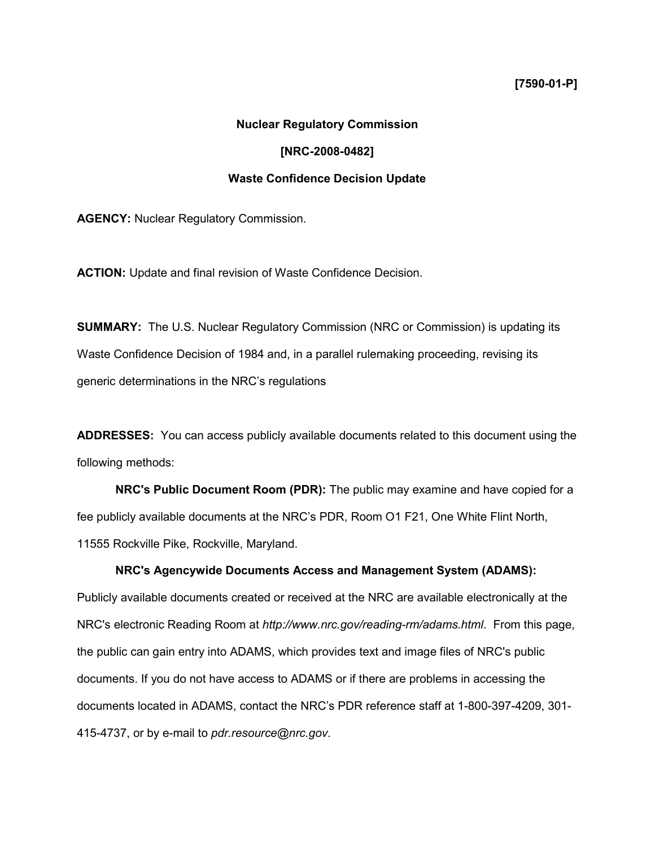## **[7590-01-P]**

## **Nuclear Regulatory Commission**

## **[NRC-2008-0482]**

#### **Waste Confidence Decision Update**

**AGENCY:** Nuclear Regulatory Commission.

**ACTION:** Update and final revision of Waste Confidence Decision.

**SUMMARY:** The U.S. Nuclear Regulatory Commission (NRC or Commission) is updating its Waste Confidence Decision of 1984 and, in a parallel rulemaking proceeding, revising its generic determinations in the NRC's regulations

**ADDRESSES:** You can access publicly available documents related to this document using the following methods:

**NRC's Public Document Room (PDR):** The public may examine and have copied for a fee publicly available documents at the NRC's PDR, Room O1 F21, One White Flint North, 11555 Rockville Pike, Rockville, Maryland.

#### **NRC's Agencywide Documents Access and Management System (ADAMS):**

Publicly available documents created or received at the NRC are available electronically at the NRC's electronic Reading Room at *http://www.nrc.gov/reading-rm/adams.html*. From this page, the public can gain entry into ADAMS, which provides text and image files of NRC's public documents. If you do not have access to ADAMS or if there are problems in accessing the documents located in ADAMS, contact the NRC's PDR reference staff at 1-800-397-4209, 301- 415-4737, or by e-mail to *pdr.resource@nrc.gov*.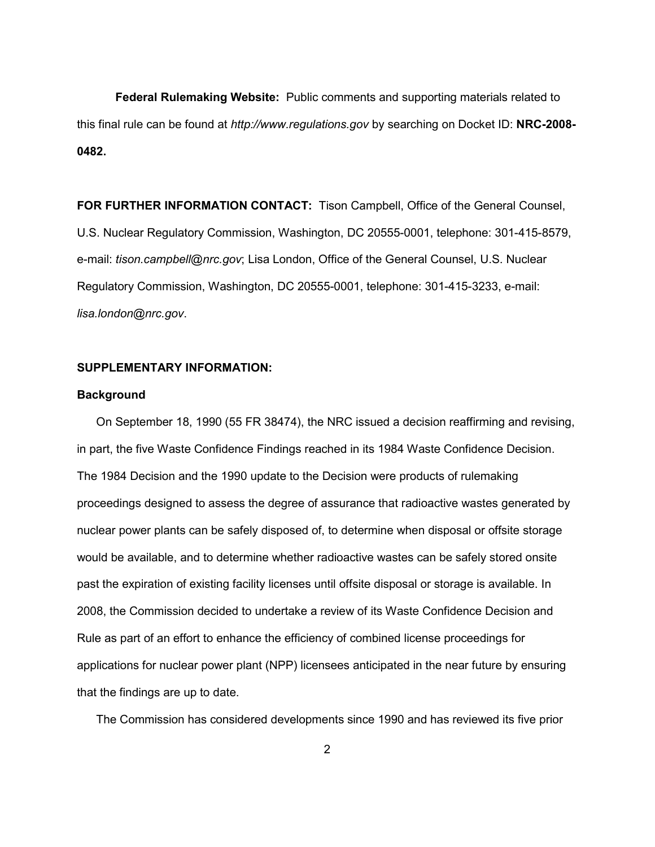**Federal Rulemaking Website:** Public comments and supporting materials related to this final rule can be found at *http://www.regulations.gov* by searching on Docket ID: **NRC-2008- 0482.** 

**FOR FURTHER INFORMATION CONTACT:** Tison Campbell, Office of the General Counsel, U.S. Nuclear Regulatory Commission, Washington, DC 20555-0001, telephone: 301-415-8579, e-mail: *tison.campbell@nrc.gov*; Lisa London, Office of the General Counsel, U.S. Nuclear Regulatory Commission, Washington, DC 20555-0001, telephone: 301-415-3233, e-mail: *lisa.london@nrc.gov*.

## **SUPPLEMENTARY INFORMATION:**

## **Background**

 On September 18, 1990 (55 FR 38474), the NRC issued a decision reaffirming and revising, in part, the five Waste Confidence Findings reached in its 1984 Waste Confidence Decision. The 1984 Decision and the 1990 update to the Decision were products of rulemaking proceedings designed to assess the degree of assurance that radioactive wastes generated by nuclear power plants can be safely disposed of, to determine when disposal or offsite storage would be available, and to determine whether radioactive wastes can be safely stored onsite past the expiration of existing facility licenses until offsite disposal or storage is available. In 2008, the Commission decided to undertake a review of its Waste Confidence Decision and Rule as part of an effort to enhance the efficiency of combined license proceedings for applications for nuclear power plant (NPP) licensees anticipated in the near future by ensuring that the findings are up to date.

The Commission has considered developments since 1990 and has reviewed its five prior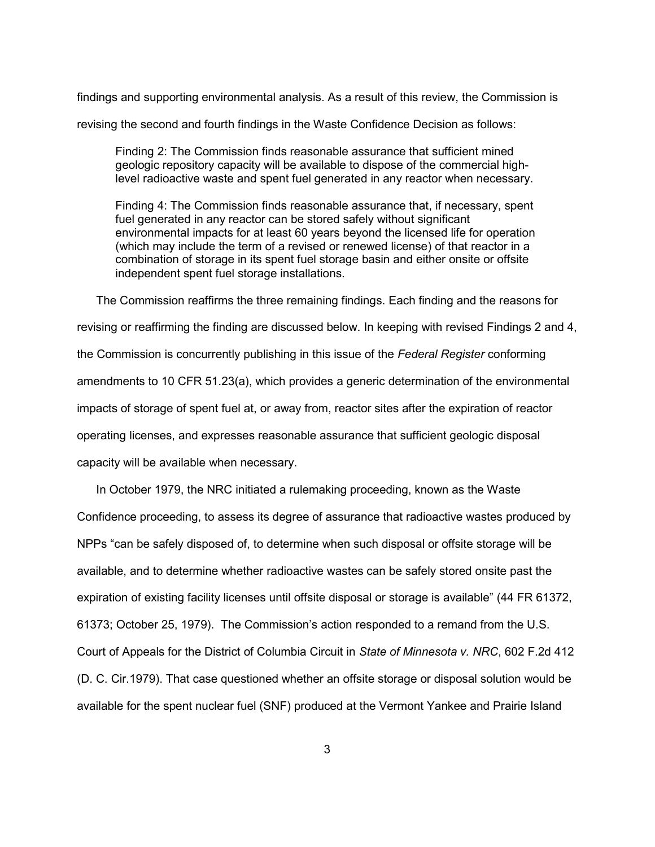findings and supporting environmental analysis. As a result of this review, the Commission is

revising the second and fourth findings in the Waste Confidence Decision as follows:

Finding 2: The Commission finds reasonable assurance that sufficient mined geologic repository capacity will be available to dispose of the commercial highlevel radioactive waste and spent fuel generated in any reactor when necessary.

Finding 4: The Commission finds reasonable assurance that, if necessary, spent fuel generated in any reactor can be stored safely without significant environmental impacts for at least 60 years beyond the licensed life for operation (which may include the term of a revised or renewed license) of that reactor in a combination of storage in its spent fuel storage basin and either onsite or offsite independent spent fuel storage installations.

 The Commission reaffirms the three remaining findings. Each finding and the reasons for revising or reaffirming the finding are discussed below. In keeping with revised Findings 2 and 4, the Commission is concurrently publishing in this issue of the *Federal Register* conforming amendments to 10 CFR 51.23(a), which provides a generic determination of the environmental impacts of storage of spent fuel at, or away from, reactor sites after the expiration of reactor operating licenses, and expresses reasonable assurance that sufficient geologic disposal capacity will be available when necessary.

 In October 1979, the NRC initiated a rulemaking proceeding, known as the Waste Confidence proceeding, to assess its degree of assurance that radioactive wastes produced by NPPs "can be safely disposed of, to determine when such disposal or offsite storage will be available, and to determine whether radioactive wastes can be safely stored onsite past the expiration of existing facility licenses until offsite disposal or storage is available" (44 FR 61372, 61373; October 25, 1979). The Commission's action responded to a remand from the U.S. Court of Appeals for the District of Columbia Circuit in *State of Minnesota v. NRC*, 602 F.2d 412 (D. C. Cir.1979). That case questioned whether an offsite storage or disposal solution would be available for the spent nuclear fuel (SNF) produced at the Vermont Yankee and Prairie Island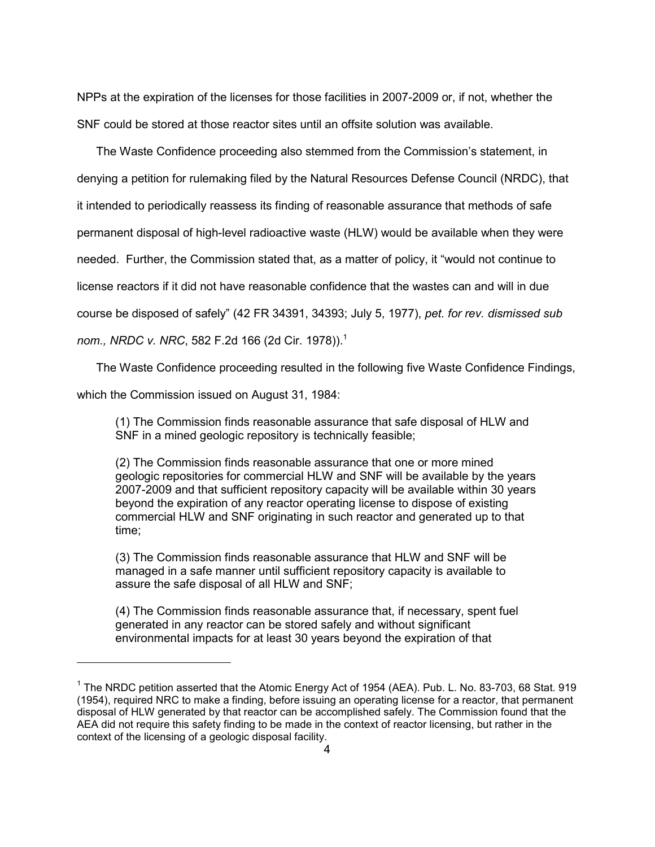NPPs at the expiration of the licenses for those facilities in 2007-2009 or, if not, whether the SNF could be stored at those reactor sites until an offsite solution was available.

 The Waste Confidence proceeding also stemmed from the Commission's statement, in denying a petition for rulemaking filed by the Natural Resources Defense Council (NRDC), that it intended to periodically reassess its finding of reasonable assurance that methods of safe permanent disposal of high-level radioactive waste (HLW) would be available when they were needed. Further, the Commission stated that, as a matter of policy, it "would not continue to license reactors if it did not have reasonable confidence that the wastes can and will in due course be disposed of safely" (42 FR 34391, 34393; July 5, 1977), *pet. for rev. dismissed sub nom., NRDC v. NRC*, 582 F.2d 166 (2d Cir. 1978)).1

 The Waste Confidence proceeding resulted in the following five Waste Confidence Findings, which the Commission issued on August 31, 1984:

(1) The Commission finds reasonable assurance that safe disposal of HLW and SNF in a mined geologic repository is technically feasible;

(2) The Commission finds reasonable assurance that one or more mined geologic repositories for commercial HLW and SNF will be available by the years 2007-2009 and that sufficient repository capacity will be available within 30 years beyond the expiration of any reactor operating license to dispose of existing commercial HLW and SNF originating in such reactor and generated up to that time;

(3) The Commission finds reasonable assurance that HLW and SNF will be managed in a safe manner until sufficient repository capacity is available to assure the safe disposal of all HLW and SNF;

(4) The Commission finds reasonable assurance that, if necessary, spent fuel generated in any reactor can be stored safely and without significant environmental impacts for at least 30 years beyond the expiration of that

 $1$  The NRDC petition asserted that the Atomic Energy Act of 1954 (AEA). Pub. L. No. 83-703, 68 Stat. 919 (1954), required NRC to make a finding, before issuing an operating license for a reactor, that permanent disposal of HLW generated by that reactor can be accomplished safely. The Commission found that the AEA did not require this safety finding to be made in the context of reactor licensing, but rather in the context of the licensing of a geologic disposal facility.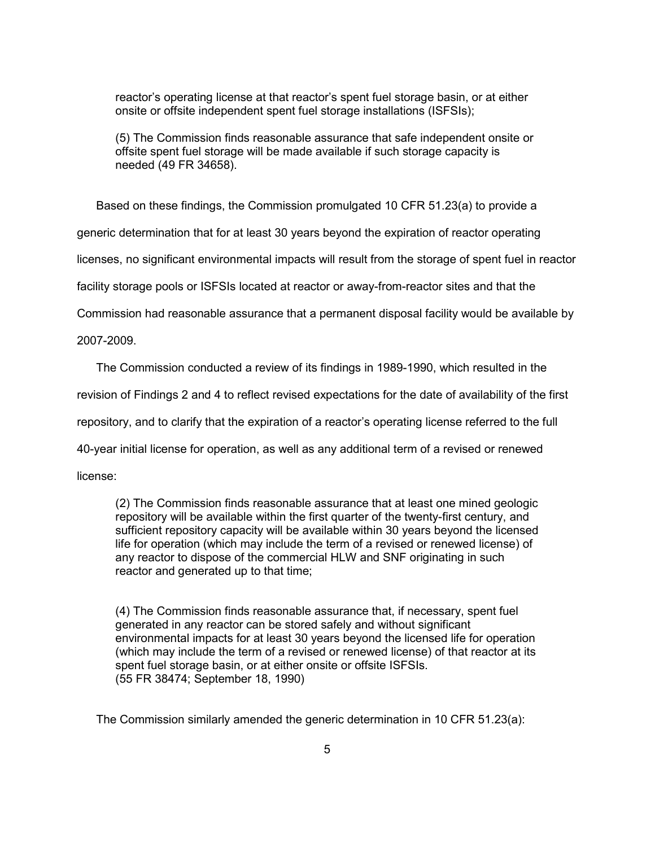reactor's operating license at that reactor's spent fuel storage basin, or at either onsite or offsite independent spent fuel storage installations (ISFSIs);

(5) The Commission finds reasonable assurance that safe independent onsite or offsite spent fuel storage will be made available if such storage capacity is needed (49 FR 34658).

Based on these findings, the Commission promulgated 10 CFR 51.23(a) to provide a

generic determination that for at least 30 years beyond the expiration of reactor operating

licenses, no significant environmental impacts will result from the storage of spent fuel in reactor

facility storage pools or ISFSIs located at reactor or away-from-reactor sites and that the

Commission had reasonable assurance that a permanent disposal facility would be available by

2007-2009.

The Commission conducted a review of its findings in 1989-1990, which resulted in the

revision of Findings 2 and 4 to reflect revised expectations for the date of availability of the first

repository, and to clarify that the expiration of a reactor's operating license referred to the full

40-year initial license for operation, as well as any additional term of a revised or renewed

license:

(2) The Commission finds reasonable assurance that at least one mined geologic repository will be available within the first quarter of the twenty-first century, and sufficient repository capacity will be available within 30 years beyond the licensed life for operation (which may include the term of a revised or renewed license) of any reactor to dispose of the commercial HLW and SNF originating in such reactor and generated up to that time;

(4) The Commission finds reasonable assurance that, if necessary, spent fuel generated in any reactor can be stored safely and without significant environmental impacts for at least 30 years beyond the licensed life for operation (which may include the term of a revised or renewed license) of that reactor at its spent fuel storage basin, or at either onsite or offsite ISFSIs. (55 FR 38474; September 18, 1990)

The Commission similarly amended the generic determination in 10 CFR 51.23(a):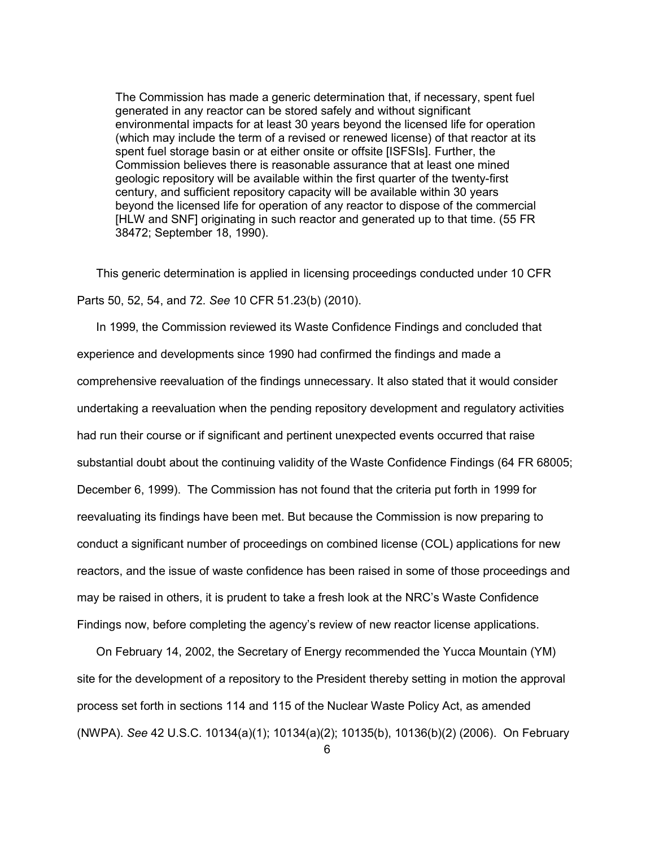The Commission has made a generic determination that, if necessary, spent fuel generated in any reactor can be stored safely and without significant environmental impacts for at least 30 years beyond the licensed life for operation (which may include the term of a revised or renewed license) of that reactor at its spent fuel storage basin or at either onsite or offsite [ISFSIs]. Further, the Commission believes there is reasonable assurance that at least one mined geologic repository will be available within the first quarter of the twenty-first century, and sufficient repository capacity will be available within 30 years beyond the licensed life for operation of any reactor to dispose of the commercial [HLW and SNF] originating in such reactor and generated up to that time. (55 FR 38472; September 18, 1990).

 This generic determination is applied in licensing proceedings conducted under 10 CFR Parts 50, 52, 54, and 72. *See* 10 CFR 51.23(b) (2010).

 In 1999, the Commission reviewed its Waste Confidence Findings and concluded that experience and developments since 1990 had confirmed the findings and made a comprehensive reevaluation of the findings unnecessary. It also stated that it would consider undertaking a reevaluation when the pending repository development and regulatory activities had run their course or if significant and pertinent unexpected events occurred that raise substantial doubt about the continuing validity of the Waste Confidence Findings (64 FR 68005; December 6, 1999). The Commission has not found that the criteria put forth in 1999 for reevaluating its findings have been met. But because the Commission is now preparing to conduct a significant number of proceedings on combined license (COL) applications for new reactors, and the issue of waste confidence has been raised in some of those proceedings and may be raised in others, it is prudent to take a fresh look at the NRC's Waste Confidence Findings now, before completing the agency's review of new reactor license applications.

 On February 14, 2002, the Secretary of Energy recommended the Yucca Mountain (YM) site for the development of a repository to the President thereby setting in motion the approval process set forth in sections 114 and 115 of the Nuclear Waste Policy Act, as amended (NWPA). *See* 42 U.S.C. 10134(a)(1); 10134(a)(2); 10135(b), 10136(b)(2) (2006). On February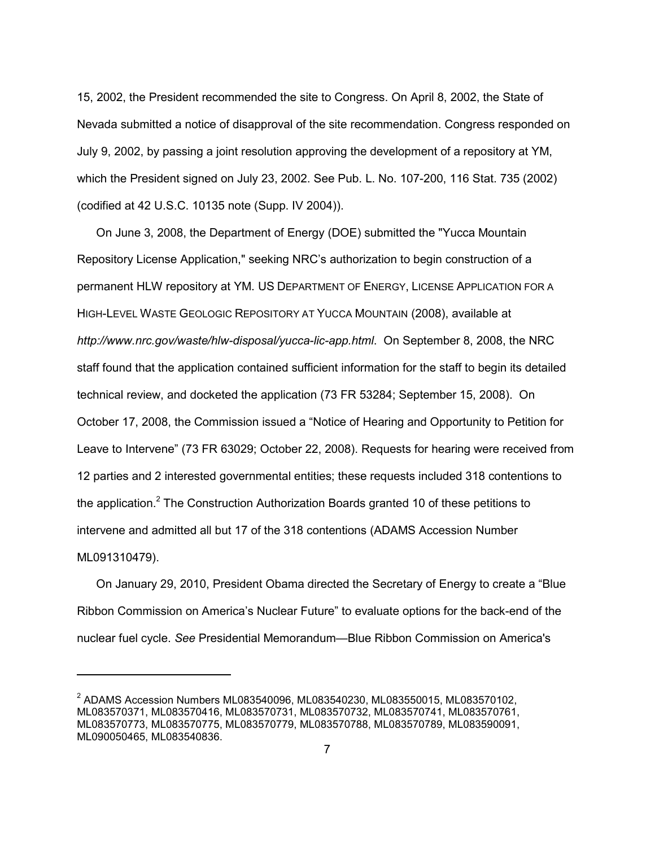15, 2002, the President recommended the site to Congress. On April 8, 2002, the State of Nevada submitted a notice of disapproval of the site recommendation. Congress responded on July 9, 2002, by passing a joint resolution approving the development of a repository at YM, which the President signed on July 23, 2002. See Pub. L. No. 107-200, 116 Stat. 735 (2002) (codified at 42 U.S.C. 10135 note (Supp. IV 2004)).

 On June 3, 2008, the Department of Energy (DOE) submitted the "Yucca Mountain Repository License Application," seeking NRC's authorization to begin construction of a permanent HLW repository at YM. US DEPARTMENT OF ENERGY, LICENSE APPLICATION FOR A HIGH-LEVEL WASTE GEOLOGIC REPOSITORY AT YUCCA MOUNTAIN (2008), available at *http://www.nrc.gov/waste/hlw-disposal/yucca-lic-app.html*. On September 8, 2008, the NRC staff found that the application contained sufficient information for the staff to begin its detailed technical review, and docketed the application (73 FR 53284; September 15, 2008). On October 17, 2008, the Commission issued a "Notice of Hearing and Opportunity to Petition for Leave to Intervene" (73 FR 63029; October 22, 2008). Requests for hearing were received from 12 parties and 2 interested governmental entities; these requests included 318 contentions to the application.<sup>2</sup> The Construction Authorization Boards granted 10 of these petitions to intervene and admitted all but 17 of the 318 contentions (ADAMS Accession Number ML091310479).

 On January 29, 2010, President Obama directed the Secretary of Energy to create a "Blue Ribbon Commission on America's Nuclear Future" to evaluate options for the back-end of the nuclear fuel cycle. *See* Presidential Memorandum—Blue Ribbon Commission on America's

<sup>2</sup> ADAMS Accession Numbers ML083540096, ML083540230, ML083550015, ML083570102, ML083570371, ML083570416, ML083570731, ML083570732, ML083570741, ML083570761, ML083570773, ML083570775, ML083570779, ML083570788, ML083570789, ML083590091, ML090050465, ML083540836.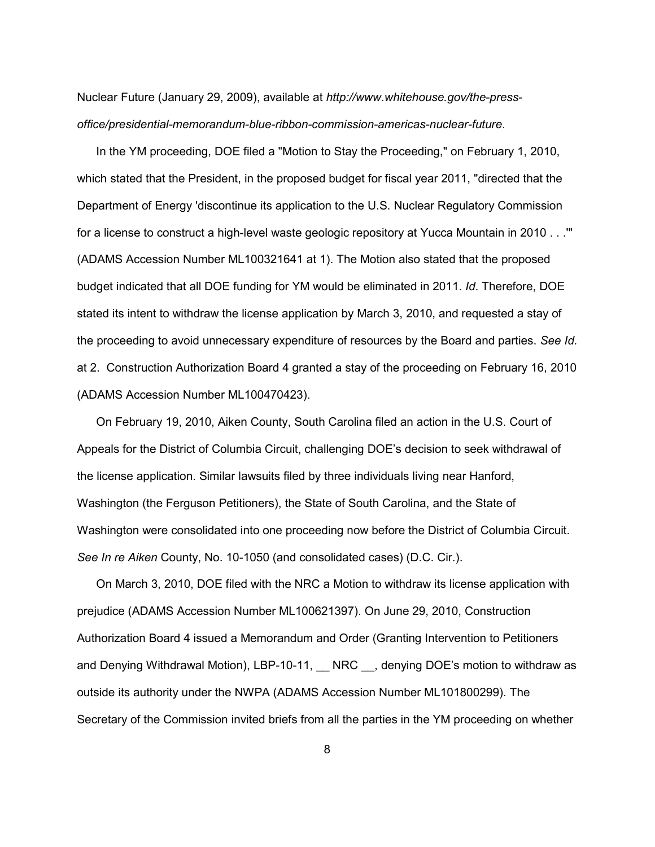Nuclear Future (January 29, 2009), available at *http://www.whitehouse.gov/the-pressoffice/presidential-memorandum-blue-ribbon-commission-americas-nuclear-future*.

 In the YM proceeding, DOE filed a "Motion to Stay the Proceeding," on February 1, 2010, which stated that the President, in the proposed budget for fiscal year 2011, "directed that the Department of Energy 'discontinue its application to the U.S. Nuclear Regulatory Commission for a license to construct a high-level waste geologic repository at Yucca Mountain in 2010 . . .'" (ADAMS Accession Number ML100321641 at 1). The Motion also stated that the proposed budget indicated that all DOE funding for YM would be eliminated in 2011. *Id*. Therefore, DOE stated its intent to withdraw the license application by March 3, 2010, and requested a stay of the proceeding to avoid unnecessary expenditure of resources by the Board and parties. *See Id.* at 2. Construction Authorization Board 4 granted a stay of the proceeding on February 16, 2010 (ADAMS Accession Number ML100470423).

 On February 19, 2010, Aiken County, South Carolina filed an action in the U.S. Court of Appeals for the District of Columbia Circuit, challenging DOE's decision to seek withdrawal of the license application. Similar lawsuits filed by three individuals living near Hanford, Washington (the Ferguson Petitioners), the State of South Carolina, and the State of Washington were consolidated into one proceeding now before the District of Columbia Circuit. *See In re Aiken* County, No. 10-1050 (and consolidated cases) (D.C. Cir.).

 On March 3, 2010, DOE filed with the NRC a Motion to withdraw its license application with prejudice (ADAMS Accession Number ML100621397). On June 29, 2010, Construction Authorization Board 4 issued a Memorandum and Order (Granting Intervention to Petitioners and Denying Withdrawal Motion), LBP-10-11, RRC or denying DOE's motion to withdraw as outside its authority under the NWPA (ADAMS Accession Number ML101800299). The Secretary of the Commission invited briefs from all the parties in the YM proceeding on whether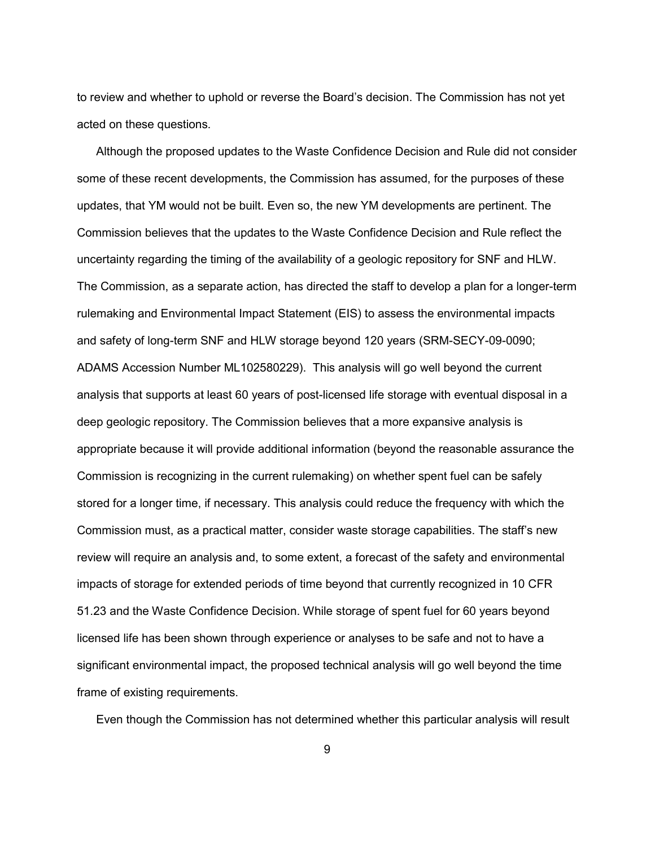to review and whether to uphold or reverse the Board's decision. The Commission has not yet acted on these questions.

 Although the proposed updates to the Waste Confidence Decision and Rule did not consider some of these recent developments, the Commission has assumed, for the purposes of these updates, that YM would not be built. Even so, the new YM developments are pertinent. The Commission believes that the updates to the Waste Confidence Decision and Rule reflect the uncertainty regarding the timing of the availability of a geologic repository for SNF and HLW. The Commission, as a separate action, has directed the staff to develop a plan for a longer-term rulemaking and Environmental Impact Statement (EIS) to assess the environmental impacts and safety of long-term SNF and HLW storage beyond 120 years (SRM-SECY-09-0090; ADAMS Accession Number ML102580229). This analysis will go well beyond the current analysis that supports at least 60 years of post-licensed life storage with eventual disposal in a deep geologic repository. The Commission believes that a more expansive analysis is appropriate because it will provide additional information (beyond the reasonable assurance the Commission is recognizing in the current rulemaking) on whether spent fuel can be safely stored for a longer time, if necessary. This analysis could reduce the frequency with which the Commission must, as a practical matter, consider waste storage capabilities. The staff's new review will require an analysis and, to some extent, a forecast of the safety and environmental impacts of storage for extended periods of time beyond that currently recognized in 10 CFR 51.23 and the Waste Confidence Decision. While storage of spent fuel for 60 years beyond licensed life has been shown through experience or analyses to be safe and not to have a significant environmental impact, the proposed technical analysis will go well beyond the time frame of existing requirements.

Even though the Commission has not determined whether this particular analysis will result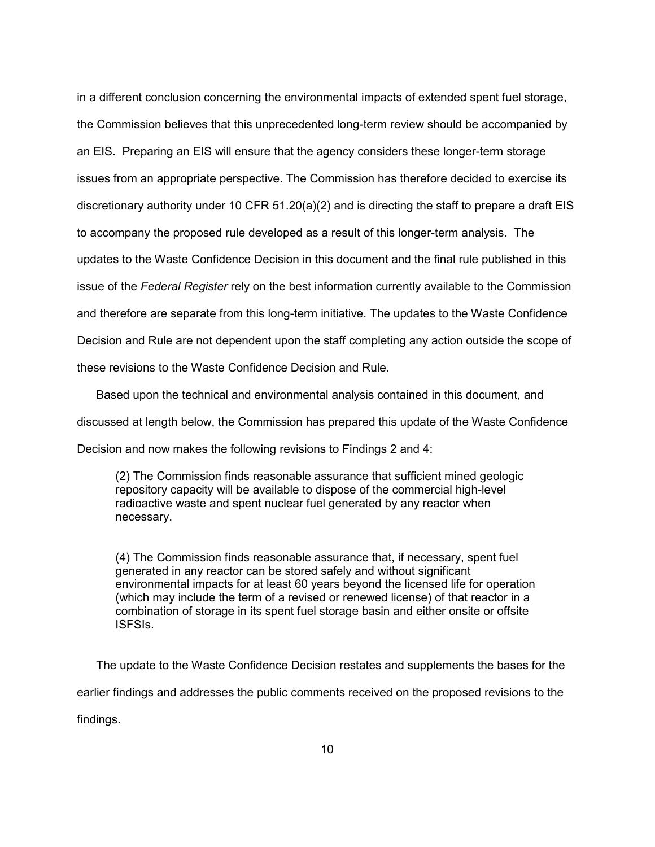in a different conclusion concerning the environmental impacts of extended spent fuel storage, the Commission believes that this unprecedented long-term review should be accompanied by an EIS. Preparing an EIS will ensure that the agency considers these longer-term storage issues from an appropriate perspective. The Commission has therefore decided to exercise its discretionary authority under 10 CFR 51.20(a)(2) and is directing the staff to prepare a draft EIS to accompany the proposed rule developed as a result of this longer-term analysis. The updates to the Waste Confidence Decision in this document and the final rule published in this issue of the *Federal Register* rely on the best information currently available to the Commission and therefore are separate from this long-term initiative. The updates to the Waste Confidence Decision and Rule are not dependent upon the staff completing any action outside the scope of these revisions to the Waste Confidence Decision and Rule.

 Based upon the technical and environmental analysis contained in this document, and discussed at length below, the Commission has prepared this update of the Waste Confidence Decision and now makes the following revisions to Findings 2 and 4:

(2) The Commission finds reasonable assurance that sufficient mined geologic repository capacity will be available to dispose of the commercial high-level radioactive waste and spent nuclear fuel generated by any reactor when necessary.

(4) The Commission finds reasonable assurance that, if necessary, spent fuel generated in any reactor can be stored safely and without significant environmental impacts for at least 60 years beyond the licensed life for operation (which may include the term of a revised or renewed license) of that reactor in a combination of storage in its spent fuel storage basin and either onsite or offsite ISFSIs.

 The update to the Waste Confidence Decision restates and supplements the bases for the earlier findings and addresses the public comments received on the proposed revisions to the

findings.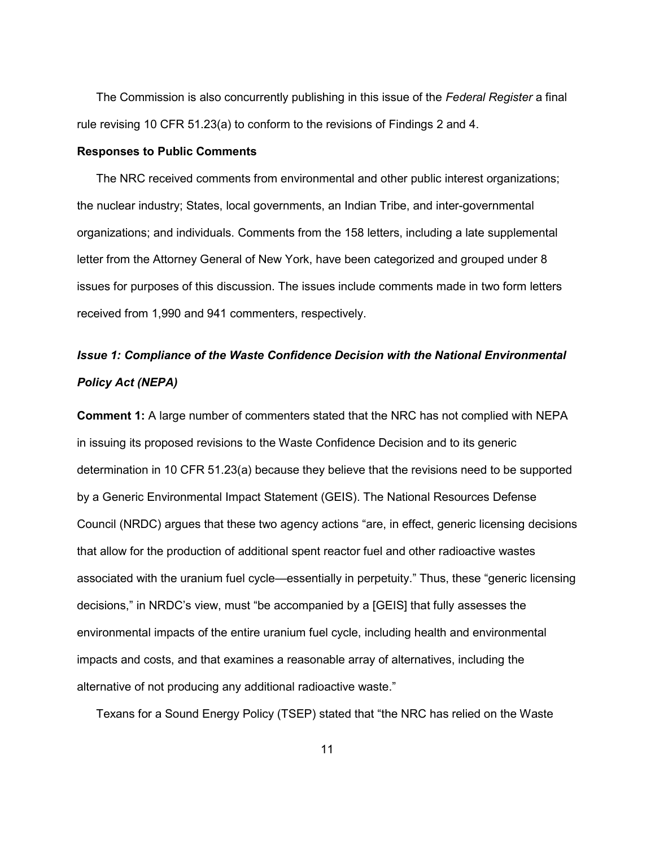The Commission is also concurrently publishing in this issue of the *Federal Register* a final rule revising 10 CFR 51.23(a) to conform to the revisions of Findings 2 and 4.

#### **Responses to Public Comments**

The NRC received comments from environmental and other public interest organizations; the nuclear industry; States, local governments, an Indian Tribe, and inter-governmental organizations; and individuals. Comments from the 158 letters, including a late supplemental letter from the Attorney General of New York, have been categorized and grouped under 8 issues for purposes of this discussion. The issues include comments made in two form letters received from 1,990 and 941 commenters, respectively.

# *Issue 1: Compliance of the Waste Confidence Decision with the National Environmental Policy Act (NEPA)*

**Comment 1:** A large number of commenters stated that the NRC has not complied with NEPA in issuing its proposed revisions to the Waste Confidence Decision and to its generic determination in 10 CFR 51.23(a) because they believe that the revisions need to be supported by a Generic Environmental Impact Statement (GEIS). The National Resources Defense Council (NRDC) argues that these two agency actions "are, in effect, generic licensing decisions that allow for the production of additional spent reactor fuel and other radioactive wastes associated with the uranium fuel cycle—essentially in perpetuity." Thus, these "generic licensing decisions," in NRDC's view, must "be accompanied by a [GEIS] that fully assesses the environmental impacts of the entire uranium fuel cycle, including health and environmental impacts and costs, and that examines a reasonable array of alternatives, including the alternative of not producing any additional radioactive waste."

Texans for a Sound Energy Policy (TSEP) stated that "the NRC has relied on the Waste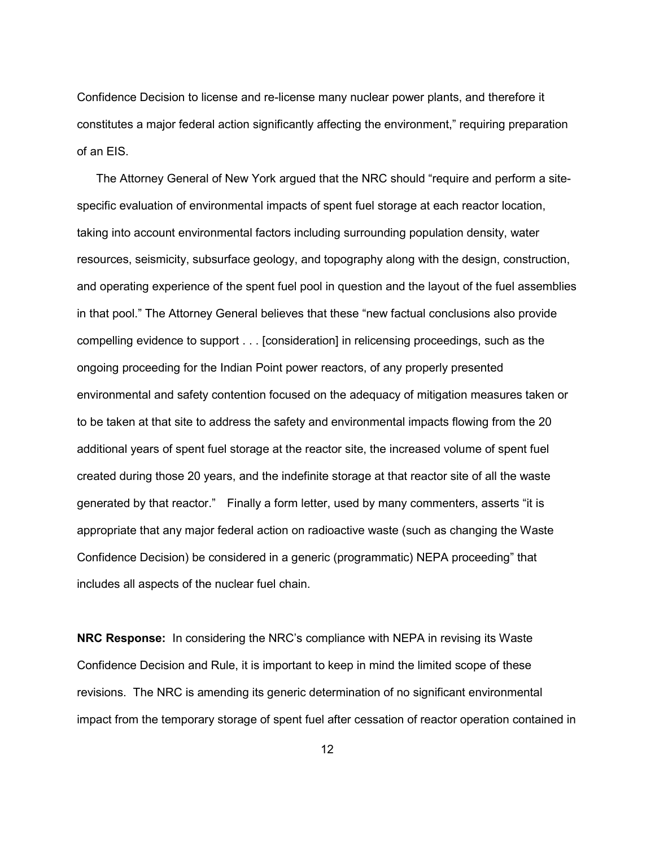Confidence Decision to license and re-license many nuclear power plants, and therefore it constitutes a major federal action significantly affecting the environment," requiring preparation of an EIS.

 The Attorney General of New York argued that the NRC should "require and perform a sitespecific evaluation of environmental impacts of spent fuel storage at each reactor location, taking into account environmental factors including surrounding population density, water resources, seismicity, subsurface geology, and topography along with the design, construction, and operating experience of the spent fuel pool in question and the layout of the fuel assemblies in that pool." The Attorney General believes that these "new factual conclusions also provide compelling evidence to support . . . [consideration] in relicensing proceedings, such as the ongoing proceeding for the Indian Point power reactors, of any properly presented environmental and safety contention focused on the adequacy of mitigation measures taken or to be taken at that site to address the safety and environmental impacts flowing from the 20 additional years of spent fuel storage at the reactor site, the increased volume of spent fuel created during those 20 years, and the indefinite storage at that reactor site of all the waste generated by that reactor." Finally a form letter, used by many commenters, asserts "it is appropriate that any major federal action on radioactive waste (such as changing the Waste Confidence Decision) be considered in a generic (programmatic) NEPA proceeding" that includes all aspects of the nuclear fuel chain.

**NRC Response:** In considering the NRC's compliance with NEPA in revising its Waste Confidence Decision and Rule, it is important to keep in mind the limited scope of these revisions. The NRC is amending its generic determination of no significant environmental impact from the temporary storage of spent fuel after cessation of reactor operation contained in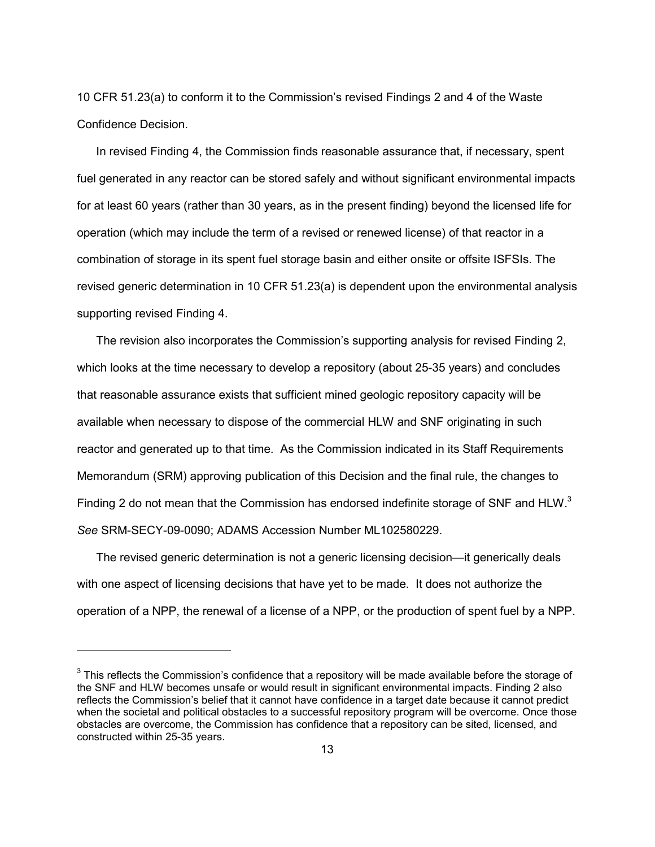10 CFR 51.23(a) to conform it to the Commission's revised Findings 2 and 4 of the Waste Confidence Decision.

 In revised Finding 4, the Commission finds reasonable assurance that, if necessary, spent fuel generated in any reactor can be stored safely and without significant environmental impacts for at least 60 years (rather than 30 years, as in the present finding) beyond the licensed life for operation (which may include the term of a revised or renewed license) of that reactor in a combination of storage in its spent fuel storage basin and either onsite or offsite ISFSIs. The revised generic determination in 10 CFR 51.23(a) is dependent upon the environmental analysis supporting revised Finding 4.

 The revision also incorporates the Commission's supporting analysis for revised Finding 2, which looks at the time necessary to develop a repository (about 25-35 years) and concludes that reasonable assurance exists that sufficient mined geologic repository capacity will be available when necessary to dispose of the commercial HLW and SNF originating in such reactor and generated up to that time. As the Commission indicated in its Staff Requirements Memorandum (SRM) approving publication of this Decision and the final rule, the changes to Finding 2 do not mean that the Commission has endorsed indefinite storage of SNF and HLW.<sup>3</sup> *See* SRM-SECY-09-0090; ADAMS Accession Number ML102580229.

 The revised generic determination is not a generic licensing decision—it generically deals with one aspect of licensing decisions that have yet to be made. It does not authorize the operation of a NPP, the renewal of a license of a NPP, or the production of spent fuel by a NPP.

 $3$  This reflects the Commission's confidence that a repository will be made available before the storage of the SNF and HLW becomes unsafe or would result in significant environmental impacts. Finding 2 also reflects the Commission's belief that it cannot have confidence in a target date because it cannot predict when the societal and political obstacles to a successful repository program will be overcome. Once those obstacles are overcome, the Commission has confidence that a repository can be sited, licensed, and constructed within 25-35 years.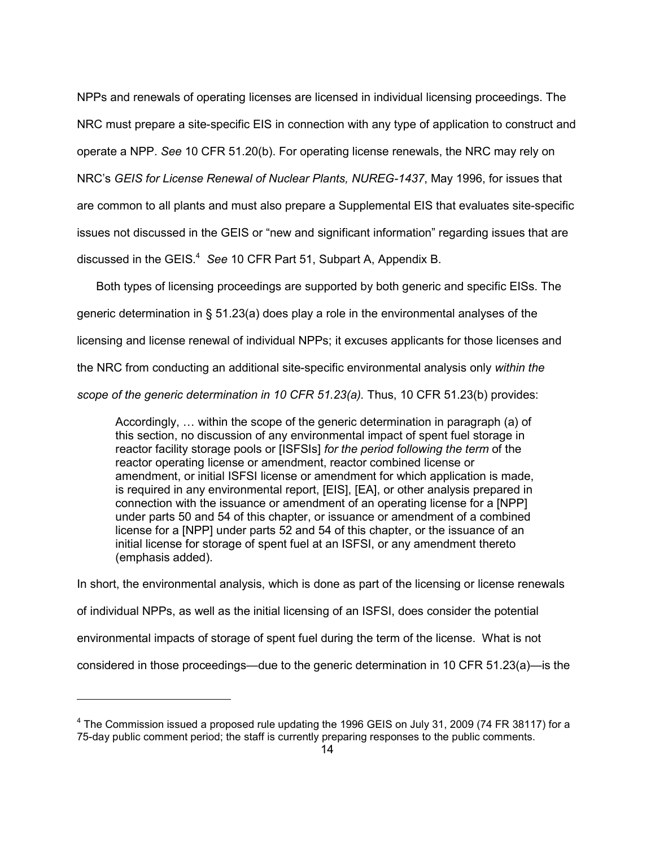NPPs and renewals of operating licenses are licensed in individual licensing proceedings. The NRC must prepare a site-specific EIS in connection with any type of application to construct and operate a NPP. *See* 10 CFR 51.20(b). For operating license renewals, the NRC may rely on NRC's *GEIS for License Renewal of Nuclear Plants, NUREG-1437*, May 1996, for issues that are common to all plants and must also prepare a Supplemental EIS that evaluates site-specific issues not discussed in the GEIS or "new and significant information" regarding issues that are discussed in the GEIS.<sup>4</sup> See 10 CFR Part 51, Subpart A, Appendix B.

 Both types of licensing proceedings are supported by both generic and specific EISs. The generic determination in § 51.23(a) does play a role in the environmental analyses of the licensing and license renewal of individual NPPs; it excuses applicants for those licenses and the NRC from conducting an additional site-specific environmental analysis only *within the scope of the generic determination in 10 CFR 51.23(a).* Thus, 10 CFR 51.23(b) provides:

Accordingly, … within the scope of the generic determination in paragraph (a) of this section, no discussion of any environmental impact of spent fuel storage in reactor facility storage pools or [ISFSIs] *for the period following the term* of the reactor operating license or amendment, reactor combined license or amendment, or initial ISFSI license or amendment for which application is made, is required in any environmental report, [EIS], [EA], or other analysis prepared in connection with the issuance or amendment of an operating license for a [NPP] under parts 50 and 54 of this chapter, or issuance or amendment of a combined license for a [NPP] under parts 52 and 54 of this chapter, or the issuance of an initial license for storage of spent fuel at an ISFSI, or any amendment thereto (emphasis added).

In short, the environmental analysis, which is done as part of the licensing or license renewals of individual NPPs, as well as the initial licensing of an ISFSI, does consider the potential environmental impacts of storage of spent fuel during the term of the license. What is not considered in those proceedings—due to the generic determination in 10 CFR 51.23(a)—is the

 $^{4}$  The Commission issued a proposed rule updating the 1996 GEIS on July 31, 2009 (74 FR 38117) for a 75-day public comment period; the staff is currently preparing responses to the public comments.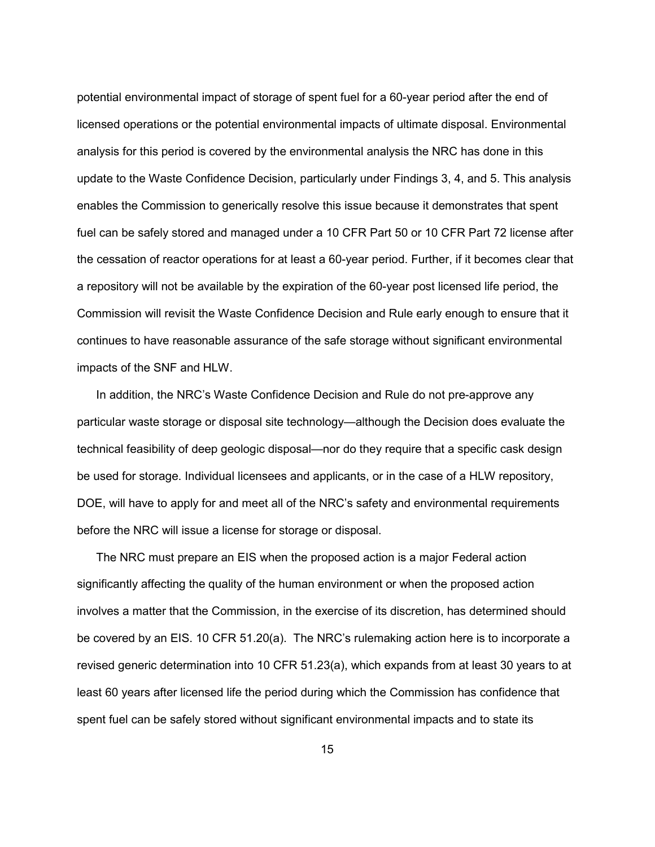potential environmental impact of storage of spent fuel for a 60-year period after the end of licensed operations or the potential environmental impacts of ultimate disposal. Environmental analysis for this period is covered by the environmental analysis the NRC has done in this update to the Waste Confidence Decision, particularly under Findings 3, 4, and 5. This analysis enables the Commission to generically resolve this issue because it demonstrates that spent fuel can be safely stored and managed under a 10 CFR Part 50 or 10 CFR Part 72 license after the cessation of reactor operations for at least a 60-year period. Further, if it becomes clear that a repository will not be available by the expiration of the 60-year post licensed life period, the Commission will revisit the Waste Confidence Decision and Rule early enough to ensure that it continues to have reasonable assurance of the safe storage without significant environmental impacts of the SNF and HLW.

 In addition, the NRC's Waste Confidence Decision and Rule do not pre-approve any particular waste storage or disposal site technology—although the Decision does evaluate the technical feasibility of deep geologic disposal—nor do they require that a specific cask design be used for storage. Individual licensees and applicants, or in the case of a HLW repository, DOE, will have to apply for and meet all of the NRC's safety and environmental requirements before the NRC will issue a license for storage or disposal.

 The NRC must prepare an EIS when the proposed action is a major Federal action significantly affecting the quality of the human environment or when the proposed action involves a matter that the Commission, in the exercise of its discretion, has determined should be covered by an EIS. 10 CFR 51.20(a). The NRC's rulemaking action here is to incorporate a revised generic determination into 10 CFR 51.23(a), which expands from at least 30 years to at least 60 years after licensed life the period during which the Commission has confidence that spent fuel can be safely stored without significant environmental impacts and to state its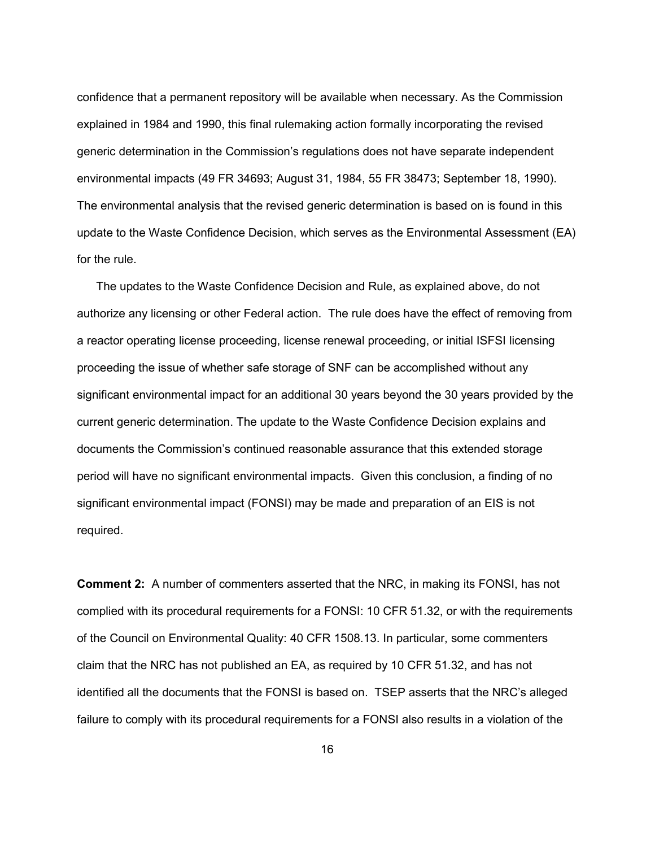confidence that a permanent repository will be available when necessary. As the Commission explained in 1984 and 1990, this final rulemaking action formally incorporating the revised generic determination in the Commission's regulations does not have separate independent environmental impacts (49 FR 34693; August 31, 1984, 55 FR 38473; September 18, 1990). The environmental analysis that the revised generic determination is based on is found in this update to the Waste Confidence Decision, which serves as the Environmental Assessment (EA) for the rule.

 The updates to the Waste Confidence Decision and Rule, as explained above, do not authorize any licensing or other Federal action. The rule does have the effect of removing from a reactor operating license proceeding, license renewal proceeding, or initial ISFSI licensing proceeding the issue of whether safe storage of SNF can be accomplished without any significant environmental impact for an additional 30 years beyond the 30 years provided by the current generic determination. The update to the Waste Confidence Decision explains and documents the Commission's continued reasonable assurance that this extended storage period will have no significant environmental impacts. Given this conclusion, a finding of no significant environmental impact (FONSI) may be made and preparation of an EIS is not required.

**Comment 2:** A number of commenters asserted that the NRC, in making its FONSI, has not complied with its procedural requirements for a FONSI: 10 CFR 51.32, or with the requirements of the Council on Environmental Quality: 40 CFR 1508.13. In particular, some commenters claim that the NRC has not published an EA, as required by 10 CFR 51.32, and has not identified all the documents that the FONSI is based on. TSEP asserts that the NRC's alleged failure to comply with its procedural requirements for a FONSI also results in a violation of the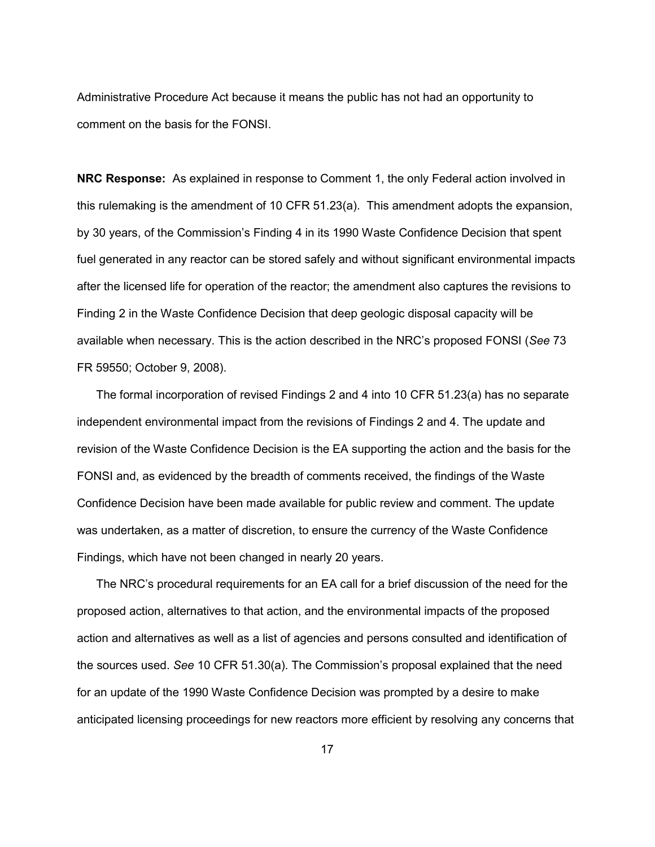Administrative Procedure Act because it means the public has not had an opportunity to comment on the basis for the FONSI.

**NRC Response:**As explained in response to Comment 1, the only Federal action involved in this rulemaking is the amendment of 10 CFR 51.23(a). This amendment adopts the expansion, by 30 years, of the Commission's Finding 4 in its 1990 Waste Confidence Decision that spent fuel generated in any reactor can be stored safely and without significant environmental impacts after the licensed life for operation of the reactor; the amendment also captures the revisions to Finding 2 in the Waste Confidence Decision that deep geologic disposal capacity will be available when necessary. This is the action described in the NRC's proposed FONSI (*See* 73 FR 59550; October 9, 2008).

 The formal incorporation of revised Findings 2 and 4 into 10 CFR 51.23(a) has no separate independent environmental impact from the revisions of Findings 2 and 4. The update and revision of the Waste Confidence Decision is the EA supporting the action and the basis for the FONSI and, as evidenced by the breadth of comments received, the findings of the Waste Confidence Decision have been made available for public review and comment. The update was undertaken, as a matter of discretion, to ensure the currency of the Waste Confidence Findings, which have not been changed in nearly 20 years.

 The NRC's procedural requirements for an EA call for a brief discussion of the need for the proposed action, alternatives to that action, and the environmental impacts of the proposed action and alternatives as well as a list of agencies and persons consulted and identification of the sources used. *See* 10 CFR 51.30(a). The Commission's proposal explained that the need for an update of the 1990 Waste Confidence Decision was prompted by a desire to make anticipated licensing proceedings for new reactors more efficient by resolving any concerns that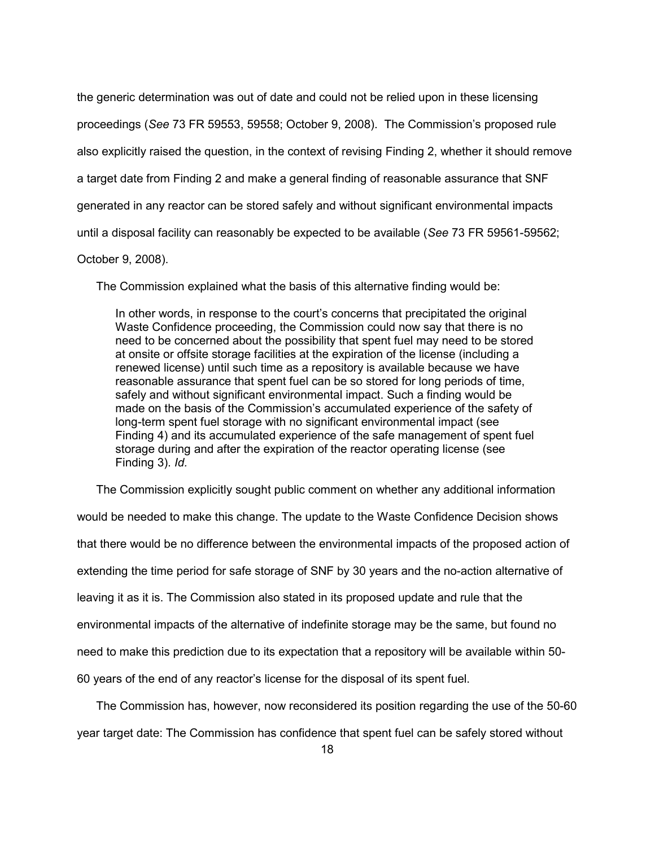the generic determination was out of date and could not be relied upon in these licensing proceedings (*See* 73 FR 59553, 59558; October 9, 2008). The Commission's proposed rule also explicitly raised the question, in the context of revising Finding 2, whether it should remove a target date from Finding 2 and make a general finding of reasonable assurance that SNF generated in any reactor can be stored safely and without significant environmental impacts until a disposal facility can reasonably be expected to be available (*See* 73 FR 59561-59562;

## October 9, 2008).

The Commission explained what the basis of this alternative finding would be:

In other words, in response to the court's concerns that precipitated the original Waste Confidence proceeding, the Commission could now say that there is no need to be concerned about the possibility that spent fuel may need to be stored at onsite or offsite storage facilities at the expiration of the license (including a renewed license) until such time as a repository is available because we have reasonable assurance that spent fuel can be so stored for long periods of time, safely and without significant environmental impact. Such a finding would be made on the basis of the Commission's accumulated experience of the safety of long-term spent fuel storage with no significant environmental impact (see Finding 4) and its accumulated experience of the safe management of spent fuel storage during and after the expiration of the reactor operating license (see Finding 3). *Id.*

The Commission explicitly sought public comment on whether any additional information

would be needed to make this change. The update to the Waste Confidence Decision shows that there would be no difference between the environmental impacts of the proposed action of extending the time period for safe storage of SNF by 30 years and the no-action alternative of leaving it as it is. The Commission also stated in its proposed update and rule that the environmental impacts of the alternative of indefinite storage may be the same, but found no need to make this prediction due to its expectation that a repository will be available within 50- 60 years of the end of any reactor's license for the disposal of its spent fuel.

 The Commission has, however, now reconsidered its position regarding the use of the 50-60 year target date: The Commission has confidence that spent fuel can be safely stored without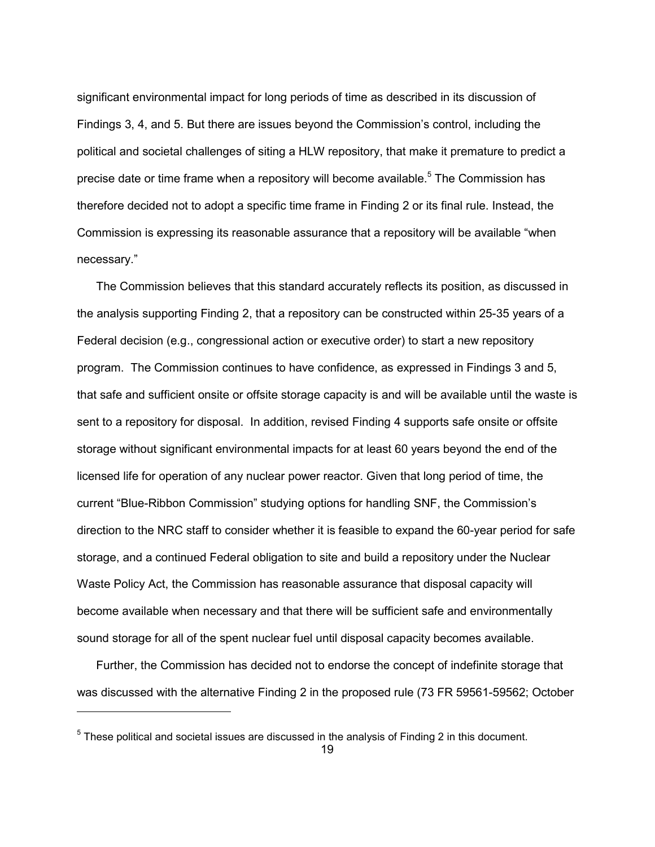significant environmental impact for long periods of time as described in its discussion of Findings 3, 4, and 5. But there are issues beyond the Commission's control, including the political and societal challenges of siting a HLW repository, that make it premature to predict a precise date or time frame when a repository will become available.<sup>5</sup> The Commission has therefore decided not to adopt a specific time frame in Finding 2 or its final rule. Instead, the Commission is expressing its reasonable assurance that a repository will be available "when necessary."

 The Commission believes that this standard accurately reflects its position, as discussed in the analysis supporting Finding 2, that a repository can be constructed within 25-35 years of a Federal decision (e.g., congressional action or executive order) to start a new repository program. The Commission continues to have confidence, as expressed in Findings 3 and 5, that safe and sufficient onsite or offsite storage capacity is and will be available until the waste is sent to a repository for disposal. In addition, revised Finding 4 supports safe onsite or offsite storage without significant environmental impacts for at least 60 years beyond the end of the licensed life for operation of any nuclear power reactor. Given that long period of time, the current "Blue-Ribbon Commission" studying options for handling SNF, the Commission's direction to the NRC staff to consider whether it is feasible to expand the 60-year period for safe storage, and a continued Federal obligation to site and build a repository under the Nuclear Waste Policy Act, the Commission has reasonable assurance that disposal capacity will become available when necessary and that there will be sufficient safe and environmentally sound storage for all of the spent nuclear fuel until disposal capacity becomes available.

 Further, the Commission has decided not to endorse the concept of indefinite storage that was discussed with the alternative Finding 2 in the proposed rule (73 FR 59561-59562; October

 $5$  These political and societal issues are discussed in the analysis of Finding 2 in this document.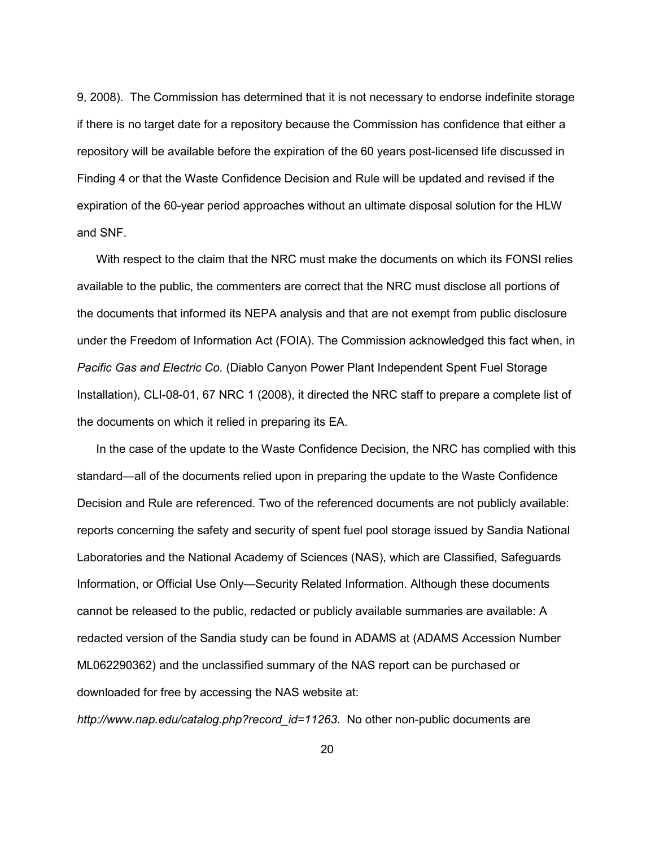9, 2008). The Commission has determined that it is not necessary to endorse indefinite storage if there is no target date for a repository because the Commission has confidence that either a repository will be available before the expiration of the 60 years post-licensed life discussed in Finding 4 or that the Waste Confidence Decision and Rule will be updated and revised if the expiration of the 60-year period approaches without an ultimate disposal solution for the HLW and SNF.

 With respect to the claim that the NRC must make the documents on which its FONSI relies available to the public, the commenters are correct that the NRC must disclose all portions of the documents that informed its NEPA analysis and that are not exempt from public disclosure under the Freedom of Information Act (FOIA). The Commission acknowledged this fact when, in *Pacific Gas and Electric Co.* (Diablo Canyon Power Plant Independent Spent Fuel Storage Installation), CLI-08-01, 67 NRC 1 (2008), it directed the NRC staff to prepare a complete list of the documents on which it relied in preparing its EA.

 In the case of the update to the Waste Confidence Decision, the NRC has complied with this standard—all of the documents relied upon in preparing the update to the Waste Confidence Decision and Rule are referenced. Two of the referenced documents are not publicly available: reports concerning the safety and security of spent fuel pool storage issued by Sandia National Laboratories and the National Academy of Sciences (NAS), which are Classified, Safeguards Information, or Official Use Only—Security Related Information. Although these documents cannot be released to the public, redacted or publicly available summaries are available: A redacted version of the Sandia study can be found in ADAMS at (ADAMS Accession Number ML062290362) and the unclassified summary of the NAS report can be purchased or downloaded for free by accessing the NAS website at:

*http://www.nap.edu/catalog.php?record\_id=11263*. No other non-public documents are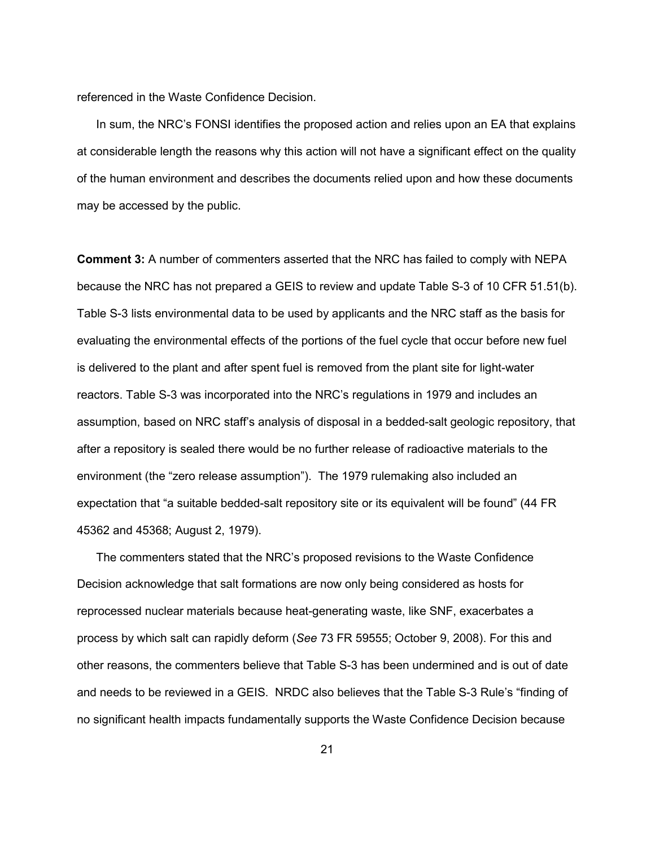referenced in the Waste Confidence Decision.

In sum, the NRC's FONSI identifies the proposed action and relies upon an EA that explains at considerable length the reasons why this action will not have a significant effect on the quality of the human environment and describes the documents relied upon and how these documents may be accessed by the public.

**Comment 3:** A number of commenters asserted that the NRC has failed to comply with NEPA because the NRC has not prepared a GEIS to review and update Table S-3 of 10 CFR 51.51(b). Table S-3 lists environmental data to be used by applicants and the NRC staff as the basis for evaluating the environmental effects of the portions of the fuel cycle that occur before new fuel is delivered to the plant and after spent fuel is removed from the plant site for light-water reactors. Table S-3 was incorporated into the NRC's regulations in 1979 and includes an assumption, based on NRC staff's analysis of disposal in a bedded-salt geologic repository, that after a repository is sealed there would be no further release of radioactive materials to the environment (the "zero release assumption"). The 1979 rulemaking also included an expectation that "a suitable bedded-salt repository site or its equivalent will be found" (44 FR 45362 and 45368; August 2, 1979).

 The commenters stated that the NRC's proposed revisions to the Waste Confidence Decision acknowledge that salt formations are now only being considered as hosts for reprocessed nuclear materials because heat-generating waste, like SNF, exacerbates a process by which salt can rapidly deform (*See* 73 FR 59555; October 9, 2008). For this and other reasons, the commenters believe that Table S-3 has been undermined and is out of date and needs to be reviewed in a GEIS. NRDC also believes that the Table S-3 Rule's "finding of no significant health impacts fundamentally supports the Waste Confidence Decision because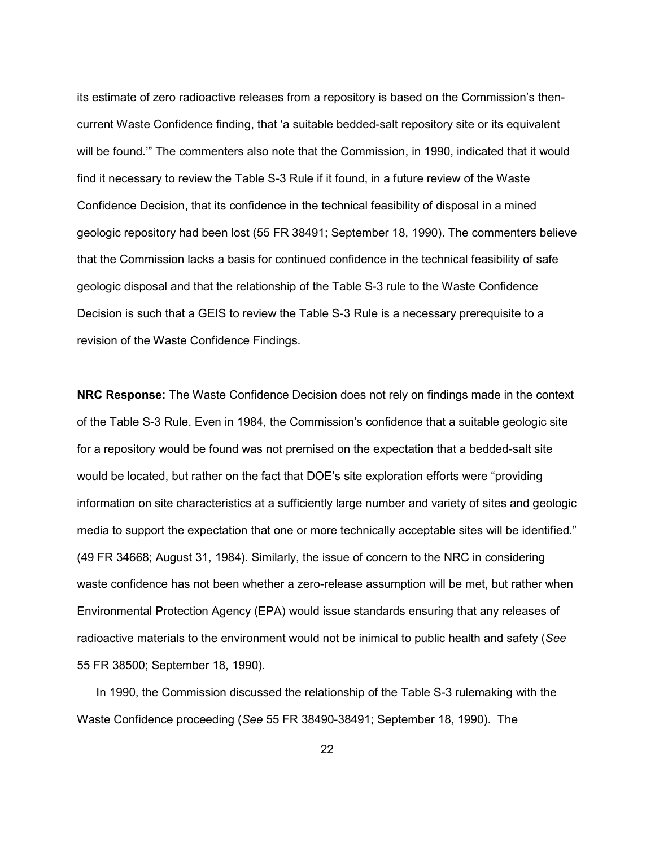its estimate of zero radioactive releases from a repository is based on the Commission's thencurrent Waste Confidence finding, that 'a suitable bedded-salt repository site or its equivalent will be found.'" The commenters also note that the Commission, in 1990, indicated that it would find it necessary to review the Table S-3 Rule if it found, in a future review of the Waste Confidence Decision, that its confidence in the technical feasibility of disposal in a mined geologic repository had been lost (55 FR 38491; September 18, 1990). The commenters believe that the Commission lacks a basis for continued confidence in the technical feasibility of safe geologic disposal and that the relationship of the Table S-3 rule to the Waste Confidence Decision is such that a GEIS to review the Table S-3 Rule is a necessary prerequisite to a revision of the Waste Confidence Findings.

**NRC Response:** The Waste Confidence Decision does not rely on findings made in the context of the Table S-3 Rule. Even in 1984, the Commission's confidence that a suitable geologic site for a repository would be found was not premised on the expectation that a bedded-salt site would be located, but rather on the fact that DOE's site exploration efforts were "providing information on site characteristics at a sufficiently large number and variety of sites and geologic media to support the expectation that one or more technically acceptable sites will be identified." (49 FR 34668; August 31, 1984). Similarly, the issue of concern to the NRC in considering waste confidence has not been whether a zero-release assumption will be met, but rather when Environmental Protection Agency (EPA) would issue standards ensuring that any releases of radioactive materials to the environment would not be inimical to public health and safety (*See*  55 FR 38500; September 18, 1990).

 In 1990, the Commission discussed the relationship of the Table S-3 rulemaking with the Waste Confidence proceeding (*See* 55 FR 38490-38491; September 18, 1990). The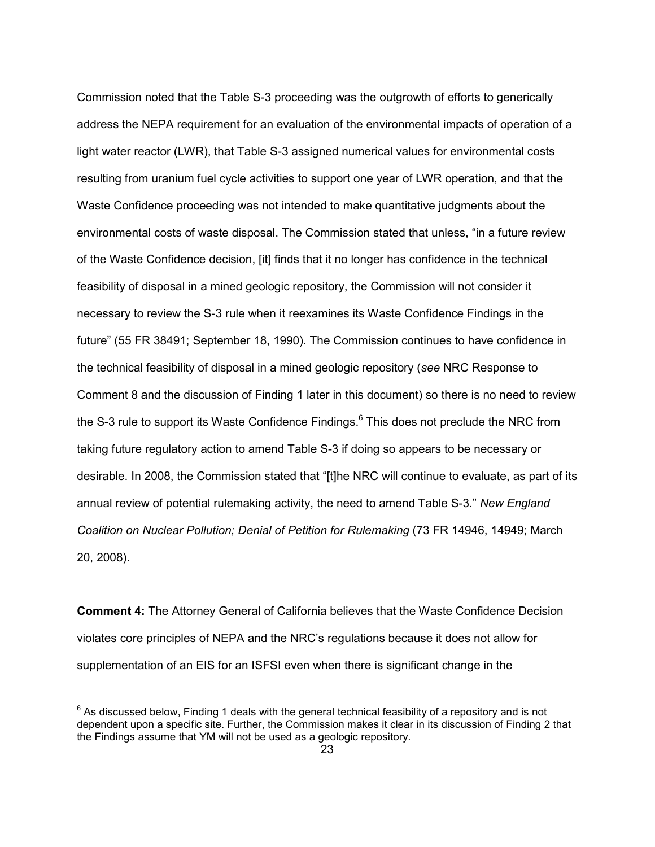Commission noted that the Table S-3 proceeding was the outgrowth of efforts to generically address the NEPA requirement for an evaluation of the environmental impacts of operation of a light water reactor (LWR), that Table S-3 assigned numerical values for environmental costs resulting from uranium fuel cycle activities to support one year of LWR operation, and that the Waste Confidence proceeding was not intended to make quantitative judgments about the environmental costs of waste disposal. The Commission stated that unless, "in a future review of the Waste Confidence decision, [it] finds that it no longer has confidence in the technical feasibility of disposal in a mined geologic repository, the Commission will not consider it necessary to review the S-3 rule when it reexamines its Waste Confidence Findings in the future" (55 FR 38491; September 18, 1990). The Commission continues to have confidence in the technical feasibility of disposal in a mined geologic repository (*see* NRC Response to Comment 8 and the discussion of Finding 1 later in this document) so there is no need to review the S-3 rule to support its Waste Confidence Findings.<sup>6</sup> This does not preclude the NRC from taking future regulatory action to amend Table S-3 if doing so appears to be necessary or desirable. In 2008, the Commission stated that "[t]he NRC will continue to evaluate, as part of its annual review of potential rulemaking activity, the need to amend Table S-3." *New England Coalition on Nuclear Pollution; Denial of Petition for Rulemaking* (73 FR 14946, 14949; March 20, 2008).

**Comment 4:** The Attorney General of California believes that the Waste Confidence Decision violates core principles of NEPA and the NRC's regulations because it does not allow for supplementation of an EIS for an ISFSI even when there is significant change in the

 $6$  As discussed below, Finding 1 deals with the general technical feasibility of a repository and is not dependent upon a specific site. Further, the Commission makes it clear in its discussion of Finding 2 that the Findings assume that YM will not be used as a geologic repository.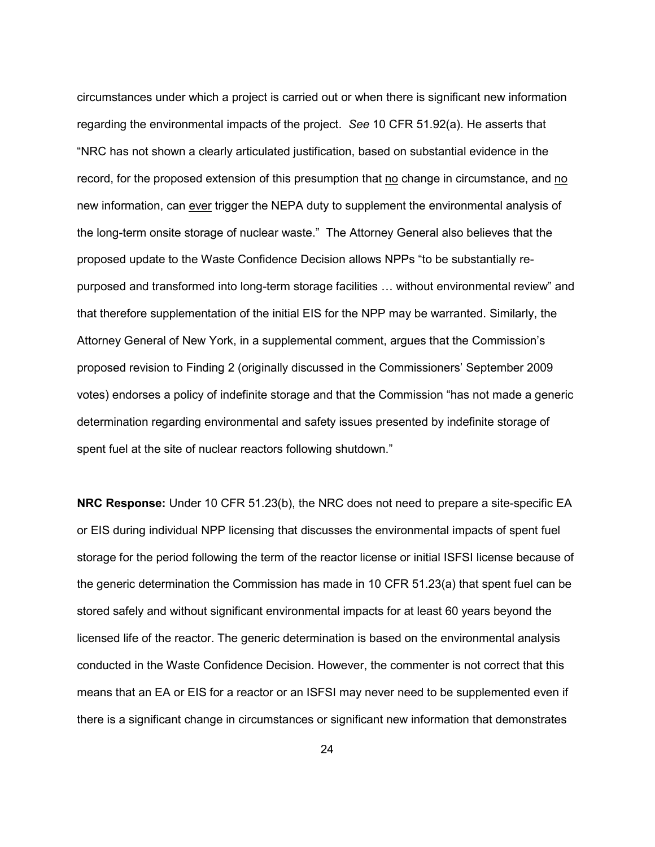circumstances under which a project is carried out or when there is significant new information regarding the environmental impacts of the project. *See* 10 CFR 51.92(a). He asserts that "NRC has not shown a clearly articulated justification, based on substantial evidence in the record, for the proposed extension of this presumption that no change in circumstance, and no new information, can ever trigger the NEPA duty to supplement the environmental analysis of the long-term onsite storage of nuclear waste." The Attorney General also believes that the proposed update to the Waste Confidence Decision allows NPPs "to be substantially repurposed and transformed into long-term storage facilities … without environmental review" and that therefore supplementation of the initial EIS for the NPP may be warranted. Similarly, the Attorney General of New York, in a supplemental comment, argues that the Commission's proposed revision to Finding 2 (originally discussed in the Commissioners' September 2009 votes) endorses a policy of indefinite storage and that the Commission "has not made a generic determination regarding environmental and safety issues presented by indefinite storage of spent fuel at the site of nuclear reactors following shutdown."

**NRC Response:** Under 10 CFR 51.23(b), the NRC does not need to prepare a site-specific EA or EIS during individual NPP licensing that discusses the environmental impacts of spent fuel storage for the period following the term of the reactor license or initial ISFSI license because of the generic determination the Commission has made in 10 CFR 51.23(a) that spent fuel can be stored safely and without significant environmental impacts for at least 60 years beyond the licensed life of the reactor. The generic determination is based on the environmental analysis conducted in the Waste Confidence Decision. However, the commenter is not correct that this means that an EA or EIS for a reactor or an ISFSI may never need to be supplemented even if there is a significant change in circumstances or significant new information that demonstrates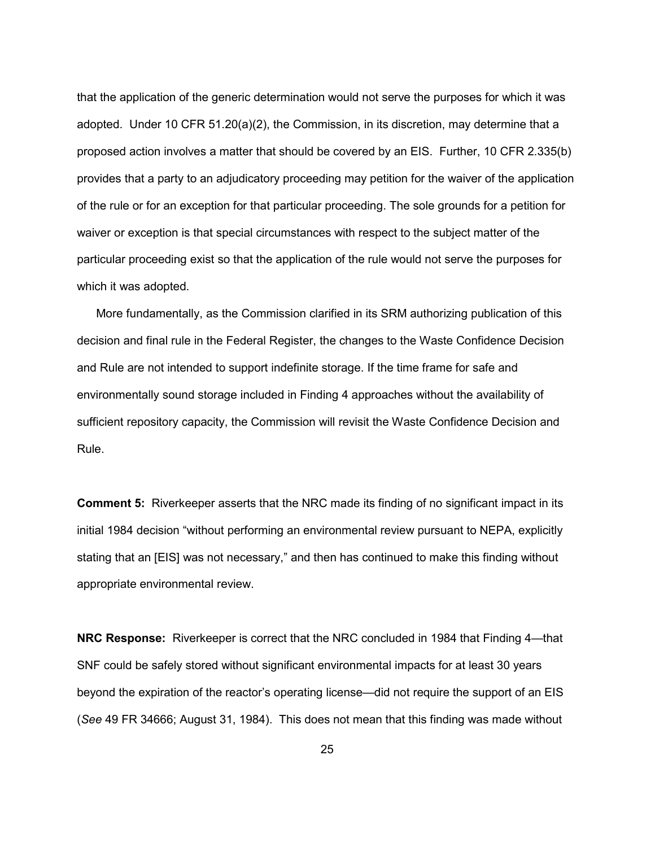that the application of the generic determination would not serve the purposes for which it was adopted. Under 10 CFR 51.20(a)(2), the Commission, in its discretion, may determine that a proposed action involves a matter that should be covered by an EIS. Further, 10 CFR 2.335(b) provides that a party to an adjudicatory proceeding may petition for the waiver of the application of the rule or for an exception for that particular proceeding. The sole grounds for a petition for waiver or exception is that special circumstances with respect to the subject matter of the particular proceeding exist so that the application of the rule would not serve the purposes for which it was adopted.

 More fundamentally, as the Commission clarified in its SRM authorizing publication of this decision and final rule in the Federal Register, the changes to the Waste Confidence Decision and Rule are not intended to support indefinite storage. If the time frame for safe and environmentally sound storage included in Finding 4 approaches without the availability of sufficient repository capacity, the Commission will revisit the Waste Confidence Decision and Rule.

**Comment 5:**Riverkeeper asserts that the NRC made its finding of no significant impact in its initial 1984 decision "without performing an environmental review pursuant to NEPA, explicitly stating that an [EIS] was not necessary," and then has continued to make this finding without appropriate environmental review.

**NRC Response:**Riverkeeper is correct that the NRC concluded in 1984 that Finding 4—that SNF could be safely stored without significant environmental impacts for at least 30 years beyond the expiration of the reactor's operating license—did not require the support of an EIS (*See* 49 FR 34666; August 31, 1984). This does not mean that this finding was made without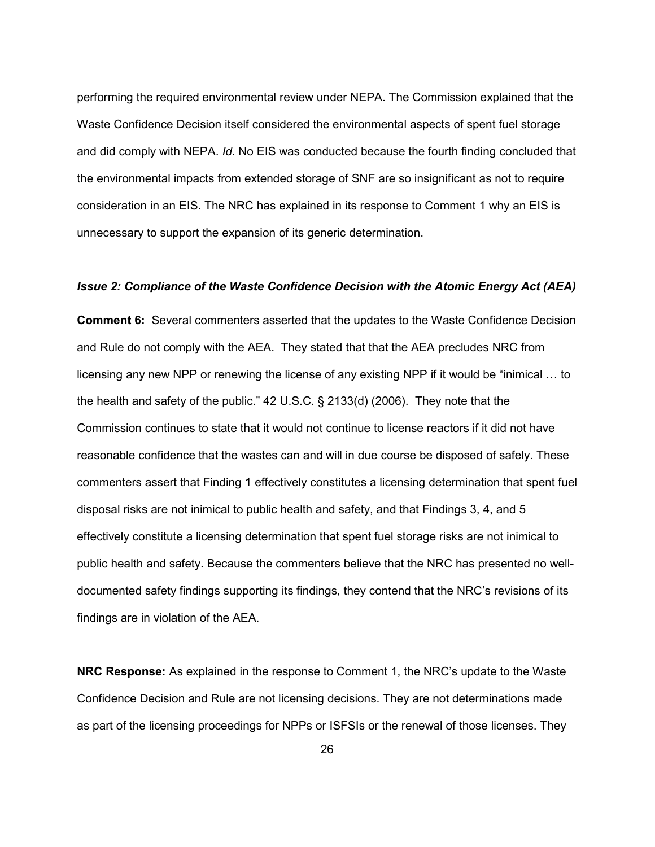performing the required environmental review under NEPA. The Commission explained that the Waste Confidence Decision itself considered the environmental aspects of spent fuel storage and did comply with NEPA. *Id.* No EIS was conducted because the fourth finding concluded that the environmental impacts from extended storage of SNF are so insignificant as not to require consideration in an EIS. The NRC has explained in its response to Comment 1 why an EIS is unnecessary to support the expansion of its generic determination.

#### *Issue 2: Compliance of the Waste Confidence Decision with the Atomic Energy Act (AEA)*

**Comment 6:** Several commenters asserted that the updates to the Waste Confidence Decision and Rule do not comply with the AEA. They stated that that the AEA precludes NRC from licensing any new NPP or renewing the license of any existing NPP if it would be "inimical … to the health and safety of the public." 42 U.S.C. § 2133(d) (2006). They note that the Commission continues to state that it would not continue to license reactors if it did not have reasonable confidence that the wastes can and will in due course be disposed of safely. These commenters assert that Finding 1 effectively constitutes a licensing determination that spent fuel disposal risks are not inimical to public health and safety, and that Findings 3, 4, and 5 effectively constitute a licensing determination that spent fuel storage risks are not inimical to public health and safety. Because the commenters believe that the NRC has presented no welldocumented safety findings supporting its findings, they contend that the NRC's revisions of its findings are in violation of the AEA.

**NRC Response:** As explained in the response to Comment 1, the NRC's update to the Waste Confidence Decision and Rule are not licensing decisions. They are not determinations made as part of the licensing proceedings for NPPs or ISFSIs or the renewal of those licenses. They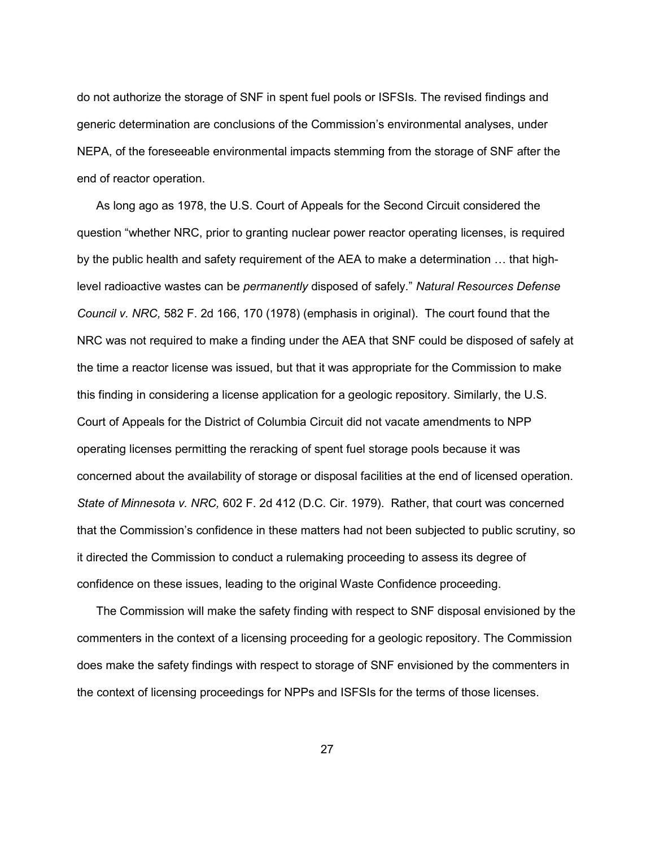do not authorize the storage of SNF in spent fuel pools or ISFSIs. The revised findings and generic determination are conclusions of the Commission's environmental analyses, under NEPA, of the foreseeable environmental impacts stemming from the storage of SNF after the end of reactor operation.

 As long ago as 1978, the U.S. Court of Appeals for the Second Circuit considered the question "whether NRC, prior to granting nuclear power reactor operating licenses, is required by the public health and safety requirement of the AEA to make a determination … that highlevel radioactive wastes can be *permanently* disposed of safely." *Natural Resources Defense Council v. NRC,* 582 F. 2d 166, 170 (1978) (emphasis in original). The court found that the NRC was not required to make a finding under the AEA that SNF could be disposed of safely at the time a reactor license was issued, but that it was appropriate for the Commission to make this finding in considering a license application for a geologic repository. Similarly, the U.S. Court of Appeals for the District of Columbia Circuit did not vacate amendments to NPP operating licenses permitting the reracking of spent fuel storage pools because it was concerned about the availability of storage or disposal facilities at the end of licensed operation. *State of Minnesota v. NRC,* 602 F. 2d 412 (D.C. Cir. 1979). Rather, that court was concerned that the Commission's confidence in these matters had not been subjected to public scrutiny, so it directed the Commission to conduct a rulemaking proceeding to assess its degree of confidence on these issues, leading to the original Waste Confidence proceeding.

 The Commission will make the safety finding with respect to SNF disposal envisioned by the commenters in the context of a licensing proceeding for a geologic repository. The Commission does make the safety findings with respect to storage of SNF envisioned by the commenters in the context of licensing proceedings for NPPs and ISFSIs for the terms of those licenses.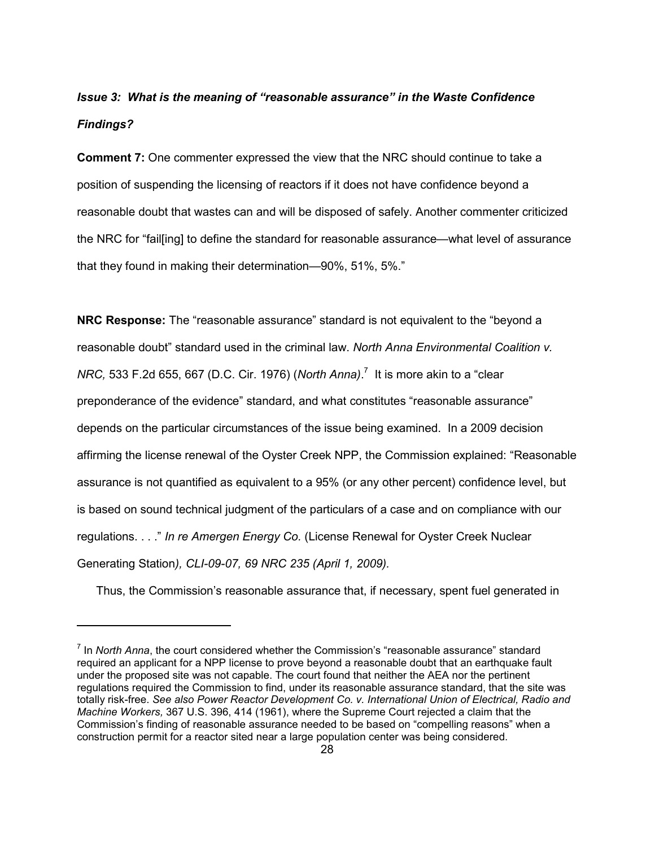# *Issue 3: What is the meaning of "reasonable assurance" in the Waste Confidence Findings?*

**Comment 7:** One commenter expressed the view that the NRC should continue to take a position of suspending the licensing of reactors if it does not have confidence beyond a reasonable doubt that wastes can and will be disposed of safely. Another commenter criticized the NRC for "fail[ing] to define the standard for reasonable assurance—what level of assurance that they found in making their determination—90%, 51%, 5%."

**NRC Response:** The "reasonable assurance" standard is not equivalent to the "beyond a reasonable doubt" standard used in the criminal law. *North Anna Environmental Coalition v. NRC,* 533 F.2d 655, 667 (D.C. Cir. 1976) (*North Anna)*. 7 It is more akin to a "clear preponderance of the evidence" standard, and what constitutes "reasonable assurance" depends on the particular circumstances of the issue being examined. In a 2009 decision affirming the license renewal of the Oyster Creek NPP, the Commission explained: "Reasonable assurance is not quantified as equivalent to a 95% (or any other percent) confidence level, but is based on sound technical judgment of the particulars of a case and on compliance with our regulations. . . ." *In re Amergen Energy Co.* (License Renewal for Oyster Creek Nuclear Generating Station*), CLI-09-07, 69 NRC 235 (April 1, 2009).* 

Thus, the Commission's reasonable assurance that, if necessary, spent fuel generated in

<sup>&</sup>lt;sup>7</sup> In *North Anna*, the court considered whether the Commission's "reasonable assurance" standard required an applicant for a NPP license to prove beyond a reasonable doubt that an earthquake fault under the proposed site was not capable. The court found that neither the AEA nor the pertinent regulations required the Commission to find, under its reasonable assurance standard, that the site was totally risk-free. *See also Power Reactor Development Co. v. International Union of Electrical, Radio and Machine Workers,* 367 U.S. 396, 414 (1961), where the Supreme Court rejected a claim that the Commission's finding of reasonable assurance needed to be based on "compelling reasons" when a construction permit for a reactor sited near a large population center was being considered.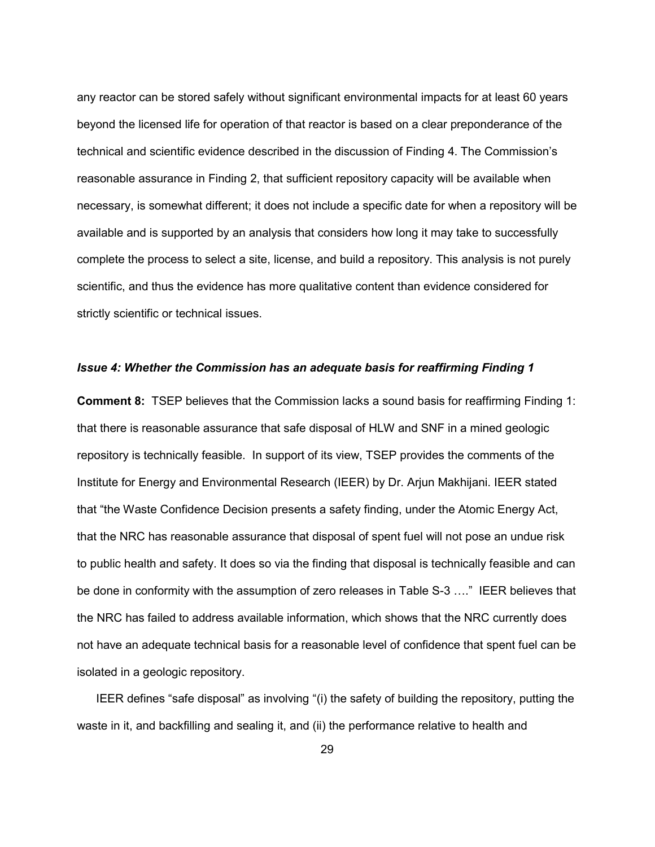any reactor can be stored safely without significant environmental impacts for at least 60 years beyond the licensed life for operation of that reactor is based on a clear preponderance of the technical and scientific evidence described in the discussion of Finding 4. The Commission's reasonable assurance in Finding 2, that sufficient repository capacity will be available when necessary, is somewhat different; it does not include a specific date for when a repository will be available and is supported by an analysis that considers how long it may take to successfully complete the process to select a site, license, and build a repository. This analysis is not purely scientific, and thus the evidence has more qualitative content than evidence considered for strictly scientific or technical issues.

#### *Issue 4: Whether the Commission has an adequate basis for reaffirming Finding 1*

**Comment 8:** TSEP believes that the Commission lacks a sound basis for reaffirming Finding 1: that there is reasonable assurance that safe disposal of HLW and SNF in a mined geologic repository is technically feasible. In support of its view, TSEP provides the comments of the Institute for Energy and Environmental Research (IEER) by Dr. Arjun Makhijani. IEER stated that "the Waste Confidence Decision presents a safety finding, under the Atomic Energy Act, that the NRC has reasonable assurance that disposal of spent fuel will not pose an undue risk to public health and safety. It does so via the finding that disposal is technically feasible and can be done in conformity with the assumption of zero releases in Table S-3 …." IEER believes that the NRC has failed to address available information, which shows that the NRC currently does not have an adequate technical basis for a reasonable level of confidence that spent fuel can be isolated in a geologic repository.

 IEER defines "safe disposal" as involving "(i) the safety of building the repository, putting the waste in it, and backfilling and sealing it, and (ii) the performance relative to health and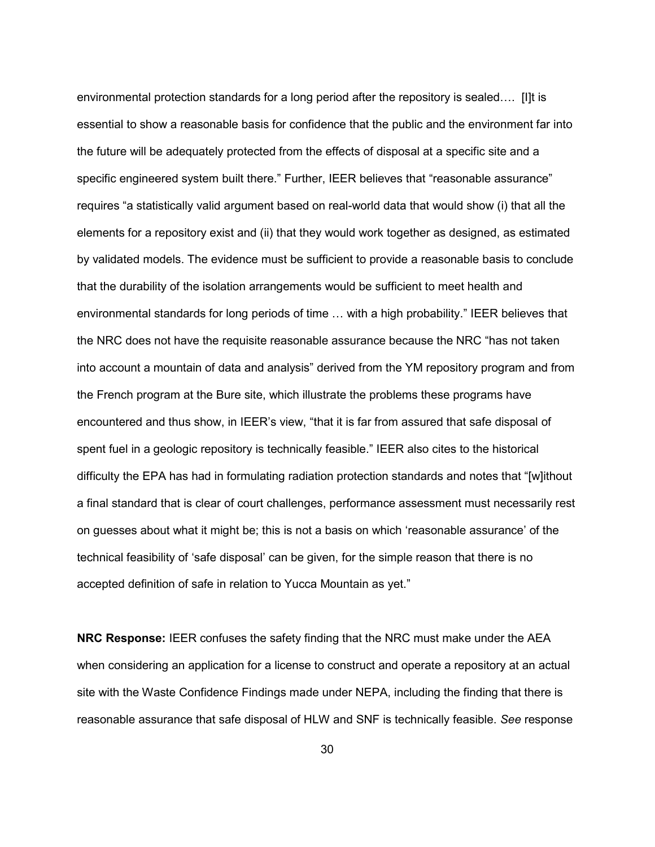environmental protection standards for a long period after the repository is sealed…. [I]t is essential to show a reasonable basis for confidence that the public and the environment far into the future will be adequately protected from the effects of disposal at a specific site and a specific engineered system built there." Further, IEER believes that "reasonable assurance" requires "a statistically valid argument based on real-world data that would show (i) that all the elements for a repository exist and (ii) that they would work together as designed, as estimated by validated models. The evidence must be sufficient to provide a reasonable basis to conclude that the durability of the isolation arrangements would be sufficient to meet health and environmental standards for long periods of time … with a high probability." IEER believes that the NRC does not have the requisite reasonable assurance because the NRC "has not taken into account a mountain of data and analysis" derived from the YM repository program and from the French program at the Bure site, which illustrate the problems these programs have encountered and thus show, in IEER's view, "that it is far from assured that safe disposal of spent fuel in a geologic repository is technically feasible." IEER also cites to the historical difficulty the EPA has had in formulating radiation protection standards and notes that "[w]ithout a final standard that is clear of court challenges, performance assessment must necessarily rest on guesses about what it might be; this is not a basis on which 'reasonable assurance' of the technical feasibility of 'safe disposal' can be given, for the simple reason that there is no accepted definition of safe in relation to Yucca Mountain as yet."

**NRC Response:** IEER confuses the safety finding that the NRC must make under the AEA when considering an application for a license to construct and operate a repository at an actual site with the Waste Confidence Findings made under NEPA, including the finding that there is reasonable assurance that safe disposal of HLW and SNF is technically feasible. *See* response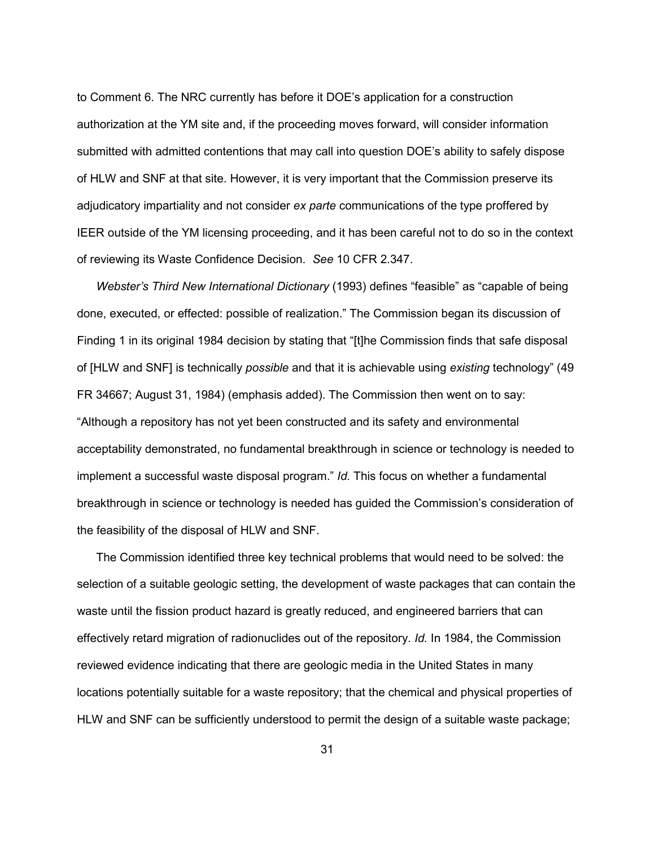to Comment 6. The NRC currently has before it DOE's application for a construction authorization at the YM site and, if the proceeding moves forward, will consider information submitted with admitted contentions that may call into question DOE's ability to safely dispose of HLW and SNF at that site. However, it is very important that the Commission preserve its adjudicatory impartiality and not consider *ex parte* communications of the type proffered by IEER outside of the YM licensing proceeding, and it has been careful not to do so in the context of reviewing its Waste Confidence Decision. *See* 10 CFR 2.347.

*Webster's Third New International Dictionary* (1993) defines "feasible" as "capable of being done, executed, or effected: possible of realization." The Commission began its discussion of Finding 1 in its original 1984 decision by stating that "[t]he Commission finds that safe disposal of [HLW and SNF] is technically *possible* and that it is achievable using *existing* technology" (49 FR 34667; August 31, 1984) (emphasis added). The Commission then went on to say: "Although a repository has not yet been constructed and its safety and environmental acceptability demonstrated, no fundamental breakthrough in science or technology is needed to implement a successful waste disposal program." *Id.* This focus on whether a fundamental breakthrough in science or technology is needed has guided the Commission's consideration of the feasibility of the disposal of HLW and SNF.

 The Commission identified three key technical problems that would need to be solved: the selection of a suitable geologic setting, the development of waste packages that can contain the waste until the fission product hazard is greatly reduced, and engineered barriers that can effectively retard migration of radionuclides out of the repository. *Id.* In 1984, the Commission reviewed evidence indicating that there are geologic media in the United States in many locations potentially suitable for a waste repository; that the chemical and physical properties of HLW and SNF can be sufficiently understood to permit the design of a suitable waste package;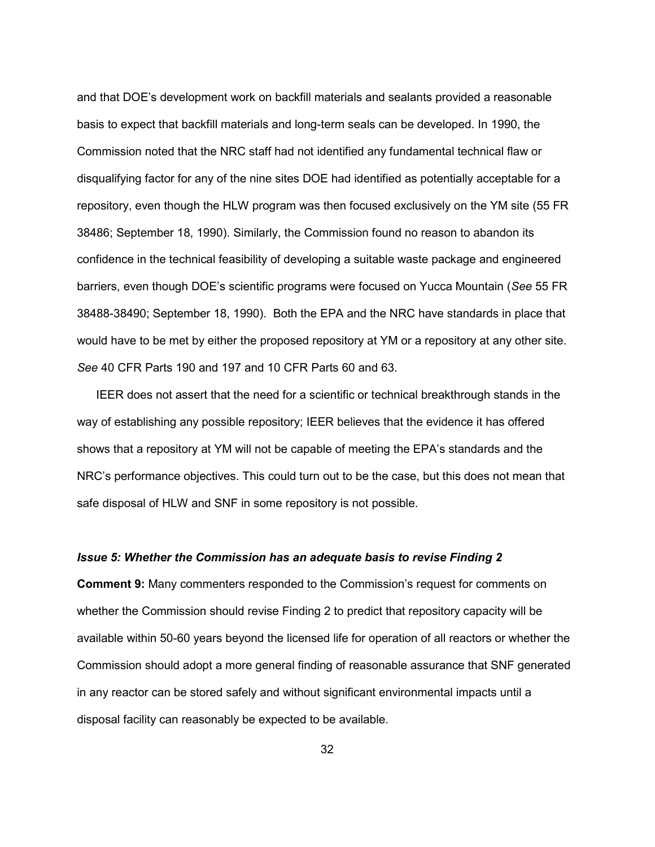and that DOE's development work on backfill materials and sealants provided a reasonable basis to expect that backfill materials and long-term seals can be developed. In 1990, the Commission noted that the NRC staff had not identified any fundamental technical flaw or disqualifying factor for any of the nine sites DOE had identified as potentially acceptable for a repository, even though the HLW program was then focused exclusively on the YM site (55 FR 38486; September 18, 1990). Similarly, the Commission found no reason to abandon its confidence in the technical feasibility of developing a suitable waste package and engineered barriers, even though DOE's scientific programs were focused on Yucca Mountain (*See* 55 FR 38488-38490; September 18, 1990). Both the EPA and the NRC have standards in place that would have to be met by either the proposed repository at YM or a repository at any other site. *See* 40 CFR Parts 190 and 197 and 10 CFR Parts 60 and 63.

 IEER does not assert that the need for a scientific or technical breakthrough stands in the way of establishing any possible repository; IEER believes that the evidence it has offered shows that a repository at YM will not be capable of meeting the EPA's standards and the NRC's performance objectives. This could turn out to be the case, but this does not mean that safe disposal of HLW and SNF in some repository is not possible.

#### *Issue 5: Whether the Commission has an adequate basis to revise Finding 2*

**Comment 9:** Many commenters responded to the Commission's request for comments on whether the Commission should revise Finding 2 to predict that repository capacity will be available within 50-60 years beyond the licensed life for operation of all reactors or whether the Commission should adopt a more general finding of reasonable assurance that SNF generated in any reactor can be stored safely and without significant environmental impacts until a disposal facility can reasonably be expected to be available.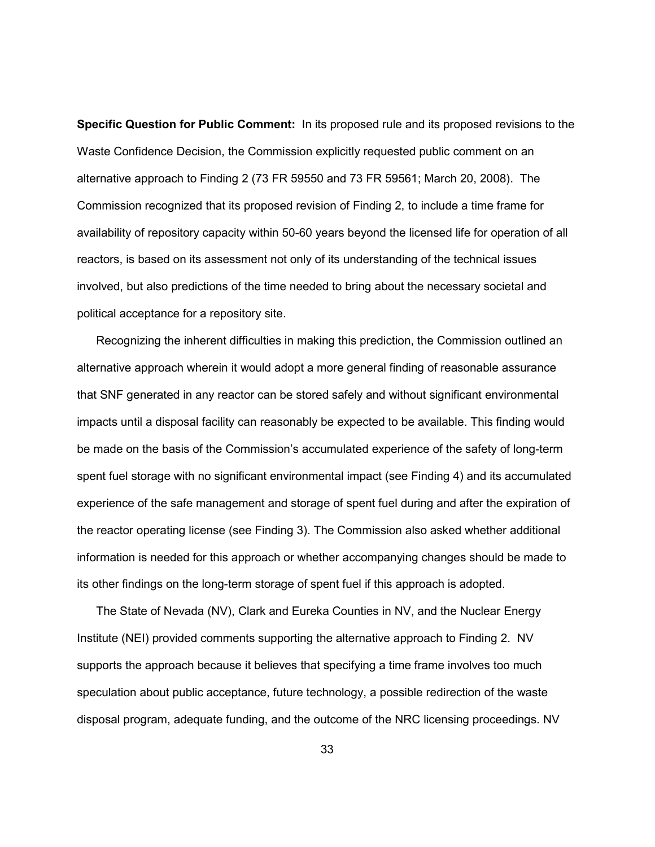**Specific Question for Public Comment:** In its proposed rule and its proposed revisions to the Waste Confidence Decision, the Commission explicitly requested public comment on an alternative approach to Finding 2 (73 FR 59550 and 73 FR 59561; March 20, 2008). The Commission recognized that its proposed revision of Finding 2, to include a time frame for availability of repository capacity within 50-60 years beyond the licensed life for operation of all reactors, is based on its assessment not only of its understanding of the technical issues involved, but also predictions of the time needed to bring about the necessary societal and political acceptance for a repository site.

 Recognizing the inherent difficulties in making this prediction, the Commission outlined an alternative approach wherein it would adopt a more general finding of reasonable assurance that SNF generated in any reactor can be stored safely and without significant environmental impacts until a disposal facility can reasonably be expected to be available. This finding would be made on the basis of the Commission's accumulated experience of the safety of long-term spent fuel storage with no significant environmental impact (see Finding 4) and its accumulated experience of the safe management and storage of spent fuel during and after the expiration of the reactor operating license (see Finding 3). The Commission also asked whether additional information is needed for this approach or whether accompanying changes should be made to its other findings on the long-term storage of spent fuel if this approach is adopted.

 The State of Nevada (NV), Clark and Eureka Counties in NV, and the Nuclear Energy Institute (NEI) provided comments supporting the alternative approach to Finding 2. NV supports the approach because it believes that specifying a time frame involves too much speculation about public acceptance, future technology, a possible redirection of the waste disposal program, adequate funding, and the outcome of the NRC licensing proceedings. NV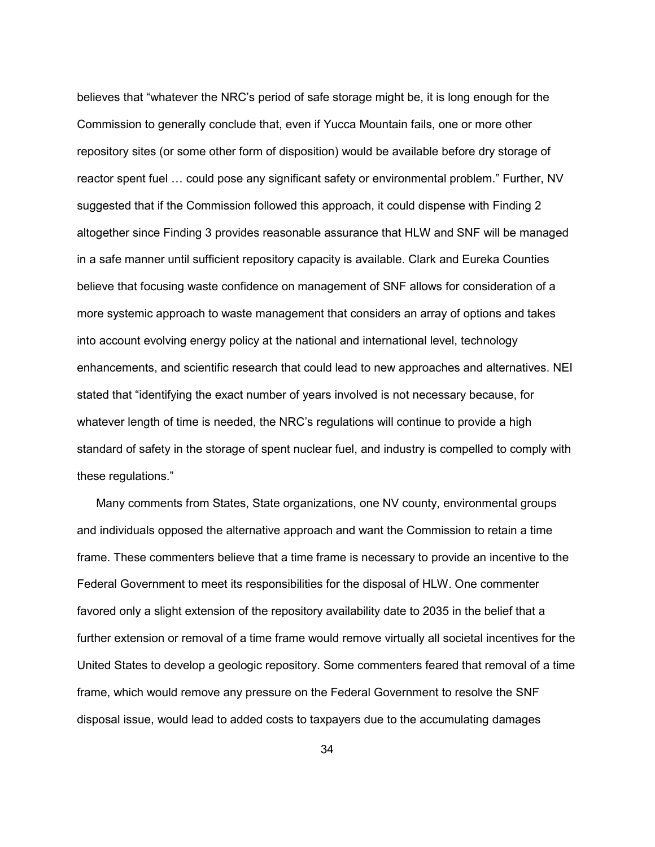believes that "whatever the NRC's period of safe storage might be, it is long enough for the Commission to generally conclude that, even if Yucca Mountain fails, one or more other repository sites (or some other form of disposition) would be available before dry storage of reactor spent fuel … could pose any significant safety or environmental problem." Further, NV suggested that if the Commission followed this approach, it could dispense with Finding 2 altogether since Finding 3 provides reasonable assurance that HLW and SNF will be managed in a safe manner until sufficient repository capacity is available. Clark and Eureka Counties believe that focusing waste confidence on management of SNF allows for consideration of a more systemic approach to waste management that considers an array of options and takes into account evolving energy policy at the national and international level, technology enhancements, and scientific research that could lead to new approaches and alternatives. NEI stated that "identifying the exact number of years involved is not necessary because, for whatever length of time is needed, the NRC's regulations will continue to provide a high standard of safety in the storage of spent nuclear fuel, and industry is compelled to comply with these regulations."

 Many comments from States, State organizations, one NV county, environmental groups and individuals opposed the alternative approach and want the Commission to retain a time frame. These commenters believe that a time frame is necessary to provide an incentive to the Federal Government to meet its responsibilities for the disposal of HLW. One commenter favored only a slight extension of the repository availability date to 2035 in the belief that a further extension or removal of a time frame would remove virtually all societal incentives for the United States to develop a geologic repository. Some commenters feared that removal of a time frame, which would remove any pressure on the Federal Government to resolve the SNF disposal issue, would lead to added costs to taxpayers due to the accumulating damages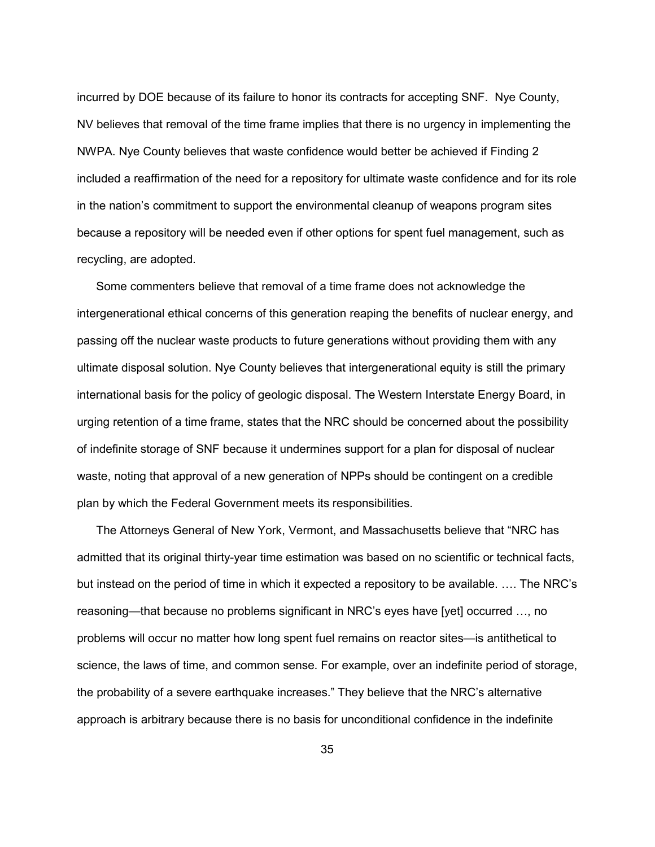incurred by DOE because of its failure to honor its contracts for accepting SNF. Nye County, NV believes that removal of the time frame implies that there is no urgency in implementing the NWPA. Nye County believes that waste confidence would better be achieved if Finding 2 included a reaffirmation of the need for a repository for ultimate waste confidence and for its role in the nation's commitment to support the environmental cleanup of weapons program sites because a repository will be needed even if other options for spent fuel management, such as recycling, are adopted.

 Some commenters believe that removal of a time frame does not acknowledge the intergenerational ethical concerns of this generation reaping the benefits of nuclear energy, and passing off the nuclear waste products to future generations without providing them with any ultimate disposal solution. Nye County believes that intergenerational equity is still the primary international basis for the policy of geologic disposal. The Western Interstate Energy Board, in urging retention of a time frame, states that the NRC should be concerned about the possibility of indefinite storage of SNF because it undermines support for a plan for disposal of nuclear waste, noting that approval of a new generation of NPPs should be contingent on a credible plan by which the Federal Government meets its responsibilities.

 The Attorneys General of New York, Vermont, and Massachusetts believe that "NRC has admitted that its original thirty-year time estimation was based on no scientific or technical facts, but instead on the period of time in which it expected a repository to be available. …. The NRC's reasoning—that because no problems significant in NRC's eyes have [yet] occurred …, no problems will occur no matter how long spent fuel remains on reactor sites—is antithetical to science, the laws of time, and common sense. For example, over an indefinite period of storage, the probability of a severe earthquake increases." They believe that the NRC's alternative approach is arbitrary because there is no basis for unconditional confidence in the indefinite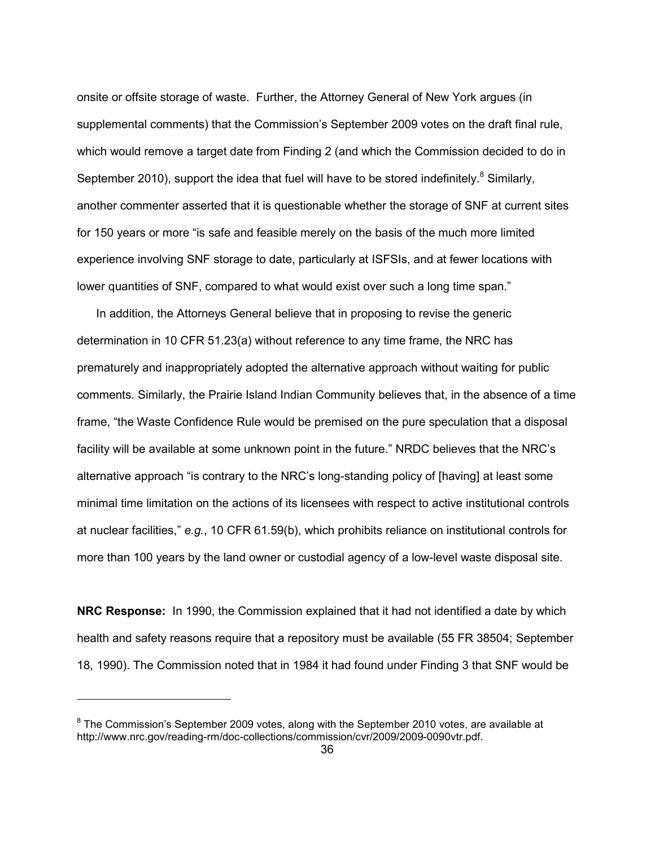onsite or offsite storage of waste. Further, the Attorney General of New York argues (in supplemental comments) that the Commission's September 2009 votes on the draft final rule, which would remove a target date from Finding 2 (and which the Commission decided to do in September 2010), support the idea that fuel will have to be stored indefinitely. $8$  Similarly, another commenter asserted that it is questionable whether the storage of SNF at current sites for 150 years or more "is safe and feasible merely on the basis of the much more limited experience involving SNF storage to date, particularly at ISFSIs, and at fewer locations with lower quantities of SNF, compared to what would exist over such a long time span."

 In addition, the Attorneys General believe that in proposing to revise the generic determination in 10 CFR 51.23(a) without reference to any time frame, the NRC has prematurely and inappropriately adopted the alternative approach without waiting for public comments. Similarly, the Prairie Island Indian Community believes that, in the absence of a time frame, "the Waste Confidence Rule would be premised on the pure speculation that a disposal facility will be available at some unknown point in the future." NRDC believes that the NRC's alternative approach "is contrary to the NRC's long-standing policy of [having] at least some minimal time limitation on the actions of its licensees with respect to active institutional controls at nuclear facilities," *e.g.*, 10 CFR 61.59(b), which prohibits reliance on institutional controls for more than 100 years by the land owner or custodial agency of a low-level waste disposal site.

**NRC Response:** In 1990, the Commission explained that it had not identified a date by which health and safety reasons require that a repository must be available (55 FR 38504; September 18, 1990). The Commission noted that in 1984 it had found under Finding 3 that SNF would be

 $^8$  The Commission's September 2009 votes, along with the September 2010 votes, are available at http://www.nrc.gov/reading-rm/doc-collections/commission/cvr/2009/2009-0090vtr.pdf.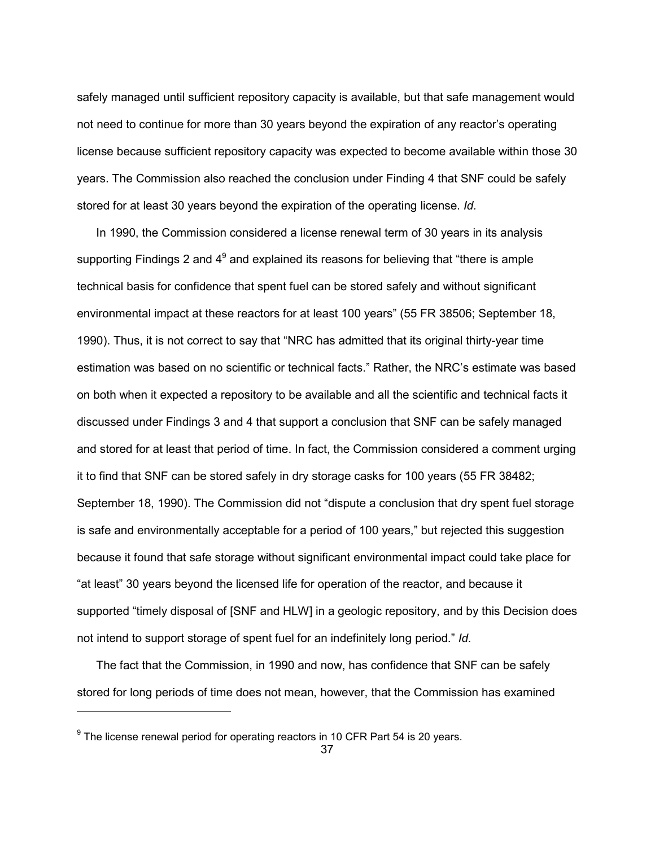safely managed until sufficient repository capacity is available, but that safe management would not need to continue for more than 30 years beyond the expiration of any reactor's operating license because sufficient repository capacity was expected to become available within those 30 years. The Commission also reached the conclusion under Finding 4 that SNF could be safely stored for at least 30 years beyond the expiration of the operating license. *Id.*

 In 1990, the Commission considered a license renewal term of 30 years in its analysis supporting Findings 2 and  $4^9$  and explained its reasons for believing that "there is ample technical basis for confidence that spent fuel can be stored safely and without significant environmental impact at these reactors for at least 100 years" (55 FR 38506; September 18, 1990). Thus, it is not correct to say that "NRC has admitted that its original thirty-year time estimation was based on no scientific or technical facts." Rather, the NRC's estimate was based on both when it expected a repository to be available and all the scientific and technical facts it discussed under Findings 3 and 4 that support a conclusion that SNF can be safely managed and stored for at least that period of time. In fact, the Commission considered a comment urging it to find that SNF can be stored safely in dry storage casks for 100 years (55 FR 38482; September 18, 1990). The Commission did not "dispute a conclusion that dry spent fuel storage is safe and environmentally acceptable for a period of 100 years," but rejected this suggestion because it found that safe storage without significant environmental impact could take place for "at least" 30 years beyond the licensed life for operation of the reactor, and because it supported "timely disposal of [SNF and HLW] in a geologic repository, and by this Decision does not intend to support storage of spent fuel for an indefinitely long period." *Id.*

 The fact that the Commission, in 1990 and now, has confidence that SNF can be safely stored for long periods of time does not mean, however, that the Commission has examined

-

 $9$  The license renewal period for operating reactors in 10 CFR Part 54 is 20 years.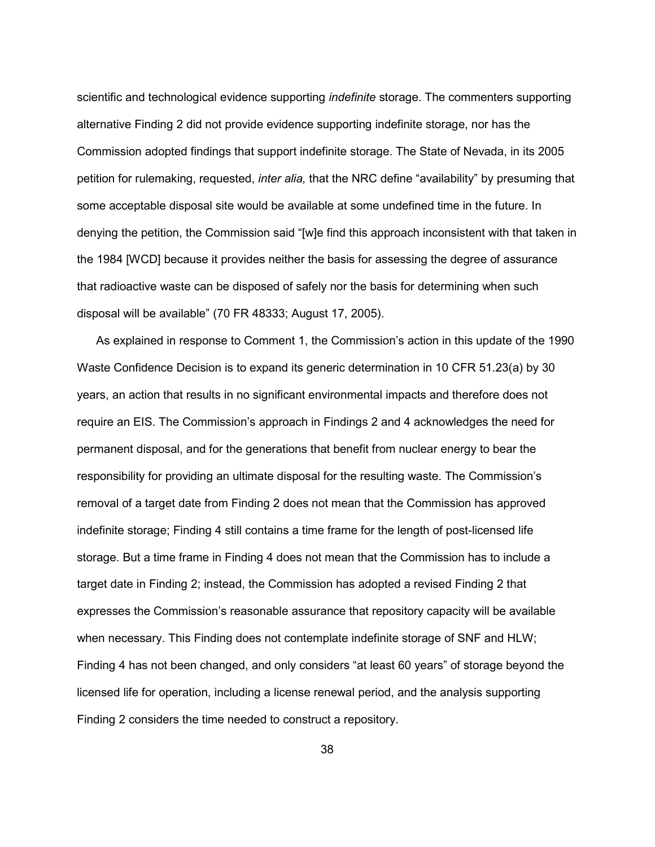scientific and technological evidence supporting *indefinite* storage. The commenters supporting alternative Finding 2 did not provide evidence supporting indefinite storage, nor has the Commission adopted findings that support indefinite storage. The State of Nevada, in its 2005 petition for rulemaking, requested, *inter alia,* that the NRC define "availability" by presuming that some acceptable disposal site would be available at some undefined time in the future. In denying the petition, the Commission said "[w]e find this approach inconsistent with that taken in the 1984 [WCD] because it provides neither the basis for assessing the degree of assurance that radioactive waste can be disposed of safely nor the basis for determining when such disposal will be available" (70 FR 48333; August 17, 2005).

 As explained in response to Comment 1, the Commission's action in this update of the 1990 Waste Confidence Decision is to expand its generic determination in 10 CFR 51.23(a) by 30 years, an action that results in no significant environmental impacts and therefore does not require an EIS. The Commission's approach in Findings 2 and 4 acknowledges the need for permanent disposal, and for the generations that benefit from nuclear energy to bear the responsibility for providing an ultimate disposal for the resulting waste. The Commission's removal of a target date from Finding 2 does not mean that the Commission has approved indefinite storage; Finding 4 still contains a time frame for the length of post-licensed life storage. But a time frame in Finding 4 does not mean that the Commission has to include a target date in Finding 2; instead, the Commission has adopted a revised Finding 2 that expresses the Commission's reasonable assurance that repository capacity will be available when necessary. This Finding does not contemplate indefinite storage of SNF and HLW; Finding 4 has not been changed, and only considers "at least 60 years" of storage beyond the licensed life for operation, including a license renewal period, and the analysis supporting Finding 2 considers the time needed to construct a repository.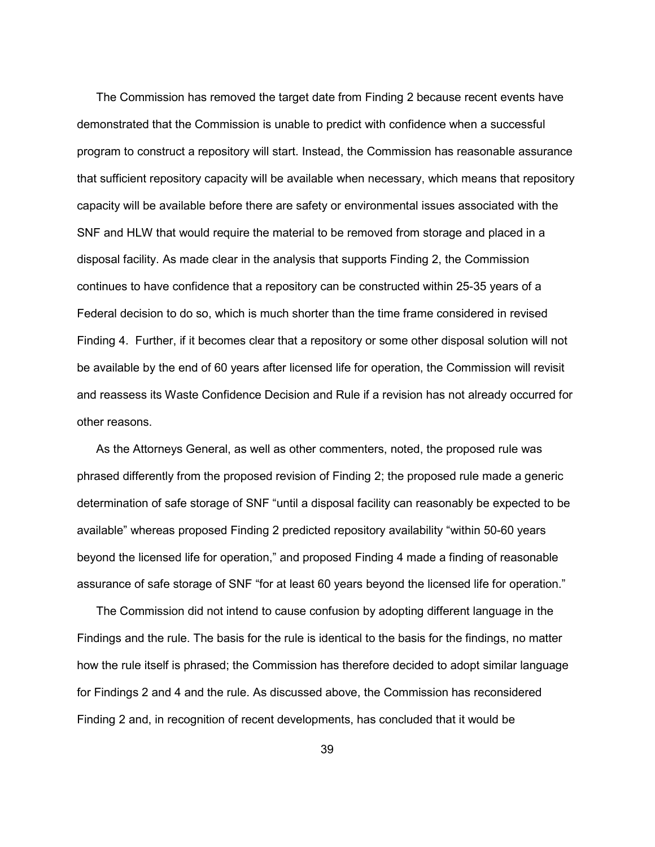The Commission has removed the target date from Finding 2 because recent events have demonstrated that the Commission is unable to predict with confidence when a successful program to construct a repository will start. Instead, the Commission has reasonable assurance that sufficient repository capacity will be available when necessary, which means that repository capacity will be available before there are safety or environmental issues associated with the SNF and HLW that would require the material to be removed from storage and placed in a disposal facility. As made clear in the analysis that supports Finding 2, the Commission continues to have confidence that a repository can be constructed within 25-35 years of a Federal decision to do so, which is much shorter than the time frame considered in revised Finding 4. Further, if it becomes clear that a repository or some other disposal solution will not be available by the end of 60 years after licensed life for operation, the Commission will revisit and reassess its Waste Confidence Decision and Rule if a revision has not already occurred for other reasons.

 As the Attorneys General, as well as other commenters, noted, the proposed rule was phrased differently from the proposed revision of Finding 2; the proposed rule made a generic determination of safe storage of SNF "until a disposal facility can reasonably be expected to be available" whereas proposed Finding 2 predicted repository availability "within 50-60 years beyond the licensed life for operation," and proposed Finding 4 made a finding of reasonable assurance of safe storage of SNF "for at least 60 years beyond the licensed life for operation."

 The Commission did not intend to cause confusion by adopting different language in the Findings and the rule. The basis for the rule is identical to the basis for the findings, no matter how the rule itself is phrased; the Commission has therefore decided to adopt similar language for Findings 2 and 4 and the rule. As discussed above, the Commission has reconsidered Finding 2 and, in recognition of recent developments, has concluded that it would be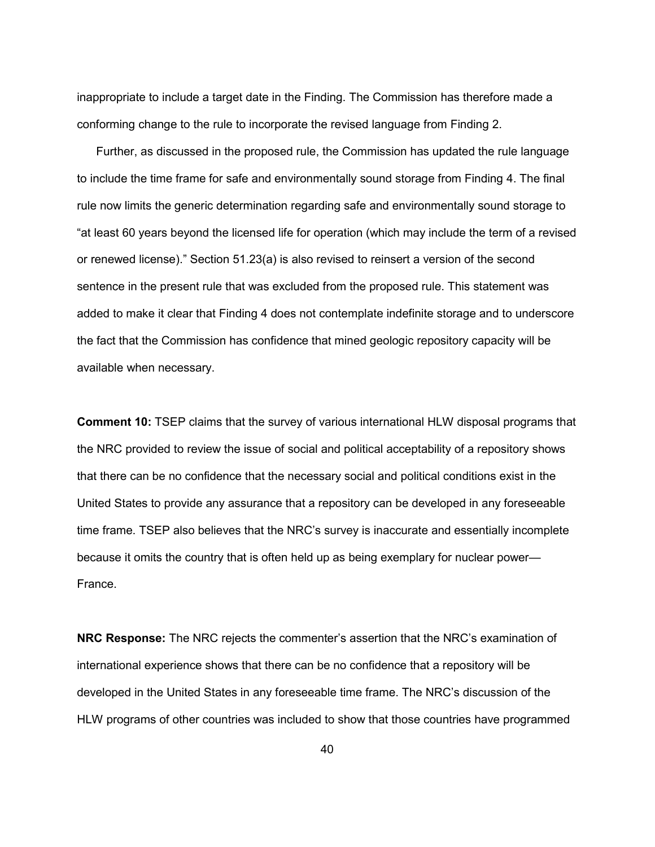inappropriate to include a target date in the Finding. The Commission has therefore made a conforming change to the rule to incorporate the revised language from Finding 2.

 Further, as discussed in the proposed rule, the Commission has updated the rule language to include the time frame for safe and environmentally sound storage from Finding 4. The final rule now limits the generic determination regarding safe and environmentally sound storage to "at least 60 years beyond the licensed life for operation (which may include the term of a revised or renewed license)." Section 51.23(a) is also revised to reinsert a version of the second sentence in the present rule that was excluded from the proposed rule. This statement was added to make it clear that Finding 4 does not contemplate indefinite storage and to underscore the fact that the Commission has confidence that mined geologic repository capacity will be available when necessary.

**Comment 10:** TSEP claims that the survey of various international HLW disposal programs that the NRC provided to review the issue of social and political acceptability of a repository shows that there can be no confidence that the necessary social and political conditions exist in the United States to provide any assurance that a repository can be developed in any foreseeable time frame. TSEP also believes that the NRC's survey is inaccurate and essentially incomplete because it omits the country that is often held up as being exemplary for nuclear power— France.

**NRC Response:** The NRC rejects the commenter's assertion that the NRC's examination of international experience shows that there can be no confidence that a repository will be developed in the United States in any foreseeable time frame. The NRC's discussion of the HLW programs of other countries was included to show that those countries have programmed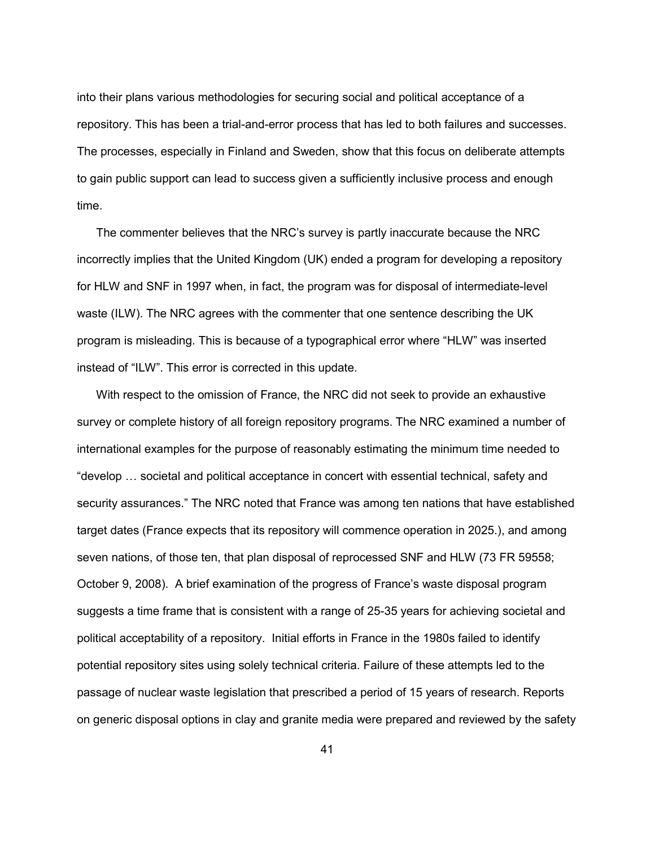into their plans various methodologies for securing social and political acceptance of a repository. This has been a trial-and-error process that has led to both failures and successes. The processes, especially in Finland and Sweden, show that this focus on deliberate attempts to gain public support can lead to success given a sufficiently inclusive process and enough time.

The commenter believes that the NRC's survey is partly inaccurate because the NRC incorrectly implies that the United Kingdom (UK) ended a program for developing a repository for HLW and SNF in 1997 when, in fact, the program was for disposal of intermediate-level waste (ILW). The NRC agrees with the commenter that one sentence describing the UK program is misleading. This is because of a typographical error where "HLW" was inserted instead of "ILW". This error is corrected in this update.

 With respect to the omission of France, the NRC did not seek to provide an exhaustive survey or complete history of all foreign repository programs. The NRC examined a number of international examples for the purpose of reasonably estimating the minimum time needed to "develop … societal and political acceptance in concert with essential technical, safety and security assurances." The NRC noted that France was among ten nations that have established target dates (France expects that its repository will commence operation in 2025.), and among seven nations, of those ten, that plan disposal of reprocessed SNF and HLW (73 FR 59558; October 9, 2008). A brief examination of the progress of France's waste disposal program suggests a time frame that is consistent with a range of 25-35 years for achieving societal and political acceptability of a repository. Initial efforts in France in the 1980s failed to identify potential repository sites using solely technical criteria. Failure of these attempts led to the passage of nuclear waste legislation that prescribed a period of 15 years of research. Reports on generic disposal options in clay and granite media were prepared and reviewed by the safety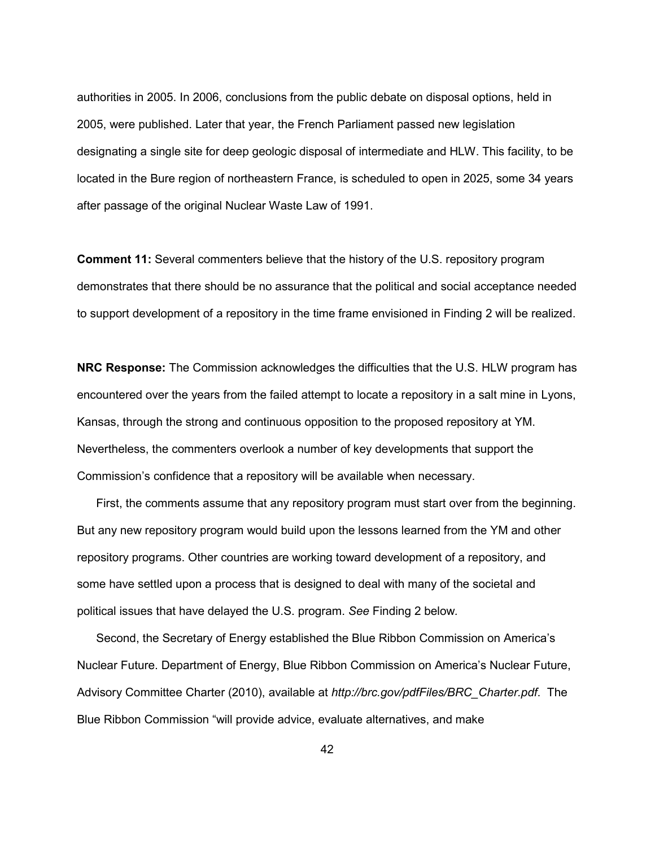authorities in 2005. In 2006, conclusions from the public debate on disposal options, held in 2005, were published. Later that year, the French Parliament passed new legislation designating a single site for deep geologic disposal of intermediate and HLW. This facility, to be located in the Bure region of northeastern France, is scheduled to open in 2025, some 34 years after passage of the original Nuclear Waste Law of 1991.

**Comment 11:** Several commenters believe that the history of the U.S. repository program demonstrates that there should be no assurance that the political and social acceptance needed to support development of a repository in the time frame envisioned in Finding 2 will be realized.

**NRC Response:** The Commission acknowledges the difficulties that the U.S. HLW program has encountered over the years from the failed attempt to locate a repository in a salt mine in Lyons, Kansas, through the strong and continuous opposition to the proposed repository at YM. Nevertheless, the commenters overlook a number of key developments that support the Commission's confidence that a repository will be available when necessary.

 First, the comments assume that any repository program must start over from the beginning. But any new repository program would build upon the lessons learned from the YM and other repository programs. Other countries are working toward development of a repository, and some have settled upon a process that is designed to deal with many of the societal and political issues that have delayed the U.S. program. *See* Finding 2 below*.*

 Second, the Secretary of Energy established the Blue Ribbon Commission on America's Nuclear Future. Department of Energy, Blue Ribbon Commission on America's Nuclear Future, Advisory Committee Charter (2010), available at *http://brc.gov/pdfFiles/BRC\_Charter.pdf*. The Blue Ribbon Commission "will provide advice, evaluate alternatives, and make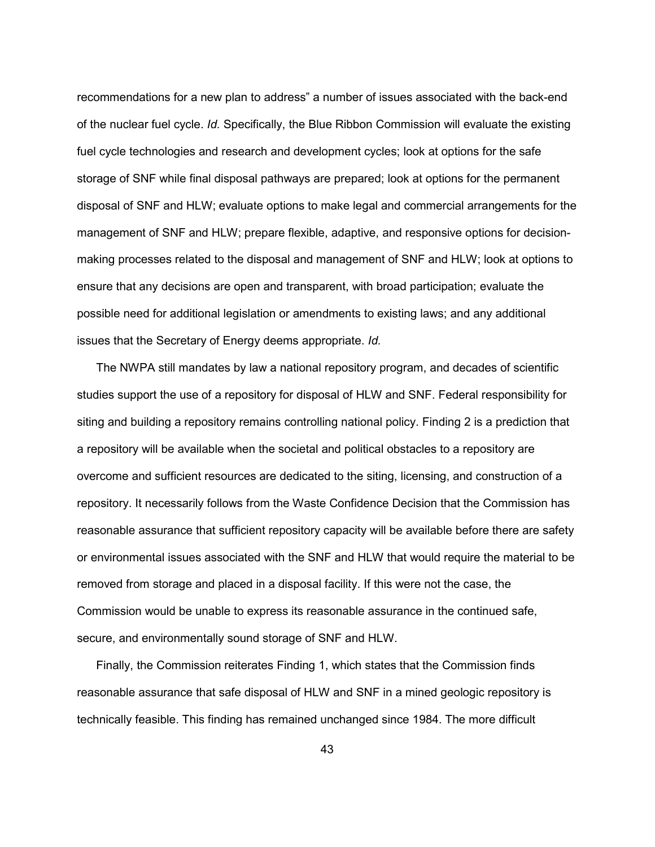recommendations for a new plan to address" a number of issues associated with the back-end of the nuclear fuel cycle. *Id.* Specifically, the Blue Ribbon Commission will evaluate the existing fuel cycle technologies and research and development cycles; look at options for the safe storage of SNF while final disposal pathways are prepared; look at options for the permanent disposal of SNF and HLW; evaluate options to make legal and commercial arrangements for the management of SNF and HLW; prepare flexible, adaptive, and responsive options for decisionmaking processes related to the disposal and management of SNF and HLW; look at options to ensure that any decisions are open and transparent, with broad participation; evaluate the possible need for additional legislation or amendments to existing laws; and any additional issues that the Secretary of Energy deems appropriate. *Id.*

 The NWPA still mandates by law a national repository program, and decades of scientific studies support the use of a repository for disposal of HLW and SNF. Federal responsibility for siting and building a repository remains controlling national policy. Finding 2 is a prediction that a repository will be available when the societal and political obstacles to a repository are overcome and sufficient resources are dedicated to the siting, licensing, and construction of a repository. It necessarily follows from the Waste Confidence Decision that the Commission has reasonable assurance that sufficient repository capacity will be available before there are safety or environmental issues associated with the SNF and HLW that would require the material to be removed from storage and placed in a disposal facility. If this were not the case, the Commission would be unable to express its reasonable assurance in the continued safe, secure, and environmentally sound storage of SNF and HLW.

 Finally, the Commission reiterates Finding 1, which states that the Commission finds reasonable assurance that safe disposal of HLW and SNF in a mined geologic repository is technically feasible. This finding has remained unchanged since 1984. The more difficult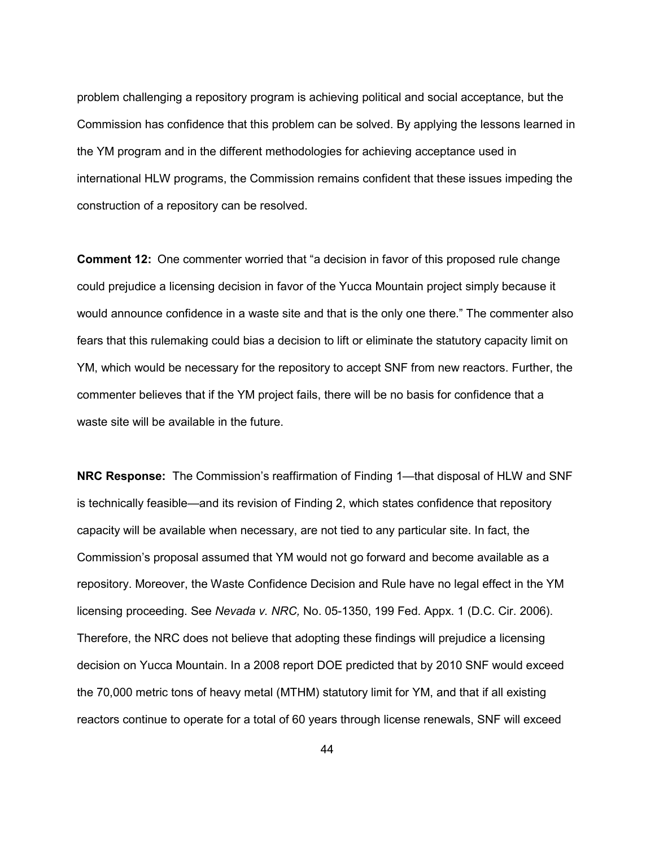problem challenging a repository program is achieving political and social acceptance, but the Commission has confidence that this problem can be solved. By applying the lessons learned in the YM program and in the different methodologies for achieving acceptance used in international HLW programs, the Commission remains confident that these issues impeding the construction of a repository can be resolved.

**Comment 12:**One commenter worried that "a decision in favor of this proposed rule change could prejudice a licensing decision in favor of the Yucca Mountain project simply because it would announce confidence in a waste site and that is the only one there." The commenter also fears that this rulemaking could bias a decision to lift or eliminate the statutory capacity limit on YM, which would be necessary for the repository to accept SNF from new reactors. Further, the commenter believes that if the YM project fails, there will be no basis for confidence that a waste site will be available in the future.

**NRC Response:** The Commission's reaffirmation of Finding 1—that disposal of HLW and SNF is technically feasible—and its revision of Finding 2, which states confidence that repository capacity will be available when necessary, are not tied to any particular site. In fact, the Commission's proposal assumed that YM would not go forward and become available as a repository. Moreover, the Waste Confidence Decision and Rule have no legal effect in the YM licensing proceeding. See *Nevada v. NRC,* No. 05-1350, 199 Fed. Appx. 1 (D.C. Cir. 2006). Therefore, the NRC does not believe that adopting these findings will prejudice a licensing decision on Yucca Mountain. In a 2008 report DOE predicted that by 2010 SNF would exceed the 70,000 metric tons of heavy metal (MTHM) statutory limit for YM, and that if all existing reactors continue to operate for a total of 60 years through license renewals, SNF will exceed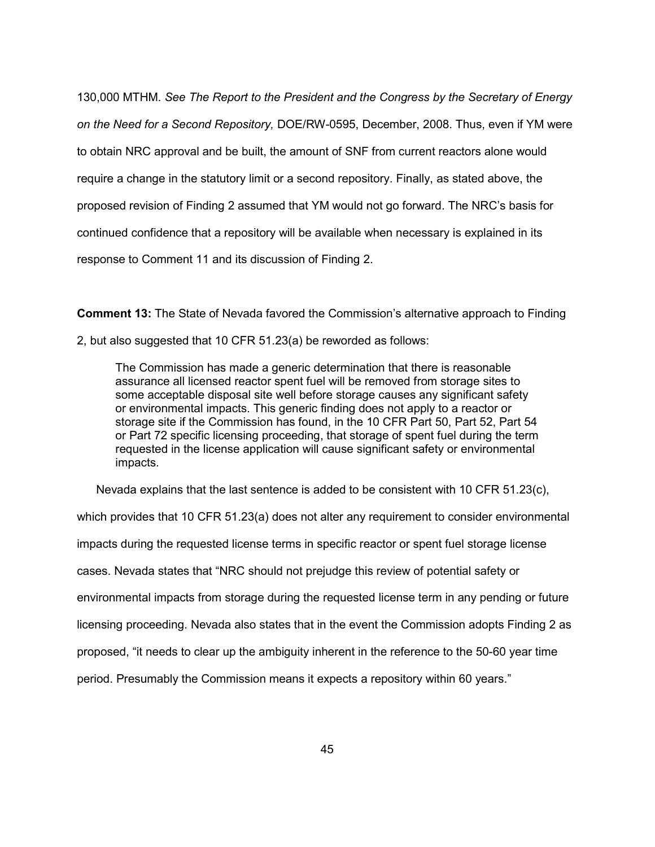130,000 MTHM. *See The Report to the President and the Congress by the Secretary of Energy on the Need for a Second Repository,* DOE/RW-0595, December, 2008. Thus, even if YM were to obtain NRC approval and be built, the amount of SNF from current reactors alone would require a change in the statutory limit or a second repository. Finally, as stated above, the proposed revision of Finding 2 assumed that YM would not go forward. The NRC's basis for continued confidence that a repository will be available when necessary is explained in its response to Comment 11 and its discussion of Finding 2.

**Comment 13:** The State of Nevada favored the Commission's alternative approach to Finding

2, but also suggested that 10 CFR 51.23(a) be reworded as follows:

The Commission has made a generic determination that there is reasonable assurance all licensed reactor spent fuel will be removed from storage sites to some acceptable disposal site well before storage causes any significant safety or environmental impacts. This generic finding does not apply to a reactor or storage site if the Commission has found, in the 10 CFR Part 50, Part 52, Part 54 or Part 72 specific licensing proceeding, that storage of spent fuel during the term requested in the license application will cause significant safety or environmental impacts.

Nevada explains that the last sentence is added to be consistent with 10 CFR 51.23(c),

which provides that 10 CFR 51.23(a) does not alter any requirement to consider environmental impacts during the requested license terms in specific reactor or spent fuel storage license cases. Nevada states that "NRC should not prejudge this review of potential safety or environmental impacts from storage during the requested license term in any pending or future licensing proceeding. Nevada also states that in the event the Commission adopts Finding 2 as proposed, "it needs to clear up the ambiguity inherent in the reference to the 50-60 year time period. Presumably the Commission means it expects a repository within 60 years."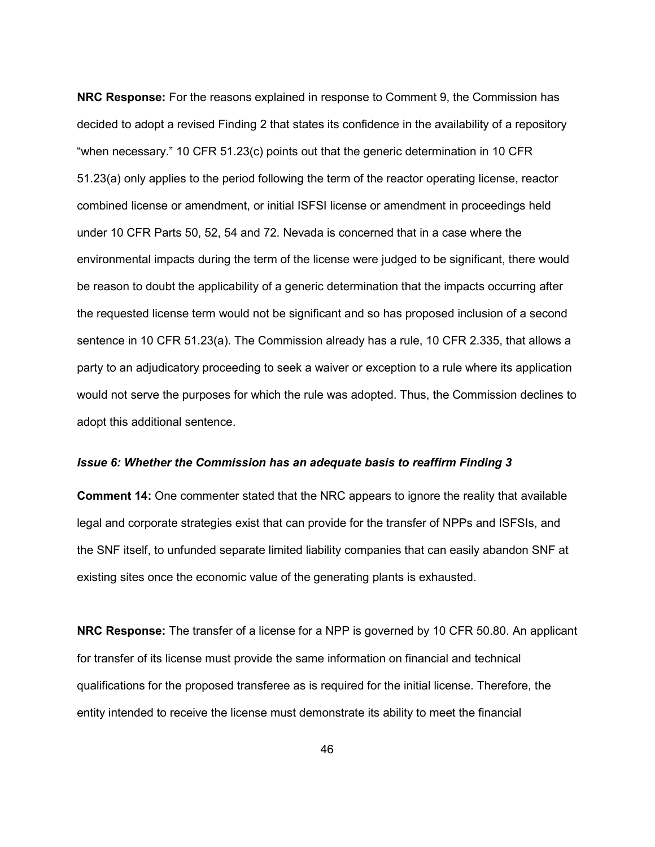**NRC Response:** For the reasons explained in response to Comment 9, the Commission has decided to adopt a revised Finding 2 that states its confidence in the availability of a repository "when necessary." 10 CFR 51.23(c) points out that the generic determination in 10 CFR 51.23(a) only applies to the period following the term of the reactor operating license, reactor combined license or amendment, or initial ISFSI license or amendment in proceedings held under 10 CFR Parts 50, 52, 54 and 72. Nevada is concerned that in a case where the environmental impacts during the term of the license were judged to be significant, there would be reason to doubt the applicability of a generic determination that the impacts occurring after the requested license term would not be significant and so has proposed inclusion of a second sentence in 10 CFR 51.23(a). The Commission already has a rule, 10 CFR 2.335, that allows a party to an adjudicatory proceeding to seek a waiver or exception to a rule where its application would not serve the purposes for which the rule was adopted. Thus, the Commission declines to adopt this additional sentence.

#### *Issue 6: Whether the Commission has an adequate basis to reaffirm Finding 3*

**Comment 14:** One commenter stated that the NRC appears to ignore the reality that available legal and corporate strategies exist that can provide for the transfer of NPPs and ISFSIs, and the SNF itself, to unfunded separate limited liability companies that can easily abandon SNF at existing sites once the economic value of the generating plants is exhausted.

**NRC Response:** The transfer of a license for a NPP is governed by 10 CFR 50.80. An applicant for transfer of its license must provide the same information on financial and technical qualifications for the proposed transferee as is required for the initial license. Therefore, the entity intended to receive the license must demonstrate its ability to meet the financial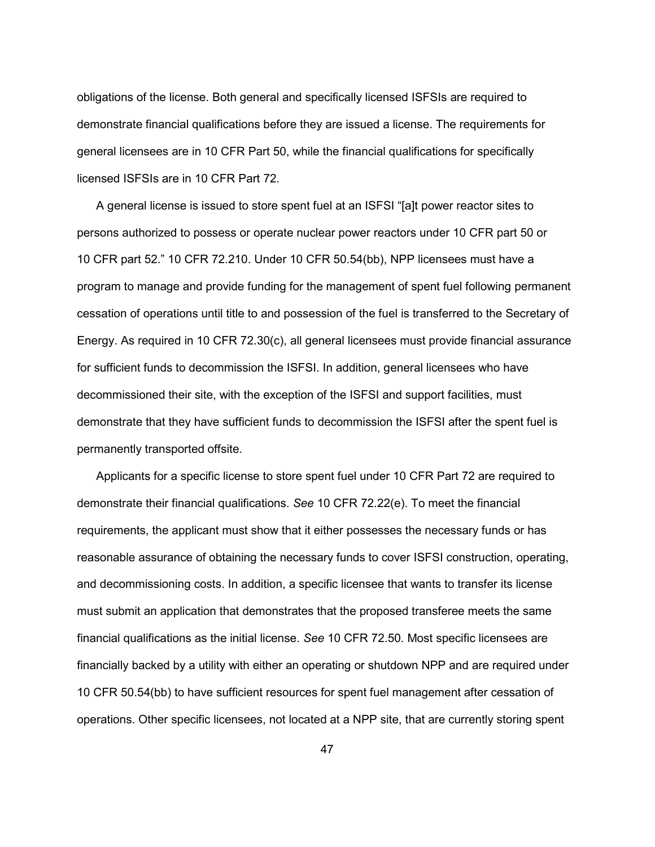obligations of the license. Both general and specifically licensed ISFSIs are required to demonstrate financial qualifications before they are issued a license. The requirements for general licensees are in 10 CFR Part 50, while the financial qualifications for specifically licensed ISFSIs are in 10 CFR Part 72.

 A general license is issued to store spent fuel at an ISFSI "[a]t power reactor sites to persons authorized to possess or operate nuclear power reactors under 10 CFR part 50 or 10 CFR part 52." 10 CFR 72.210. Under 10 CFR 50.54(bb), NPP licensees must have a program to manage and provide funding for the management of spent fuel following permanent cessation of operations until title to and possession of the fuel is transferred to the Secretary of Energy. As required in 10 CFR 72.30(c), all general licensees must provide financial assurance for sufficient funds to decommission the ISFSI. In addition, general licensees who have decommissioned their site, with the exception of the ISFSI and support facilities, must demonstrate that they have sufficient funds to decommission the ISFSI after the spent fuel is permanently transported offsite.

 Applicants for a specific license to store spent fuel under 10 CFR Part 72 are required to demonstrate their financial qualifications. *See* 10 CFR 72.22(e). To meet the financial requirements, the applicant must show that it either possesses the necessary funds or has reasonable assurance of obtaining the necessary funds to cover ISFSI construction, operating, and decommissioning costs. In addition, a specific licensee that wants to transfer its license must submit an application that demonstrates that the proposed transferee meets the same financial qualifications as the initial license. *See* 10 CFR 72.50. Most specific licensees are financially backed by a utility with either an operating or shutdown NPP and are required under 10 CFR 50.54(bb) to have sufficient resources for spent fuel management after cessation of operations. Other specific licensees, not located at a NPP site, that are currently storing spent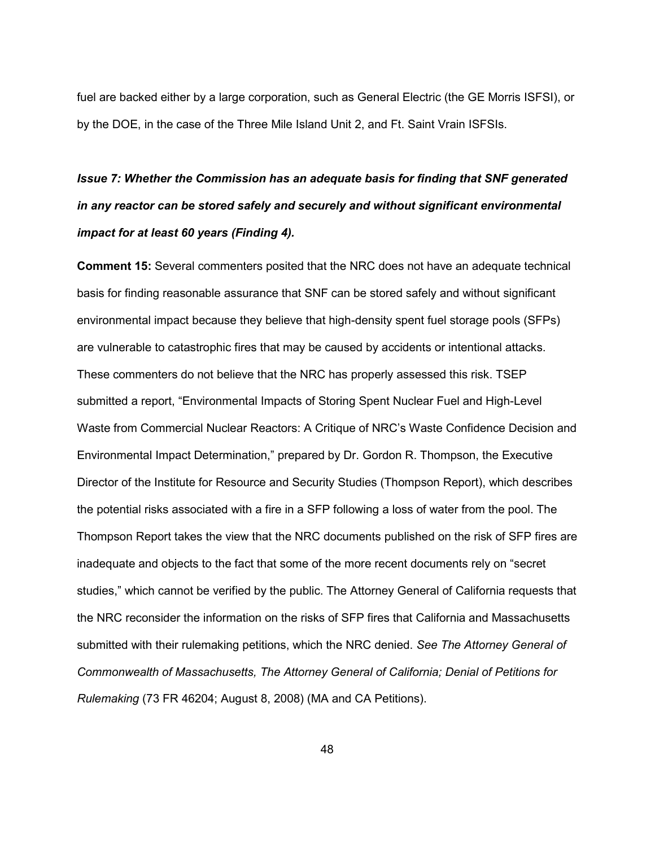fuel are backed either by a large corporation, such as General Electric (the GE Morris ISFSI), or by the DOE, in the case of the Three Mile Island Unit 2, and Ft. Saint Vrain ISFSIs.

# *Issue 7: Whether the Commission has an adequate basis for finding that SNF generated in any reactor can be stored safely and securely and without significant environmental impact for at least 60 years (Finding 4).*

**Comment 15:** Several commenters posited that the NRC does not have an adequate technical basis for finding reasonable assurance that SNF can be stored safely and without significant environmental impact because they believe that high-density spent fuel storage pools (SFPs) are vulnerable to catastrophic fires that may be caused by accidents or intentional attacks. These commenters do not believe that the NRC has properly assessed this risk. TSEP submitted a report, "Environmental Impacts of Storing Spent Nuclear Fuel and High-Level Waste from Commercial Nuclear Reactors: A Critique of NRC's Waste Confidence Decision and Environmental Impact Determination," prepared by Dr. Gordon R. Thompson, the Executive Director of the Institute for Resource and Security Studies (Thompson Report), which describes the potential risks associated with a fire in a SFP following a loss of water from the pool. The Thompson Report takes the view that the NRC documents published on the risk of SFP fires are inadequate and objects to the fact that some of the more recent documents rely on "secret studies," which cannot be verified by the public. The Attorney General of California requests that the NRC reconsider the information on the risks of SFP fires that California and Massachusetts submitted with their rulemaking petitions, which the NRC denied. *See The Attorney General of Commonwealth of Massachusetts, The Attorney General of California; Denial of Petitions for Rulemaking* (73 FR 46204; August 8, 2008) (MA and CA Petitions).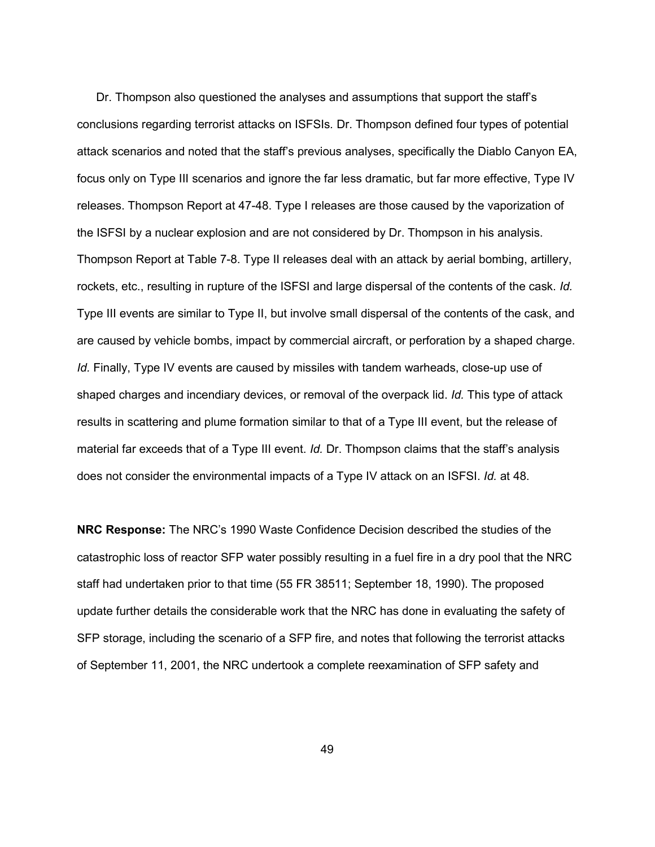Dr. Thompson also questioned the analyses and assumptions that support the staff's conclusions regarding terrorist attacks on ISFSIs*.* Dr. Thompson defined four types of potential attack scenarios and noted that the staff's previous analyses, specifically the Diablo Canyon EA, focus only on Type III scenarios and ignore the far less dramatic, but far more effective, Type IV releases. Thompson Report at 47-48. Type I releases are those caused by the vaporization of the ISFSI by a nuclear explosion and are not considered by Dr. Thompson in his analysis. Thompson Report at Table 7-8. Type II releases deal with an attack by aerial bombing, artillery, rockets, etc., resulting in rupture of the ISFSI and large dispersal of the contents of the cask. *Id.* Type III events are similar to Type II, but involve small dispersal of the contents of the cask, and are caused by vehicle bombs, impact by commercial aircraft, or perforation by a shaped charge. *Id.* Finally, Type IV events are caused by missiles with tandem warheads, close-up use of shaped charges and incendiary devices, or removal of the overpack lid. *Id.* This type of attack results in scattering and plume formation similar to that of a Type III event, but the release of material far exceeds that of a Type III event. *Id.* Dr. Thompson claims that the staff's analysis does not consider the environmental impacts of a Type IV attack on an ISFSI. *Id.* at 48.

**NRC Response:** The NRC's 1990 Waste Confidence Decision described the studies of the catastrophic loss of reactor SFP water possibly resulting in a fuel fire in a dry pool that the NRC staff had undertaken prior to that time (55 FR 38511; September 18, 1990). The proposed update further details the considerable work that the NRC has done in evaluating the safety of SFP storage, including the scenario of a SFP fire, and notes that following the terrorist attacks of September 11, 2001, the NRC undertook a complete reexamination of SFP safety and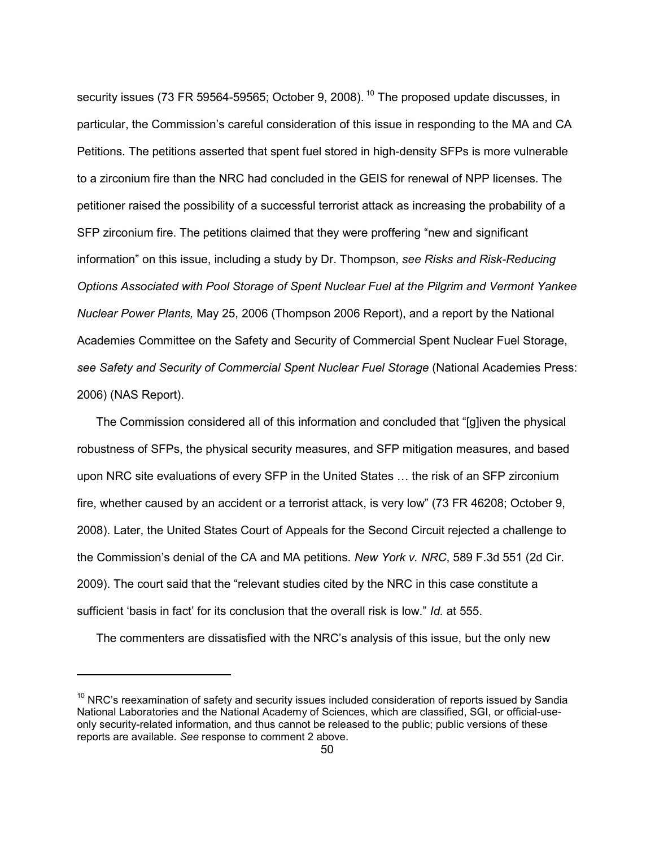security issues (73 FR 59564-59565; October 9, 2008). <sup>10</sup> The proposed update discusses, in particular, the Commission's careful consideration of this issue in responding to the MA and CA Petitions. The petitions asserted that spent fuel stored in high-density SFPs is more vulnerable to a zirconium fire than the NRC had concluded in the GEIS for renewal of NPP licenses. The petitioner raised the possibility of a successful terrorist attack as increasing the probability of a SFP zirconium fire. The petitions claimed that they were proffering "new and significant information" on this issue, including a study by Dr. Thompson, *see Risks and Risk-Reducing Options Associated with Pool Storage of Spent Nuclear Fuel at the Pilgrim and Vermont Yankee Nuclear Power Plants,* May 25, 2006 (Thompson 2006 Report), and a report by the National Academies Committee on the Safety and Security of Commercial Spent Nuclear Fuel Storage, *see Safety and Security of Commercial Spent Nuclear Fuel Storage* (National Academies Press: 2006) (NAS Report).

 The Commission considered all of this information and concluded that "[g]iven the physical robustness of SFPs, the physical security measures, and SFP mitigation measures, and based upon NRC site evaluations of every SFP in the United States … the risk of an SFP zirconium fire, whether caused by an accident or a terrorist attack, is very low" (73 FR 46208; October 9, 2008). Later, the United States Court of Appeals for the Second Circuit rejected a challenge to the Commission's denial of the CA and MA petitions. *New York v. NRC*, 589 F.3d 551 (2d Cir. 2009). The court said that the "relevant studies cited by the NRC in this case constitute a sufficient 'basis in fact' for its conclusion that the overall risk is low." *Id.* at 555.

The commenters are dissatisfied with the NRC's analysis of this issue, but the only new

-

 $10$  NRC's reexamination of safety and security issues included consideration of reports issued by Sandia National Laboratories and the National Academy of Sciences, which are classified, SGI, or official-useonly security-related information, and thus cannot be released to the public; public versions of these reports are available. *See* response to comment 2 above.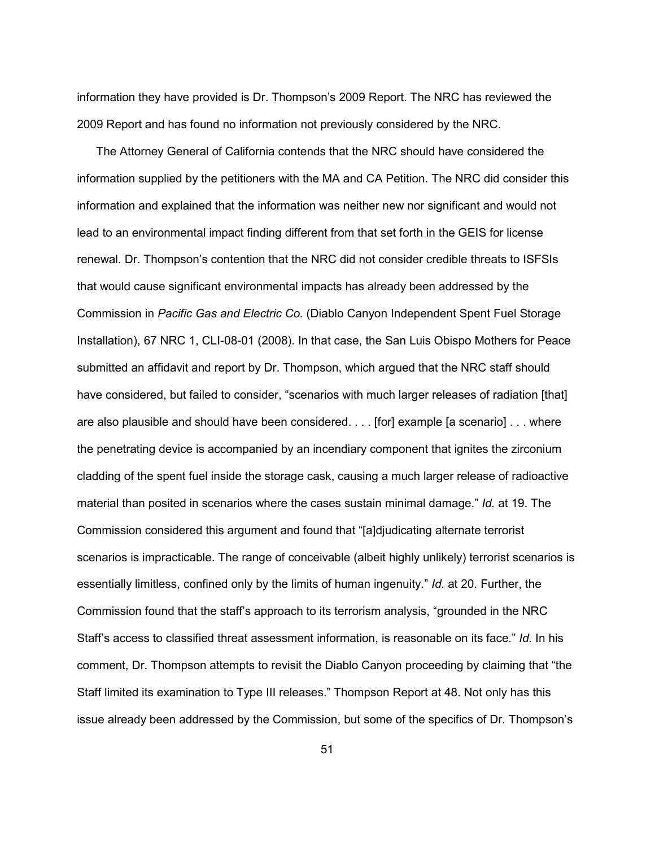information they have provided is Dr. Thompson's 2009 Report. The NRC has reviewed the 2009 Report and has found no information not previously considered by the NRC.

 The Attorney General of California contends that the NRC should have considered the information supplied by the petitioners with the MA and CA Petition. The NRC did consider this information and explained that the information was neither new nor significant and would not lead to an environmental impact finding different from that set forth in the GEIS for license renewal. Dr. Thompson's contention that the NRC did not consider credible threats to ISFSIs that would cause significant environmental impacts has already been addressed by the Commission in *Pacific Gas and Electric Co.* (Diablo Canyon Independent Spent Fuel Storage Installation), 67 NRC 1, CLI-08-01 (2008). In that case, the San Luis Obispo Mothers for Peace submitted an affidavit and report by Dr. Thompson, which argued that the NRC staff should have considered, but failed to consider, "scenarios with much larger releases of radiation [that] are also plausible and should have been considered. . . . [for] example [a scenario] . . . where the penetrating device is accompanied by an incendiary component that ignites the zirconium cladding of the spent fuel inside the storage cask, causing a much larger release of radioactive material than posited in scenarios where the cases sustain minimal damage." *Id.* at 19. The Commission considered this argument and found that "[a]djudicating alternate terrorist scenarios is impracticable. The range of conceivable (albeit highly unlikely) terrorist scenarios is essentially limitless, confined only by the limits of human ingenuity." *Id.* at 20. Further, the Commission found that the staff's approach to its terrorism analysis, "grounded in the NRC Staff's access to classified threat assessment information, is reasonable on its face." *Id.* In his comment, Dr. Thompson attempts to revisit the Diablo Canyon proceeding by claiming that "the Staff limited its examination to Type III releases." Thompson Report at 48. Not only has this issue already been addressed by the Commission, but some of the specifics of Dr. Thompson's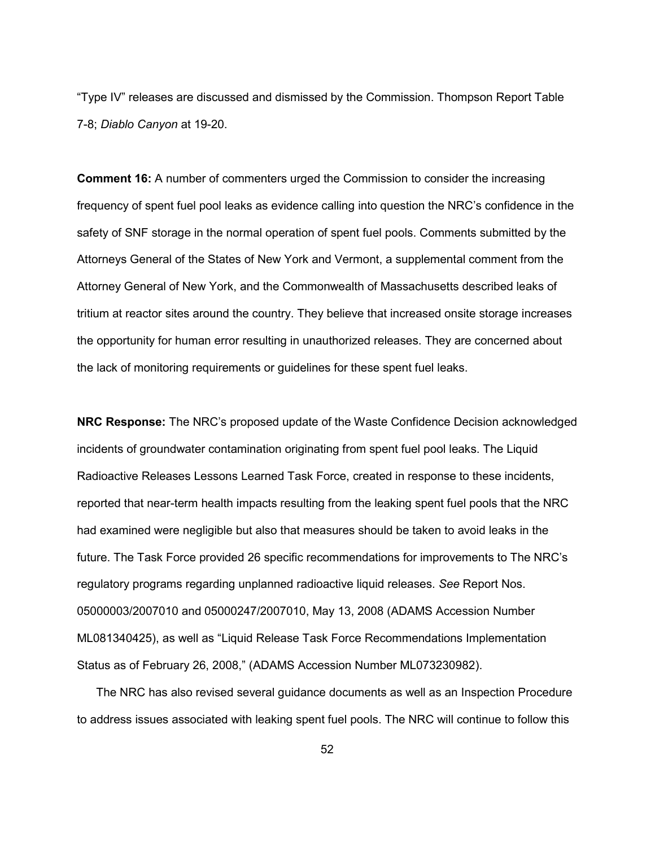"Type IV" releases are discussed and dismissed by the Commission. Thompson Report Table 7-8; *Diablo Canyon* at 19-20.

**Comment 16:** A number of commenters urged the Commission to consider the increasing frequency of spent fuel pool leaks as evidence calling into question the NRC's confidence in the safety of SNF storage in the normal operation of spent fuel pools. Comments submitted by the Attorneys General of the States of New York and Vermont, a supplemental comment from the Attorney General of New York, and the Commonwealth of Massachusetts described leaks of tritium at reactor sites around the country. They believe that increased onsite storage increases the opportunity for human error resulting in unauthorized releases. They are concerned about the lack of monitoring requirements or guidelines for these spent fuel leaks.

**NRC Response:** The NRC's proposed update of the Waste Confidence Decision acknowledged incidents of groundwater contamination originating from spent fuel pool leaks. The Liquid Radioactive Releases Lessons Learned Task Force, created in response to these incidents, reported that near-term health impacts resulting from the leaking spent fuel pools that the NRC had examined were negligible but also that measures should be taken to avoid leaks in the future. The Task Force provided 26 specific recommendations for improvements to The NRC's regulatory programs regarding unplanned radioactive liquid releases. *See* Report Nos. 05000003/2007010 and 05000247/2007010, May 13, 2008 (ADAMS Accession Number ML081340425), as well as "Liquid Release Task Force Recommendations Implementation Status as of February 26, 2008," (ADAMS Accession Number ML073230982).

 The NRC has also revised several guidance documents as well as an Inspection Procedure to address issues associated with leaking spent fuel pools. The NRC will continue to follow this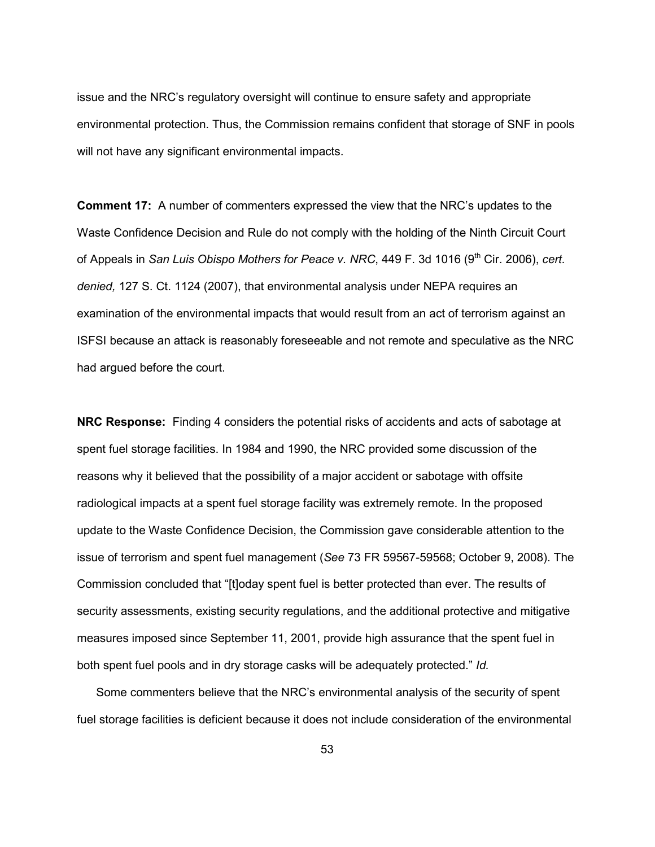issue and the NRC's regulatory oversight will continue to ensure safety and appropriate environmental protection. Thus, the Commission remains confident that storage of SNF in pools will not have any significant environmental impacts.

**Comment 17:** A number of commenters expressed the view that the NRC's updates to the Waste Confidence Decision and Rule do not comply with the holding of the Ninth Circuit Court of Appeals in *San Luis Obispo Mothers for Peace v. NRC*, 449 F. 3d 1016 (9<sup>th</sup> Cir. 2006), *cert. denied,* 127 S. Ct. 1124 (2007), that environmental analysis under NEPA requires an examination of the environmental impacts that would result from an act of terrorism against an ISFSI because an attack is reasonably foreseeable and not remote and speculative as the NRC had argued before the court.

**NRC Response:** Finding 4 considers the potential risks of accidents and acts of sabotage at spent fuel storage facilities. In 1984 and 1990, the NRC provided some discussion of the reasons why it believed that the possibility of a major accident or sabotage with offsite radiological impacts at a spent fuel storage facility was extremely remote. In the proposed update to the Waste Confidence Decision, the Commission gave considerable attention to the issue of terrorism and spent fuel management (*See* 73 FR 59567-59568; October 9, 2008). The Commission concluded that "[t]oday spent fuel is better protected than ever. The results of security assessments, existing security regulations, and the additional protective and mitigative measures imposed since September 11, 2001, provide high assurance that the spent fuel in both spent fuel pools and in dry storage casks will be adequately protected." *Id.*

 Some commenters believe that the NRC's environmental analysis of the security of spent fuel storage facilities is deficient because it does not include consideration of the environmental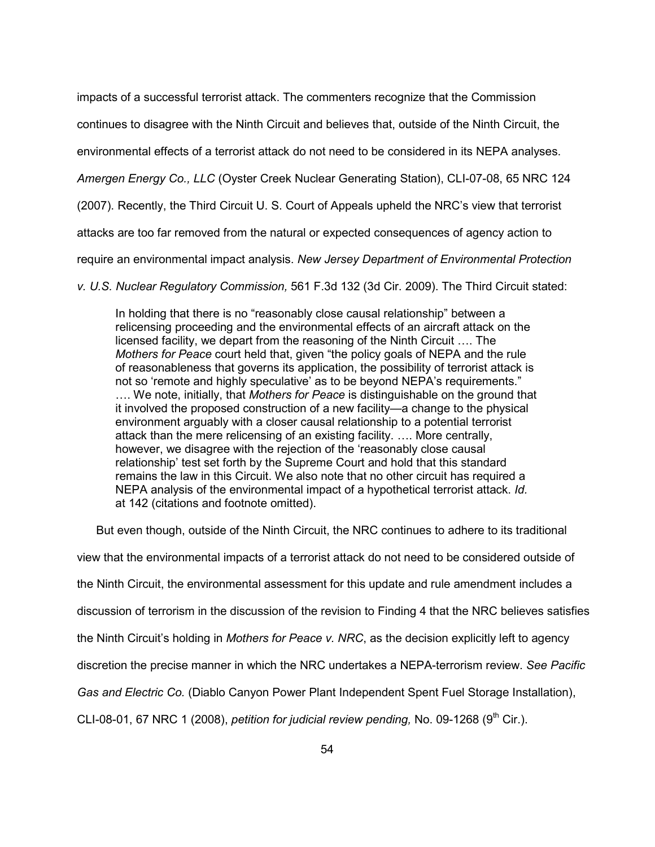impacts of a successful terrorist attack. The commenters recognize that the Commission

continues to disagree with the Ninth Circuit and believes that, outside of the Ninth Circuit, the

environmental effects of a terrorist attack do not need to be considered in its NEPA analyses.

*Amergen Energy Co., LLC* (Oyster Creek Nuclear Generating Station), CLI-07-08, 65 NRC 124

(2007). Recently, the Third Circuit U. S. Court of Appeals upheld the NRC's view that terrorist

attacks are too far removed from the natural or expected consequences of agency action to

require an environmental impact analysis. *New Jersey Department of Environmental Protection* 

*v. U.S. Nuclear Regulatory Commission,* 561 F.3d 132 (3d Cir. 2009). The Third Circuit stated:

In holding that there is no "reasonably close causal relationship" between a relicensing proceeding and the environmental effects of an aircraft attack on the licensed facility, we depart from the reasoning of the Ninth Circuit …. The *Mothers for Peace* court held that, given "the policy goals of NEPA and the rule of reasonableness that governs its application, the possibility of terrorist attack is not so 'remote and highly speculative' as to be beyond NEPA's requirements." …. We note, initially, that *Mothers for Peace* is distinguishable on the ground that it involved the proposed construction of a new facility—a change to the physical environment arguably with a closer causal relationship to a potential terrorist attack than the mere relicensing of an existing facility. …. More centrally, however, we disagree with the rejection of the 'reasonably close causal relationship' test set forth by the Supreme Court and hold that this standard remains the law in this Circuit. We also note that no other circuit has required a NEPA analysis of the environmental impact of a hypothetical terrorist attack. *Id.*  at 142 (citations and footnote omitted).

But even though, outside of the Ninth Circuit, the NRC continues to adhere to its traditional

view that the environmental impacts of a terrorist attack do not need to be considered outside of

the Ninth Circuit, the environmental assessment for this update and rule amendment includes a

discussion of terrorism in the discussion of the revision to Finding 4 that the NRC believes satisfies

the Ninth Circuit's holding in *Mothers for Peace v. NRC*, as the decision explicitly left to agency

discretion the precise manner in which the NRC undertakes a NEPA-terrorism review. *See Pacific* 

*Gas and Electric Co.* (Diablo Canyon Power Plant Independent Spent Fuel Storage Installation),

CLI-08-01, 67 NRC 1 (2008), *petition for judicial review pending*, No. 09-1268 (9<sup>th</sup> Cir.).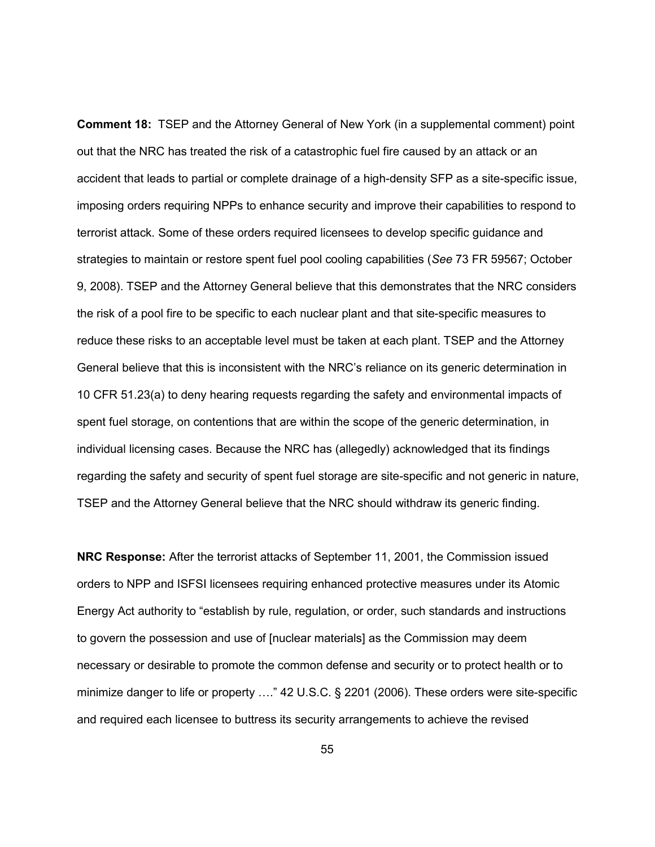**Comment 18:**TSEP and the Attorney General of New York (in a supplemental comment) point out that the NRC has treated the risk of a catastrophic fuel fire caused by an attack or an accident that leads to partial or complete drainage of a high-density SFP as a site-specific issue, imposing orders requiring NPPs to enhance security and improve their capabilities to respond to terrorist attack. Some of these orders required licensees to develop specific guidance and strategies to maintain or restore spent fuel pool cooling capabilities (*See* 73 FR 59567; October 9, 2008). TSEP and the Attorney General believe that this demonstrates that the NRC considers the risk of a pool fire to be specific to each nuclear plant and that site-specific measures to reduce these risks to an acceptable level must be taken at each plant. TSEP and the Attorney General believe that this is inconsistent with the NRC's reliance on its generic determination in 10 CFR 51.23(a) to deny hearing requests regarding the safety and environmental impacts of spent fuel storage, on contentions that are within the scope of the generic determination, in individual licensing cases. Because the NRC has (allegedly) acknowledged that its findings regarding the safety and security of spent fuel storage are site-specific and not generic in nature, TSEP and the Attorney General believe that the NRC should withdraw its generic finding.

**NRC Response:** After the terrorist attacks of September 11, 2001, the Commission issued orders to NPP and ISFSI licensees requiring enhanced protective measures under its Atomic Energy Act authority to "establish by rule, regulation, or order, such standards and instructions to govern the possession and use of [nuclear materials] as the Commission may deem necessary or desirable to promote the common defense and security or to protect health or to minimize danger to life or property …." 42 U.S.C. § 2201 (2006). These orders were site-specific and required each licensee to buttress its security arrangements to achieve the revised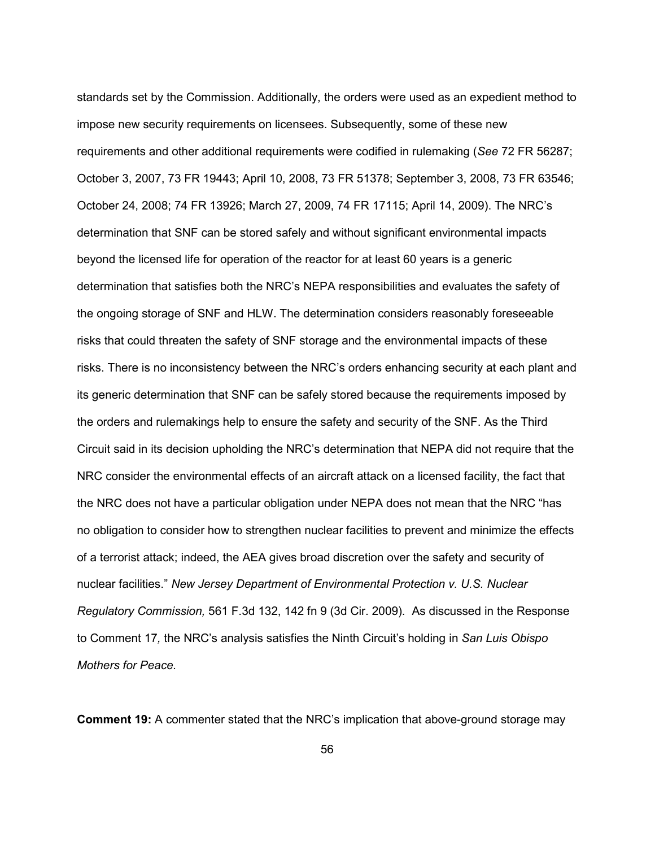standards set by the Commission. Additionally, the orders were used as an expedient method to impose new security requirements on licensees. Subsequently, some of these new requirements and other additional requirements were codified in rulemaking (*See* 72 FR 56287; October 3, 2007, 73 FR 19443; April 10, 2008, 73 FR 51378; September 3, 2008, 73 FR 63546; October 24, 2008; 74 FR 13926; March 27, 2009, 74 FR 17115; April 14, 2009). The NRC's determination that SNF can be stored safely and without significant environmental impacts beyond the licensed life for operation of the reactor for at least 60 years is a generic determination that satisfies both the NRC's NEPA responsibilities and evaluates the safety of the ongoing storage of SNF and HLW. The determination considers reasonably foreseeable risks that could threaten the safety of SNF storage and the environmental impacts of these risks. There is no inconsistency between the NRC's orders enhancing security at each plant and its generic determination that SNF can be safely stored because the requirements imposed by the orders and rulemakings help to ensure the safety and security of the SNF. As the Third Circuit said in its decision upholding the NRC's determination that NEPA did not require that the NRC consider the environmental effects of an aircraft attack on a licensed facility, the fact that the NRC does not have a particular obligation under NEPA does not mean that the NRC "has no obligation to consider how to strengthen nuclear facilities to prevent and minimize the effects of a terrorist attack; indeed, the AEA gives broad discretion over the safety and security of nuclear facilities." *New Jersey Department of Environmental Protection v. U.S. Nuclear Regulatory Commission,* 561 F.3d 132, 142 fn 9 (3d Cir. 2009). As discussed in the Response to Comment 17*,* the NRC's analysis satisfies the Ninth Circuit's holding in *San Luis Obispo Mothers for Peace.* 

**Comment 19:** A commenter stated that the NRC's implication that above-ground storage may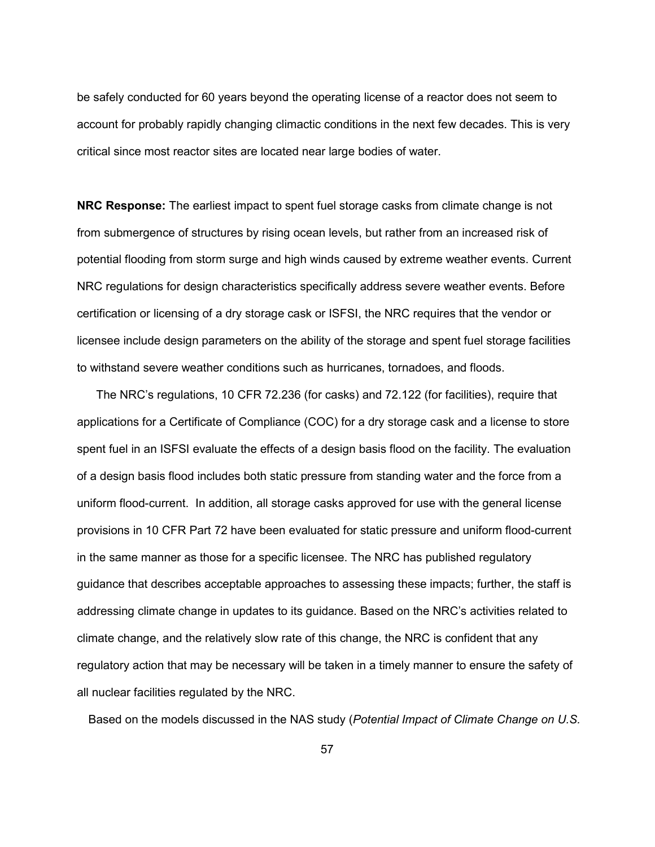be safely conducted for 60 years beyond the operating license of a reactor does not seem to account for probably rapidly changing climactic conditions in the next few decades. This is very critical since most reactor sites are located near large bodies of water.

**NRC Response:** The earliest impact to spent fuel storage casks from climate change is not from submergence of structures by rising ocean levels, but rather from an increased risk of potential flooding from storm surge and high winds caused by extreme weather events. Current NRC regulations for design characteristics specifically address severe weather events. Before certification or licensing of a dry storage cask or ISFSI, the NRC requires that the vendor or licensee include design parameters on the ability of the storage and spent fuel storage facilities to withstand severe weather conditions such as hurricanes, tornadoes, and floods.

 The NRC's regulations, 10 CFR 72.236 (for casks) and 72.122 (for facilities), require that applications for a Certificate of Compliance (COC) for a dry storage cask and a license to store spent fuel in an ISFSI evaluate the effects of a design basis flood on the facility. The evaluation of a design basis flood includes both static pressure from standing water and the force from a uniform flood-current. In addition, all storage casks approved for use with the general license provisions in 10 CFR Part 72 have been evaluated for static pressure and uniform flood-current in the same manner as those for a specific licensee. The NRC has published regulatory guidance that describes acceptable approaches to assessing these impacts; further, the staff is addressing climate change in updates to its guidance. Based on the NRC's activities related to climate change, and the relatively slow rate of this change, the NRC is confident that any regulatory action that may be necessary will be taken in a timely manner to ensure the safety of all nuclear facilities regulated by the NRC.

Based on the models discussed in the NAS study (*Potential Impact of Climate Change on U.S.*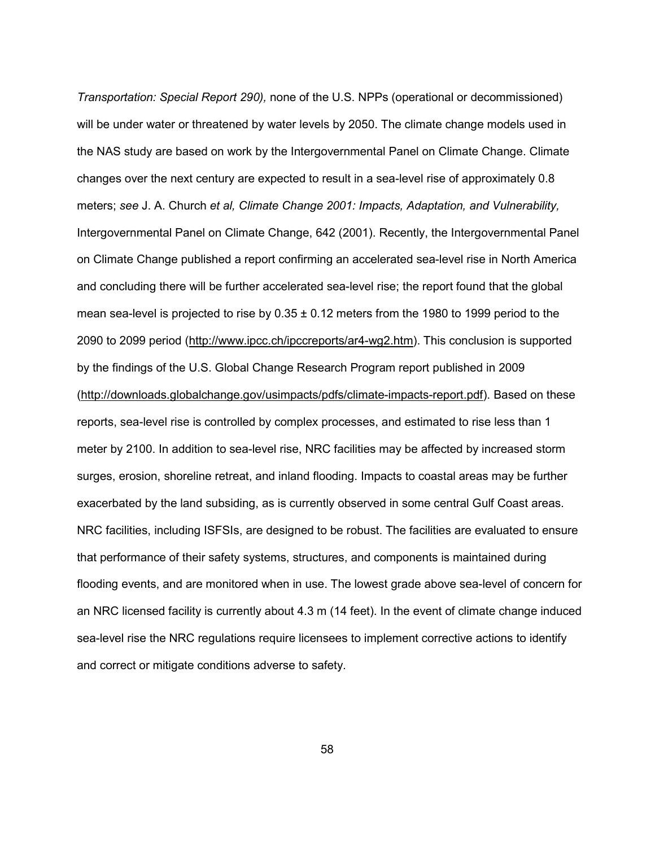*Transportation: Special Report 290),* none of the U.S. NPPs (operational or decommissioned) will be under water or threatened by water levels by 2050. The climate change models used in the NAS study are based on work by the Intergovernmental Panel on Climate Change. Climate changes over the next century are expected to result in a sea-level rise of approximately 0.8 meters; *see* J. A. Church *et al, Climate Change 2001: Impacts, Adaptation, and Vulnerability,*  Intergovernmental Panel on Climate Change, 642 (2001). Recently, the Intergovernmental Panel on Climate Change published a report confirming an accelerated sea-level rise in North America and concluding there will be further accelerated sea-level rise; the report found that the global mean sea-level is projected to rise by  $0.35 \pm 0.12$  meters from the 1980 to 1999 period to the 2090 to 2099 period (http://www.ipcc.ch/ipccreports/ar4-wg2.htm). This conclusion is supported by the findings of the U.S. Global Change Research Program report published in 2009 (http://downloads.globalchange.gov/usimpacts/pdfs/climate-impacts-report.pdf). Based on these reports, sea-level rise is controlled by complex processes, and estimated to rise less than 1 meter by 2100. In addition to sea-level rise, NRC facilities may be affected by increased storm surges, erosion, shoreline retreat, and inland flooding. Impacts to coastal areas may be further exacerbated by the land subsiding, as is currently observed in some central Gulf Coast areas. NRC facilities, including ISFSIs, are designed to be robust. The facilities are evaluated to ensure that performance of their safety systems, structures, and components is maintained during flooding events, and are monitored when in use. The lowest grade above sea-level of concern for an NRC licensed facility is currently about 4.3 m (14 feet). In the event of climate change induced sea-level rise the NRC regulations require licensees to implement corrective actions to identify and correct or mitigate conditions adverse to safety.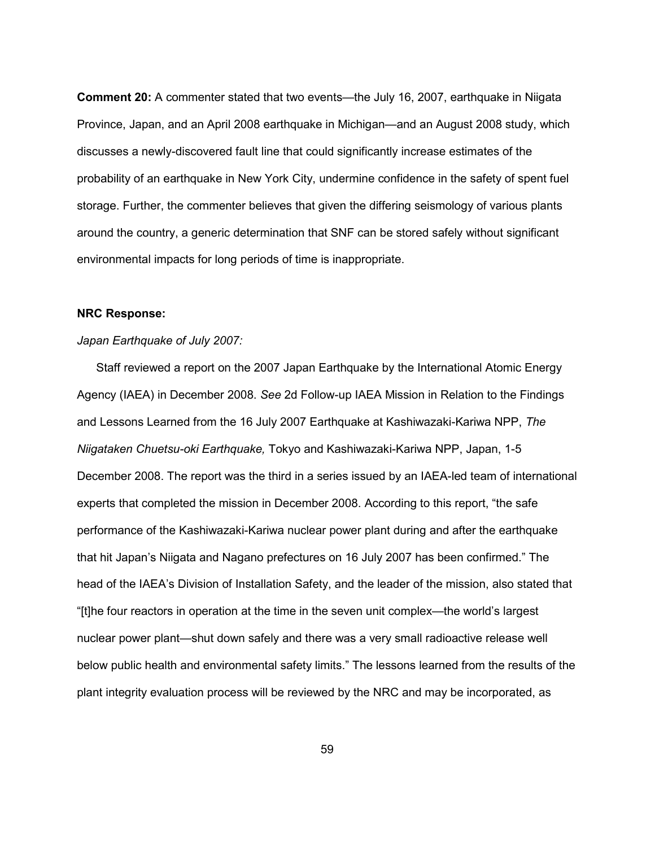**Comment 20:** A commenter stated that two events—the July 16, 2007, earthquake in Niigata Province, Japan, and an April 2008 earthquake in Michigan—and an August 2008 study, which discusses a newly-discovered fault line that could significantly increase estimates of the probability of an earthquake in New York City, undermine confidence in the safety of spent fuel storage. Further, the commenter believes that given the differing seismology of various plants around the country, a generic determination that SNF can be stored safely without significant environmental impacts for long periods of time is inappropriate.

#### **NRC Response:**

## *Japan Earthquake of July 2007:*

Staff reviewed a report on the 2007 Japan Earthquake by the International Atomic Energy Agency (IAEA) in December 2008. *See* 2d Follow-up IAEA Mission in Relation to the Findings and Lessons Learned from the 16 July 2007 Earthquake at Kashiwazaki-Kariwa NPP, *The Niigataken Chuetsu-oki Earthquake,* Tokyo and Kashiwazaki-Kariwa NPP, Japan, 1-5 December 2008. The report was the third in a series issued by an IAEA-led team of international experts that completed the mission in December 2008. According to this report, "the safe performance of the Kashiwazaki-Kariwa nuclear power plant during and after the earthquake that hit Japan's Niigata and Nagano prefectures on 16 July 2007 has been confirmed." The head of the IAEA's Division of Installation Safety, and the leader of the mission, also stated that "[t]he four reactors in operation at the time in the seven unit complex—the world's largest nuclear power plant—shut down safely and there was a very small radioactive release well below public health and environmental safety limits." The lessons learned from the results of the plant integrity evaluation process will be reviewed by the NRC and may be incorporated, as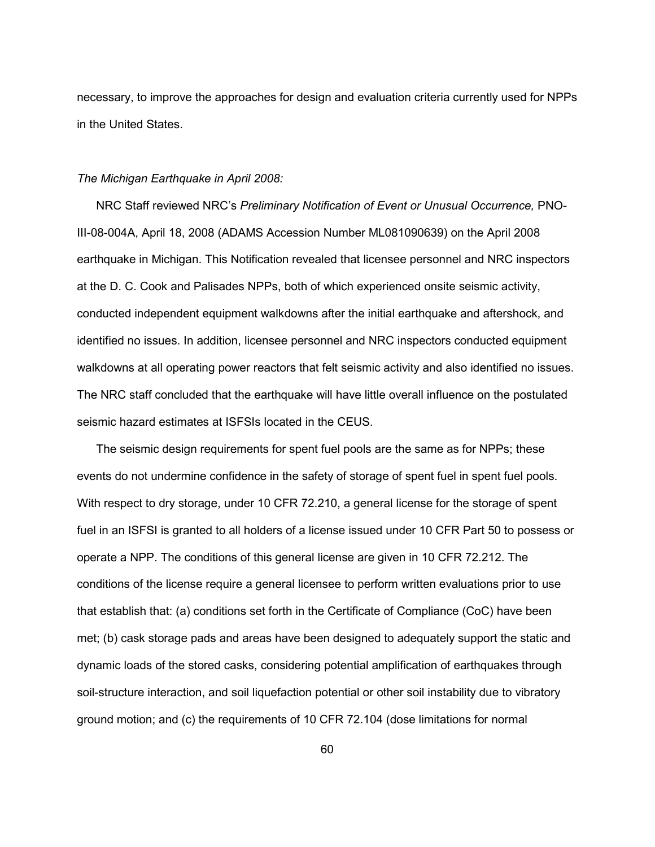necessary, to improve the approaches for design and evaluation criteria currently used for NPPs in the United States.

## *The Michigan Earthquake in April 2008:*

NRC Staff reviewed NRC's *Preliminary Notification of Event or Unusual Occurrence,* PNO-III-08-004A, April 18, 2008 (ADAMS Accession Number ML081090639) on the April 2008 earthquake in Michigan. This Notification revealed that licensee personnel and NRC inspectors at the D. C. Cook and Palisades NPPs, both of which experienced onsite seismic activity, conducted independent equipment walkdowns after the initial earthquake and aftershock, and identified no issues. In addition, licensee personnel and NRC inspectors conducted equipment walkdowns at all operating power reactors that felt seismic activity and also identified no issues. The NRC staff concluded that the earthquake will have little overall influence on the postulated seismic hazard estimates at ISFSIs located in the CEUS.

 The seismic design requirements for spent fuel pools are the same as for NPPs; these events do not undermine confidence in the safety of storage of spent fuel in spent fuel pools. With respect to dry storage, under 10 CFR 72.210, a general license for the storage of spent fuel in an ISFSI is granted to all holders of a license issued under 10 CFR Part 50 to possess or operate a NPP. The conditions of this general license are given in 10 CFR 72.212. The conditions of the license require a general licensee to perform written evaluations prior to use that establish that: (a) conditions set forth in the Certificate of Compliance (CoC) have been met; (b) cask storage pads and areas have been designed to adequately support the static and dynamic loads of the stored casks, considering potential amplification of earthquakes through soil-structure interaction, and soil liquefaction potential or other soil instability due to vibratory ground motion; and (c) the requirements of 10 CFR 72.104 (dose limitations for normal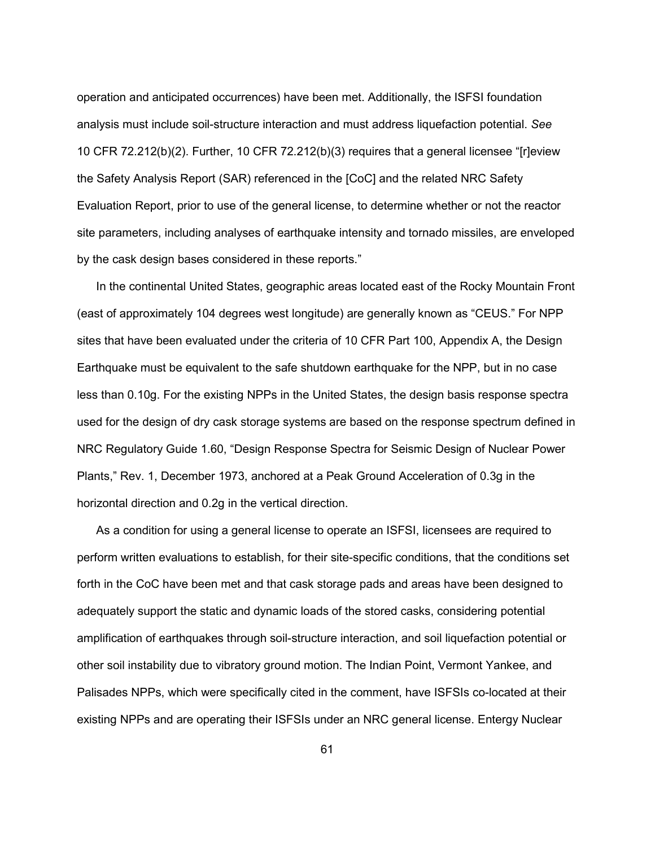operation and anticipated occurrences) have been met. Additionally, the ISFSI foundation analysis must include soil-structure interaction and must address liquefaction potential. *See*  10 CFR 72.212(b)(2). Further, 10 CFR 72.212(b)(3) requires that a general licensee "[r]eview the Safety Analysis Report (SAR) referenced in the [CoC] and the related NRC Safety Evaluation Report, prior to use of the general license, to determine whether or not the reactor site parameters, including analyses of earthquake intensity and tornado missiles, are enveloped by the cask design bases considered in these reports."

 In the continental United States, geographic areas located east of the Rocky Mountain Front (east of approximately 104 degrees west longitude) are generally known as "CEUS." For NPP sites that have been evaluated under the criteria of 10 CFR Part 100, Appendix A, the Design Earthquake must be equivalent to the safe shutdown earthquake for the NPP, but in no case less than 0.10g. For the existing NPPs in the United States, the design basis response spectra used for the design of dry cask storage systems are based on the response spectrum defined in NRC Regulatory Guide 1.60, "Design Response Spectra for Seismic Design of Nuclear Power Plants," Rev. 1, December 1973, anchored at a Peak Ground Acceleration of 0.3g in the horizontal direction and 0.2g in the vertical direction.

 As a condition for using a general license to operate an ISFSI, licensees are required to perform written evaluations to establish, for their site-specific conditions, that the conditions set forth in the CoC have been met and that cask storage pads and areas have been designed to adequately support the static and dynamic loads of the stored casks, considering potential amplification of earthquakes through soil-structure interaction, and soil liquefaction potential or other soil instability due to vibratory ground motion. The Indian Point, Vermont Yankee, and Palisades NPPs, which were specifically cited in the comment, have ISFSIs co-located at their existing NPPs and are operating their ISFSIs under an NRC general license. Entergy Nuclear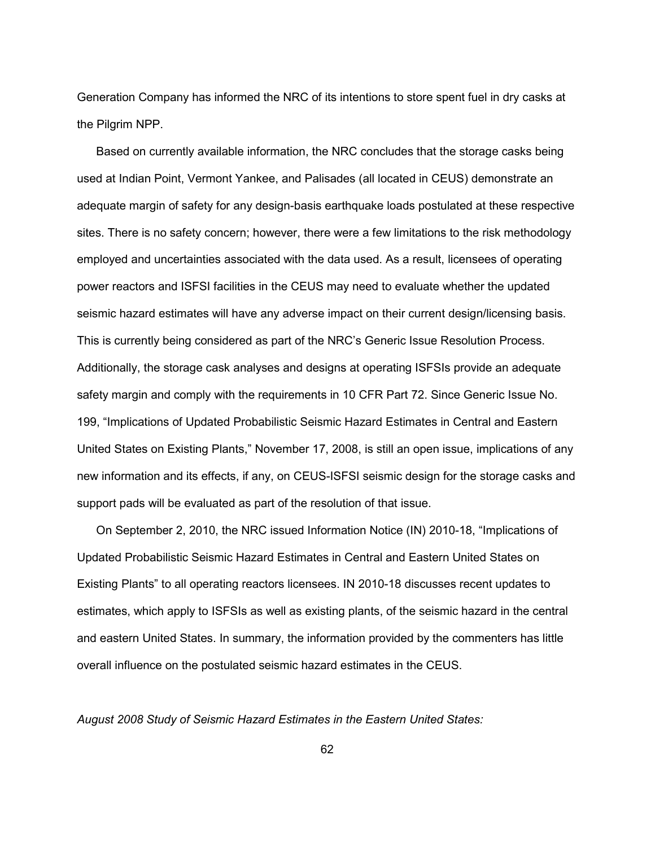Generation Company has informed the NRC of its intentions to store spent fuel in dry casks at the Pilgrim NPP.

 Based on currently available information, the NRC concludes that the storage casks being used at Indian Point, Vermont Yankee, and Palisades (all located in CEUS) demonstrate an adequate margin of safety for any design-basis earthquake loads postulated at these respective sites. There is no safety concern; however, there were a few limitations to the risk methodology employed and uncertainties associated with the data used. As a result, licensees of operating power reactors and ISFSI facilities in the CEUS may need to evaluate whether the updated seismic hazard estimates will have any adverse impact on their current design/licensing basis. This is currently being considered as part of the NRC's Generic Issue Resolution Process. Additionally, the storage cask analyses and designs at operating ISFSIs provide an adequate safety margin and comply with the requirements in 10 CFR Part 72. Since Generic Issue No. 199, "Implications of Updated Probabilistic Seismic Hazard Estimates in Central and Eastern United States on Existing Plants," November 17, 2008, is still an open issue, implications of any new information and its effects, if any, on CEUS-ISFSI seismic design for the storage casks and support pads will be evaluated as part of the resolution of that issue.

 On September 2, 2010, the NRC issued Information Notice (IN) 2010-18, "Implications of Updated Probabilistic Seismic Hazard Estimates in Central and Eastern United States on Existing Plants" to all operating reactors licensees. IN 2010-18 discusses recent updates to estimates, which apply to ISFSIs as well as existing plants, of the seismic hazard in the central and eastern United States. In summary, the information provided by the commenters has little overall influence on the postulated seismic hazard estimates in the CEUS.

*August 2008 Study of Seismic Hazard Estimates in the Eastern United States:*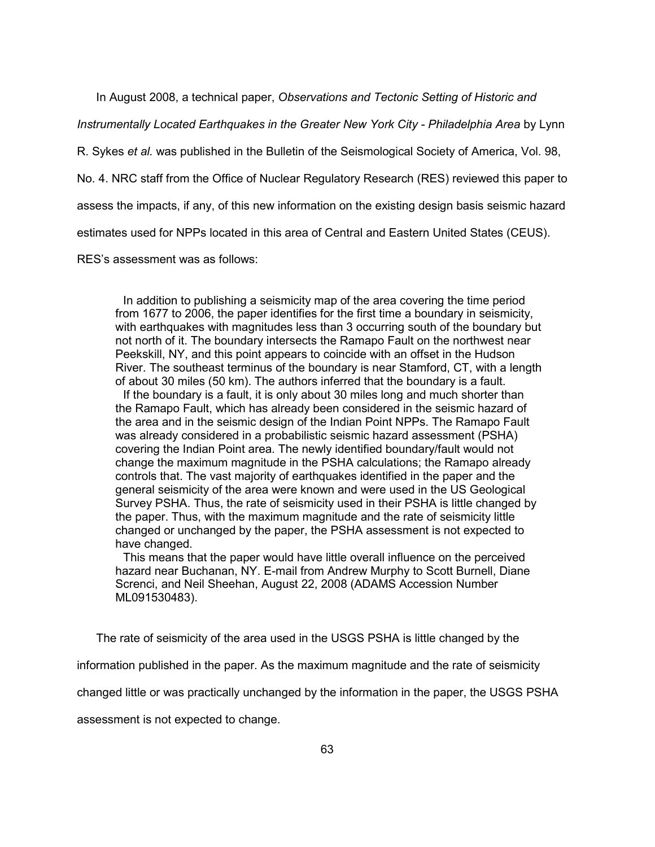In August 2008, a technical paper, *Observations and Tectonic Setting of Historic and* 

*Instrumentally Located Earthquakes in the Greater New York City - Philadelphia Area* by Lynn

R. Sykes *et al.* was published in the Bulletin of the Seismological Society of America, Vol. 98,

No. 4. NRC staff from the Office of Nuclear Regulatory Research (RES) reviewed this paper to

assess the impacts, if any, of this new information on the existing design basis seismic hazard

estimates used for NPPs located in this area of Central and Eastern United States (CEUS).

RES's assessment was as follows:

 In addition to publishing a seismicity map of the area covering the time period from 1677 to 2006, the paper identifies for the first time a boundary in seismicity, with earthquakes with magnitudes less than 3 occurring south of the boundary but not north of it. The boundary intersects the Ramapo Fault on the northwest near Peekskill, NY, and this point appears to coincide with an offset in the Hudson River. The southeast terminus of the boundary is near Stamford, CT, with a length of about 30 miles (50 km). The authors inferred that the boundary is a fault.

 If the boundary is a fault, it is only about 30 miles long and much shorter than the Ramapo Fault, which has already been considered in the seismic hazard of the area and in the seismic design of the Indian Point NPPs. The Ramapo Fault was already considered in a probabilistic seismic hazard assessment (PSHA) covering the Indian Point area. The newly identified boundary/fault would not change the maximum magnitude in the PSHA calculations; the Ramapo already controls that. The vast majority of earthquakes identified in the paper and the general seismicity of the area were known and were used in the US Geological Survey PSHA. Thus, the rate of seismicity used in their PSHA is little changed by the paper. Thus, with the maximum magnitude and the rate of seismicity little changed or unchanged by the paper, the PSHA assessment is not expected to have changed.

 This means that the paper would have little overall influence on the perceived hazard near Buchanan, NY. E-mail from Andrew Murphy to Scott Burnell, Diane Screnci, and Neil Sheehan, August 22, 2008 (ADAMS Accession Number ML091530483).

The rate of seismicity of the area used in the USGS PSHA is little changed by the

information published in the paper. As the maximum magnitude and the rate of seismicity

changed little or was practically unchanged by the information in the paper, the USGS PSHA

assessment is not expected to change.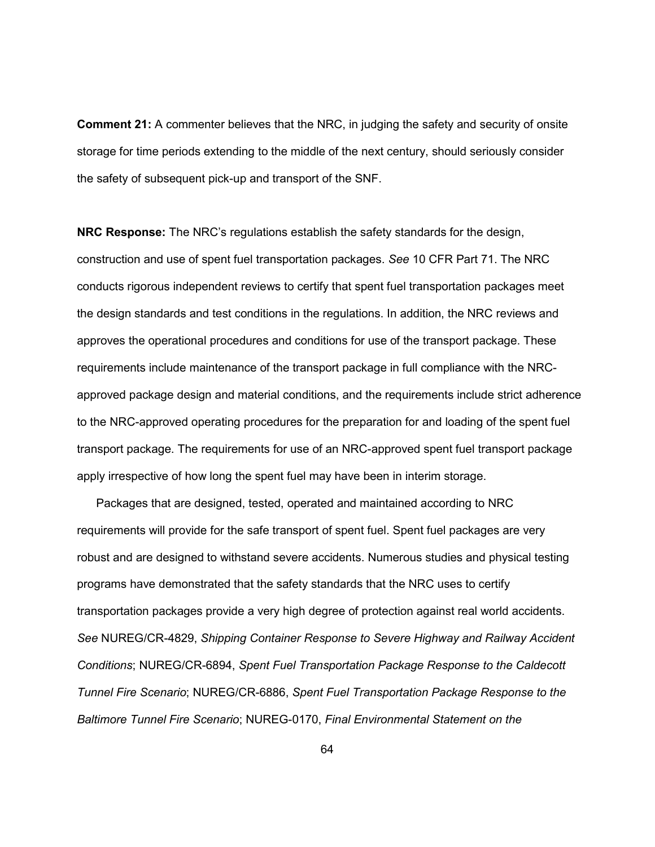**Comment 21:** A commenter believes that the NRC, in judging the safety and security of onsite storage for time periods extending to the middle of the next century, should seriously consider the safety of subsequent pick-up and transport of the SNF.

**NRC Response:** The NRC's regulations establish the safety standards for the design, construction and use of spent fuel transportation packages. *See* 10 CFR Part 71. The NRC conducts rigorous independent reviews to certify that spent fuel transportation packages meet the design standards and test conditions in the regulations. In addition, the NRC reviews and approves the operational procedures and conditions for use of the transport package. These requirements include maintenance of the transport package in full compliance with the NRCapproved package design and material conditions, and the requirements include strict adherence to the NRC-approved operating procedures for the preparation for and loading of the spent fuel transport package. The requirements for use of an NRC-approved spent fuel transport package apply irrespective of how long the spent fuel may have been in interim storage.

 Packages that are designed, tested, operated and maintained according to NRC requirements will provide for the safe transport of spent fuel. Spent fuel packages are very robust and are designed to withstand severe accidents. Numerous studies and physical testing programs have demonstrated that the safety standards that the NRC uses to certify transportation packages provide a very high degree of protection against real world accidents. *See* NUREG/CR-4829, *Shipping Container Response to Severe Highway and Railway Accident Conditions*; NUREG/CR-6894, *Spent Fuel Transportation Package Response to the Caldecott Tunnel Fire Scenario*; NUREG/CR-6886, *Spent Fuel Transportation Package Response to the Baltimore Tunnel Fire Scenario*; NUREG-0170, *Final Environmental Statement on the*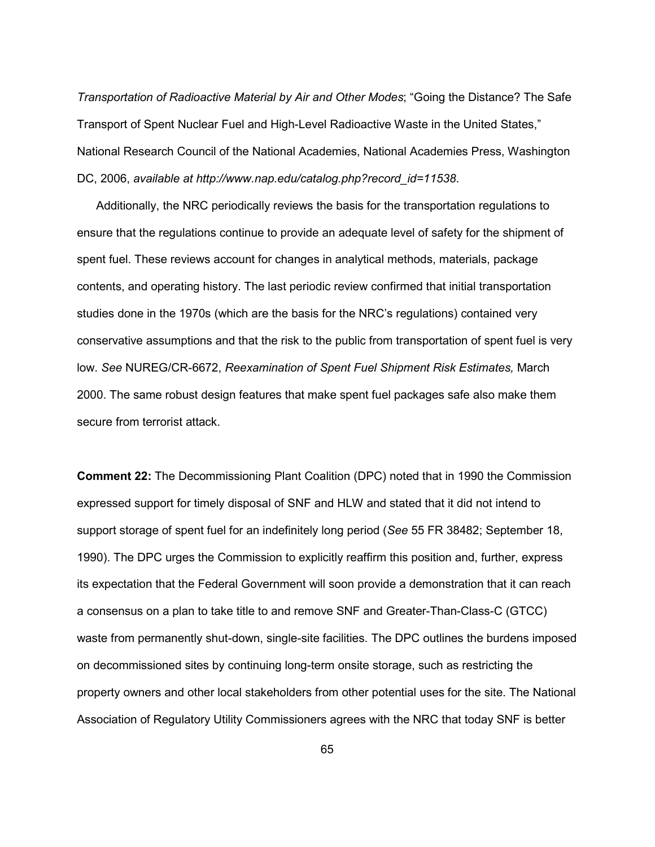*Transportation of Radioactive Material by Air and Other Modes*; "Going the Distance? The Safe Transport of Spent Nuclear Fuel and High-Level Radioactive Waste in the United States," National Research Council of the National Academies, National Academies Press, Washington DC, 2006, *available at http://www.nap.edu/catalog.php?record\_id=11538*.

 Additionally, the NRC periodically reviews the basis for the transportation regulations to ensure that the regulations continue to provide an adequate level of safety for the shipment of spent fuel. These reviews account for changes in analytical methods, materials, package contents, and operating history. The last periodic review confirmed that initial transportation studies done in the 1970s (which are the basis for the NRC's regulations) contained very conservative assumptions and that the risk to the public from transportation of spent fuel is very low. *See* NUREG/CR-6672, *Reexamination of Spent Fuel Shipment Risk Estimates,* March 2000. The same robust design features that make spent fuel packages safe also make them secure from terrorist attack.

**Comment 22:** The Decommissioning Plant Coalition (DPC) noted that in 1990 the Commission expressed support for timely disposal of SNF and HLW and stated that it did not intend to support storage of spent fuel for an indefinitely long period (*See* 55 FR 38482; September 18, 1990). The DPC urges the Commission to explicitly reaffirm this position and, further, express its expectation that the Federal Government will soon provide a demonstration that it can reach a consensus on a plan to take title to and remove SNF and Greater-Than-Class-C (GTCC) waste from permanently shut-down, single-site facilities. The DPC outlines the burdens imposed on decommissioned sites by continuing long-term onsite storage, such as restricting the property owners and other local stakeholders from other potential uses for the site. The National Association of Regulatory Utility Commissioners agrees with the NRC that today SNF is better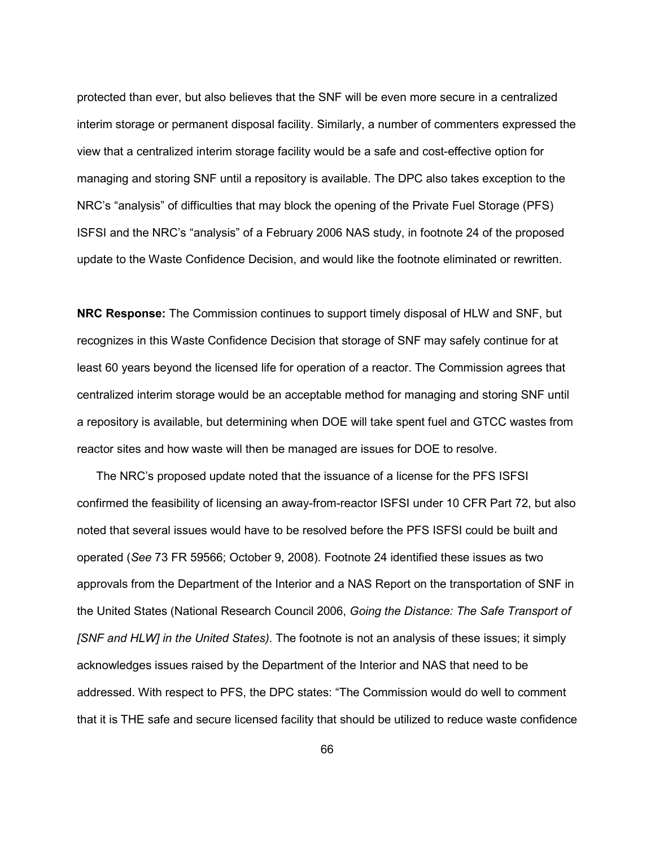protected than ever, but also believes that the SNF will be even more secure in a centralized interim storage or permanent disposal facility. Similarly, a number of commenters expressed the view that a centralized interim storage facility would be a safe and cost-effective option for managing and storing SNF until a repository is available. The DPC also takes exception to the NRC's "analysis" of difficulties that may block the opening of the Private Fuel Storage (PFS) ISFSI and the NRC's "analysis" of a February 2006 NAS study, in footnote 24 of the proposed update to the Waste Confidence Decision, and would like the footnote eliminated or rewritten.

**NRC Response:** The Commission continues to support timely disposal of HLW and SNF, but recognizes in this Waste Confidence Decision that storage of SNF may safely continue for at least 60 years beyond the licensed life for operation of a reactor. The Commission agrees that centralized interim storage would be an acceptable method for managing and storing SNF until a repository is available, but determining when DOE will take spent fuel and GTCC wastes from reactor sites and how waste will then be managed are issues for DOE to resolve.

 The NRC's proposed update noted that the issuance of a license for the PFS ISFSI confirmed the feasibility of licensing an away-from-reactor ISFSI under 10 CFR Part 72, but also noted that several issues would have to be resolved before the PFS ISFSI could be built and operated (*See* 73 FR 59566; October 9, 2008). Footnote 24 identified these issues as two approvals from the Department of the Interior and a NAS Report on the transportation of SNF in the United States (National Research Council 2006, *Going the Distance: The Safe Transport of [SNF and HLW] in the United States)*. The footnote is not an analysis of these issues; it simply acknowledges issues raised by the Department of the Interior and NAS that need to be addressed. With respect to PFS, the DPC states: "The Commission would do well to comment that it is THE safe and secure licensed facility that should be utilized to reduce waste confidence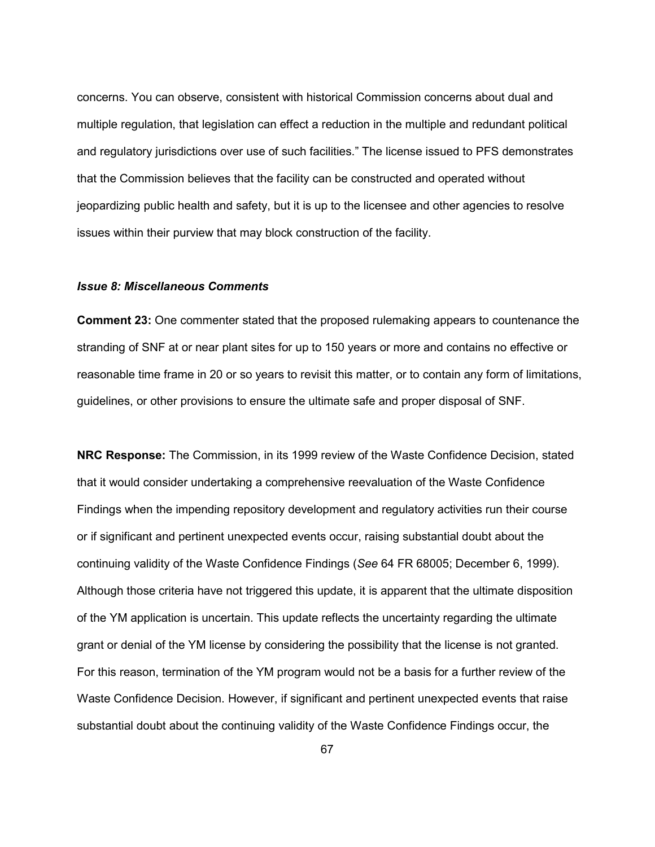concerns. You can observe, consistent with historical Commission concerns about dual and multiple regulation, that legislation can effect a reduction in the multiple and redundant political and regulatory jurisdictions over use of such facilities." The license issued to PFS demonstrates that the Commission believes that the facility can be constructed and operated without jeopardizing public health and safety, but it is up to the licensee and other agencies to resolve issues within their purview that may block construction of the facility.

### *Issue 8: Miscellaneous Comments*

**Comment 23:** One commenter stated that the proposed rulemaking appears to countenance the stranding of SNF at or near plant sites for up to 150 years or more and contains no effective or reasonable time frame in 20 or so years to revisit this matter, or to contain any form of limitations, guidelines, or other provisions to ensure the ultimate safe and proper disposal of SNF.

**NRC Response:** The Commission, in its 1999 review of the Waste Confidence Decision, stated that it would consider undertaking a comprehensive reevaluation of the Waste Confidence Findings when the impending repository development and regulatory activities run their course or if significant and pertinent unexpected events occur, raising substantial doubt about the continuing validity of the Waste Confidence Findings (*See* 64 FR 68005; December 6, 1999). Although those criteria have not triggered this update, it is apparent that the ultimate disposition of the YM application is uncertain. This update reflects the uncertainty regarding the ultimate grant or denial of the YM license by considering the possibility that the license is not granted. For this reason, termination of the YM program would not be a basis for a further review of the Waste Confidence Decision. However, if significant and pertinent unexpected events that raise substantial doubt about the continuing validity of the Waste Confidence Findings occur, the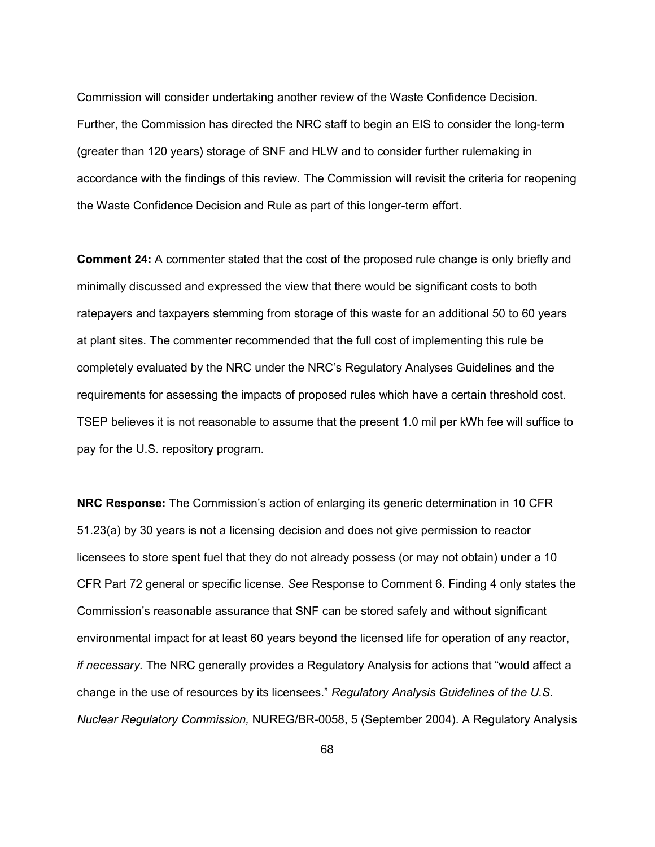Commission will consider undertaking another review of the Waste Confidence Decision. Further, the Commission has directed the NRC staff to begin an EIS to consider the long-term (greater than 120 years) storage of SNF and HLW and to consider further rulemaking in accordance with the findings of this review. The Commission will revisit the criteria for reopening the Waste Confidence Decision and Rule as part of this longer-term effort.

**Comment 24:** A commenter stated that the cost of the proposed rule change is only briefly and minimally discussed and expressed the view that there would be significant costs to both ratepayers and taxpayers stemming from storage of this waste for an additional 50 to 60 years at plant sites. The commenter recommended that the full cost of implementing this rule be completely evaluated by the NRC under the NRC's Regulatory Analyses Guidelines and the requirements for assessing the impacts of proposed rules which have a certain threshold cost. TSEP believes it is not reasonable to assume that the present 1.0 mil per kWh fee will suffice to pay for the U.S. repository program.

**NRC Response:** The Commission's action of enlarging its generic determination in 10 CFR 51.23(a) by 30 years is not a licensing decision and does not give permission to reactor licensees to store spent fuel that they do not already possess (or may not obtain) under a 10 CFR Part 72 general or specific license. *See* Response to Comment 6. Finding 4 only states the Commission's reasonable assurance that SNF can be stored safely and without significant environmental impact for at least 60 years beyond the licensed life for operation of any reactor, *if necessary.* The NRC generally provides a Regulatory Analysis for actions that "would affect a change in the use of resources by its licensees." *Regulatory Analysis Guidelines of the U.S. Nuclear Regulatory Commission,* NUREG/BR-0058, 5 (September 2004). A Regulatory Analysis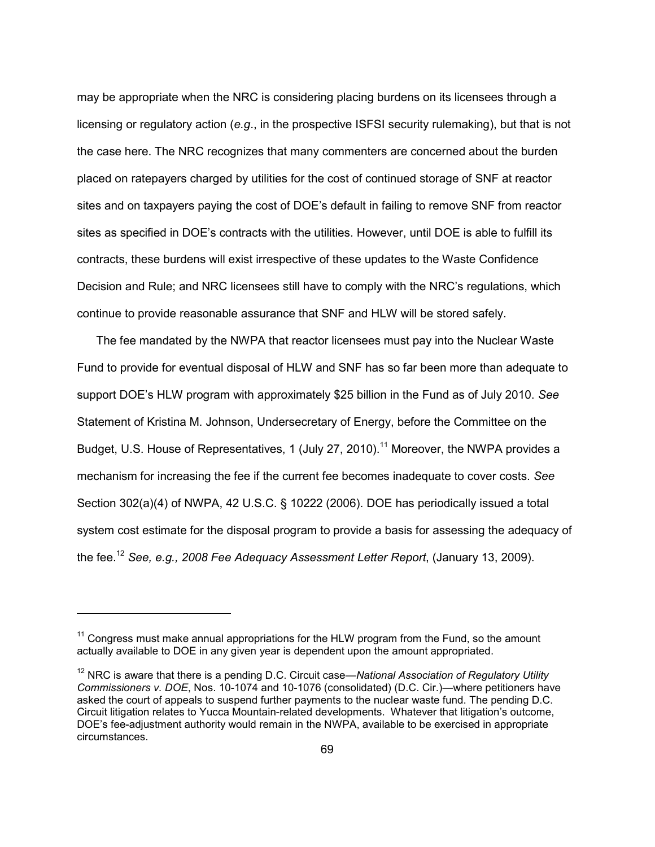may be appropriate when the NRC is considering placing burdens on its licensees through a licensing or regulatory action (*e.g*., in the prospective ISFSI security rulemaking), but that is not the case here. The NRC recognizes that many commenters are concerned about the burden placed on ratepayers charged by utilities for the cost of continued storage of SNF at reactor sites and on taxpayers paying the cost of DOE's default in failing to remove SNF from reactor sites as specified in DOE's contracts with the utilities. However, until DOE is able to fulfill its contracts, these burdens will exist irrespective of these updates to the Waste Confidence Decision and Rule; and NRC licensees still have to comply with the NRC's regulations, which continue to provide reasonable assurance that SNF and HLW will be stored safely.

 The fee mandated by the NWPA that reactor licensees must pay into the Nuclear Waste Fund to provide for eventual disposal of HLW and SNF has so far been more than adequate to support DOE's HLW program with approximately \$25 billion in the Fund as of July 2010. *See*  Statement of Kristina M. Johnson, Undersecretary of Energy, before the Committee on the Budget, U.S. House of Representatives, 1 (July 27, 2010).<sup>11</sup> Moreover, the NWPA provides a mechanism for increasing the fee if the current fee becomes inadequate to cover costs. *See* Section 302(a)(4) of NWPA, 42 U.S.C. § 10222 (2006). DOE has periodically issued a total system cost estimate for the disposal program to provide a basis for assessing the adequacy of the fee.12 *See, e.g., 2008 Fee Adequacy Assessment Letter Report*, (January 13, 2009).

-

 $11$  Congress must make annual appropriations for the HLW program from the Fund, so the amount actually available to DOE in any given year is dependent upon the amount appropriated.

<sup>12</sup> NRC is aware that there is a pending D.C. Circuit case—*National Association of Regulatory Utility Commissioners v. DOE*, Nos. 10-1074 and 10-1076 (consolidated) (D.C. Cir.)—where petitioners have asked the court of appeals to suspend further payments to the nuclear waste fund. The pending D.C. Circuit litigation relates to Yucca Mountain-related developments. Whatever that litigation's outcome, DOE's fee-adjustment authority would remain in the NWPA, available to be exercised in appropriate circumstances.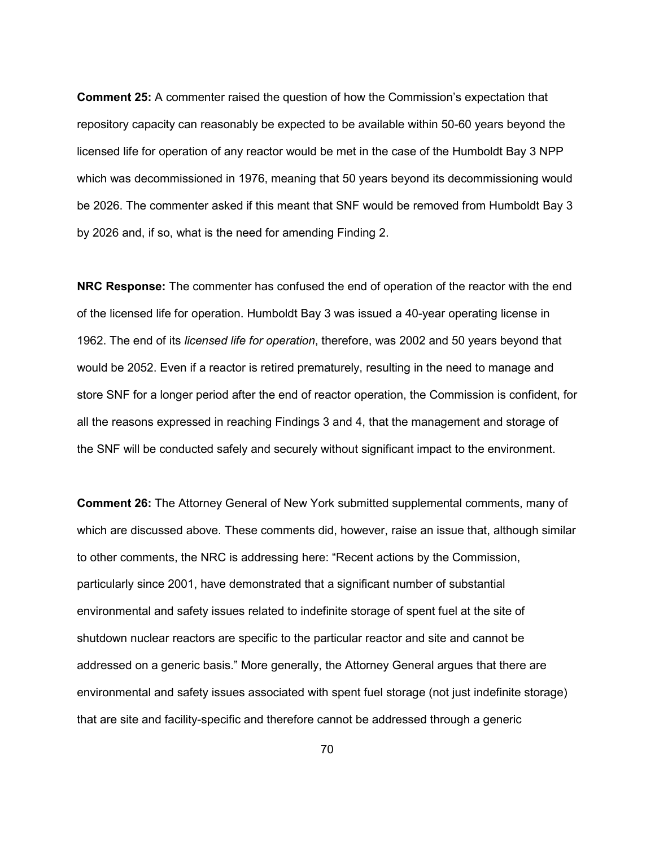**Comment 25:** A commenter raised the question of how the Commission's expectation that repository capacity can reasonably be expected to be available within 50-60 years beyond the licensed life for operation of any reactor would be met in the case of the Humboldt Bay 3 NPP which was decommissioned in 1976, meaning that 50 years beyond its decommissioning would be 2026. The commenter asked if this meant that SNF would be removed from Humboldt Bay 3 by 2026 and, if so, what is the need for amending Finding 2.

**NRC Response:** The commenter has confused the end of operation of the reactor with the end of the licensed life for operation. Humboldt Bay 3 was issued a 40-year operating license in 1962. The end of its *licensed life for operation*, therefore, was 2002 and 50 years beyond that would be 2052. Even if a reactor is retired prematurely, resulting in the need to manage and store SNF for a longer period after the end of reactor operation, the Commission is confident, for all the reasons expressed in reaching Findings 3 and 4, that the management and storage of the SNF will be conducted safely and securely without significant impact to the environment.

**Comment 26:** The Attorney General of New York submitted supplemental comments, many of which are discussed above. These comments did, however, raise an issue that, although similar to other comments, the NRC is addressing here: "Recent actions by the Commission, particularly since 2001, have demonstrated that a significant number of substantial environmental and safety issues related to indefinite storage of spent fuel at the site of shutdown nuclear reactors are specific to the particular reactor and site and cannot be addressed on a generic basis." More generally, the Attorney General argues that there are environmental and safety issues associated with spent fuel storage (not just indefinite storage) that are site and facility-specific and therefore cannot be addressed through a generic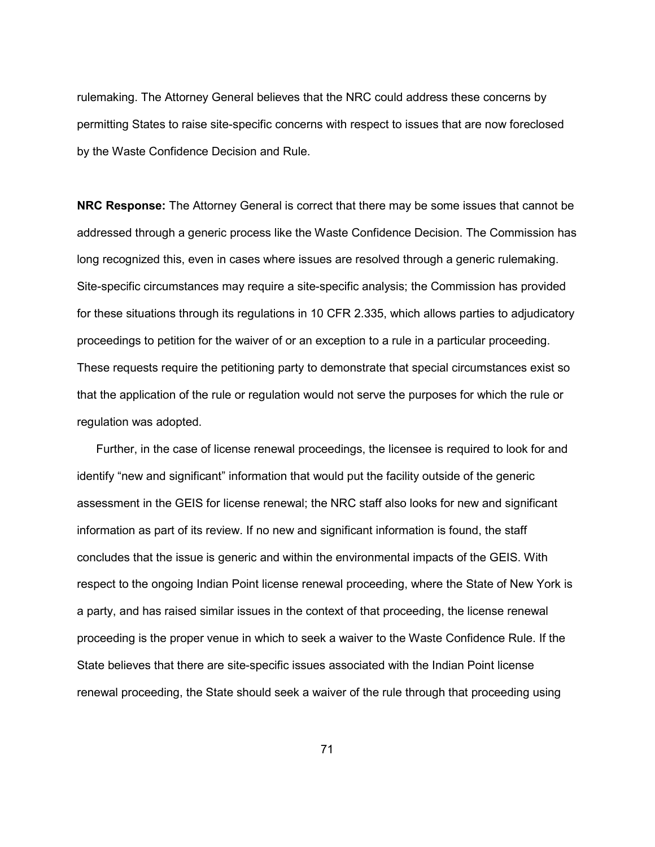rulemaking. The Attorney General believes that the NRC could address these concerns by permitting States to raise site-specific concerns with respect to issues that are now foreclosed by the Waste Confidence Decision and Rule.

**NRC Response:** The Attorney General is correct that there may be some issues that cannot be addressed through a generic process like the Waste Confidence Decision. The Commission has long recognized this, even in cases where issues are resolved through a generic rulemaking. Site-specific circumstances may require a site-specific analysis; the Commission has provided for these situations through its regulations in 10 CFR 2.335, which allows parties to adjudicatory proceedings to petition for the waiver of or an exception to a rule in a particular proceeding. These requests require the petitioning party to demonstrate that special circumstances exist so that the application of the rule or regulation would not serve the purposes for which the rule or regulation was adopted.

 Further, in the case of license renewal proceedings, the licensee is required to look for and identify "new and significant" information that would put the facility outside of the generic assessment in the GEIS for license renewal; the NRC staff also looks for new and significant information as part of its review. If no new and significant information is found, the staff concludes that the issue is generic and within the environmental impacts of the GEIS. With respect to the ongoing Indian Point license renewal proceeding, where the State of New York is a party, and has raised similar issues in the context of that proceeding, the license renewal proceeding is the proper venue in which to seek a waiver to the Waste Confidence Rule. If the State believes that there are site-specific issues associated with the Indian Point license renewal proceeding, the State should seek a waiver of the rule through that proceeding using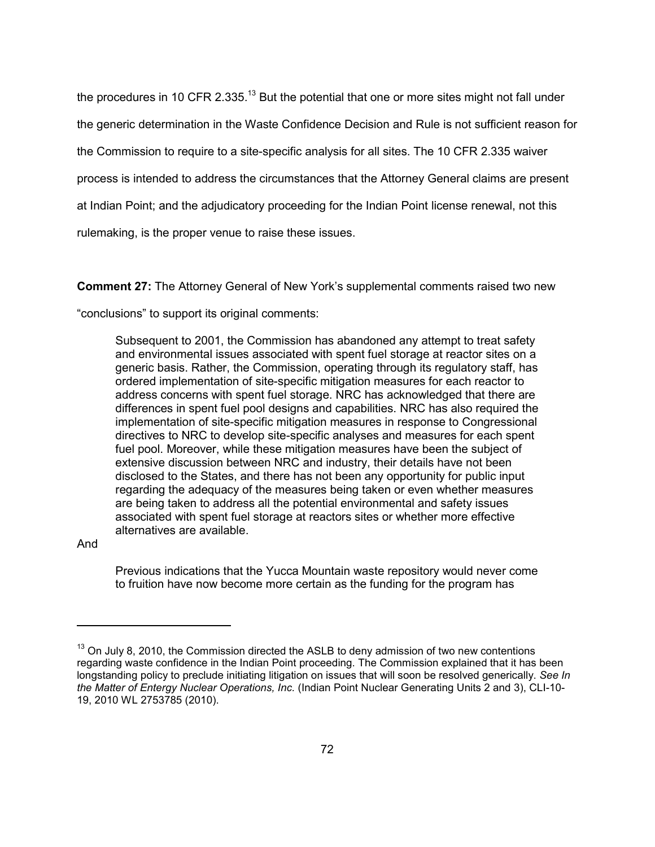the procedures in 10 CFR 2.335.<sup>13</sup> But the potential that one or more sites might not fall under

the generic determination in the Waste Confidence Decision and Rule is not sufficient reason for

the Commission to require to a site-specific analysis for all sites. The 10 CFR 2.335 waiver

process is intended to address the circumstances that the Attorney General claims are present

at Indian Point; and the adjudicatory proceeding for the Indian Point license renewal, not this

rulemaking, is the proper venue to raise these issues.

**Comment 27:** The Attorney General of New York's supplemental comments raised two new

"conclusions" to support its original comments:

Subsequent to 2001, the Commission has abandoned any attempt to treat safety and environmental issues associated with spent fuel storage at reactor sites on a generic basis. Rather, the Commission, operating through its regulatory staff, has ordered implementation of site-specific mitigation measures for each reactor to address concerns with spent fuel storage. NRC has acknowledged that there are differences in spent fuel pool designs and capabilities. NRC has also required the implementation of site-specific mitigation measures in response to Congressional directives to NRC to develop site-specific analyses and measures for each spent fuel pool. Moreover, while these mitigation measures have been the subject of extensive discussion between NRC and industry, their details have not been disclosed to the States, and there has not been any opportunity for public input regarding the adequacy of the measures being taken or even whether measures are being taken to address all the potential environmental and safety issues associated with spent fuel storage at reactors sites or whether more effective alternatives are available.

And

-

Previous indications that the Yucca Mountain waste repository would never come to fruition have now become more certain as the funding for the program has

 $13$  On July 8, 2010, the Commission directed the ASLB to deny admission of two new contentions regarding waste confidence in the Indian Point proceeding. The Commission explained that it has been longstanding policy to preclude initiating litigation on issues that will soon be resolved generically. *See In the Matter of Entergy Nuclear Operations, Inc.* (Indian Point Nuclear Generating Units 2 and 3), CLI-10- 19, 2010 WL 2753785 (2010).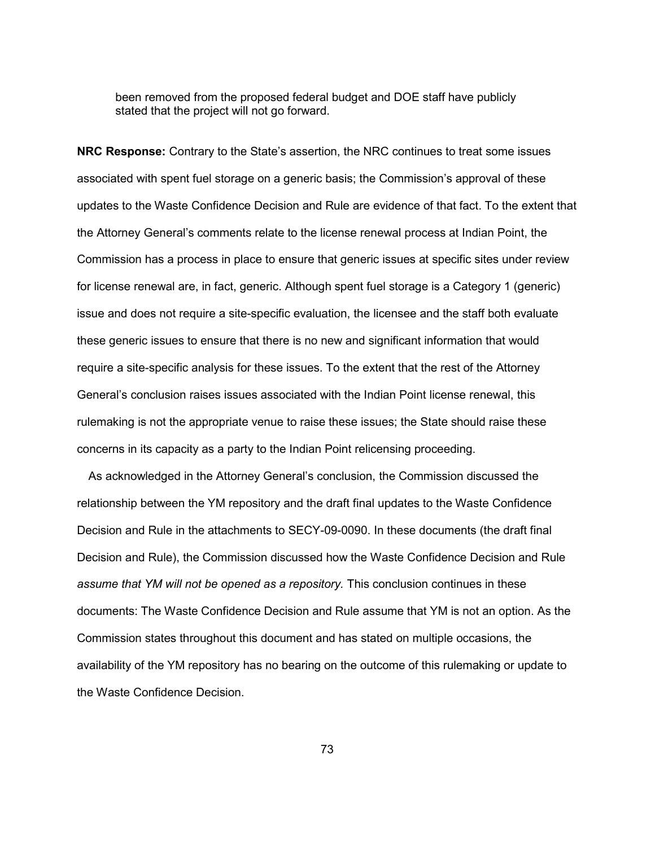been removed from the proposed federal budget and DOE staff have publicly stated that the project will not go forward.

**NRC Response:** Contrary to the State's assertion, the NRC continues to treat some issues associated with spent fuel storage on a generic basis; the Commission's approval of these updates to the Waste Confidence Decision and Rule are evidence of that fact. To the extent that the Attorney General's comments relate to the license renewal process at Indian Point, the Commission has a process in place to ensure that generic issues at specific sites under review for license renewal are, in fact, generic. Although spent fuel storage is a Category 1 (generic) issue and does not require a site-specific evaluation, the licensee and the staff both evaluate these generic issues to ensure that there is no new and significant information that would require a site-specific analysis for these issues. To the extent that the rest of the Attorney General's conclusion raises issues associated with the Indian Point license renewal, this rulemaking is not the appropriate venue to raise these issues; the State should raise these concerns in its capacity as a party to the Indian Point relicensing proceeding.

 As acknowledged in the Attorney General's conclusion, the Commission discussed the relationship between the YM repository and the draft final updates to the Waste Confidence Decision and Rule in the attachments to SECY-09-0090. In these documents (the draft final Decision and Rule), the Commission discussed how the Waste Confidence Decision and Rule *assume that YM will not be opened as a repository.* This conclusion continues in these documents: The Waste Confidence Decision and Rule assume that YM is not an option. As the Commission states throughout this document and has stated on multiple occasions, the availability of the YM repository has no bearing on the outcome of this rulemaking or update to the Waste Confidence Decision.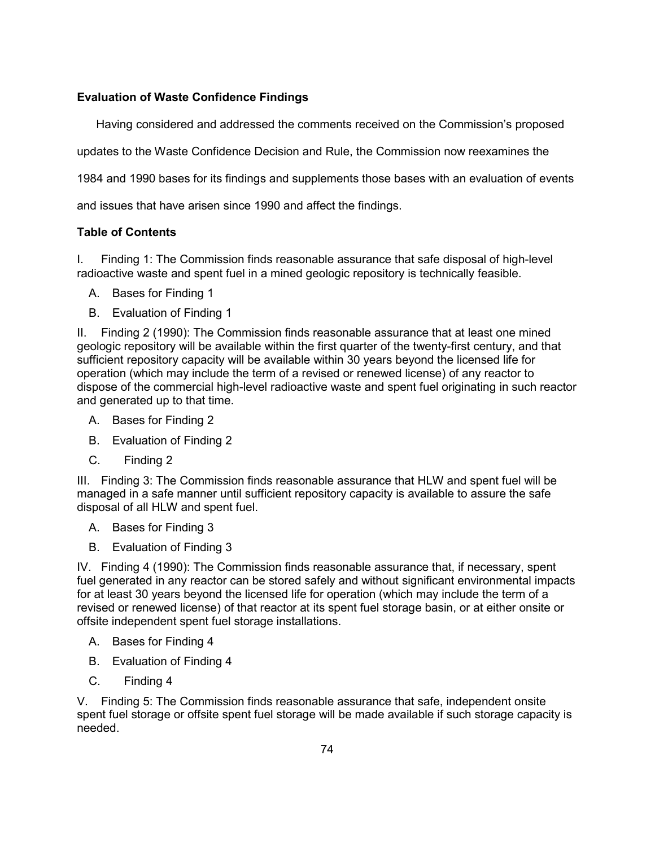# **Evaluation of Waste Confidence Findings**

Having considered and addressed the comments received on the Commission's proposed

updates to the Waste Confidence Decision and Rule, the Commission now reexamines the

1984 and 1990 bases for its findings and supplements those bases with an evaluation of events

and issues that have arisen since 1990 and affect the findings.

## **Table of Contents**

I. Finding 1: The Commission finds reasonable assurance that safe disposal of high-level radioactive waste and spent fuel in a mined geologic repository is technically feasible.

- A. Bases for Finding 1
- B. Evaluation of Finding 1

II. Finding 2 (1990): The Commission finds reasonable assurance that at least one mined geologic repository will be available within the first quarter of the twenty-first century, and that sufficient repository capacity will be available within 30 years beyond the licensed life for operation (which may include the term of a revised or renewed license) of any reactor to dispose of the commercial high-level radioactive waste and spent fuel originating in such reactor and generated up to that time.

- A. Bases for Finding 2
- B. Evaluation of Finding 2
- C. Finding 2

III. Finding 3: The Commission finds reasonable assurance that HLW and spent fuel will be managed in a safe manner until sufficient repository capacity is available to assure the safe disposal of all HLW and spent fuel.

- A. Bases for Finding 3
- B. Evaluation of Finding 3

IV. Finding 4 (1990): The Commission finds reasonable assurance that, if necessary, spent fuel generated in any reactor can be stored safely and without significant environmental impacts for at least 30 years beyond the licensed life for operation (which may include the term of a revised or renewed license) of that reactor at its spent fuel storage basin, or at either onsite or offsite independent spent fuel storage installations.

- A. Bases for Finding 4
- B. Evaluation of Finding 4
- C. Finding 4

V. Finding 5: The Commission finds reasonable assurance that safe, independent onsite spent fuel storage or offsite spent fuel storage will be made available if such storage capacity is needed.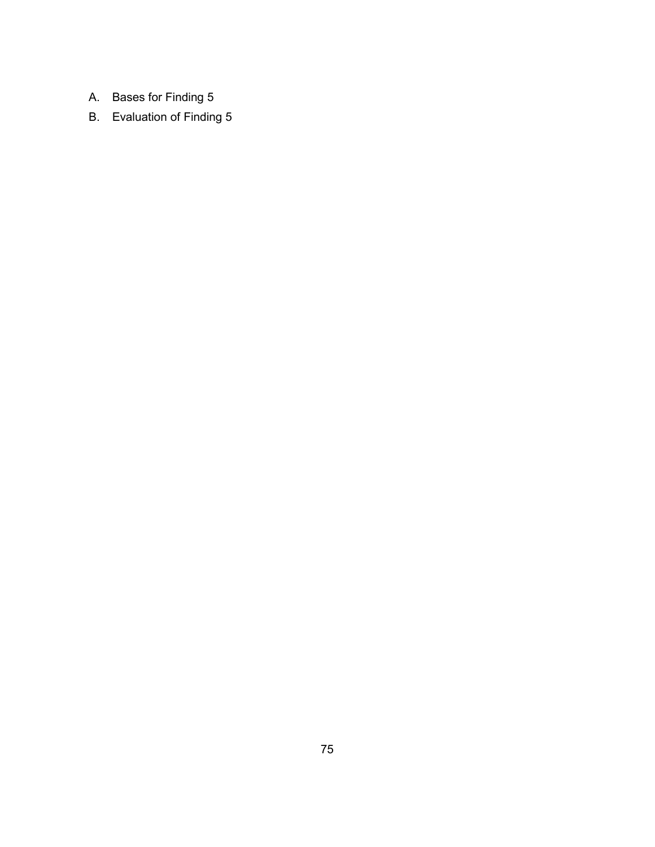- A. Bases for Finding 5
- B. Evaluation of Finding 5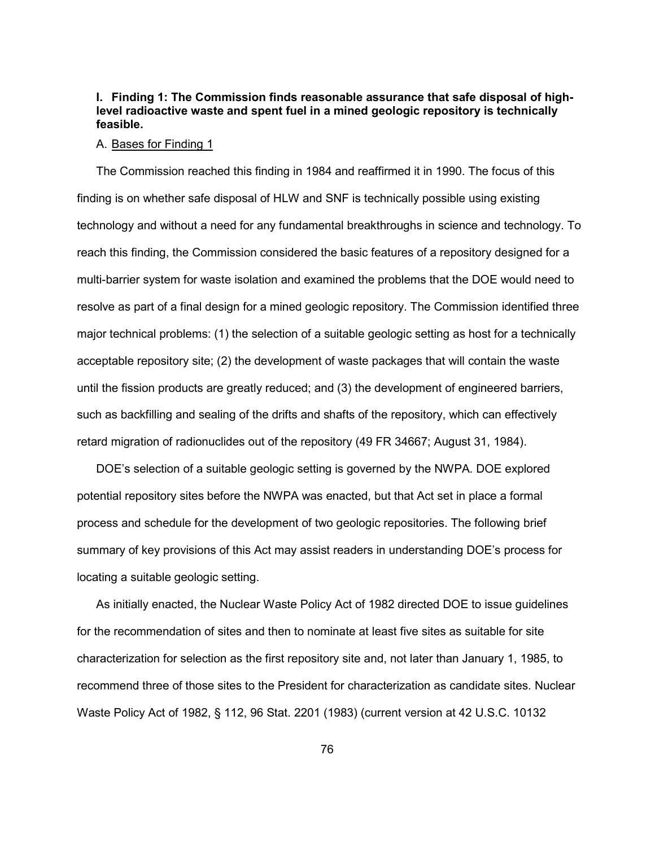# **I. Finding 1: The Commission finds reasonable assurance that safe disposal of highlevel radioactive waste and spent fuel in a mined geologic repository is technically feasible.**

#### A. Bases for Finding 1

 The Commission reached this finding in 1984 and reaffirmed it in 1990. The focus of this finding is on whether safe disposal of HLW and SNF is technically possible using existing technology and without a need for any fundamental breakthroughs in science and technology. To reach this finding, the Commission considered the basic features of a repository designed for a multi-barrier system for waste isolation and examined the problems that the DOE would need to resolve as part of a final design for a mined geologic repository. The Commission identified three major technical problems: (1) the selection of a suitable geologic setting as host for a technically acceptable repository site; (2) the development of waste packages that will contain the waste until the fission products are greatly reduced; and (3) the development of engineered barriers, such as backfilling and sealing of the drifts and shafts of the repository, which can effectively retard migration of radionuclides out of the repository (49 FR 34667; August 31, 1984).

 DOE's selection of a suitable geologic setting is governed by the NWPA. DOE explored potential repository sites before the NWPA was enacted, but that Act set in place a formal process and schedule for the development of two geologic repositories. The following brief summary of key provisions of this Act may assist readers in understanding DOE's process for locating a suitable geologic setting.

 As initially enacted, the Nuclear Waste Policy Act of 1982 directed DOE to issue guidelines for the recommendation of sites and then to nominate at least five sites as suitable for site characterization for selection as the first repository site and, not later than January 1, 1985, to recommend three of those sites to the President for characterization as candidate sites. Nuclear Waste Policy Act of 1982, § 112, 96 Stat. 2201 (1983) (current version at 42 U.S.C. 10132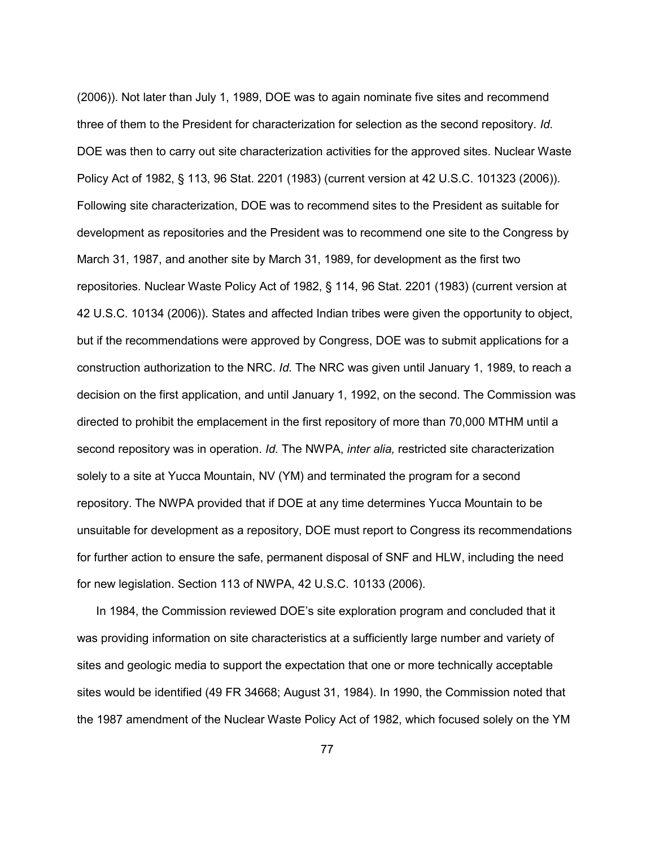(2006)). Not later than July 1, 1989, DOE was to again nominate five sites and recommend three of them to the President for characterization for selection as the second repository. *Id.*  DOE was then to carry out site characterization activities for the approved sites. Nuclear Waste Policy Act of 1982, § 113, 96 Stat. 2201 (1983) (current version at 42 U.S.C. 101323 (2006)). Following site characterization, DOE was to recommend sites to the President as suitable for development as repositories and the President was to recommend one site to the Congress by March 31, 1987, and another site by March 31, 1989, for development as the first two repositories. Nuclear Waste Policy Act of 1982, § 114, 96 Stat. 2201 (1983) (current version at 42 U.S.C. 10134 (2006)). States and affected Indian tribes were given the opportunity to object, but if the recommendations were approved by Congress, DOE was to submit applications for a construction authorization to the NRC. *Id.* The NRC was given until January 1, 1989, to reach a decision on the first application, and until January 1, 1992, on the second. The Commission was directed to prohibit the emplacement in the first repository of more than 70,000 MTHM until a second repository was in operation. *Id.* The NWPA, *inter alia,* restricted site characterization solely to a site at Yucca Mountain, NV (YM) and terminated the program for a second repository. The NWPA provided that if DOE at any time determines Yucca Mountain to be unsuitable for development as a repository, DOE must report to Congress its recommendations for further action to ensure the safe, permanent disposal of SNF and HLW, including the need for new legislation. Section 113 of NWPA, 42 U.S.C. 10133 (2006).

 In 1984, the Commission reviewed DOE's site exploration program and concluded that it was providing information on site characteristics at a sufficiently large number and variety of sites and geologic media to support the expectation that one or more technically acceptable sites would be identified (49 FR 34668; August 31, 1984). In 1990, the Commission noted that the 1987 amendment of the Nuclear Waste Policy Act of 1982, which focused solely on the YM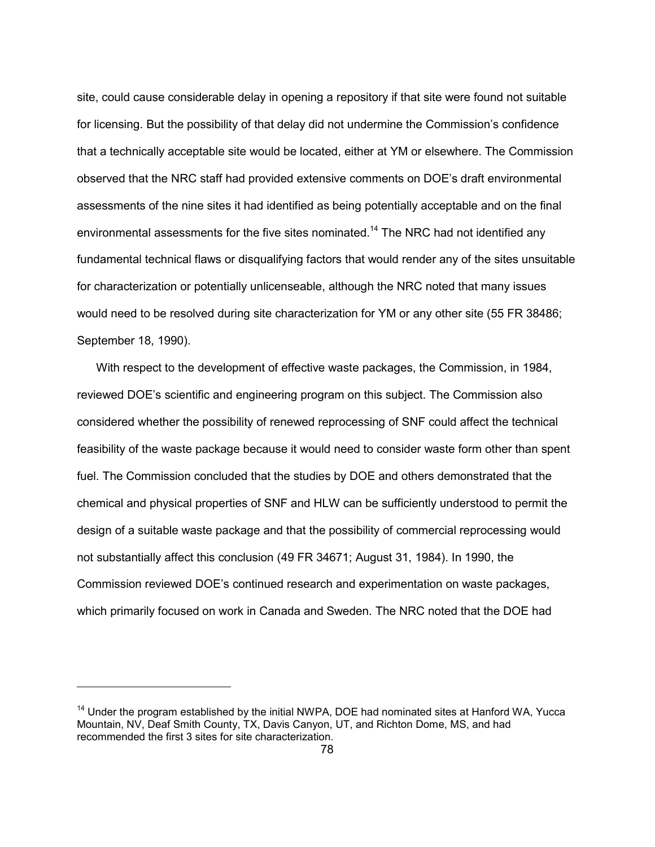site, could cause considerable delay in opening a repository if that site were found not suitable for licensing. But the possibility of that delay did not undermine the Commission's confidence that a technically acceptable site would be located, either at YM or elsewhere. The Commission observed that the NRC staff had provided extensive comments on DOE's draft environmental assessments of the nine sites it had identified as being potentially acceptable and on the final environmental assessments for the five sites nominated.<sup>14</sup> The NRC had not identified any fundamental technical flaws or disqualifying factors that would render any of the sites unsuitable for characterization or potentially unlicenseable, although the NRC noted that many issues would need to be resolved during site characterization for YM or any other site (55 FR 38486; September 18, 1990).

 With respect to the development of effective waste packages, the Commission, in 1984, reviewed DOE's scientific and engineering program on this subject. The Commission also considered whether the possibility of renewed reprocessing of SNF could affect the technical feasibility of the waste package because it would need to consider waste form other than spent fuel. The Commission concluded that the studies by DOE and others demonstrated that the chemical and physical properties of SNF and HLW can be sufficiently understood to permit the design of a suitable waste package and that the possibility of commercial reprocessing would not substantially affect this conclusion (49 FR 34671; August 31, 1984). In 1990, the Commission reviewed DOE's continued research and experimentation on waste packages, which primarily focused on work in Canada and Sweden. The NRC noted that the DOE had

<sup>&</sup>lt;sup>14</sup> Under the program established by the initial NWPA, DOE had nominated sites at Hanford WA, Yucca Mountain, NV, Deaf Smith County, TX, Davis Canyon, UT, and Richton Dome, MS, and had recommended the first 3 sites for site characterization.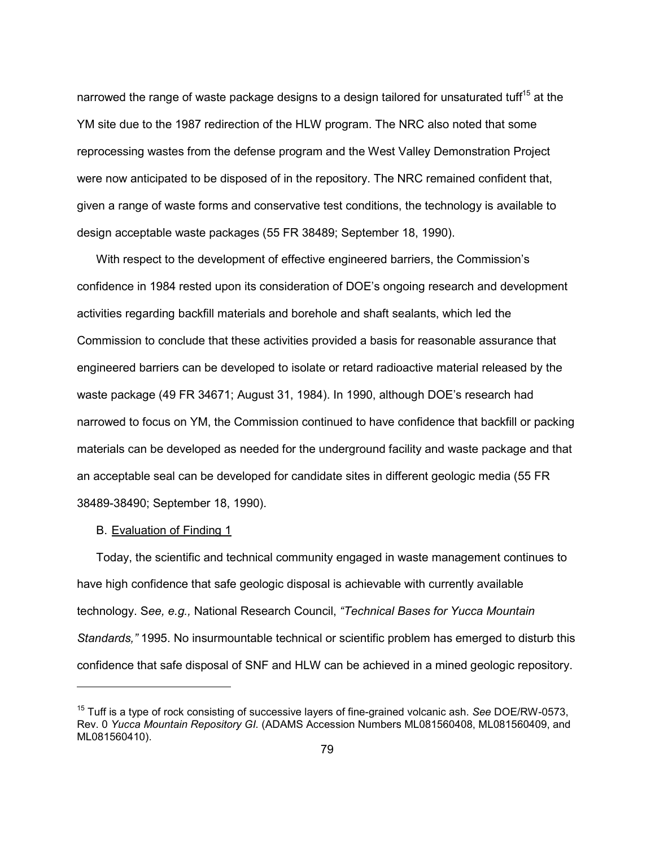narrowed the range of waste package designs to a design tailored for unsaturated tuff<sup>15</sup> at the YM site due to the 1987 redirection of the HLW program. The NRC also noted that some reprocessing wastes from the defense program and the West Valley Demonstration Project were now anticipated to be disposed of in the repository. The NRC remained confident that, given a range of waste forms and conservative test conditions, the technology is available to design acceptable waste packages (55 FR 38489; September 18, 1990).

 With respect to the development of effective engineered barriers, the Commission's confidence in 1984 rested upon its consideration of DOE's ongoing research and development activities regarding backfill materials and borehole and shaft sealants, which led the Commission to conclude that these activities provided a basis for reasonable assurance that engineered barriers can be developed to isolate or retard radioactive material released by the waste package (49 FR 34671; August 31, 1984). In 1990, although DOE's research had narrowed to focus on YM, the Commission continued to have confidence that backfill or packing materials can be developed as needed for the underground facility and waste package and that an acceptable seal can be developed for candidate sites in different geologic media (55 FR 38489-38490; September 18, 1990).

## B. Evaluation of Finding 1

-

 Today, the scientific and technical community engaged in waste management continues to have high confidence that safe geologic disposal is achievable with currently available technology. S*ee, e.g.,* National Research Council, *"Technical Bases for Yucca Mountain Standards,"* 1995. No insurmountable technical or scientific problem has emerged to disturb this confidence that safe disposal of SNF and HLW can be achieved in a mined geologic repository.

<sup>15</sup> Tuff is a type of rock consisting of successive layers of fine-grained volcanic ash. *See* DOE/RW-0573, Rev. 0 *Yucca Mountain Repository GI.* (ADAMS Accession Numbers ML081560408, ML081560409, and ML081560410).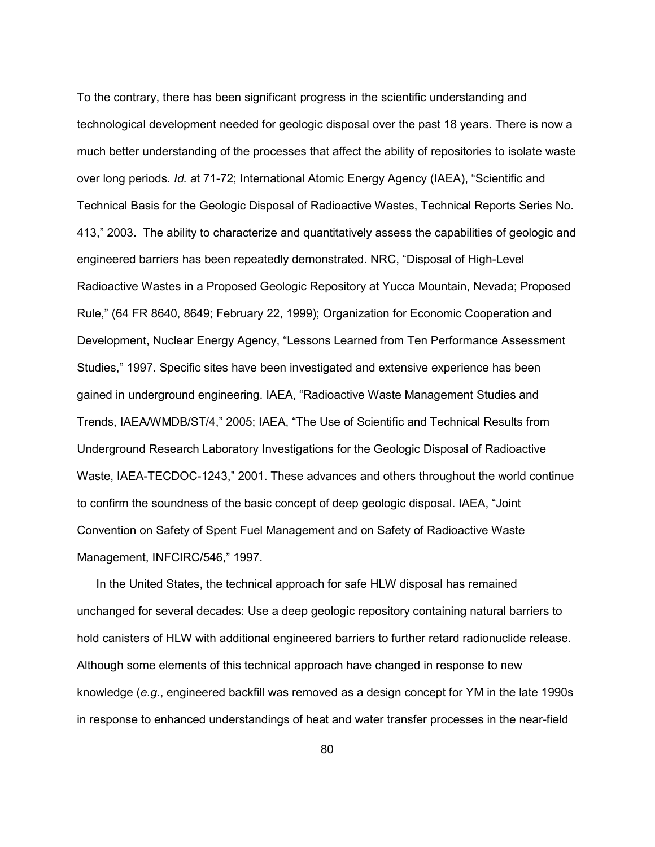To the contrary, there has been significant progress in the scientific understanding and technological development needed for geologic disposal over the past 18 years. There is now a much better understanding of the processes that affect the ability of repositories to isolate waste over long periods. *Id. a*t 71-72; International Atomic Energy Agency (IAEA), "Scientific and Technical Basis for the Geologic Disposal of Radioactive Wastes, Technical Reports Series No. 413," 2003. The ability to characterize and quantitatively assess the capabilities of geologic and engineered barriers has been repeatedly demonstrated. NRC, "Disposal of High-Level Radioactive Wastes in a Proposed Geologic Repository at Yucca Mountain, Nevada; Proposed Rule," (64 FR 8640, 8649; February 22, 1999); Organization for Economic Cooperation and Development, Nuclear Energy Agency, "Lessons Learned from Ten Performance Assessment Studies," 1997. Specific sites have been investigated and extensive experience has been gained in underground engineering. IAEA, "Radioactive Waste Management Studies and Trends, IAEA/WMDB/ST/4," 2005; IAEA, "The Use of Scientific and Technical Results from Underground Research Laboratory Investigations for the Geologic Disposal of Radioactive Waste, IAEA-TECDOC-1243," 2001. These advances and others throughout the world continue to confirm the soundness of the basic concept of deep geologic disposal. IAEA, "Joint Convention on Safety of Spent Fuel Management and on Safety of Radioactive Waste Management, INFCIRC/546," 1997.

 In the United States, the technical approach for safe HLW disposal has remained unchanged for several decades: Use a deep geologic repository containing natural barriers to hold canisters of HLW with additional engineered barriers to further retard radionuclide release. Although some elements of this technical approach have changed in response to new knowledge (*e.g*., engineered backfill was removed as a design concept for YM in the late 1990s in response to enhanced understandings of heat and water transfer processes in the near-field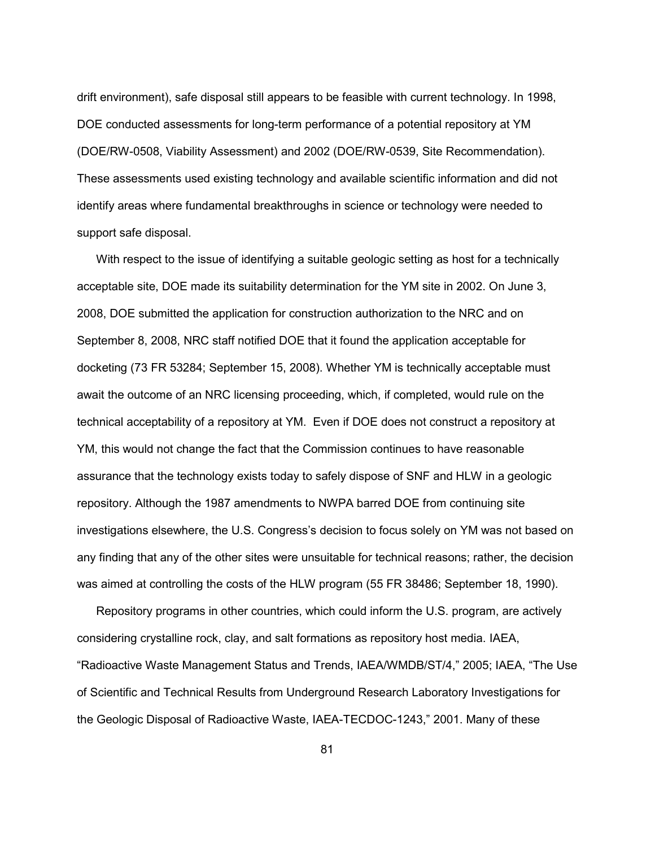drift environment), safe disposal still appears to be feasible with current technology. In 1998, DOE conducted assessments for long-term performance of a potential repository at YM (DOE/RW-0508, Viability Assessment) and 2002 (DOE/RW-0539, Site Recommendation). These assessments used existing technology and available scientific information and did not identify areas where fundamental breakthroughs in science or technology were needed to support safe disposal.

 With respect to the issue of identifying a suitable geologic setting as host for a technically acceptable site, DOE made its suitability determination for the YM site in 2002. On June 3, 2008, DOE submitted the application for construction authorization to the NRC and on September 8, 2008, NRC staff notified DOE that it found the application acceptable for docketing (73 FR 53284; September 15, 2008). Whether YM is technically acceptable must await the outcome of an NRC licensing proceeding, which, if completed, would rule on the technical acceptability of a repository at YM. Even if DOE does not construct a repository at YM, this would not change the fact that the Commission continues to have reasonable assurance that the technology exists today to safely dispose of SNF and HLW in a geologic repository. Although the 1987 amendments to NWPA barred DOE from continuing site investigations elsewhere, the U.S. Congress's decision to focus solely on YM was not based on any finding that any of the other sites were unsuitable for technical reasons; rather, the decision was aimed at controlling the costs of the HLW program (55 FR 38486; September 18, 1990).

 Repository programs in other countries, which could inform the U.S. program, are actively considering crystalline rock, clay, and salt formations as repository host media. IAEA, "Radioactive Waste Management Status and Trends, IAEA/WMDB/ST/4," 2005; IAEA, "The Use of Scientific and Technical Results from Underground Research Laboratory Investigations for the Geologic Disposal of Radioactive Waste, IAEA-TECDOC-1243," 2001. Many of these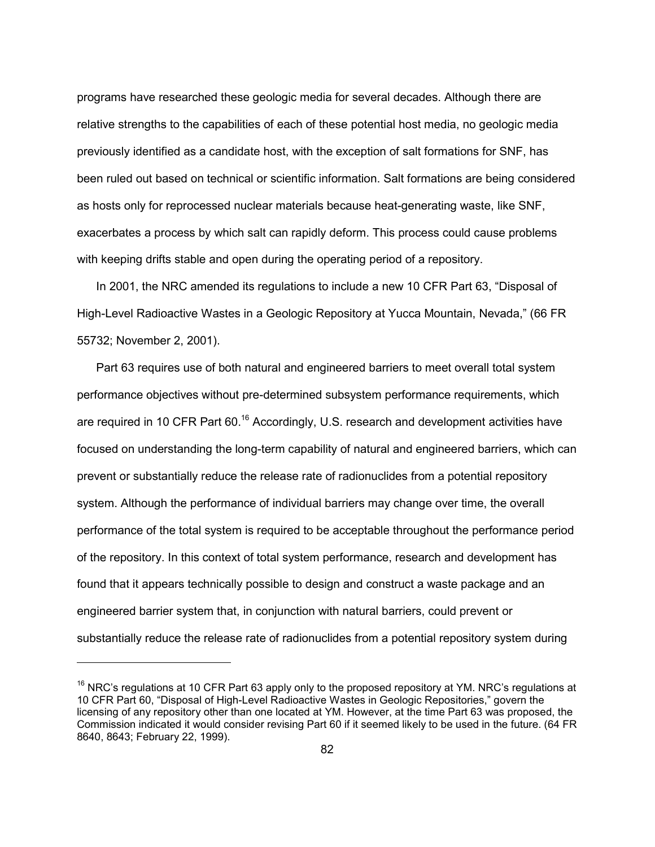programs have researched these geologic media for several decades. Although there are relative strengths to the capabilities of each of these potential host media, no geologic media previously identified as a candidate host, with the exception of salt formations for SNF, has been ruled out based on technical or scientific information. Salt formations are being considered as hosts only for reprocessed nuclear materials because heat-generating waste, like SNF, exacerbates a process by which salt can rapidly deform. This process could cause problems with keeping drifts stable and open during the operating period of a repository.

 In 2001, the NRC amended its regulations to include a new 10 CFR Part 63, "Disposal of High-Level Radioactive Wastes in a Geologic Repository at Yucca Mountain, Nevada," (66 FR 55732; November 2, 2001).

 Part 63 requires use of both natural and engineered barriers to meet overall total system performance objectives without pre-determined subsystem performance requirements, which are required in 10 CFR Part 60.<sup>16</sup> Accordingly, U.S. research and development activities have focused on understanding the long-term capability of natural and engineered barriers, which can prevent or substantially reduce the release rate of radionuclides from a potential repository system. Although the performance of individual barriers may change over time, the overall performance of the total system is required to be acceptable throughout the performance period of the repository. In this context of total system performance, research and development has found that it appears technically possible to design and construct a waste package and an engineered barrier system that, in conjunction with natural barriers, could prevent or substantially reduce the release rate of radionuclides from a potential repository system during

 $16$  NRC's regulations at 10 CFR Part 63 apply only to the proposed repository at YM. NRC's regulations at 10 CFR Part 60, "Disposal of High-Level Radioactive Wastes in Geologic Repositories," govern the licensing of any repository other than one located at YM. However, at the time Part 63 was proposed, the Commission indicated it would consider revising Part 60 if it seemed likely to be used in the future. (64 FR 8640, 8643; February 22, 1999).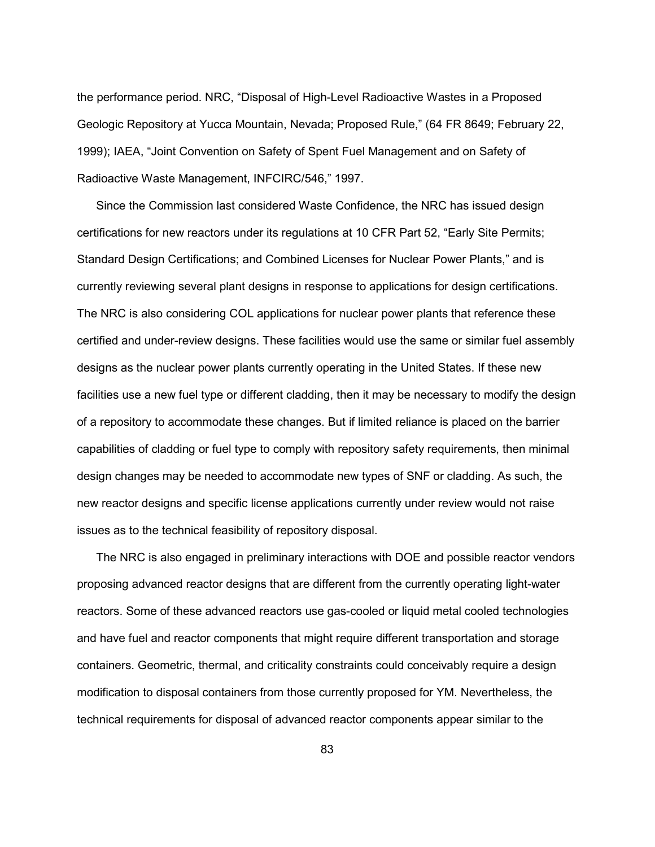the performance period. NRC, "Disposal of High-Level Radioactive Wastes in a Proposed Geologic Repository at Yucca Mountain, Nevada; Proposed Rule," (64 FR 8649; February 22, 1999); IAEA, "Joint Convention on Safety of Spent Fuel Management and on Safety of Radioactive Waste Management, INFCIRC/546," 1997.

 Since the Commission last considered Waste Confidence, the NRC has issued design certifications for new reactors under its regulations at 10 CFR Part 52, "Early Site Permits; Standard Design Certifications; and Combined Licenses for Nuclear Power Plants," and is currently reviewing several plant designs in response to applications for design certifications. The NRC is also considering COL applications for nuclear power plants that reference these certified and under-review designs. These facilities would use the same or similar fuel assembly designs as the nuclear power plants currently operating in the United States. If these new facilities use a new fuel type or different cladding, then it may be necessary to modify the design of a repository to accommodate these changes. But if limited reliance is placed on the barrier capabilities of cladding or fuel type to comply with repository safety requirements, then minimal design changes may be needed to accommodate new types of SNF or cladding. As such, the new reactor designs and specific license applications currently under review would not raise issues as to the technical feasibility of repository disposal.

The NRC is also engaged in preliminary interactions with DOE and possible reactor vendors proposing advanced reactor designs that are different from the currently operating light-water reactors. Some of these advanced reactors use gas-cooled or liquid metal cooled technologies and have fuel and reactor components that might require different transportation and storage containers. Geometric, thermal, and criticality constraints could conceivably require a design modification to disposal containers from those currently proposed for YM. Nevertheless, the technical requirements for disposal of advanced reactor components appear similar to the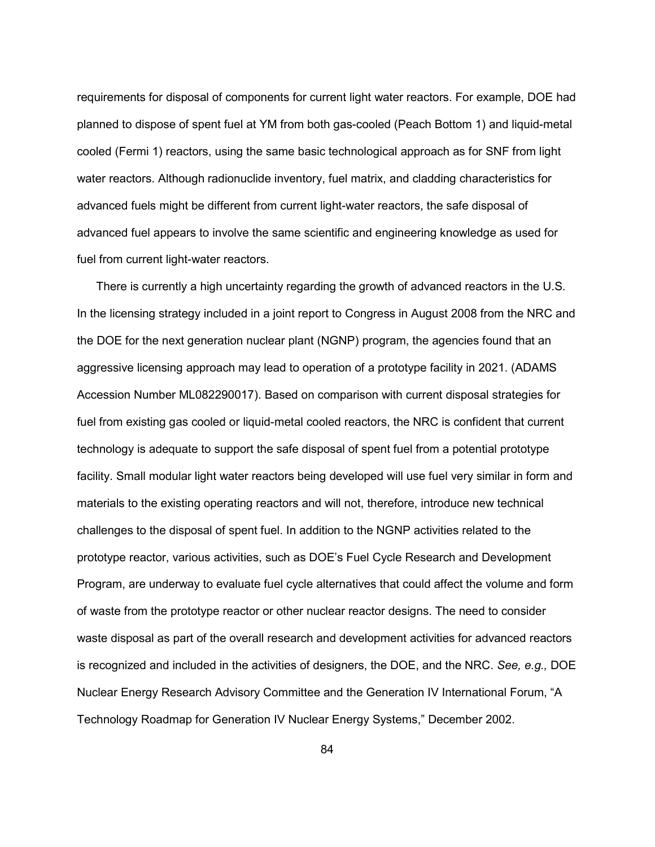requirements for disposal of components for current light water reactors. For example, DOE had planned to dispose of spent fuel at YM from both gas-cooled (Peach Bottom 1) and liquid-metal cooled (Fermi 1) reactors, using the same basic technological approach as for SNF from light water reactors. Although radionuclide inventory, fuel matrix, and cladding characteristics for advanced fuels might be different from current light-water reactors, the safe disposal of advanced fuel appears to involve the same scientific and engineering knowledge as used for fuel from current light-water reactors.

There is currently a high uncertainty regarding the growth of advanced reactors in the U.S. In the licensing strategy included in a joint report to Congress in August 2008 from the NRC and the DOE for the next generation nuclear plant (NGNP) program, the agencies found that an aggressive licensing approach may lead to operation of a prototype facility in 2021. (ADAMS Accession Number ML082290017). Based on comparison with current disposal strategies for fuel from existing gas cooled or liquid-metal cooled reactors, the NRC is confident that current technology is adequate to support the safe disposal of spent fuel from a potential prototype facility. Small modular light water reactors being developed will use fuel very similar in form and materials to the existing operating reactors and will not, therefore, introduce new technical challenges to the disposal of spent fuel. In addition to the NGNP activities related to the prototype reactor, various activities, such as DOE's Fuel Cycle Research and Development Program, are underway to evaluate fuel cycle alternatives that could affect the volume and form of waste from the prototype reactor or other nuclear reactor designs. The need to consider waste disposal as part of the overall research and development activities for advanced reactors is recognized and included in the activities of designers, the DOE, and the NRC. *See, e.g.,* DOE Nuclear Energy Research Advisory Committee and the Generation IV International Forum, "A Technology Roadmap for Generation IV Nuclear Energy Systems," December 2002.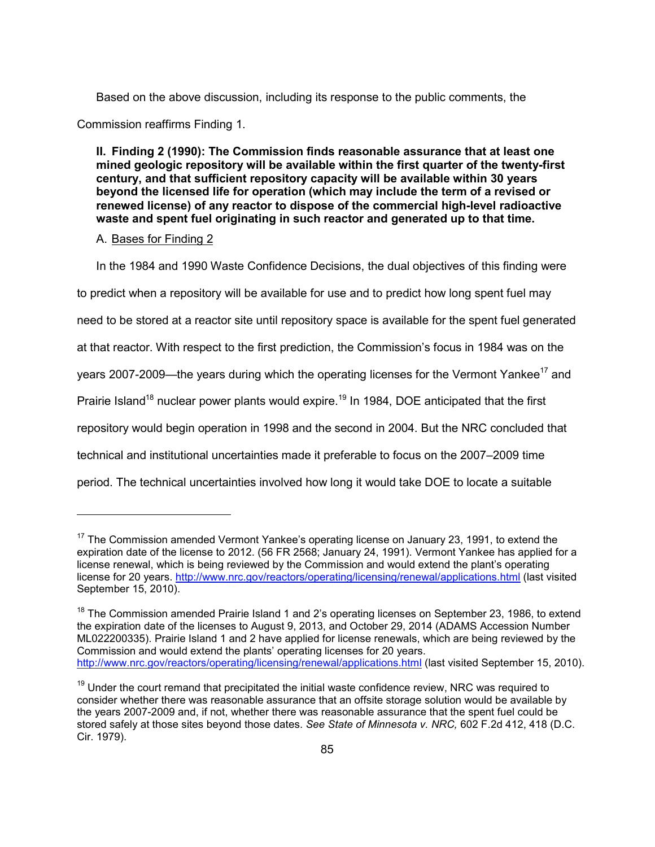Based on the above discussion, including its response to the public comments, the

Commission reaffirms Finding 1.

**II. Finding 2 (1990): The Commission finds reasonable assurance that at least one mined geologic repository will be available within the first quarter of the twenty-first century, and that sufficient repository capacity will be available within 30 years beyond the licensed life for operation (which may include the term of a revised or renewed license) of any reactor to dispose of the commercial high-level radioactive waste and spent fuel originating in such reactor and generated up to that time.** 

### A. Bases for Finding 2

-

In the 1984 and 1990 Waste Confidence Decisions, the dual objectives of this finding were

to predict when a repository will be available for use and to predict how long spent fuel may

need to be stored at a reactor site until repository space is available for the spent fuel generated

at that reactor. With respect to the first prediction, the Commission's focus in 1984 was on the

years 2007-2009—the years during which the operating licenses for the Vermont Yankee<sup>17</sup> and

Prairie Island<sup>18</sup> nuclear power plants would expire.<sup>19</sup> In 1984, DOE anticipated that the first

repository would begin operation in 1998 and the second in 2004. But the NRC concluded that

technical and institutional uncertainties made it preferable to focus on the 2007–2009 time

period. The technical uncertainties involved how long it would take DOE to locate a suitable

 $17$  The Commission amended Vermont Yankee's operating license on January 23, 1991, to extend the expiration date of the license to 2012. (56 FR 2568; January 24, 1991). Vermont Yankee has applied for a license renewal, which is being reviewed by the Commission and would extend the plant's operating license for 20 years. http://www.nrc.gov/reactors/operating/licensing/renewal/applications.html (last visited September 15, 2010).

<sup>&</sup>lt;sup>18</sup> The Commission amended Prairie Island 1 and 2's operating licenses on September 23, 1986, to extend the expiration date of the licenses to August 9, 2013, and October 29, 2014 (ADAMS Accession Number ML022200335). Prairie Island 1 and 2 have applied for license renewals, which are being reviewed by the Commission and would extend the plants' operating licenses for 20 years. http://www.nrc.gov/reactors/operating/licensing/renewal/applications.html (last visited September 15, 2010).

 $19$  Under the court remand that precipitated the initial waste confidence review, NRC was required to consider whether there was reasonable assurance that an offsite storage solution would be available by the years 2007-2009 and, if not, whether there was reasonable assurance that the spent fuel could be stored safely at those sites beyond those dates. *See State of Minnesota v. NRC,* 602 F.2d 412, 418 (D.C. Cir. 1979).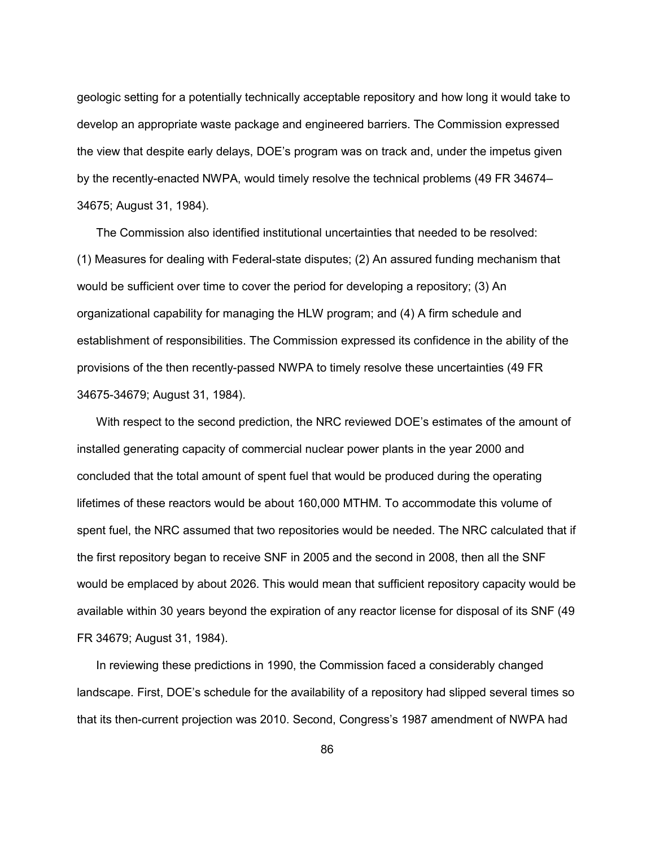geologic setting for a potentially technically acceptable repository and how long it would take to develop an appropriate waste package and engineered barriers. The Commission expressed the view that despite early delays, DOE's program was on track and, under the impetus given by the recently-enacted NWPA, would timely resolve the technical problems (49 FR 34674– 34675; August 31, 1984).

 The Commission also identified institutional uncertainties that needed to be resolved: (1) Measures for dealing with Federal-state disputes; (2) An assured funding mechanism that would be sufficient over time to cover the period for developing a repository; (3) An organizational capability for managing the HLW program; and (4) A firm schedule and establishment of responsibilities. The Commission expressed its confidence in the ability of the provisions of the then recently-passed NWPA to timely resolve these uncertainties (49 FR 34675-34679; August 31, 1984).

 With respect to the second prediction, the NRC reviewed DOE's estimates of the amount of installed generating capacity of commercial nuclear power plants in the year 2000 and concluded that the total amount of spent fuel that would be produced during the operating lifetimes of these reactors would be about 160,000 MTHM. To accommodate this volume of spent fuel, the NRC assumed that two repositories would be needed. The NRC calculated that if the first repository began to receive SNF in 2005 and the second in 2008, then all the SNF would be emplaced by about 2026. This would mean that sufficient repository capacity would be available within 30 years beyond the expiration of any reactor license for disposal of its SNF (49 FR 34679; August 31, 1984).

 In reviewing these predictions in 1990, the Commission faced a considerably changed landscape. First, DOE's schedule for the availability of a repository had slipped several times so that its then-current projection was 2010. Second, Congress's 1987 amendment of NWPA had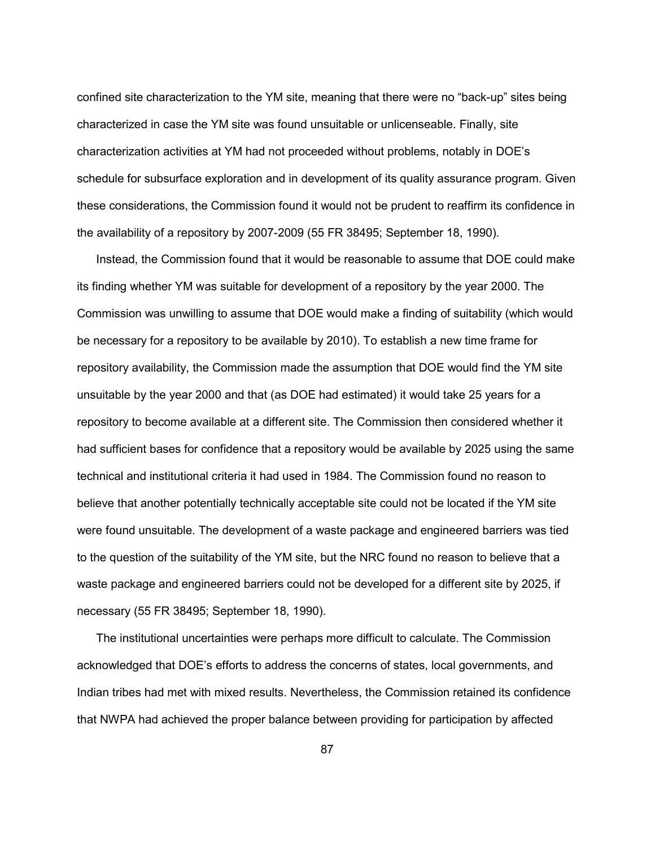confined site characterization to the YM site, meaning that there were no "back-up" sites being characterized in case the YM site was found unsuitable or unlicenseable. Finally, site characterization activities at YM had not proceeded without problems, notably in DOE's schedule for subsurface exploration and in development of its quality assurance program. Given these considerations, the Commission found it would not be prudent to reaffirm its confidence in the availability of a repository by 2007-2009 (55 FR 38495; September 18, 1990).

 Instead, the Commission found that it would be reasonable to assume that DOE could make its finding whether YM was suitable for development of a repository by the year 2000. The Commission was unwilling to assume that DOE would make a finding of suitability (which would be necessary for a repository to be available by 2010). To establish a new time frame for repository availability, the Commission made the assumption that DOE would find the YM site unsuitable by the year 2000 and that (as DOE had estimated) it would take 25 years for a repository to become available at a different site. The Commission then considered whether it had sufficient bases for confidence that a repository would be available by 2025 using the same technical and institutional criteria it had used in 1984. The Commission found no reason to believe that another potentially technically acceptable site could not be located if the YM site were found unsuitable. The development of a waste package and engineered barriers was tied to the question of the suitability of the YM site, but the NRC found no reason to believe that a waste package and engineered barriers could not be developed for a different site by 2025, if necessary (55 FR 38495; September 18, 1990).

 The institutional uncertainties were perhaps more difficult to calculate. The Commission acknowledged that DOE's efforts to address the concerns of states, local governments, and Indian tribes had met with mixed results. Nevertheless, the Commission retained its confidence that NWPA had achieved the proper balance between providing for participation by affected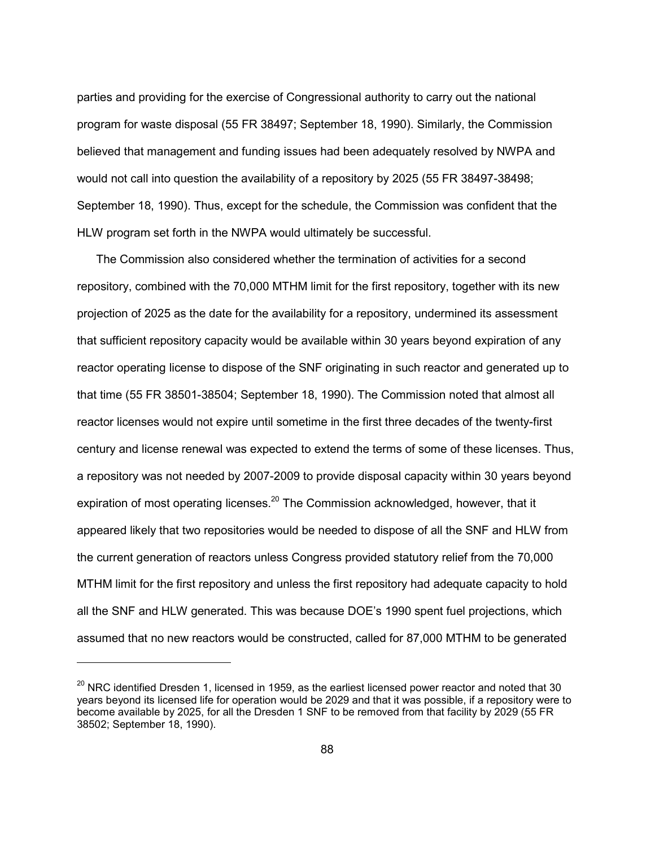parties and providing for the exercise of Congressional authority to carry out the national program for waste disposal (55 FR 38497; September 18, 1990). Similarly, the Commission believed that management and funding issues had been adequately resolved by NWPA and would not call into question the availability of a repository by 2025 (55 FR 38497-38498; September 18, 1990). Thus, except for the schedule, the Commission was confident that the HLW program set forth in the NWPA would ultimately be successful.

 The Commission also considered whether the termination of activities for a second repository, combined with the 70,000 MTHM limit for the first repository, together with its new projection of 2025 as the date for the availability for a repository, undermined its assessment that sufficient repository capacity would be available within 30 years beyond expiration of any reactor operating license to dispose of the SNF originating in such reactor and generated up to that time (55 FR 38501-38504; September 18, 1990). The Commission noted that almost all reactor licenses would not expire until sometime in the first three decades of the twenty-first century and license renewal was expected to extend the terms of some of these licenses. Thus, a repository was not needed by 2007-2009 to provide disposal capacity within 30 years beyond expiration of most operating licenses.<sup>20</sup> The Commission acknowledged, however, that it appeared likely that two repositories would be needed to dispose of all the SNF and HLW from the current generation of reactors unless Congress provided statutory relief from the 70,000 MTHM limit for the first repository and unless the first repository had adequate capacity to hold all the SNF and HLW generated. This was because DOE's 1990 spent fuel projections, which assumed that no new reactors would be constructed, called for 87,000 MTHM to be generated

 $20$  NRC identified Dresden 1, licensed in 1959, as the earliest licensed power reactor and noted that 30 years beyond its licensed life for operation would be 2029 and that it was possible, if a repository were to become available by 2025, for all the Dresden 1 SNF to be removed from that facility by 2029 (55 FR 38502; September 18, 1990).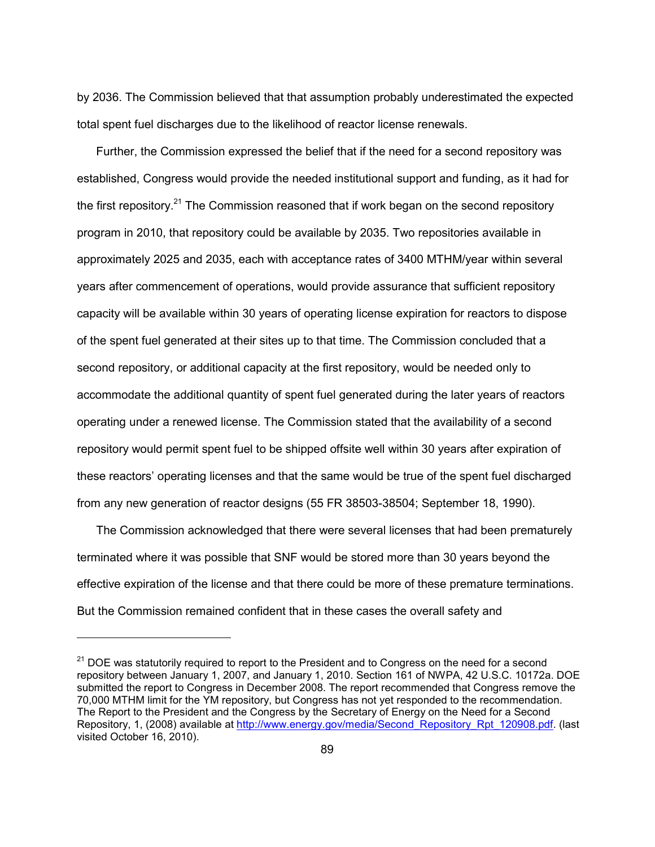by 2036. The Commission believed that that assumption probably underestimated the expected total spent fuel discharges due to the likelihood of reactor license renewals.

 Further, the Commission expressed the belief that if the need for a second repository was established, Congress would provide the needed institutional support and funding, as it had for the first repository.<sup>21</sup> The Commission reasoned that if work began on the second repository program in 2010, that repository could be available by 2035. Two repositories available in approximately 2025 and 2035, each with acceptance rates of 3400 MTHM/year within several years after commencement of operations, would provide assurance that sufficient repository capacity will be available within 30 years of operating license expiration for reactors to dispose of the spent fuel generated at their sites up to that time. The Commission concluded that a second repository, or additional capacity at the first repository, would be needed only to accommodate the additional quantity of spent fuel generated during the later years of reactors operating under a renewed license. The Commission stated that the availability of a second repository would permit spent fuel to be shipped offsite well within 30 years after expiration of these reactors' operating licenses and that the same would be true of the spent fuel discharged from any new generation of reactor designs (55 FR 38503-38504; September 18, 1990).

 The Commission acknowledged that there were several licenses that had been prematurely terminated where it was possible that SNF would be stored more than 30 years beyond the effective expiration of the license and that there could be more of these premature terminations. But the Commission remained confident that in these cases the overall safety and

 $21$  DOE was statutorily required to report to the President and to Congress on the need for a second repository between January 1, 2007, and January 1, 2010. Section 161 of NWPA, 42 U.S.C. 10172a. DOE submitted the report to Congress in December 2008. The report recommended that Congress remove the 70,000 MTHM limit for the YM repository, but Congress has not yet responded to the recommendation. The Report to the President and the Congress by the Secretary of Energy on the Need for a Second Repository, 1, (2008) available at http://www.energy.gov/media/Second\_Repository\_Rpt\_120908.pdf. (last visited October 16, 2010).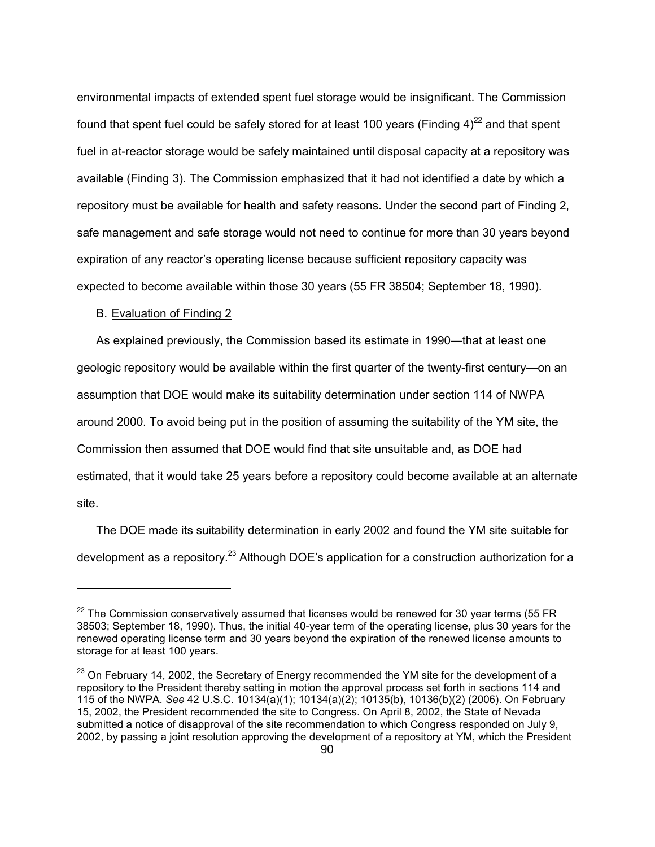environmental impacts of extended spent fuel storage would be insignificant. The Commission found that spent fuel could be safely stored for at least 100 years (Finding  $4)^{22}$  and that spent fuel in at-reactor storage would be safely maintained until disposal capacity at a repository was available (Finding 3). The Commission emphasized that it had not identified a date by which a repository must be available for health and safety reasons. Under the second part of Finding 2, safe management and safe storage would not need to continue for more than 30 years beyond expiration of any reactor's operating license because sufficient repository capacity was expected to become available within those 30 years (55 FR 38504; September 18, 1990).

### B. Evaluation of Finding 2

-

 As explained previously, the Commission based its estimate in 1990—that at least one geologic repository would be available within the first quarter of the twenty-first century—on an assumption that DOE would make its suitability determination under section 114 of NWPA around 2000. To avoid being put in the position of assuming the suitability of the YM site, the Commission then assumed that DOE would find that site unsuitable and, as DOE had estimated, that it would take 25 years before a repository could become available at an alternate site.

 The DOE made its suitability determination in early 2002 and found the YM site suitable for development as a repository.<sup>23</sup> Although DOE's application for a construction authorization for a

 $22$  The Commission conservatively assumed that licenses would be renewed for 30 year terms (55 FR 38503; September 18, 1990). Thus, the initial 40-year term of the operating license, plus 30 years for the renewed operating license term and 30 years beyond the expiration of the renewed license amounts to storage for at least 100 years.

<sup>&</sup>lt;sup>23</sup> On February 14, 2002, the Secretary of Energy recommended the YM site for the development of a repository to the President thereby setting in motion the approval process set forth in sections 114 and 115 of the NWPA. *See* 42 U.S.C. 10134(a)(1); 10134(a)(2); 10135(b), 10136(b)(2) (2006). On February 15, 2002, the President recommended the site to Congress. On April 8, 2002, the State of Nevada submitted a notice of disapproval of the site recommendation to which Congress responded on July 9, 2002, by passing a joint resolution approving the development of a repository at YM, which the President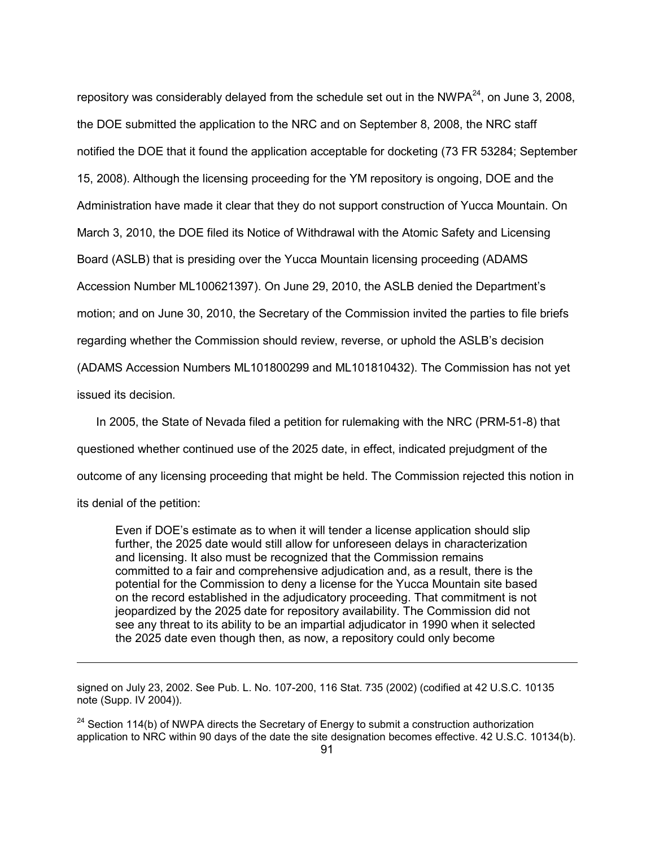repository was considerably delayed from the schedule set out in the NWPA $^{24}$ , on June 3, 2008, the DOE submitted the application to the NRC and on September 8, 2008, the NRC staff notified the DOE that it found the application acceptable for docketing (73 FR 53284; September 15, 2008). Although the licensing proceeding for the YM repository is ongoing, DOE and the Administration have made it clear that they do not support construction of Yucca Mountain. On March 3, 2010, the DOE filed its Notice of Withdrawal with the Atomic Safety and Licensing Board (ASLB) that is presiding over the Yucca Mountain licensing proceeding (ADAMS Accession Number ML100621397). On June 29, 2010, the ASLB denied the Department's motion; and on June 30, 2010, the Secretary of the Commission invited the parties to file briefs regarding whether the Commission should review, reverse, or uphold the ASLB's decision (ADAMS Accession Numbers ML101800299 and ML101810432). The Commission has not yet issued its decision*.* 

 In 2005, the State of Nevada filed a petition for rulemaking with the NRC (PRM-51-8) that questioned whether continued use of the 2025 date, in effect, indicated prejudgment of the outcome of any licensing proceeding that might be held. The Commission rejected this notion in its denial of the petition:

Even if DOE's estimate as to when it will tender a license application should slip further, the 2025 date would still allow for unforeseen delays in characterization and licensing. It also must be recognized that the Commission remains committed to a fair and comprehensive adjudication and, as a result, there is the potential for the Commission to deny a license for the Yucca Mountain site based on the record established in the adjudicatory proceeding. That commitment is not jeopardized by the 2025 date for repository availability. The Commission did not see any threat to its ability to be an impartial adjudicator in 1990 when it selected the 2025 date even though then, as now, a repository could only become

signed on July 23, 2002. See Pub. L. No. 107-200, 116 Stat. 735 (2002) (codified at 42 U.S.C. 10135 note (Supp. IV 2004)).

 $24$  Section 114(b) of NWPA directs the Secretary of Energy to submit a construction authorization application to NRC within 90 days of the date the site designation becomes effective. 42 U.S.C. 10134(b).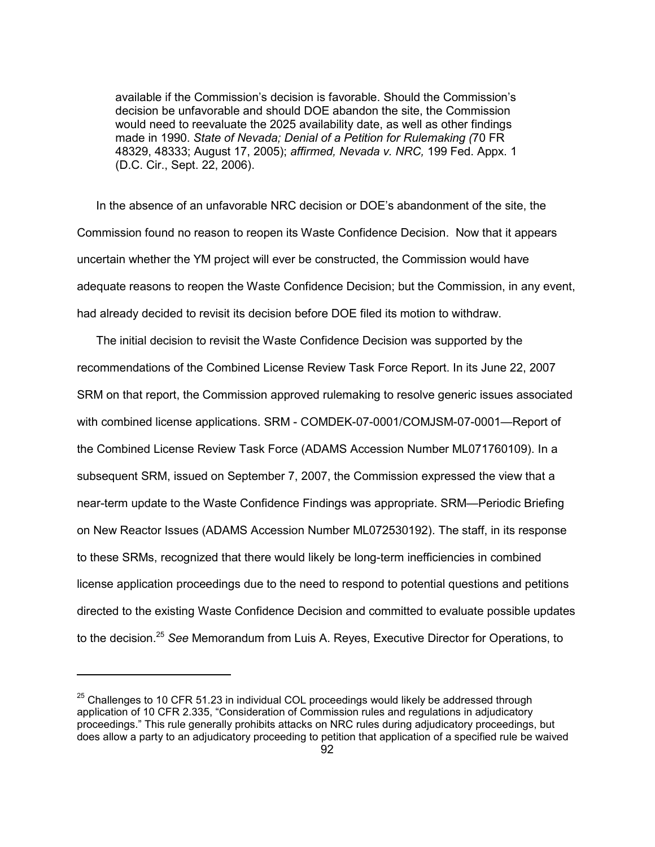available if the Commission's decision is favorable. Should the Commission's decision be unfavorable and should DOE abandon the site, the Commission would need to reevaluate the 2025 availability date, as well as other findings made in 1990. *State of Nevada; Denial of a Petition for Rulemaking (*70 FR 48329, 48333; August 17, 2005); *affirmed, Nevada v. NRC,* 199 Fed. Appx. 1 (D.C. Cir., Sept. 22, 2006).

 In the absence of an unfavorable NRC decision or DOE's abandonment of the site, the Commission found no reason to reopen its Waste Confidence Decision. Now that it appears uncertain whether the YM project will ever be constructed, the Commission would have adequate reasons to reopen the Waste Confidence Decision; but the Commission, in any event, had already decided to revisit its decision before DOE filed its motion to withdraw.

 The initial decision to revisit the Waste Confidence Decision was supported by the recommendations of the Combined License Review Task Force Report. In its June 22, 2007 SRM on that report, the Commission approved rulemaking to resolve generic issues associated with combined license applications. SRM - COMDEK-07-0001/COMJSM-07-0001—Report of the Combined License Review Task Force (ADAMS Accession Number ML071760109). In a subsequent SRM, issued on September 7, 2007, the Commission expressed the view that a near-term update to the Waste Confidence Findings was appropriate. SRM—Periodic Briefing on New Reactor Issues (ADAMS Accession Number ML072530192). The staff, in its response to these SRMs, recognized that there would likely be long-term inefficiencies in combined license application proceedings due to the need to respond to potential questions and petitions directed to the existing Waste Confidence Decision and committed to evaluate possible updates to the decision.25 *See* Memorandum from Luis A. Reyes, Executive Director for Operations, to

 $25$  Challenges to 10 CFR 51.23 in individual COL proceedings would likely be addressed through application of 10 CFR 2.335, "Consideration of Commission rules and regulations in adjudicatory proceedings." This rule generally prohibits attacks on NRC rules during adjudicatory proceedings, but does allow a party to an adjudicatory proceeding to petition that application of a specified rule be waived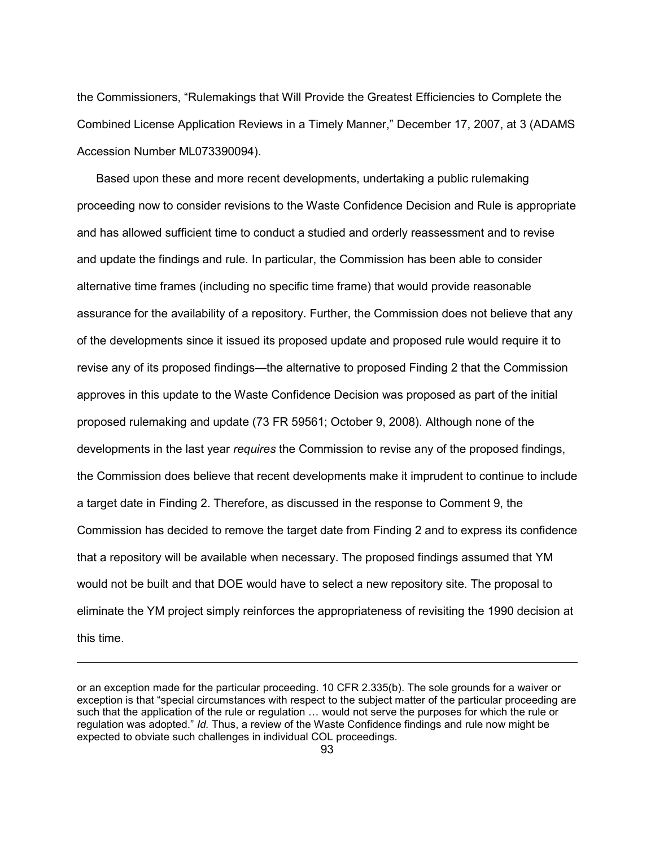the Commissioners, "Rulemakings that Will Provide the Greatest Efficiencies to Complete the Combined License Application Reviews in a Timely Manner," December 17, 2007, at 3 (ADAMS Accession Number ML073390094).

 Based upon these and more recent developments, undertaking a public rulemaking proceeding now to consider revisions to the Waste Confidence Decision and Rule is appropriate and has allowed sufficient time to conduct a studied and orderly reassessment and to revise and update the findings and rule. In particular, the Commission has been able to consider alternative time frames (including no specific time frame) that would provide reasonable assurance for the availability of a repository. Further, the Commission does not believe that any of the developments since it issued its proposed update and proposed rule would require it to revise any of its proposed findings—the alternative to proposed Finding 2 that the Commission approves in this update to the Waste Confidence Decision was proposed as part of the initial proposed rulemaking and update (73 FR 59561; October 9, 2008). Although none of the developments in the last year *requires* the Commission to revise any of the proposed findings, the Commission does believe that recent developments make it imprudent to continue to include a target date in Finding 2. Therefore, as discussed in the response to Comment 9, the Commission has decided to remove the target date from Finding 2 and to express its confidence that a repository will be available when necessary. The proposed findings assumed that YM would not be built and that DOE would have to select a new repository site. The proposal to eliminate the YM project simply reinforces the appropriateness of revisiting the 1990 decision at this time.

or an exception made for the particular proceeding. 10 CFR 2.335(b). The sole grounds for a waiver or exception is that "special circumstances with respect to the subject matter of the particular proceeding are such that the application of the rule or regulation … would not serve the purposes for which the rule or regulation was adopted." *Id.* Thus, a review of the Waste Confidence findings and rule now might be expected to obviate such challenges in individual COL proceedings.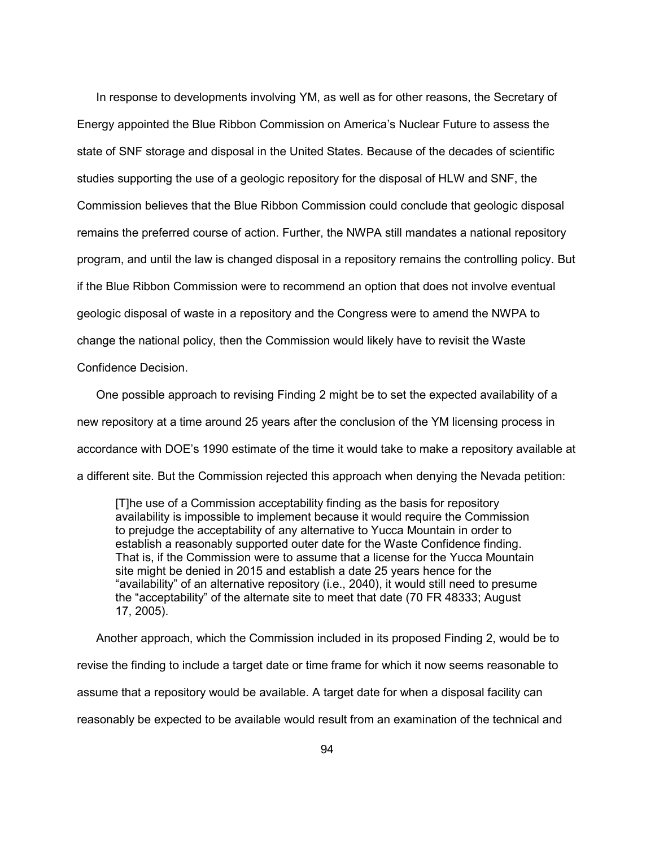In response to developments involving YM, as well as for other reasons, the Secretary of Energy appointed the Blue Ribbon Commission on America's Nuclear Future to assess the state of SNF storage and disposal in the United States. Because of the decades of scientific studies supporting the use of a geologic repository for the disposal of HLW and SNF, the Commission believes that the Blue Ribbon Commission could conclude that geologic disposal remains the preferred course of action. Further, the NWPA still mandates a national repository program, and until the law is changed disposal in a repository remains the controlling policy. But if the Blue Ribbon Commission were to recommend an option that does not involve eventual geologic disposal of waste in a repository and the Congress were to amend the NWPA to change the national policy, then the Commission would likely have to revisit the Waste Confidence Decision.

 One possible approach to revising Finding 2 might be to set the expected availability of a new repository at a time around 25 years after the conclusion of the YM licensing process in accordance with DOE's 1990 estimate of the time it would take to make a repository available at a different site. But the Commission rejected this approach when denying the Nevada petition:

[T]he use of a Commission acceptability finding as the basis for repository availability is impossible to implement because it would require the Commission to prejudge the acceptability of any alternative to Yucca Mountain in order to establish a reasonably supported outer date for the Waste Confidence finding. That is, if the Commission were to assume that a license for the Yucca Mountain site might be denied in 2015 and establish a date 25 years hence for the "availability" of an alternative repository (i.e., 2040), it would still need to presume the "acceptability" of the alternate site to meet that date (70 FR 48333; August 17, 2005).

 Another approach, which the Commission included in its proposed Finding 2, would be to revise the finding to include a target date or time frame for which it now seems reasonable to assume that a repository would be available. A target date for when a disposal facility can reasonably be expected to be available would result from an examination of the technical and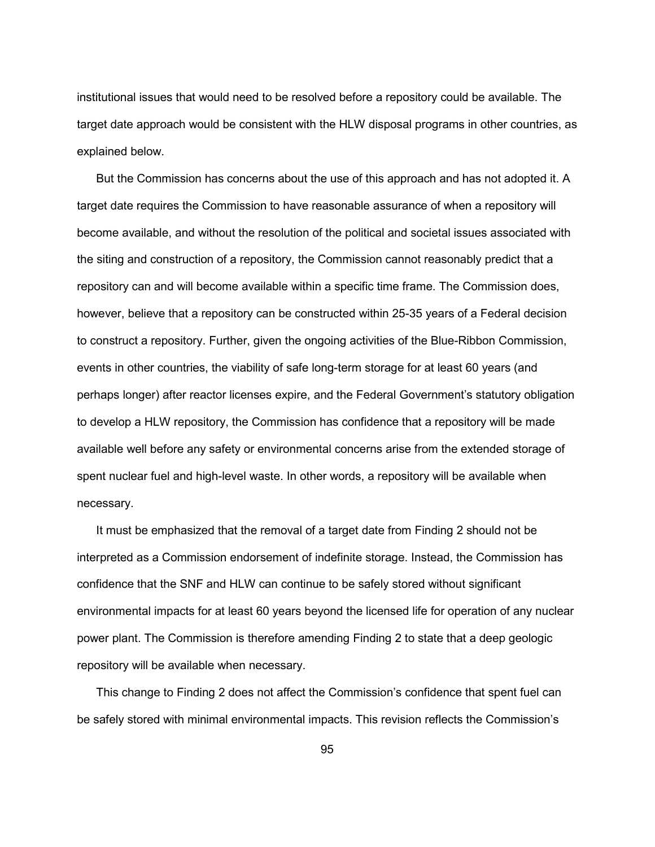institutional issues that would need to be resolved before a repository could be available. The target date approach would be consistent with the HLW disposal programs in other countries, as explained below.

 But the Commission has concerns about the use of this approach and has not adopted it. A target date requires the Commission to have reasonable assurance of when a repository will become available, and without the resolution of the political and societal issues associated with the siting and construction of a repository, the Commission cannot reasonably predict that a repository can and will become available within a specific time frame. The Commission does, however, believe that a repository can be constructed within 25-35 years of a Federal decision to construct a repository. Further, given the ongoing activities of the Blue-Ribbon Commission, events in other countries, the viability of safe long-term storage for at least 60 years (and perhaps longer) after reactor licenses expire, and the Federal Government's statutory obligation to develop a HLW repository, the Commission has confidence that a repository will be made available well before any safety or environmental concerns arise from the extended storage of spent nuclear fuel and high-level waste. In other words, a repository will be available when necessary.

 It must be emphasized that the removal of a target date from Finding 2 should not be interpreted as a Commission endorsement of indefinite storage. Instead, the Commission has confidence that the SNF and HLW can continue to be safely stored without significant environmental impacts for at least 60 years beyond the licensed life for operation of any nuclear power plant. The Commission is therefore amending Finding 2 to state that a deep geologic repository will be available when necessary.

 This change to Finding 2 does not affect the Commission's confidence that spent fuel can be safely stored with minimal environmental impacts. This revision reflects the Commission's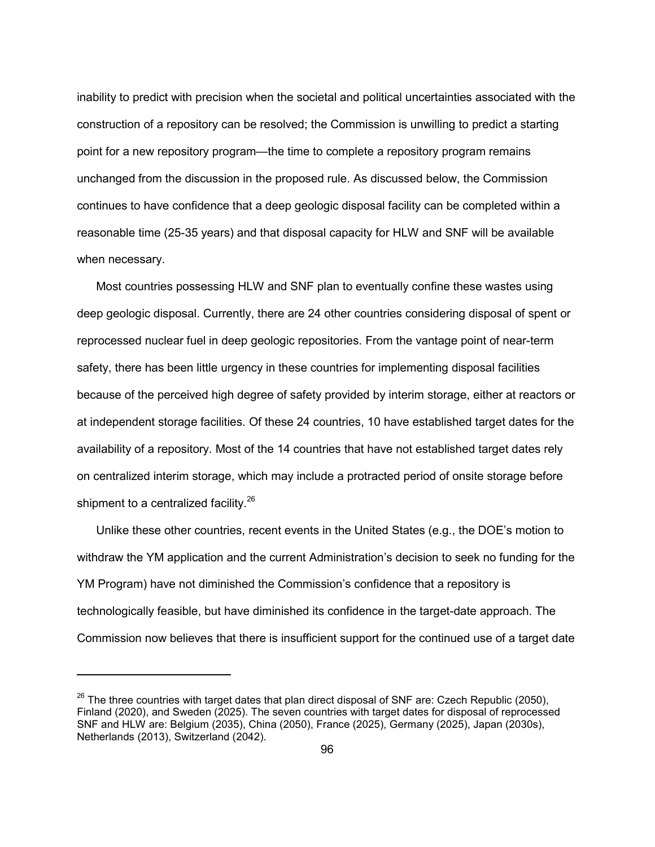inability to predict with precision when the societal and political uncertainties associated with the construction of a repository can be resolved; the Commission is unwilling to predict a starting point for a new repository program—the time to complete a repository program remains unchanged from the discussion in the proposed rule. As discussed below, the Commission continues to have confidence that a deep geologic disposal facility can be completed within a reasonable time (25-35 years) and that disposal capacity for HLW and SNF will be available when necessary.

 Most countries possessing HLW and SNF plan to eventually confine these wastes using deep geologic disposal. Currently, there are 24 other countries considering disposal of spent or reprocessed nuclear fuel in deep geologic repositories. From the vantage point of near-term safety, there has been little urgency in these countries for implementing disposal facilities because of the perceived high degree of safety provided by interim storage, either at reactors or at independent storage facilities. Of these 24 countries, 10 have established target dates for the availability of a repository. Most of the 14 countries that have not established target dates rely on centralized interim storage, which may include a protracted period of onsite storage before shipment to a centralized facility.<sup>26</sup>

 Unlike these other countries, recent events in the United States (e.g., the DOE's motion to withdraw the YM application and the current Administration's decision to seek no funding for the YM Program) have not diminished the Commission's confidence that a repository is technologically feasible, but have diminished its confidence in the target-date approach. The Commission now believes that there is insufficient support for the continued use of a target date

 $26$  The three countries with target dates that plan direct disposal of SNF are: Czech Republic (2050), Finland (2020), and Sweden (2025). The seven countries with target dates for disposal of reprocessed SNF and HLW are: Belgium (2035), China (2050), France (2025), Germany (2025), Japan (2030s), Netherlands (2013), Switzerland (2042).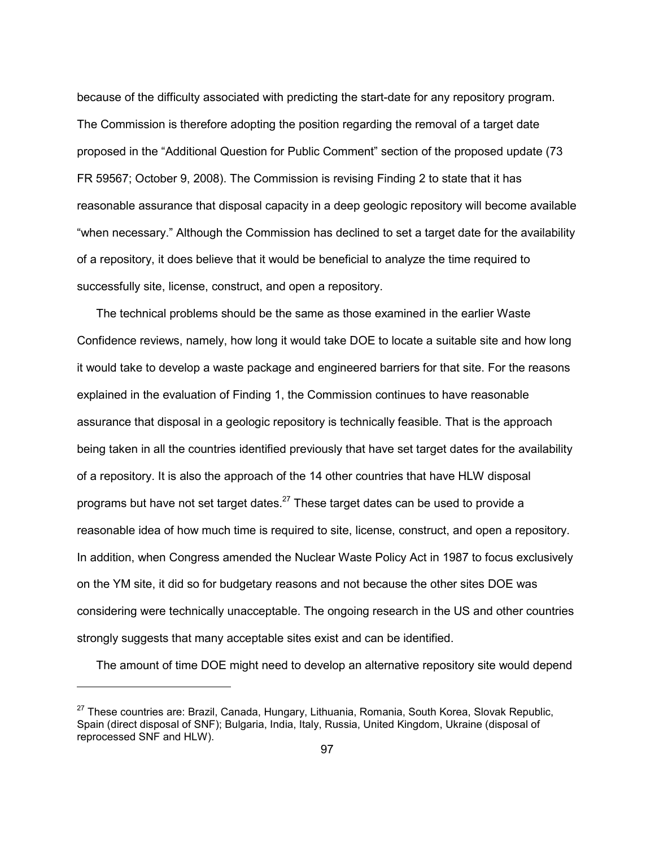because of the difficulty associated with predicting the start-date for any repository program. The Commission is therefore adopting the position regarding the removal of a target date proposed in the "Additional Question for Public Comment" section of the proposed update (73 FR 59567; October 9, 2008). The Commission is revising Finding 2 to state that it has reasonable assurance that disposal capacity in a deep geologic repository will become available "when necessary." Although the Commission has declined to set a target date for the availability of a repository, it does believe that it would be beneficial to analyze the time required to successfully site, license, construct, and open a repository.

 The technical problems should be the same as those examined in the earlier Waste Confidence reviews, namely, how long it would take DOE to locate a suitable site and how long it would take to develop a waste package and engineered barriers for that site. For the reasons explained in the evaluation of Finding 1, the Commission continues to have reasonable assurance that disposal in a geologic repository is technically feasible. That is the approach being taken in all the countries identified previously that have set target dates for the availability of a repository. It is also the approach of the 14 other countries that have HLW disposal programs but have not set target dates. $27$  These target dates can be used to provide a reasonable idea of how much time is required to site, license, construct, and open a repository. In addition, when Congress amended the Nuclear Waste Policy Act in 1987 to focus exclusively on the YM site, it did so for budgetary reasons and not because the other sites DOE was considering were technically unacceptable. The ongoing research in the US and other countries strongly suggests that many acceptable sites exist and can be identified.

The amount of time DOE might need to develop an alternative repository site would depend

<sup>&</sup>lt;sup>27</sup> These countries are: Brazil, Canada, Hungary, Lithuania, Romania, South Korea, Slovak Republic, Spain (direct disposal of SNF); Bulgaria, India, Italy, Russia, United Kingdom, Ukraine (disposal of reprocessed SNF and HLW).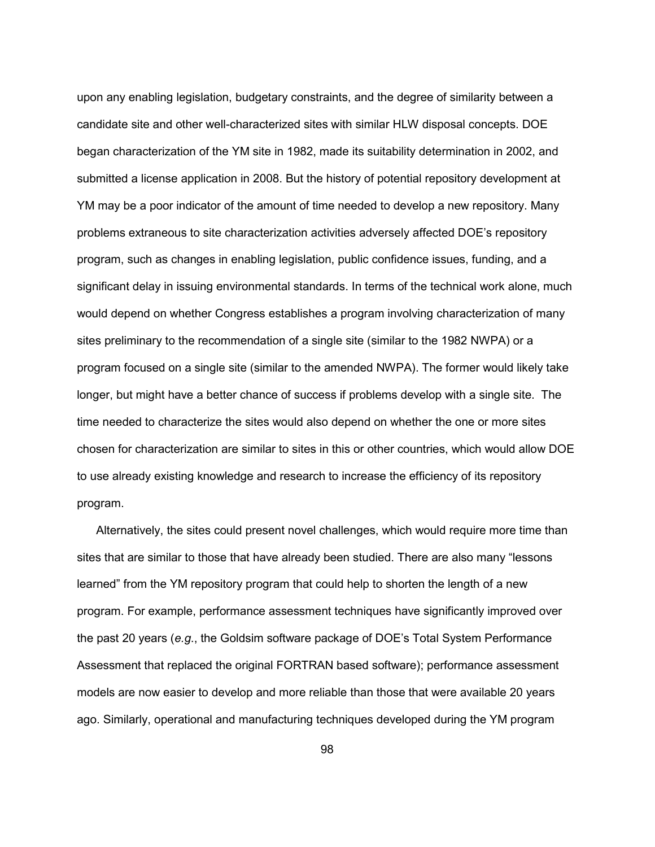upon any enabling legislation, budgetary constraints, and the degree of similarity between a candidate site and other well-characterized sites with similar HLW disposal concepts. DOE began characterization of the YM site in 1982, made its suitability determination in 2002, and submitted a license application in 2008. But the history of potential repository development at YM may be a poor indicator of the amount of time needed to develop a new repository. Many problems extraneous to site characterization activities adversely affected DOE's repository program, such as changes in enabling legislation, public confidence issues, funding, and a significant delay in issuing environmental standards. In terms of the technical work alone, much would depend on whether Congress establishes a program involving characterization of many sites preliminary to the recommendation of a single site (similar to the 1982 NWPA) or a program focused on a single site (similar to the amended NWPA). The former would likely take longer, but might have a better chance of success if problems develop with a single site. The time needed to characterize the sites would also depend on whether the one or more sites chosen for characterization are similar to sites in this or other countries, which would allow DOE to use already existing knowledge and research to increase the efficiency of its repository program.

 Alternatively, the sites could present novel challenges, which would require more time than sites that are similar to those that have already been studied. There are also many "lessons learned" from the YM repository program that could help to shorten the length of a new program. For example, performance assessment techniques have significantly improved over the past 20 years (*e.g*., the Goldsim software package of DOE's Total System Performance Assessment that replaced the original FORTRAN based software); performance assessment models are now easier to develop and more reliable than those that were available 20 years ago. Similarly, operational and manufacturing techniques developed during the YM program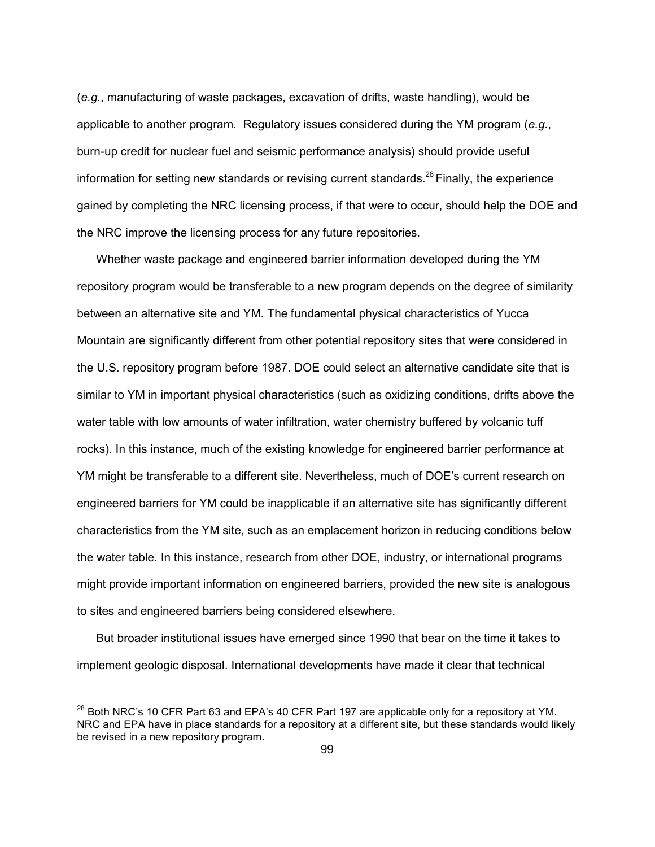(*e.g.*, manufacturing of waste packages, excavation of drifts, waste handling), would be applicable to another program. Regulatory issues considered during the YM program (*e.g*., burn-up credit for nuclear fuel and seismic performance analysis) should provide useful information for setting new standards or revising current standards.<sup>28</sup> Finally, the experience gained by completing the NRC licensing process, if that were to occur, should help the DOE and the NRC improve the licensing process for any future repositories.

 Whether waste package and engineered barrier information developed during the YM repository program would be transferable to a new program depends on the degree of similarity between an alternative site and YM. The fundamental physical characteristics of Yucca Mountain are significantly different from other potential repository sites that were considered in the U.S. repository program before 1987. DOE could select an alternative candidate site that is similar to YM in important physical characteristics (such as oxidizing conditions, drifts above the water table with low amounts of water infiltration, water chemistry buffered by volcanic tuff rocks). In this instance, much of the existing knowledge for engineered barrier performance at YM might be transferable to a different site. Nevertheless, much of DOE's current research on engineered barriers for YM could be inapplicable if an alternative site has significantly different characteristics from the YM site, such as an emplacement horizon in reducing conditions below the water table. In this instance, research from other DOE, industry, or international programs might provide important information on engineered barriers, provided the new site is analogous to sites and engineered barriers being considered elsewhere.

 But broader institutional issues have emerged since 1990 that bear on the time it takes to implement geologic disposal. International developments have made it clear that technical

<sup>&</sup>lt;sup>28</sup> Both NRC's 10 CFR Part 63 and EPA's 40 CFR Part 197 are applicable only for a repository at YM. NRC and EPA have in place standards for a repository at a different site, but these standards would likely be revised in a new repository program.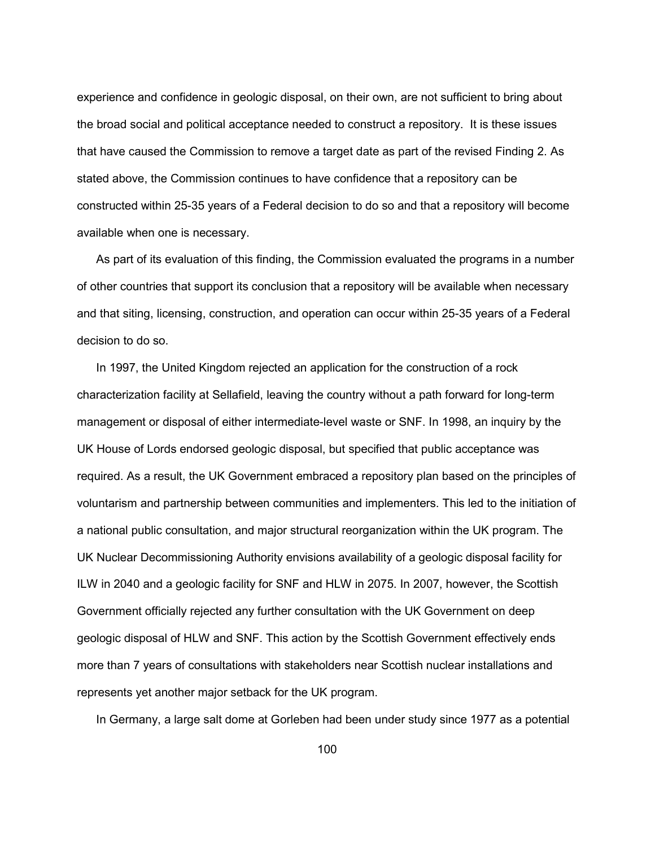experience and confidence in geologic disposal, on their own, are not sufficient to bring about the broad social and political acceptance needed to construct a repository. It is these issues that have caused the Commission to remove a target date as part of the revised Finding 2. As stated above, the Commission continues to have confidence that a repository can be constructed within 25-35 years of a Federal decision to do so and that a repository will become available when one is necessary.

 As part of its evaluation of this finding, the Commission evaluated the programs in a number of other countries that support its conclusion that a repository will be available when necessary and that siting, licensing, construction, and operation can occur within 25-35 years of a Federal decision to do so.

 In 1997, the United Kingdom rejected an application for the construction of a rock characterization facility at Sellafield, leaving the country without a path forward for long-term management or disposal of either intermediate-level waste or SNF. In 1998, an inquiry by the UK House of Lords endorsed geologic disposal, but specified that public acceptance was required. As a result, the UK Government embraced a repository plan based on the principles of voluntarism and partnership between communities and implementers. This led to the initiation of a national public consultation, and major structural reorganization within the UK program. The UK Nuclear Decommissioning Authority envisions availability of a geologic disposal facility for ILW in 2040 and a geologic facility for SNF and HLW in 2075. In 2007, however, the Scottish Government officially rejected any further consultation with the UK Government on deep geologic disposal of HLW and SNF. This action by the Scottish Government effectively ends more than 7 years of consultations with stakeholders near Scottish nuclear installations and represents yet another major setback for the UK program.

In Germany, a large salt dome at Gorleben had been under study since 1977 as a potential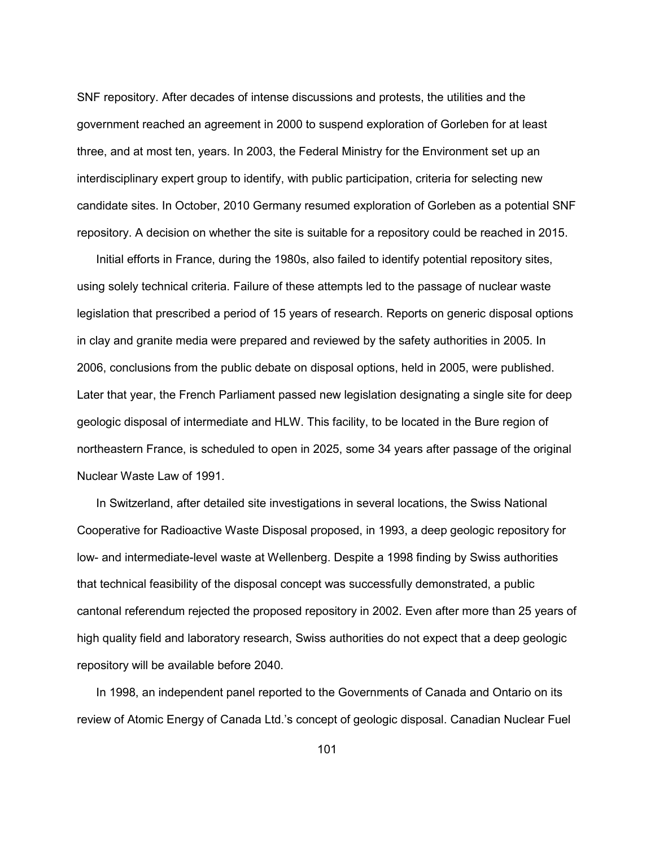SNF repository. After decades of intense discussions and protests, the utilities and the government reached an agreement in 2000 to suspend exploration of Gorleben for at least three, and at most ten, years. In 2003, the Federal Ministry for the Environment set up an interdisciplinary expert group to identify, with public participation, criteria for selecting new candidate sites. In October, 2010 Germany resumed exploration of Gorleben as a potential SNF repository. A decision on whether the site is suitable for a repository could be reached in 2015.

 Initial efforts in France, during the 1980s, also failed to identify potential repository sites, using solely technical criteria. Failure of these attempts led to the passage of nuclear waste legislation that prescribed a period of 15 years of research. Reports on generic disposal options in clay and granite media were prepared and reviewed by the safety authorities in 2005. In 2006, conclusions from the public debate on disposal options, held in 2005, were published. Later that year, the French Parliament passed new legislation designating a single site for deep geologic disposal of intermediate and HLW. This facility, to be located in the Bure region of northeastern France, is scheduled to open in 2025, some 34 years after passage of the original Nuclear Waste Law of 1991.

 In Switzerland, after detailed site investigations in several locations, the Swiss National Cooperative for Radioactive Waste Disposal proposed, in 1993, a deep geologic repository for low- and intermediate-level waste at Wellenberg. Despite a 1998 finding by Swiss authorities that technical feasibility of the disposal concept was successfully demonstrated, a public cantonal referendum rejected the proposed repository in 2002. Even after more than 25 years of high quality field and laboratory research, Swiss authorities do not expect that a deep geologic repository will be available before 2040.

 In 1998, an independent panel reported to the Governments of Canada and Ontario on its review of Atomic Energy of Canada Ltd.'s concept of geologic disposal. Canadian Nuclear Fuel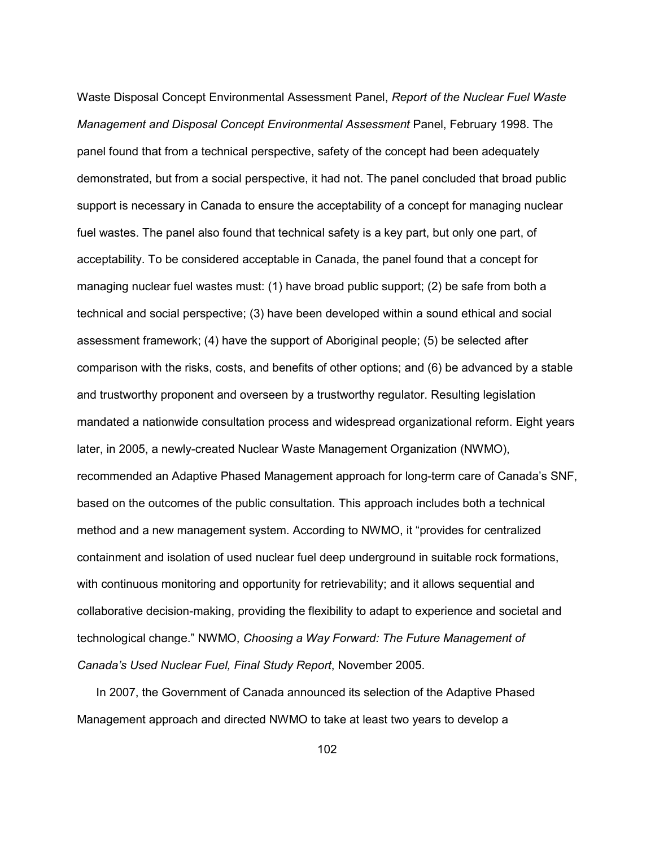Waste Disposal Concept Environmental Assessment Panel, *Report of the Nuclear Fuel Waste Management and Disposal Concept Environmental Assessment* Panel, February 1998. The panel found that from a technical perspective, safety of the concept had been adequately demonstrated, but from a social perspective, it had not. The panel concluded that broad public support is necessary in Canada to ensure the acceptability of a concept for managing nuclear fuel wastes. The panel also found that technical safety is a key part, but only one part, of acceptability. To be considered acceptable in Canada, the panel found that a concept for managing nuclear fuel wastes must: (1) have broad public support; (2) be safe from both a technical and social perspective; (3) have been developed within a sound ethical and social assessment framework; (4) have the support of Aboriginal people; (5) be selected after comparison with the risks, costs, and benefits of other options; and (6) be advanced by a stable and trustworthy proponent and overseen by a trustworthy regulator. Resulting legislation mandated a nationwide consultation process and widespread organizational reform. Eight years later, in 2005, a newly-created Nuclear Waste Management Organization (NWMO), recommended an Adaptive Phased Management approach for long-term care of Canada's SNF, based on the outcomes of the public consultation. This approach includes both a technical method and a new management system. According to NWMO, it "provides for centralized containment and isolation of used nuclear fuel deep underground in suitable rock formations, with continuous monitoring and opportunity for retrievability; and it allows sequential and collaborative decision-making, providing the flexibility to adapt to experience and societal and technological change." NWMO, *Choosing a Way Forward: The Future Management of Canada's Used Nuclear Fuel, Final Study Report*, November 2005.

 In 2007, the Government of Canada announced its selection of the Adaptive Phased Management approach and directed NWMO to take at least two years to develop a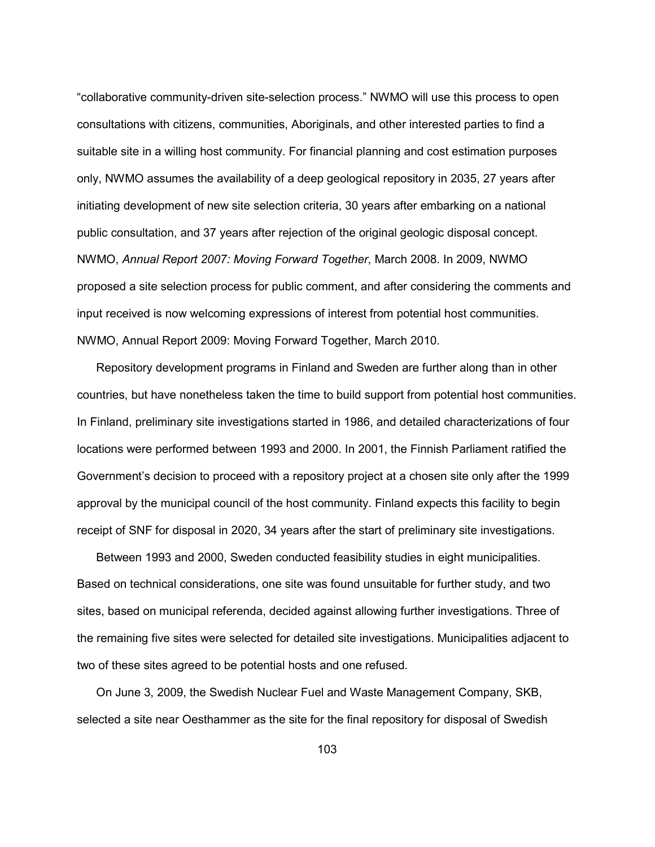"collaborative community-driven site-selection process." NWMO will use this process to open consultations with citizens, communities, Aboriginals, and other interested parties to find a suitable site in a willing host community. For financial planning and cost estimation purposes only, NWMO assumes the availability of a deep geological repository in 2035, 27 years after initiating development of new site selection criteria, 30 years after embarking on a national public consultation, and 37 years after rejection of the original geologic disposal concept. NWMO, *Annual Report 2007: Moving Forward Together*, March 2008. In 2009, NWMO proposed a site selection process for public comment, and after considering the comments and input received is now welcoming expressions of interest from potential host communities. NWMO, Annual Report 2009: Moving Forward Together, March 2010.

 Repository development programs in Finland and Sweden are further along than in other countries, but have nonetheless taken the time to build support from potential host communities. In Finland, preliminary site investigations started in 1986, and detailed characterizations of four locations were performed between 1993 and 2000. In 2001, the Finnish Parliament ratified the Government's decision to proceed with a repository project at a chosen site only after the 1999 approval by the municipal council of the host community. Finland expects this facility to begin receipt of SNF for disposal in 2020, 34 years after the start of preliminary site investigations.

 Between 1993 and 2000, Sweden conducted feasibility studies in eight municipalities. Based on technical considerations, one site was found unsuitable for further study, and two sites, based on municipal referenda, decided against allowing further investigations. Three of the remaining five sites were selected for detailed site investigations. Municipalities adjacent to two of these sites agreed to be potential hosts and one refused.

 On June 3, 2009, the Swedish Nuclear Fuel and Waste Management Company, SKB, selected a site near Oesthammer as the site for the final repository for disposal of Swedish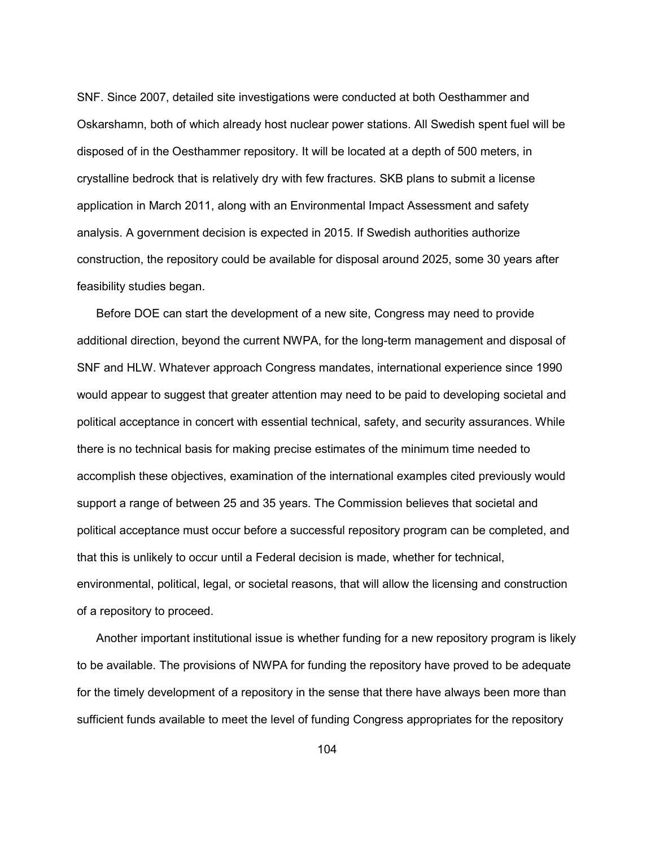SNF. Since 2007, detailed site investigations were conducted at both Oesthammer and Oskarshamn, both of which already host nuclear power stations. All Swedish spent fuel will be disposed of in the Oesthammer repository. It will be located at a depth of 500 meters, in crystalline bedrock that is relatively dry with few fractures. SKB plans to submit a license application in March 2011, along with an Environmental Impact Assessment and safety analysis. A government decision is expected in 2015. If Swedish authorities authorize construction, the repository could be available for disposal around 2025, some 30 years after feasibility studies began.

 Before DOE can start the development of a new site, Congress may need to provide additional direction, beyond the current NWPA, for the long-term management and disposal of SNF and HLW. Whatever approach Congress mandates, international experience since 1990 would appear to suggest that greater attention may need to be paid to developing societal and political acceptance in concert with essential technical, safety, and security assurances. While there is no technical basis for making precise estimates of the minimum time needed to accomplish these objectives, examination of the international examples cited previously would support a range of between 25 and 35 years. The Commission believes that societal and political acceptance must occur before a successful repository program can be completed, and that this is unlikely to occur until a Federal decision is made, whether for technical, environmental, political, legal, or societal reasons, that will allow the licensing and construction of a repository to proceed.

 Another important institutional issue is whether funding for a new repository program is likely to be available. The provisions of NWPA for funding the repository have proved to be adequate for the timely development of a repository in the sense that there have always been more than sufficient funds available to meet the level of funding Congress appropriates for the repository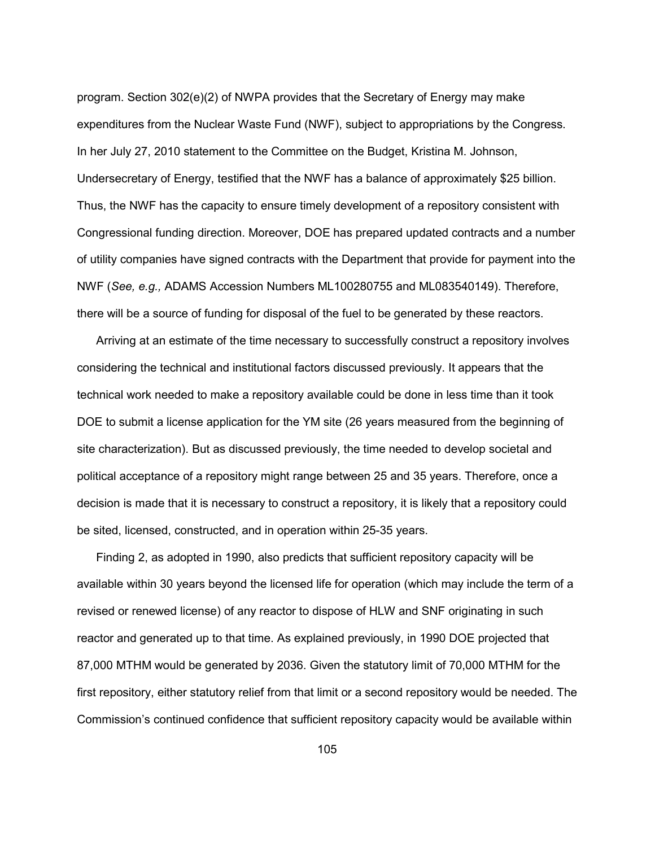program. Section 302(e)(2) of NWPA provides that the Secretary of Energy may make expenditures from the Nuclear Waste Fund (NWF), subject to appropriations by the Congress. In her July 27, 2010 statement to the Committee on the Budget, Kristina M. Johnson, Undersecretary of Energy, testified that the NWF has a balance of approximately \$25 billion. Thus, the NWF has the capacity to ensure timely development of a repository consistent with Congressional funding direction. Moreover, DOE has prepared updated contracts and a number of utility companies have signed contracts with the Department that provide for payment into the NWF (*See, e.g.,* ADAMS Accession Numbers ML100280755 and ML083540149). Therefore, there will be a source of funding for disposal of the fuel to be generated by these reactors.

 Arriving at an estimate of the time necessary to successfully construct a repository involves considering the technical and institutional factors discussed previously. It appears that the technical work needed to make a repository available could be done in less time than it took DOE to submit a license application for the YM site (26 years measured from the beginning of site characterization). But as discussed previously, the time needed to develop societal and political acceptance of a repository might range between 25 and 35 years. Therefore, once a decision is made that it is necessary to construct a repository, it is likely that a repository could be sited, licensed, constructed, and in operation within 25-35 years.

 Finding 2, as adopted in 1990, also predicts that sufficient repository capacity will be available within 30 years beyond the licensed life for operation (which may include the term of a revised or renewed license) of any reactor to dispose of HLW and SNF originating in such reactor and generated up to that time. As explained previously, in 1990 DOE projected that 87,000 MTHM would be generated by 2036. Given the statutory limit of 70,000 MTHM for the first repository, either statutory relief from that limit or a second repository would be needed. The Commission's continued confidence that sufficient repository capacity would be available within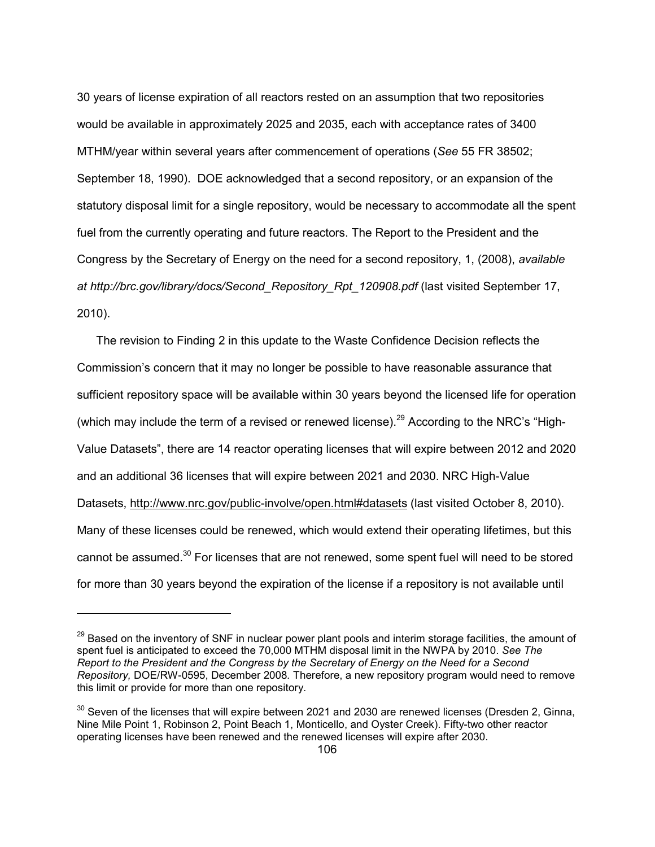30 years of license expiration of all reactors rested on an assumption that two repositories would be available in approximately 2025 and 2035, each with acceptance rates of 3400 MTHM/year within several years after commencement of operations (*See* 55 FR 38502; September 18, 1990). DOE acknowledged that a second repository, or an expansion of the statutory disposal limit for a single repository, would be necessary to accommodate all the spent fuel from the currently operating and future reactors. The Report to the President and the Congress by the Secretary of Energy on the need for a second repository, 1, (2008), *available at http://brc.gov/library/docs/Second\_Repository\_Rpt\_120908.pdf* (last visited September 17, 2010).

 The revision to Finding 2 in this update to the Waste Confidence Decision reflects the Commission's concern that it may no longer be possible to have reasonable assurance that sufficient repository space will be available within 30 years beyond the licensed life for operation (which may include the term of a revised or renewed license).<sup>29</sup> According to the NRC's "High-Value Datasets", there are 14 reactor operating licenses that will expire between 2012 and 2020 and an additional 36 licenses that will expire between 2021 and 2030. NRC High-Value Datasets, http://www.nrc.gov/public-involve/open.html#datasets (last visited October 8, 2010). Many of these licenses could be renewed, which would extend their operating lifetimes, but this cannot be assumed.<sup>30</sup> For licenses that are not renewed, some spent fuel will need to be stored for more than 30 years beyond the expiration of the license if a repository is not available until

<sup>&</sup>lt;sup>29</sup> Based on the inventory of SNF in nuclear power plant pools and interim storage facilities, the amount of spent fuel is anticipated to exceed the 70,000 MTHM disposal limit in the NWPA by 2010. *See The Report to the President and the Congress by the Secretary of Energy on the Need for a Second Repository,* DOE/RW-0595, December 2008*.* Therefore, a new repository program would need to remove this limit or provide for more than one repository.

 $30$  Seven of the licenses that will expire between 2021 and 2030 are renewed licenses (Dresden 2, Ginna, Nine Mile Point 1, Robinson 2, Point Beach 1, Monticello, and Oyster Creek). Fifty-two other reactor operating licenses have been renewed and the renewed licenses will expire after 2030.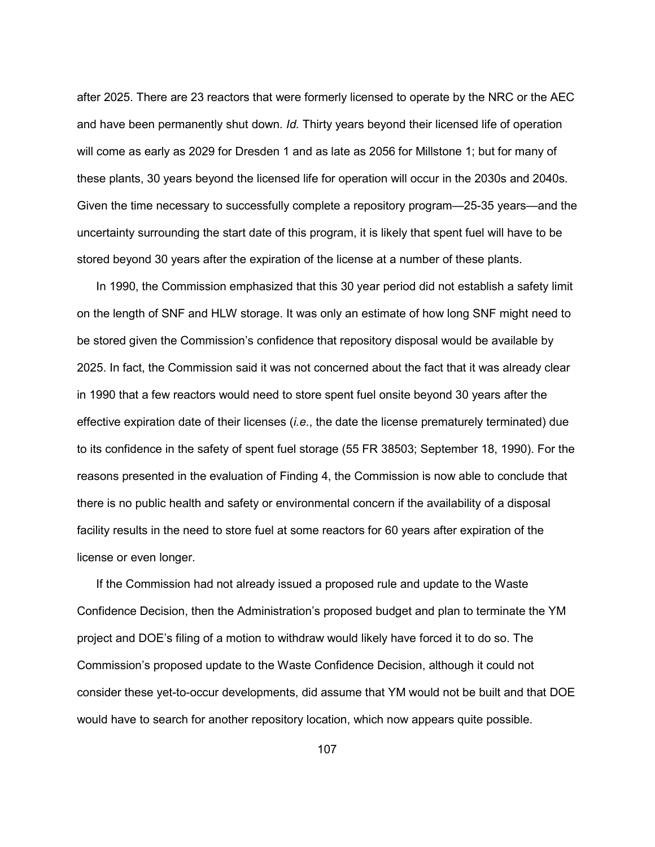after 2025. There are 23 reactors that were formerly licensed to operate by the NRC or the AEC and have been permanently shut down*. Id.* Thirty years beyond their licensed life of operation will come as early as 2029 for Dresden 1 and as late as 2056 for Millstone 1; but for many of these plants, 30 years beyond the licensed life for operation will occur in the 2030s and 2040s. Given the time necessary to successfully complete a repository program—25-35 years—and the uncertainty surrounding the start date of this program, it is likely that spent fuel will have to be stored beyond 30 years after the expiration of the license at a number of these plants.

 In 1990, the Commission emphasized that this 30 year period did not establish a safety limit on the length of SNF and HLW storage. It was only an estimate of how long SNF might need to be stored given the Commission's confidence that repository disposal would be available by 2025. In fact, the Commission said it was not concerned about the fact that it was already clear in 1990 that a few reactors would need to store spent fuel onsite beyond 30 years after the effective expiration date of their licenses (*i.e*., the date the license prematurely terminated) due to its confidence in the safety of spent fuel storage (55 FR 38503; September 18, 1990). For the reasons presented in the evaluation of Finding 4, the Commission is now able to conclude that there is no public health and safety or environmental concern if the availability of a disposal facility results in the need to store fuel at some reactors for 60 years after expiration of the license or even longer.

 If the Commission had not already issued a proposed rule and update to the Waste Confidence Decision, then the Administration's proposed budget and plan to terminate the YM project and DOE's filing of a motion to withdraw would likely have forced it to do so. The Commission's proposed update to the Waste Confidence Decision, although it could not consider these yet-to-occur developments, did assume that YM would not be built and that DOE would have to search for another repository location, which now appears quite possible.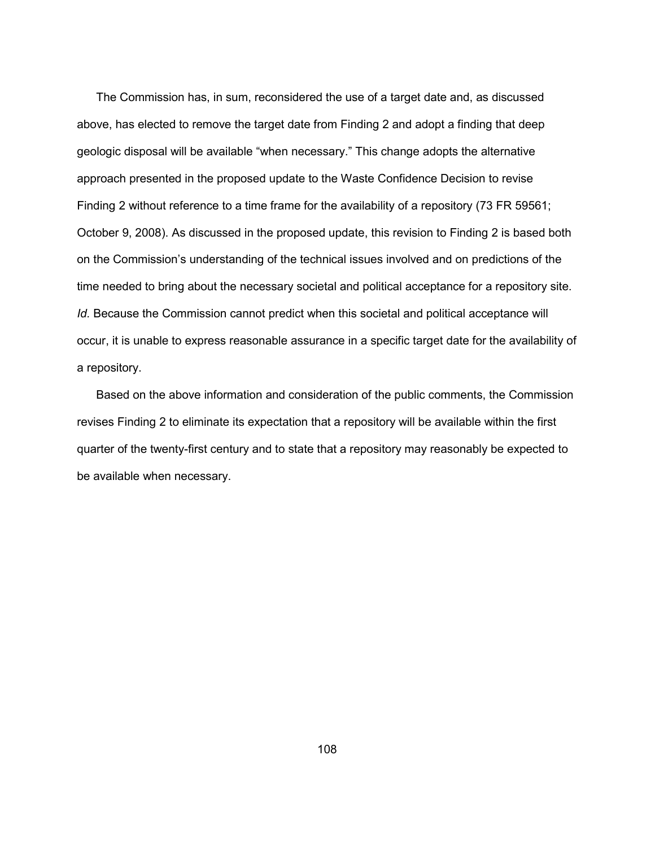The Commission has, in sum, reconsidered the use of a target date and, as discussed above, has elected to remove the target date from Finding 2 and adopt a finding that deep geologic disposal will be available "when necessary." This change adopts the alternative approach presented in the proposed update to the Waste Confidence Decision to revise Finding 2 without reference to a time frame for the availability of a repository (73 FR 59561; October 9, 2008). As discussed in the proposed update, this revision to Finding 2 is based both on the Commission's understanding of the technical issues involved and on predictions of the time needed to bring about the necessary societal and political acceptance for a repository site. *Id.* Because the Commission cannot predict when this societal and political acceptance will occur, it is unable to express reasonable assurance in a specific target date for the availability of a repository.

 Based on the above information and consideration of the public comments, the Commission revises Finding 2 to eliminate its expectation that a repository will be available within the first quarter of the twenty-first century and to state that a repository may reasonably be expected to be available when necessary.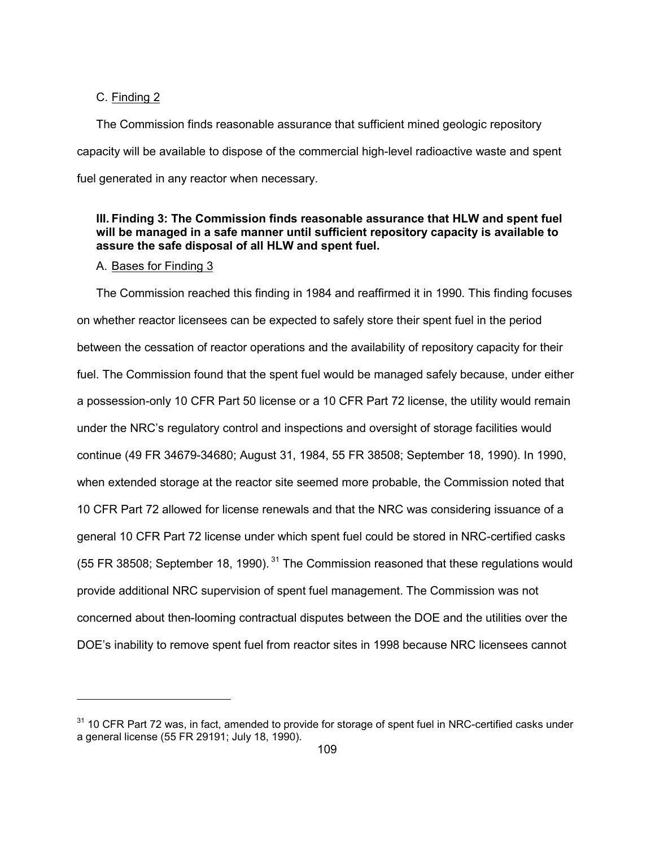## C. Finding 2

The Commission finds reasonable assurance that sufficient mined geologic repository capacity will be available to dispose of the commercial high-level radioactive waste and spent fuel generated in any reactor when necessary.

# **III. Finding 3: The Commission finds reasonable assurance that HLW and spent fuel will be managed in a safe manner until sufficient repository capacity is available to assure the safe disposal of all HLW and spent fuel.**

# A. Bases for Finding 3

-

 The Commission reached this finding in 1984 and reaffirmed it in 1990. This finding focuses on whether reactor licensees can be expected to safely store their spent fuel in the period between the cessation of reactor operations and the availability of repository capacity for their fuel. The Commission found that the spent fuel would be managed safely because, under either a possession-only 10 CFR Part 50 license or a 10 CFR Part 72 license, the utility would remain under the NRC's regulatory control and inspections and oversight of storage facilities would continue (49 FR 34679-34680; August 31, 1984, 55 FR 38508; September 18, 1990). In 1990, when extended storage at the reactor site seemed more probable, the Commission noted that 10 CFR Part 72 allowed for license renewals and that the NRC was considering issuance of a general 10 CFR Part 72 license under which spent fuel could be stored in NRC-certified casks (55 FR 38508; September 18, 1990).  $31$  The Commission reasoned that these regulations would provide additional NRC supervision of spent fuel management. The Commission was not concerned about then-looming contractual disputes between the DOE and the utilities over the DOE's inability to remove spent fuel from reactor sites in 1998 because NRC licensees cannot

<sup>&</sup>lt;sup>31</sup> 10 CFR Part 72 was, in fact, amended to provide for storage of spent fuel in NRC-certified casks under a general license (55 FR 29191; July 18, 1990).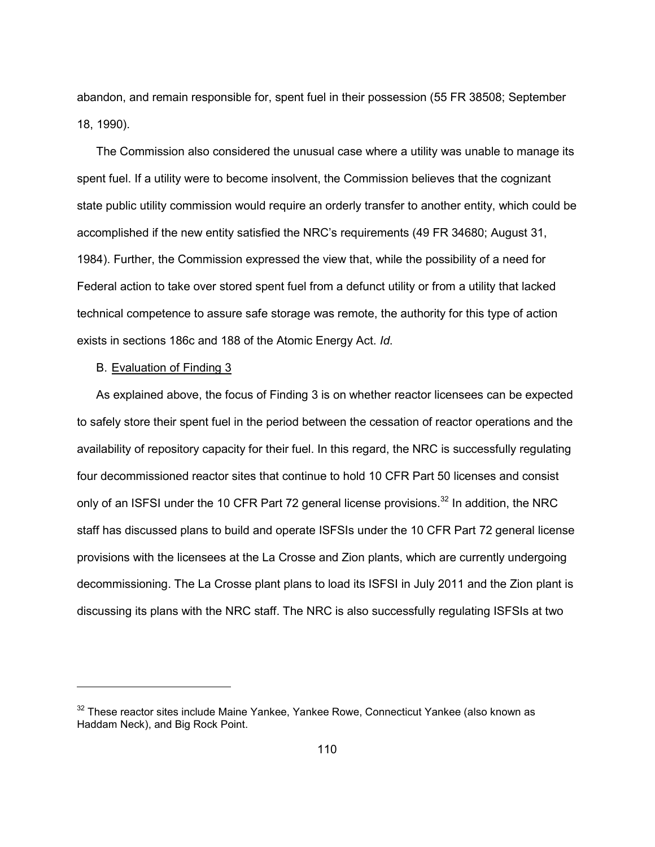abandon, and remain responsible for, spent fuel in their possession (55 FR 38508; September 18, 1990).

 The Commission also considered the unusual case where a utility was unable to manage its spent fuel. If a utility were to become insolvent, the Commission believes that the cognizant state public utility commission would require an orderly transfer to another entity, which could be accomplished if the new entity satisfied the NRC's requirements (49 FR 34680; August 31, 1984). Further, the Commission expressed the view that, while the possibility of a need for Federal action to take over stored spent fuel from a defunct utility or from a utility that lacked technical competence to assure safe storage was remote, the authority for this type of action exists in sections 186c and 188 of the Atomic Energy Act. *Id*.

# B. Evaluation of Finding 3

-

 As explained above, the focus of Finding 3 is on whether reactor licensees can be expected to safely store their spent fuel in the period between the cessation of reactor operations and the availability of repository capacity for their fuel. In this regard, the NRC is successfully regulating four decommissioned reactor sites that continue to hold 10 CFR Part 50 licenses and consist only of an ISFSI under the 10 CFR Part 72 general license provisions.<sup>32</sup> In addition, the NRC staff has discussed plans to build and operate ISFSIs under the 10 CFR Part 72 general license provisions with the licensees at the La Crosse and Zion plants, which are currently undergoing decommissioning. The La Crosse plant plans to load its ISFSI in July 2011 and the Zion plant is discussing its plans with the NRC staff. The NRC is also successfully regulating ISFSIs at two

<sup>&</sup>lt;sup>32</sup> These reactor sites include Maine Yankee, Yankee Rowe, Connecticut Yankee (also known as Haddam Neck), and Big Rock Point.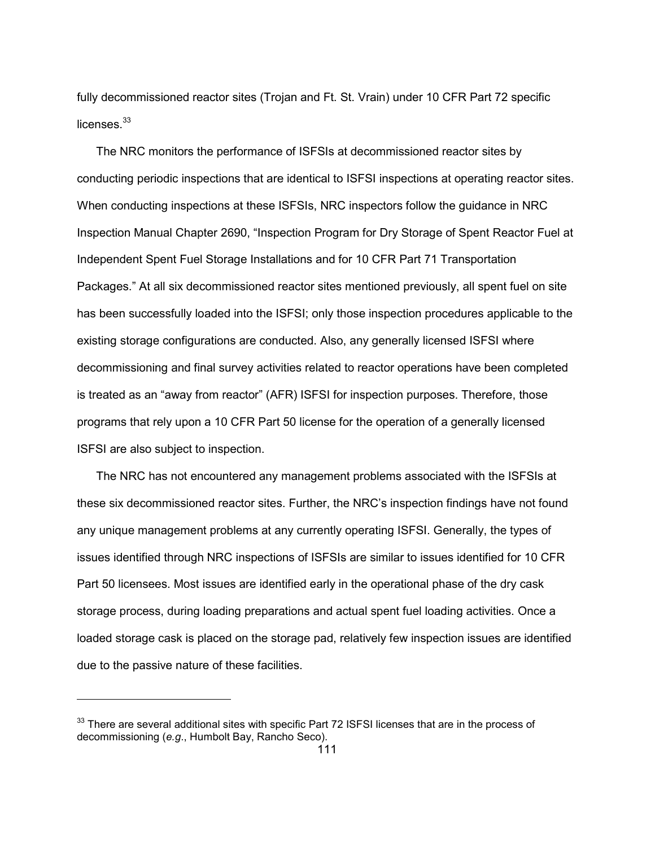fully decommissioned reactor sites (Trojan and Ft. St. Vrain) under 10 CFR Part 72 specific licenses.<sup>33</sup>

 The NRC monitors the performance of ISFSIs at decommissioned reactor sites by conducting periodic inspections that are identical to ISFSI inspections at operating reactor sites. When conducting inspections at these ISFSIs, NRC inspectors follow the guidance in NRC Inspection Manual Chapter 2690, "Inspection Program for Dry Storage of Spent Reactor Fuel at Independent Spent Fuel Storage Installations and for 10 CFR Part 71 Transportation Packages." At all six decommissioned reactor sites mentioned previously, all spent fuel on site has been successfully loaded into the ISFSI; only those inspection procedures applicable to the existing storage configurations are conducted. Also, any generally licensed ISFSI where decommissioning and final survey activities related to reactor operations have been completed is treated as an "away from reactor" (AFR) ISFSI for inspection purposes. Therefore, those programs that rely upon a 10 CFR Part 50 license for the operation of a generally licensed ISFSI are also subject to inspection.

 The NRC has not encountered any management problems associated with the ISFSIs at these six decommissioned reactor sites. Further, the NRC's inspection findings have not found any unique management problems at any currently operating ISFSI. Generally, the types of issues identified through NRC inspections of ISFSIs are similar to issues identified for 10 CFR Part 50 licensees. Most issues are identified early in the operational phase of the dry cask storage process, during loading preparations and actual spent fuel loading activities. Once a loaded storage cask is placed on the storage pad, relatively few inspection issues are identified due to the passive nature of these facilities.

-

<sup>&</sup>lt;sup>33</sup> There are several additional sites with specific Part 72 ISFSI licenses that are in the process of decommissioning (*e.g*., Humbolt Bay, Rancho Seco).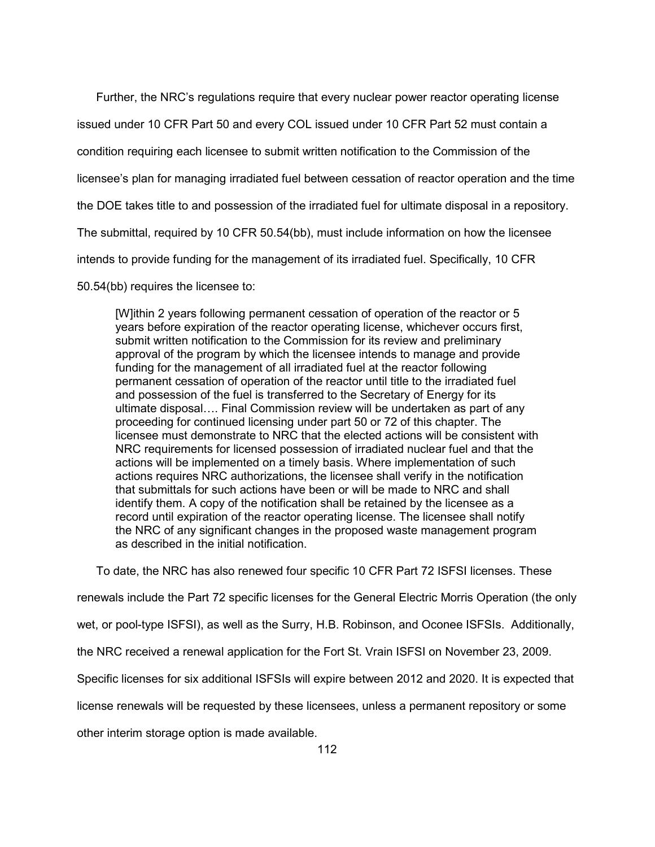Further, the NRC's regulations require that every nuclear power reactor operating license issued under 10 CFR Part 50 and every COL issued under 10 CFR Part 52 must contain a condition requiring each licensee to submit written notification to the Commission of the licensee's plan for managing irradiated fuel between cessation of reactor operation and the time the DOE takes title to and possession of the irradiated fuel for ultimate disposal in a repository. The submittal, required by 10 CFR 50.54(bb), must include information on how the licensee intends to provide funding for the management of its irradiated fuel. Specifically, 10 CFR

50.54(bb) requires the licensee to:

[W]ithin 2 years following permanent cessation of operation of the reactor or 5 years before expiration of the reactor operating license, whichever occurs first, submit written notification to the Commission for its review and preliminary approval of the program by which the licensee intends to manage and provide funding for the management of all irradiated fuel at the reactor following permanent cessation of operation of the reactor until title to the irradiated fuel and possession of the fuel is transferred to the Secretary of Energy for its ultimate disposal…. Final Commission review will be undertaken as part of any proceeding for continued licensing under part 50 or 72 of this chapter. The licensee must demonstrate to NRC that the elected actions will be consistent with NRC requirements for licensed possession of irradiated nuclear fuel and that the actions will be implemented on a timely basis. Where implementation of such actions requires NRC authorizations, the licensee shall verify in the notification that submittals for such actions have been or will be made to NRC and shall identify them. A copy of the notification shall be retained by the licensee as a record until expiration of the reactor operating license. The licensee shall notify the NRC of any significant changes in the proposed waste management program as described in the initial notification.

 To date, the NRC has also renewed four specific 10 CFR Part 72 ISFSI licenses. These renewals include the Part 72 specific licenses for the General Electric Morris Operation (the only wet, or pool-type ISFSI), as well as the Surry, H.B. Robinson, and Oconee ISFSIs. Additionally, the NRC received a renewal application for the Fort St. Vrain ISFSI on November 23, 2009. Specific licenses for six additional ISFSIs will expire between 2012 and 2020. It is expected that license renewals will be requested by these licensees, unless a permanent repository or some other interim storage option is made available.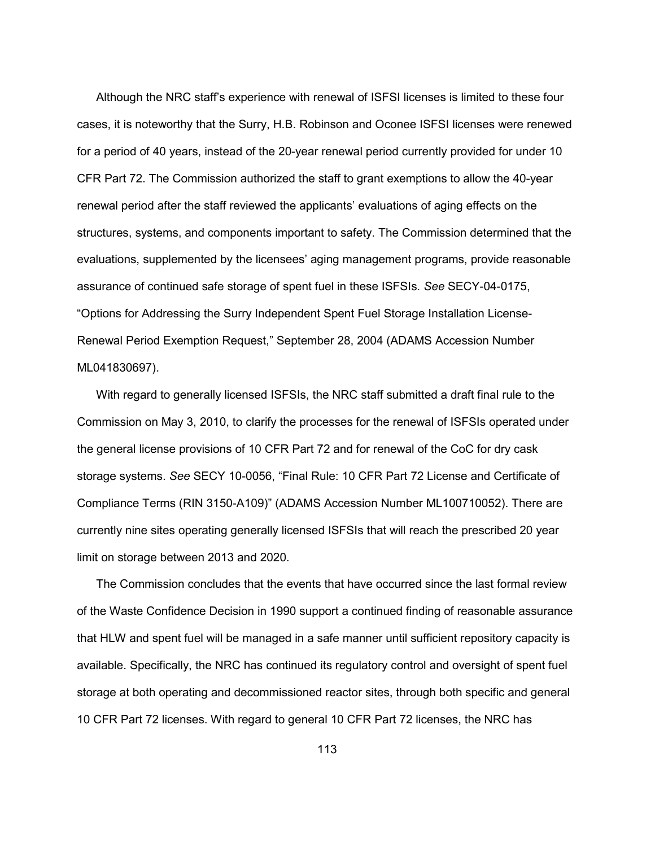Although the NRC staff's experience with renewal of ISFSI licenses is limited to these four cases, it is noteworthy that the Surry, H.B. Robinson and Oconee ISFSI licenses were renewed for a period of 40 years, instead of the 20-year renewal period currently provided for under 10 CFR Part 72. The Commission authorized the staff to grant exemptions to allow the 40-year renewal period after the staff reviewed the applicants' evaluations of aging effects on the structures, systems, and components important to safety. The Commission determined that the evaluations, supplemented by the licensees' aging management programs, provide reasonable assurance of continued safe storage of spent fuel in these ISFSIs. *See* SECY-04-0175, "Options for Addressing the Surry Independent Spent Fuel Storage Installation License-Renewal Period Exemption Request," September 28, 2004 (ADAMS Accession Number ML041830697).

 With regard to generally licensed ISFSIs, the NRC staff submitted a draft final rule to the Commission on May 3, 2010, to clarify the processes for the renewal of ISFSIs operated under the general license provisions of 10 CFR Part 72 and for renewal of the CoC for dry cask storage systems. *See* SECY 10-0056, "Final Rule: 10 CFR Part 72 License and Certificate of Compliance Terms (RIN 3150-A109)" (ADAMS Accession Number ML100710052). There are currently nine sites operating generally licensed ISFSIs that will reach the prescribed 20 year limit on storage between 2013 and 2020.

 The Commission concludes that the events that have occurred since the last formal review of the Waste Confidence Decision in 1990 support a continued finding of reasonable assurance that HLW and spent fuel will be managed in a safe manner until sufficient repository capacity is available. Specifically, the NRC has continued its regulatory control and oversight of spent fuel storage at both operating and decommissioned reactor sites, through both specific and general 10 CFR Part 72 licenses. With regard to general 10 CFR Part 72 licenses, the NRC has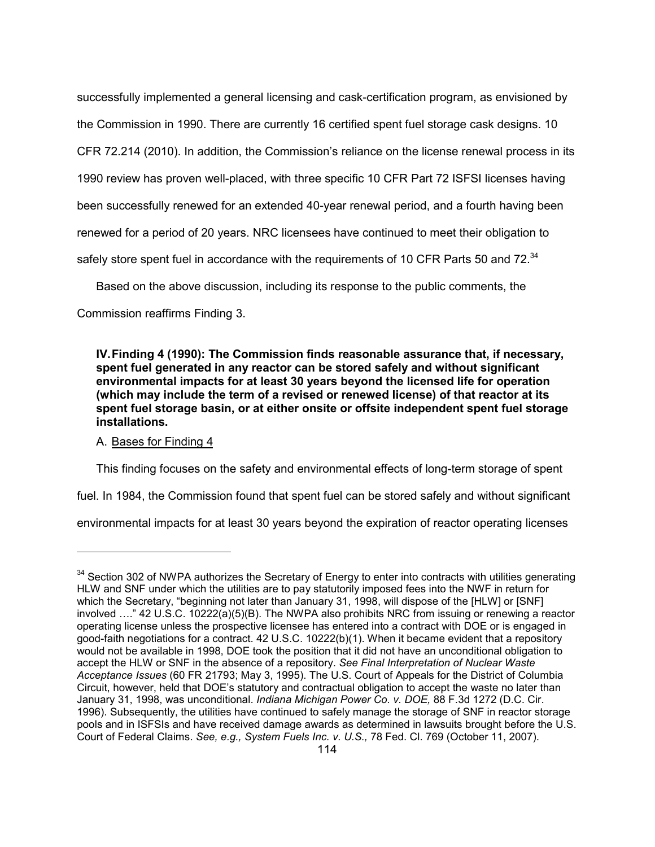successfully implemented a general licensing and cask-certification program, as envisioned by the Commission in 1990. There are currently 16 certified spent fuel storage cask designs. 10 CFR 72.214 (2010). In addition, the Commission's reliance on the license renewal process in its 1990 review has proven well-placed, with three specific 10 CFR Part 72 ISFSI licenses having been successfully renewed for an extended 40-year renewal period, and a fourth having been renewed for a period of 20 years. NRC licensees have continued to meet their obligation to safely store spent fuel in accordance with the requirements of 10 CFR Parts 50 and 72.<sup>34</sup>

Based on the above discussion, including its response to the public comments, the

Commission reaffirms Finding 3.

**IV. Finding 4 (1990): The Commission finds reasonable assurance that, if necessary, spent fuel generated in any reactor can be stored safely and without significant environmental impacts for at least 30 years beyond the licensed life for operation (which may include the term of a revised or renewed license) of that reactor at its spent fuel storage basin, or at either onsite or offsite independent spent fuel storage installations.** 

# A. Bases for Finding 4

-

This finding focuses on the safety and environmental effects of long-term storage of spent

fuel. In 1984, the Commission found that spent fuel can be stored safely and without significant

environmental impacts for at least 30 years beyond the expiration of reactor operating licenses

<sup>&</sup>lt;sup>34</sup> Section 302 of NWPA authorizes the Secretary of Energy to enter into contracts with utilities generating HLW and SNF under which the utilities are to pay statutorily imposed fees into the NWF in return for which the Secretary, "beginning not later than January 31, 1998, will dispose of the [HLW] or [SNF] involved …." 42 U.S.C. 10222(a)(5)(B). The NWPA also prohibits NRC from issuing or renewing a reactor operating license unless the prospective licensee has entered into a contract with DOE or is engaged in good-faith negotiations for a contract. 42 U.S.C. 10222(b)(1). When it became evident that a repository would not be available in 1998, DOE took the position that it did not have an unconditional obligation to accept the HLW or SNF in the absence of a repository. *See Final Interpretation of Nuclear Waste Acceptance Issues* (60 FR 21793; May 3, 1995). The U.S. Court of Appeals for the District of Columbia Circuit, however, held that DOE's statutory and contractual obligation to accept the waste no later than January 31, 1998, was unconditional. *Indiana Michigan Power Co. v. DOE,* 88 F.3d 1272 (D.C. Cir. 1996). Subsequently, the utilities have continued to safely manage the storage of SNF in reactor storage pools and in ISFSIs and have received damage awards as determined in lawsuits brought before the U.S. Court of Federal Claims. *See, e.g., System Fuels Inc. v. U.S.,* 78 Fed. Cl. 769 (October 11, 2007).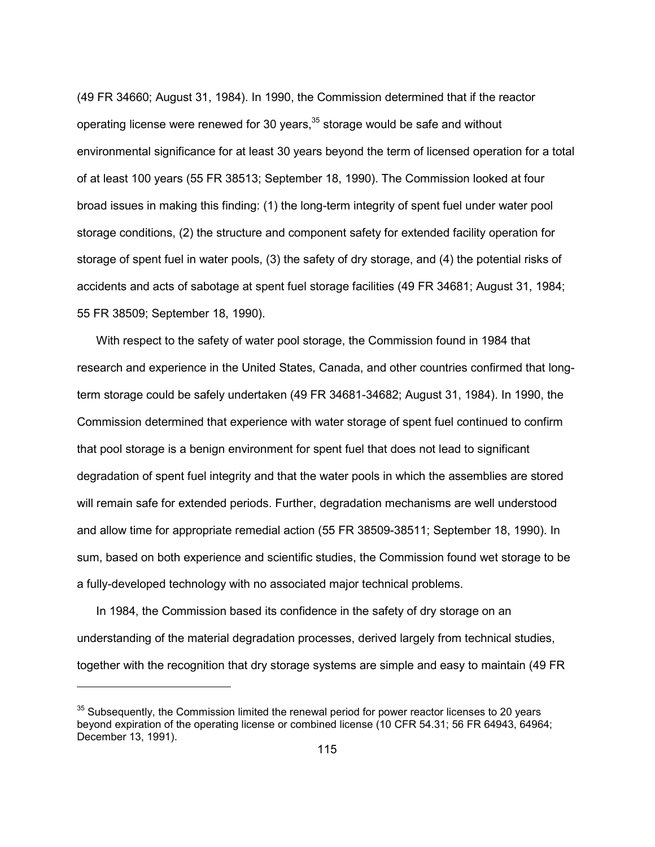(49 FR 34660; August 31, 1984). In 1990, the Commission determined that if the reactor operating license were renewed for 30 years, $35$  storage would be safe and without environmental significance for at least 30 years beyond the term of licensed operation for a total of at least 100 years (55 FR 38513; September 18, 1990). The Commission looked at four broad issues in making this finding: (1) the long-term integrity of spent fuel under water pool storage conditions, (2) the structure and component safety for extended facility operation for storage of spent fuel in water pools, (3) the safety of dry storage, and (4) the potential risks of accidents and acts of sabotage at spent fuel storage facilities (49 FR 34681; August 31, 1984; 55 FR 38509; September 18, 1990).

 With respect to the safety of water pool storage, the Commission found in 1984 that research and experience in the United States, Canada, and other countries confirmed that longterm storage could be safely undertaken (49 FR 34681-34682; August 31, 1984). In 1990, the Commission determined that experience with water storage of spent fuel continued to confirm that pool storage is a benign environment for spent fuel that does not lead to significant degradation of spent fuel integrity and that the water pools in which the assemblies are stored will remain safe for extended periods. Further, degradation mechanisms are well understood and allow time for appropriate remedial action (55 FR 38509-38511; September 18, 1990). In sum, based on both experience and scientific studies, the Commission found wet storage to be a fully-developed technology with no associated major technical problems.

 In 1984, the Commission based its confidence in the safety of dry storage on an understanding of the material degradation processes, derived largely from technical studies, together with the recognition that dry storage systems are simple and easy to maintain (49 FR

-

<sup>&</sup>lt;sup>35</sup> Subsequently, the Commission limited the renewal period for power reactor licenses to 20 years beyond expiration of the operating license or combined license (10 CFR 54.31; 56 FR 64943, 64964; December 13, 1991).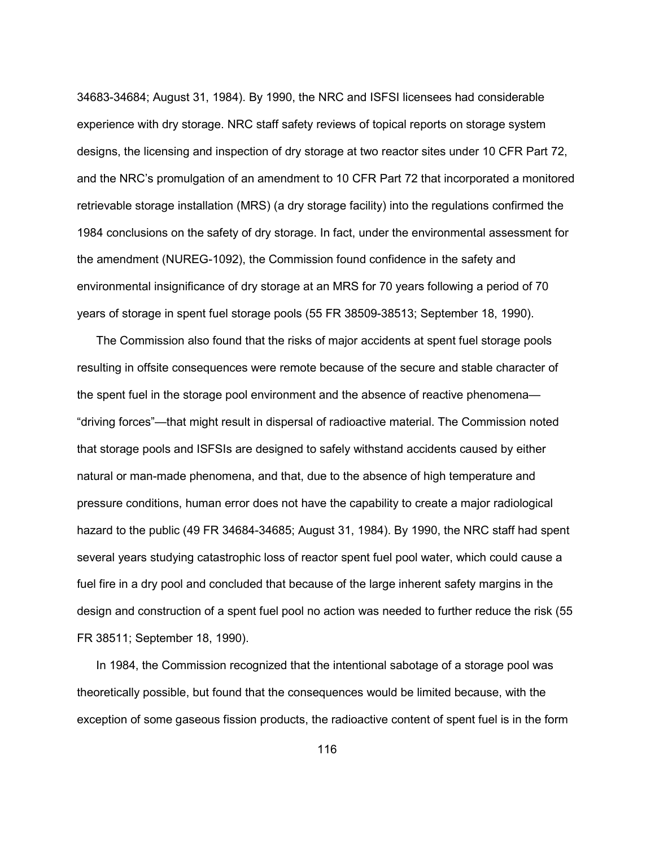34683-34684; August 31, 1984). By 1990, the NRC and ISFSI licensees had considerable experience with dry storage. NRC staff safety reviews of topical reports on storage system designs, the licensing and inspection of dry storage at two reactor sites under 10 CFR Part 72, and the NRC's promulgation of an amendment to 10 CFR Part 72 that incorporated a monitored retrievable storage installation (MRS) (a dry storage facility) into the regulations confirmed the 1984 conclusions on the safety of dry storage. In fact, under the environmental assessment for the amendment (NUREG-1092), the Commission found confidence in the safety and environmental insignificance of dry storage at an MRS for 70 years following a period of 70 years of storage in spent fuel storage pools (55 FR 38509-38513; September 18, 1990).

 The Commission also found that the risks of major accidents at spent fuel storage pools resulting in offsite consequences were remote because of the secure and stable character of the spent fuel in the storage pool environment and the absence of reactive phenomena— "driving forces"—that might result in dispersal of radioactive material. The Commission noted that storage pools and ISFSIs are designed to safely withstand accidents caused by either natural or man-made phenomena, and that, due to the absence of high temperature and pressure conditions, human error does not have the capability to create a major radiological hazard to the public (49 FR 34684-34685; August 31, 1984). By 1990, the NRC staff had spent several years studying catastrophic loss of reactor spent fuel pool water, which could cause a fuel fire in a dry pool and concluded that because of the large inherent safety margins in the design and construction of a spent fuel pool no action was needed to further reduce the risk (55 FR 38511; September 18, 1990).

 In 1984, the Commission recognized that the intentional sabotage of a storage pool was theoretically possible, but found that the consequences would be limited because, with the exception of some gaseous fission products, the radioactive content of spent fuel is in the form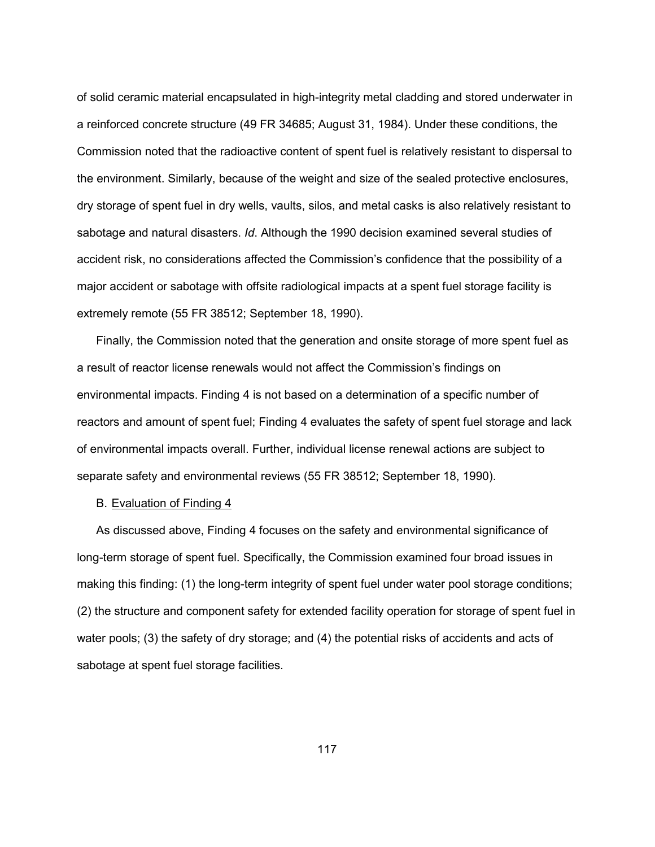of solid ceramic material encapsulated in high-integrity metal cladding and stored underwater in a reinforced concrete structure (49 FR 34685; August 31, 1984). Under these conditions, the Commission noted that the radioactive content of spent fuel is relatively resistant to dispersal to the environment. Similarly, because of the weight and size of the sealed protective enclosures, dry storage of spent fuel in dry wells, vaults, silos, and metal casks is also relatively resistant to sabotage and natural disasters. *Id*. Although the 1990 decision examined several studies of accident risk, no considerations affected the Commission's confidence that the possibility of a major accident or sabotage with offsite radiological impacts at a spent fuel storage facility is extremely remote (55 FR 38512; September 18, 1990).

 Finally, the Commission noted that the generation and onsite storage of more spent fuel as a result of reactor license renewals would not affect the Commission's findings on environmental impacts. Finding 4 is not based on a determination of a specific number of reactors and amount of spent fuel; Finding 4 evaluates the safety of spent fuel storage and lack of environmental impacts overall. Further, individual license renewal actions are subject to separate safety and environmental reviews (55 FR 38512; September 18, 1990).

### B. Evaluation of Finding 4

 As discussed above, Finding 4 focuses on the safety and environmental significance of long-term storage of spent fuel. Specifically, the Commission examined four broad issues in making this finding: (1) the long-term integrity of spent fuel under water pool storage conditions; (2) the structure and component safety for extended facility operation for storage of spent fuel in water pools; (3) the safety of dry storage; and (4) the potential risks of accidents and acts of sabotage at spent fuel storage facilities.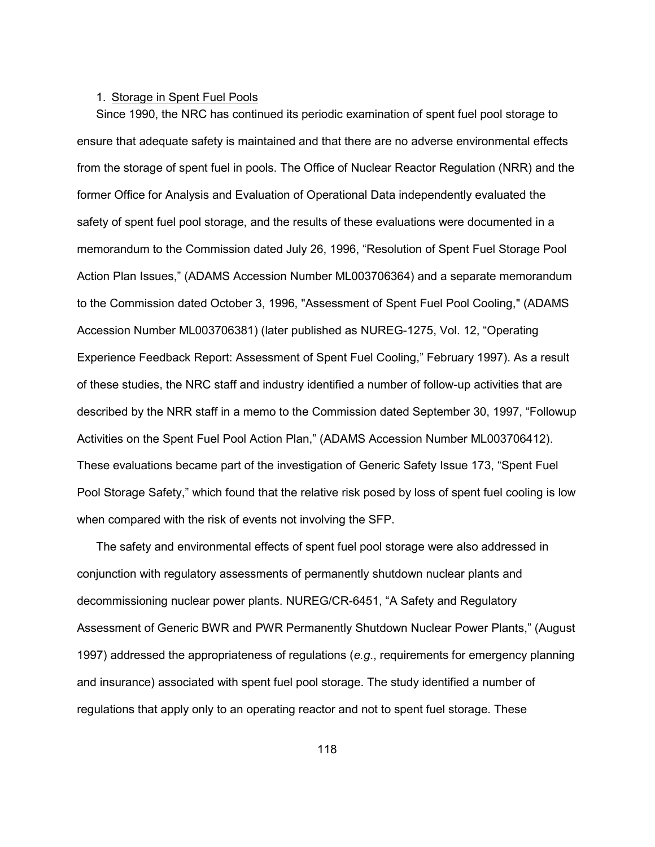## 1. Storage in Spent Fuel Pools

 Since 1990, the NRC has continued its periodic examination of spent fuel pool storage to ensure that adequate safety is maintained and that there are no adverse environmental effects from the storage of spent fuel in pools. The Office of Nuclear Reactor Regulation (NRR) and the former Office for Analysis and Evaluation of Operational Data independently evaluated the safety of spent fuel pool storage, and the results of these evaluations were documented in a memorandum to the Commission dated July 26, 1996, "Resolution of Spent Fuel Storage Pool Action Plan Issues," (ADAMS Accession Number ML003706364) and a separate memorandum to the Commission dated October 3, 1996, "Assessment of Spent Fuel Pool Cooling," (ADAMS Accession Number ML003706381) (later published as NUREG-1275, Vol. 12, "Operating Experience Feedback Report: Assessment of Spent Fuel Cooling," February 1997). As a result of these studies, the NRC staff and industry identified a number of follow-up activities that are described by the NRR staff in a memo to the Commission dated September 30, 1997, "Followup Activities on the Spent Fuel Pool Action Plan," (ADAMS Accession Number ML003706412). These evaluations became part of the investigation of Generic Safety Issue 173, "Spent Fuel Pool Storage Safety," which found that the relative risk posed by loss of spent fuel cooling is low when compared with the risk of events not involving the SFP.

 The safety and environmental effects of spent fuel pool storage were also addressed in conjunction with regulatory assessments of permanently shutdown nuclear plants and decommissioning nuclear power plants. NUREG/CR-6451, "A Safety and Regulatory Assessment of Generic BWR and PWR Permanently Shutdown Nuclear Power Plants," (August 1997) addressed the appropriateness of regulations (*e.g*., requirements for emergency planning and insurance) associated with spent fuel pool storage. The study identified a number of regulations that apply only to an operating reactor and not to spent fuel storage. These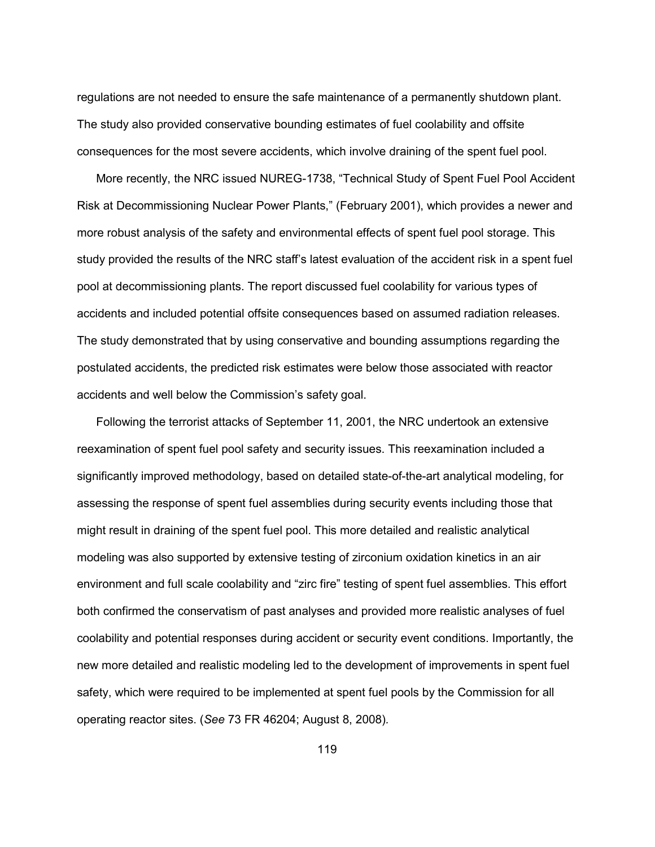regulations are not needed to ensure the safe maintenance of a permanently shutdown plant. The study also provided conservative bounding estimates of fuel coolability and offsite consequences for the most severe accidents, which involve draining of the spent fuel pool.

 More recently, the NRC issued NUREG-1738, "Technical Study of Spent Fuel Pool Accident Risk at Decommissioning Nuclear Power Plants," (February 2001), which provides a newer and more robust analysis of the safety and environmental effects of spent fuel pool storage. This study provided the results of the NRC staff's latest evaluation of the accident risk in a spent fuel pool at decommissioning plants. The report discussed fuel coolability for various types of accidents and included potential offsite consequences based on assumed radiation releases. The study demonstrated that by using conservative and bounding assumptions regarding the postulated accidents, the predicted risk estimates were below those associated with reactor accidents and well below the Commission's safety goal.

 Following the terrorist attacks of September 11, 2001, the NRC undertook an extensive reexamination of spent fuel pool safety and security issues. This reexamination included a significantly improved methodology, based on detailed state-of-the-art analytical modeling, for assessing the response of spent fuel assemblies during security events including those that might result in draining of the spent fuel pool. This more detailed and realistic analytical modeling was also supported by extensive testing of zirconium oxidation kinetics in an air environment and full scale coolability and "zirc fire" testing of spent fuel assemblies. This effort both confirmed the conservatism of past analyses and provided more realistic analyses of fuel coolability and potential responses during accident or security event conditions. Importantly, the new more detailed and realistic modeling led to the development of improvements in spent fuel safety, which were required to be implemented at spent fuel pools by the Commission for all operating reactor sites. (*See* 73 FR 46204; August 8, 2008)*.*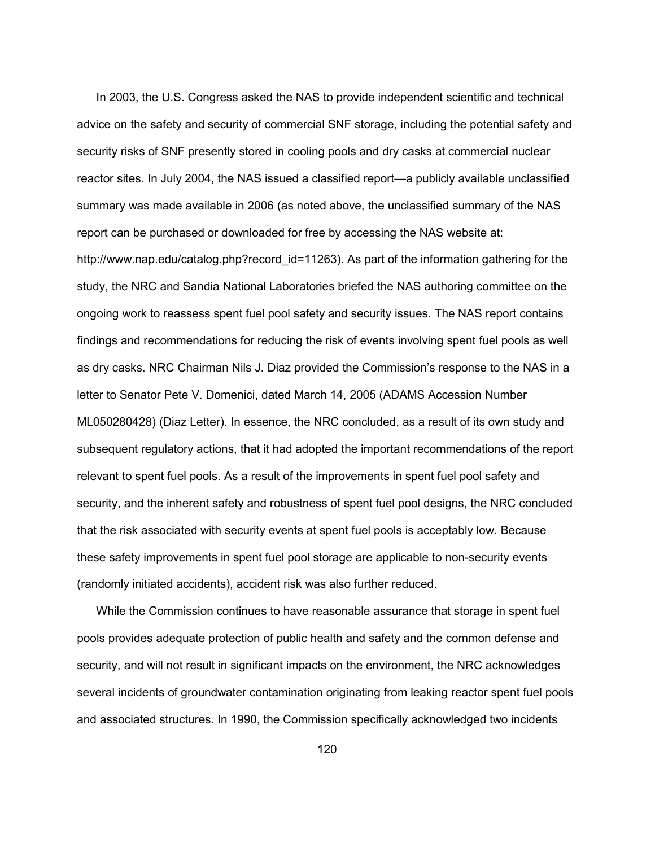In 2003, the U.S. Congress asked the NAS to provide independent scientific and technical advice on the safety and security of commercial SNF storage, including the potential safety and security risks of SNF presently stored in cooling pools and dry casks at commercial nuclear reactor sites. In July 2004, the NAS issued a classified report—a publicly available unclassified summary was made available in 2006 (as noted above, the unclassified summary of the NAS report can be purchased or downloaded for free by accessing the NAS website at: http://www.nap.edu/catalog.php?record\_id=11263). As part of the information gathering for the study, the NRC and Sandia National Laboratories briefed the NAS authoring committee on the ongoing work to reassess spent fuel pool safety and security issues. The NAS report contains findings and recommendations for reducing the risk of events involving spent fuel pools as well as dry casks. NRC Chairman Nils J. Diaz provided the Commission's response to the NAS in a letter to Senator Pete V. Domenici, dated March 14, 2005 (ADAMS Accession Number ML050280428) (Diaz Letter). In essence, the NRC concluded, as a result of its own study and subsequent regulatory actions, that it had adopted the important recommendations of the report relevant to spent fuel pools. As a result of the improvements in spent fuel pool safety and security, and the inherent safety and robustness of spent fuel pool designs, the NRC concluded that the risk associated with security events at spent fuel pools is acceptably low. Because these safety improvements in spent fuel pool storage are applicable to non-security events (randomly initiated accidents), accident risk was also further reduced.

 While the Commission continues to have reasonable assurance that storage in spent fuel pools provides adequate protection of public health and safety and the common defense and security, and will not result in significant impacts on the environment, the NRC acknowledges several incidents of groundwater contamination originating from leaking reactor spent fuel pools and associated structures. In 1990, the Commission specifically acknowledged two incidents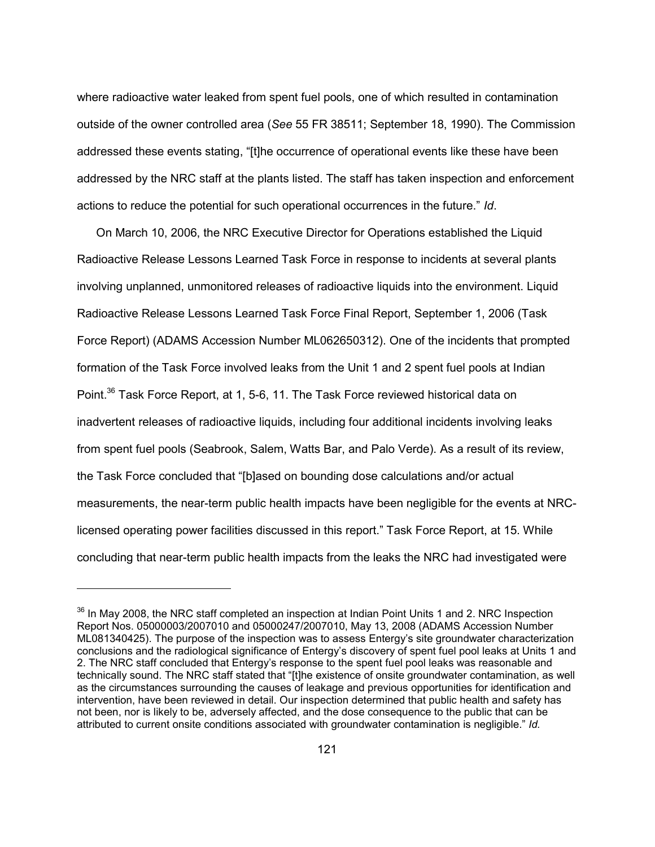where radioactive water leaked from spent fuel pools, one of which resulted in contamination outside of the owner controlled area (*See* 55 FR 38511; September 18, 1990). The Commission addressed these events stating, "[t]he occurrence of operational events like these have been addressed by the NRC staff at the plants listed. The staff has taken inspection and enforcement actions to reduce the potential for such operational occurrences in the future." *Id*.

 On March 10, 2006, the NRC Executive Director for Operations established the Liquid Radioactive Release Lessons Learned Task Force in response to incidents at several plants involving unplanned, unmonitored releases of radioactive liquids into the environment. Liquid Radioactive Release Lessons Learned Task Force Final Report, September 1, 2006 (Task Force Report) (ADAMS Accession Number ML062650312). One of the incidents that prompted formation of the Task Force involved leaks from the Unit 1 and 2 spent fuel pools at Indian Point.<sup>36</sup> Task Force Report, at 1, 5-6, 11. The Task Force reviewed historical data on inadvertent releases of radioactive liquids, including four additional incidents involving leaks from spent fuel pools (Seabrook, Salem, Watts Bar, and Palo Verde). As a result of its review, the Task Force concluded that "[b]ased on bounding dose calculations and/or actual measurements, the near-term public health impacts have been negligible for the events at NRClicensed operating power facilities discussed in this report." Task Force Report, at 15. While concluding that near-term public health impacts from the leaks the NRC had investigated were

-

<sup>&</sup>lt;sup>36</sup> In Mav 2008, the NRC staff completed an inspection at Indian Point Units 1 and 2. NRC Inspection Report Nos. 05000003/2007010 and 05000247/2007010, May 13, 2008 (ADAMS Accession Number ML081340425). The purpose of the inspection was to assess Entergy's site groundwater characterization conclusions and the radiological significance of Entergy's discovery of spent fuel pool leaks at Units 1 and 2. The NRC staff concluded that Entergy's response to the spent fuel pool leaks was reasonable and technically sound. The NRC staff stated that "[t]he existence of onsite groundwater contamination, as well as the circumstances surrounding the causes of leakage and previous opportunities for identification and intervention, have been reviewed in detail. Our inspection determined that public health and safety has not been, nor is likely to be, adversely affected, and the dose consequence to the public that can be attributed to current onsite conditions associated with groundwater contamination is negligible." *Id.*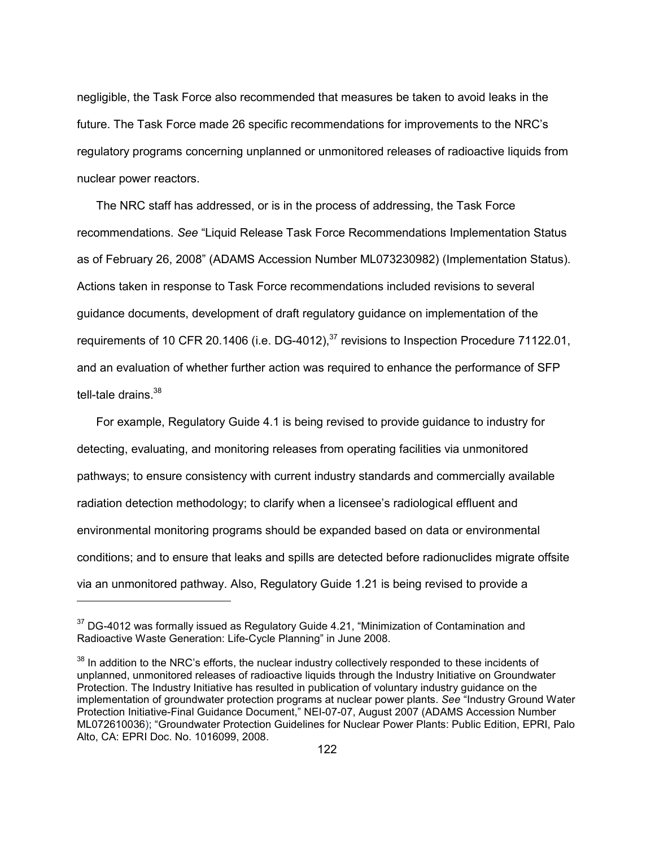negligible, the Task Force also recommended that measures be taken to avoid leaks in the future. The Task Force made 26 specific recommendations for improvements to the NRC's regulatory programs concerning unplanned or unmonitored releases of radioactive liquids from nuclear power reactors.

 The NRC staff has addressed, or is in the process of addressing, the Task Force recommendations. *See* "Liquid Release Task Force Recommendations Implementation Status as of February 26, 2008" (ADAMS Accession Number ML073230982) (Implementation Status). Actions taken in response to Task Force recommendations included revisions to several guidance documents, development of draft regulatory guidance on implementation of the requirements of 10 CFR 20.1406 (i.e. DG-4012),<sup>37</sup> revisions to Inspection Procedure 71122.01, and an evaluation of whether further action was required to enhance the performance of SFP tell-tale drains. $38$ 

 For example, Regulatory Guide 4.1 is being revised to provide guidance to industry for detecting, evaluating, and monitoring releases from operating facilities via unmonitored pathways; to ensure consistency with current industry standards and commercially available radiation detection methodology; to clarify when a licensee's radiological effluent and environmental monitoring programs should be expanded based on data or environmental conditions; and to ensure that leaks and spills are detected before radionuclides migrate offsite via an unmonitored pathway. Also, Regulatory Guide 1.21 is being revised to provide a

-

 $37$  DG-4012 was formally issued as Regulatory Guide 4.21, "Minimization of Contamination and Radioactive Waste Generation: Life-Cycle Planning" in June 2008.

<sup>&</sup>lt;sup>38</sup> In addition to the NRC's efforts, the nuclear industry collectively responded to these incidents of unplanned, unmonitored releases of radioactive liquids through the Industry Initiative on Groundwater Protection. The Industry Initiative has resulted in publication of voluntary industry guidance on the implementation of groundwater protection programs at nuclear power plants. *See* "Industry Ground Water Protection Initiative-Final Guidance Document," NEI-07-07, August 2007 (ADAMS Accession Number ML072610036); "Groundwater Protection Guidelines for Nuclear Power Plants: Public Edition, EPRI, Palo Alto, CA: EPRI Doc. No. 1016099, 2008.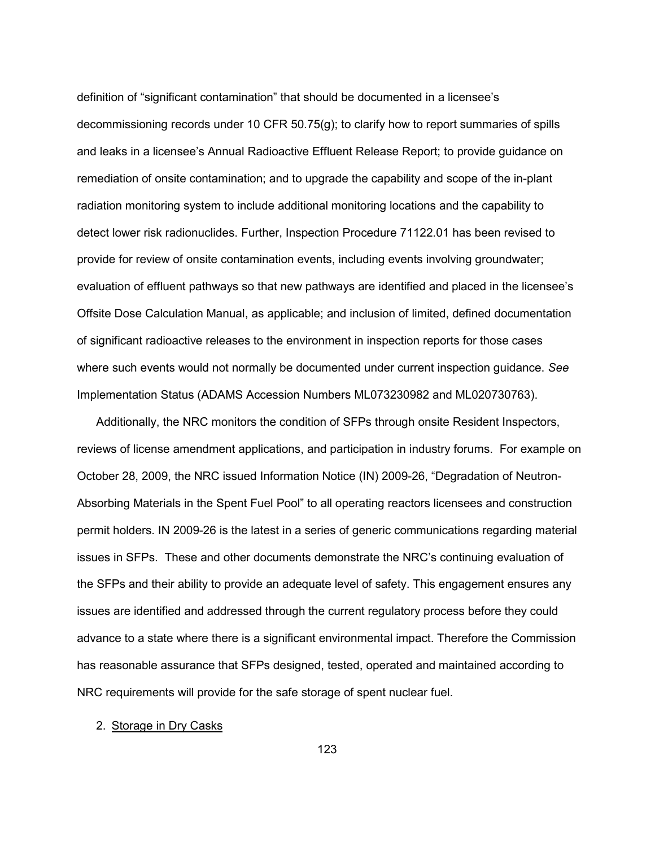definition of "significant contamination" that should be documented in a licensee's decommissioning records under 10 CFR 50.75(g); to clarify how to report summaries of spills and leaks in a licensee's Annual Radioactive Effluent Release Report; to provide guidance on remediation of onsite contamination; and to upgrade the capability and scope of the in-plant radiation monitoring system to include additional monitoring locations and the capability to detect lower risk radionuclides. Further, Inspection Procedure 71122.01 has been revised to provide for review of onsite contamination events, including events involving groundwater; evaluation of effluent pathways so that new pathways are identified and placed in the licensee's Offsite Dose Calculation Manual, as applicable; and inclusion of limited, defined documentation of significant radioactive releases to the environment in inspection reports for those cases where such events would not normally be documented under current inspection guidance. *See*  Implementation Status (ADAMS Accession Numbers ML073230982 and ML020730763).

 Additionally, the NRC monitors the condition of SFPs through onsite Resident Inspectors, reviews of license amendment applications, and participation in industry forums. For example on October 28, 2009, the NRC issued Information Notice (IN) 2009-26, "Degradation of Neutron-Absorbing Materials in the Spent Fuel Pool" to all operating reactors licensees and construction permit holders. IN 2009-26 is the latest in a series of generic communications regarding material issues in SFPs. These and other documents demonstrate the NRC's continuing evaluation of the SFPs and their ability to provide an adequate level of safety. This engagement ensures any issues are identified and addressed through the current regulatory process before they could advance to a state where there is a significant environmental impact. Therefore the Commission has reasonable assurance that SFPs designed, tested, operated and maintained according to NRC requirements will provide for the safe storage of spent nuclear fuel.

#### 2. Storage in Dry Casks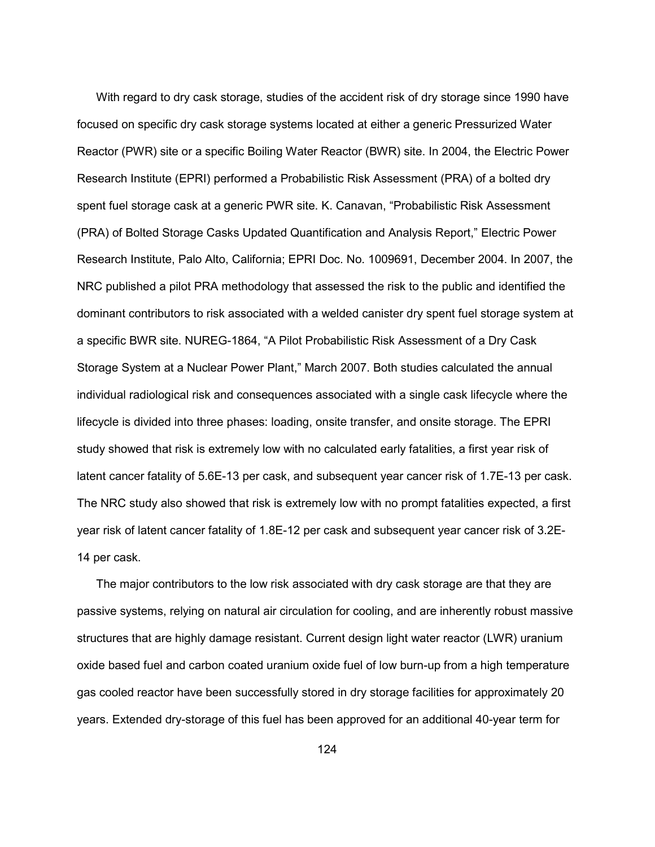With regard to dry cask storage, studies of the accident risk of dry storage since 1990 have focused on specific dry cask storage systems located at either a generic Pressurized Water Reactor (PWR) site or a specific Boiling Water Reactor (BWR) site. In 2004, the Electric Power Research Institute (EPRI) performed a Probabilistic Risk Assessment (PRA) of a bolted dry spent fuel storage cask at a generic PWR site. K. Canavan, "Probabilistic Risk Assessment (PRA) of Bolted Storage Casks Updated Quantification and Analysis Report," Electric Power Research Institute, Palo Alto, California; EPRI Doc. No. 1009691, December 2004. In 2007, the NRC published a pilot PRA methodology that assessed the risk to the public and identified the dominant contributors to risk associated with a welded canister dry spent fuel storage system at a specific BWR site. NUREG-1864, "A Pilot Probabilistic Risk Assessment of a Dry Cask Storage System at a Nuclear Power Plant," March 2007. Both studies calculated the annual individual radiological risk and consequences associated with a single cask lifecycle where the lifecycle is divided into three phases: loading, onsite transfer, and onsite storage. The EPRI study showed that risk is extremely low with no calculated early fatalities, a first year risk of latent cancer fatality of 5.6E-13 per cask, and subsequent year cancer risk of 1.7E-13 per cask. The NRC study also showed that risk is extremely low with no prompt fatalities expected, a first year risk of latent cancer fatality of 1.8E-12 per cask and subsequent year cancer risk of 3.2E-14 per cask.

 The major contributors to the low risk associated with dry cask storage are that they are passive systems, relying on natural air circulation for cooling, and are inherently robust massive structures that are highly damage resistant. Current design light water reactor (LWR) uranium oxide based fuel and carbon coated uranium oxide fuel of low burn-up from a high temperature gas cooled reactor have been successfully stored in dry storage facilities for approximately 20 years. Extended dry-storage of this fuel has been approved for an additional 40-year term for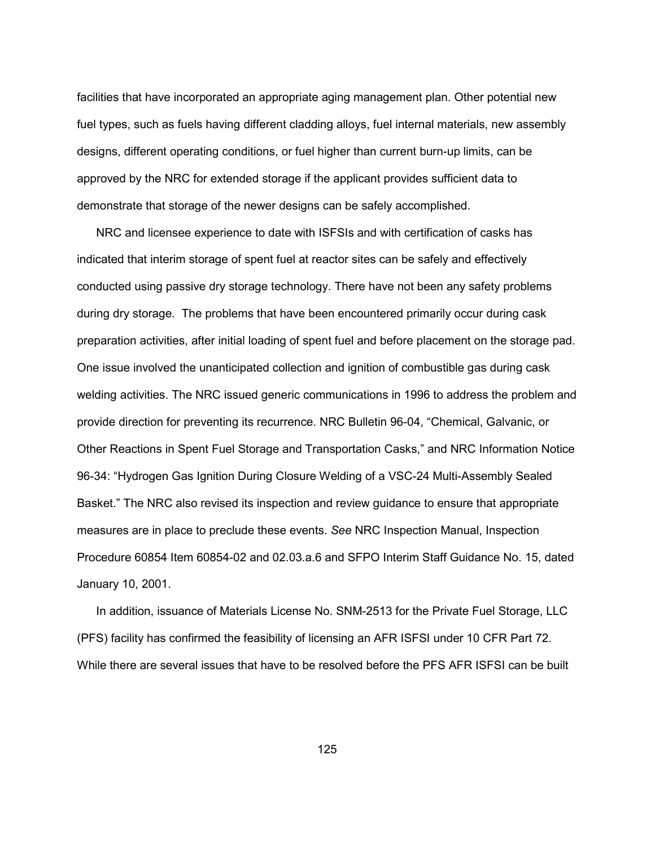facilities that have incorporated an appropriate aging management plan. Other potential new fuel types, such as fuels having different cladding alloys, fuel internal materials, new assembly designs, different operating conditions, or fuel higher than current burn-up limits, can be approved by the NRC for extended storage if the applicant provides sufficient data to demonstrate that storage of the newer designs can be safely accomplished.

 NRC and licensee experience to date with ISFSIs and with certification of casks has indicated that interim storage of spent fuel at reactor sites can be safely and effectively conducted using passive dry storage technology. There have not been any safety problems during dry storage. The problems that have been encountered primarily occur during cask preparation activities, after initial loading of spent fuel and before placement on the storage pad. One issue involved the unanticipated collection and ignition of combustible gas during cask welding activities. The NRC issued generic communications in 1996 to address the problem and provide direction for preventing its recurrence. NRC Bulletin 96-04, "Chemical, Galvanic, or Other Reactions in Spent Fuel Storage and Transportation Casks," and NRC Information Notice 96-34: "Hydrogen Gas Ignition During Closure Welding of a VSC-24 Multi-Assembly Sealed Basket." The NRC also revised its inspection and review guidance to ensure that appropriate measures are in place to preclude these events. *See* NRC Inspection Manual, Inspection Procedure 60854 Item 60854-02 and 02.03.a.6 and SFPO Interim Staff Guidance No. 15, dated January 10, 2001.

 In addition, issuance of Materials License No. SNM-2513 for the Private Fuel Storage, LLC (PFS) facility has confirmed the feasibility of licensing an AFR ISFSI under 10 CFR Part 72. While there are several issues that have to be resolved before the PFS AFR ISFSI can be built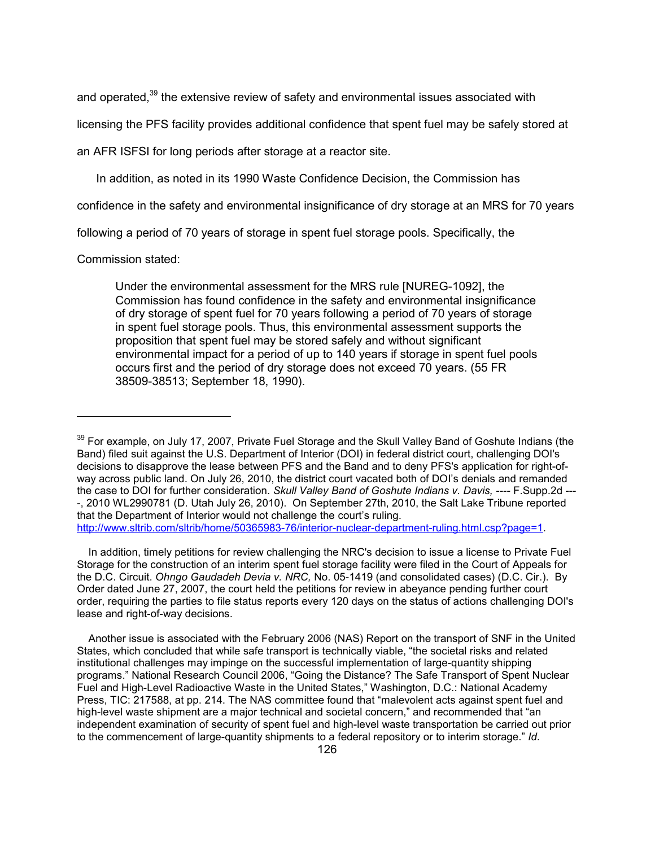and operated,<sup>39</sup> the extensive review of safety and environmental issues associated with

licensing the PFS facility provides additional confidence that spent fuel may be safely stored at

an AFR ISFSI for long periods after storage at a reactor site.

In addition, as noted in its 1990 Waste Confidence Decision, the Commission has

confidence in the safety and environmental insignificance of dry storage at an MRS for 70 years

following a period of 70 years of storage in spent fuel storage pools. Specifically, the

Commission stated:

-

Under the environmental assessment for the MRS rule [NUREG-1092], the Commission has found confidence in the safety and environmental insignificance of dry storage of spent fuel for 70 years following a period of 70 years of storage in spent fuel storage pools. Thus, this environmental assessment supports the proposition that spent fuel may be stored safely and without significant environmental impact for a period of up to 140 years if storage in spent fuel pools occurs first and the period of dry storage does not exceed 70 years. (55 FR 38509-38513; September 18, 1990).

 In addition, timely petitions for review challenging the NRC's decision to issue a license to Private Fuel Storage for the construction of an interim spent fuel storage facility were filed in the Court of Appeals for the D.C. Circuit. *Ohngo Gaudadeh Devia v. NRC,* No. 05-1419 (and consolidated cases) (D.C. Cir.). By Order dated June 27, 2007, the court held the petitions for review in abeyance pending further court order, requiring the parties to file status reports every 120 days on the status of actions challenging DOI's lease and right-of-way decisions.

 Another issue is associated with the February 2006 (NAS) Report on the transport of SNF in the United States, which concluded that while safe transport is technically viable, "the societal risks and related institutional challenges may impinge on the successful implementation of large-quantity shipping programs." National Research Council 2006, "Going the Distance? The Safe Transport of Spent Nuclear Fuel and High-Level Radioactive Waste in the United States," Washington, D.C.: National Academy Press, TIC: 217588, at pp. 214. The NAS committee found that "malevolent acts against spent fuel and high-level waste shipment are a major technical and societal concern," and recommended that "an independent examination of security of spent fuel and high-level waste transportation be carried out prior to the commencement of large-quantity shipments to a federal repository or to interim storage." *Id*.

<sup>&</sup>lt;sup>39</sup> For example, on July 17, 2007, Private Fuel Storage and the Skull Valley Band of Goshute Indians (the Band) filed suit against the U.S. Department of Interior (DOI) in federal district court, challenging DOI's decisions to disapprove the lease between PFS and the Band and to deny PFS's application for right-ofway across public land. On July 26, 2010, the district court vacated both of DOI's denials and remanded the case to DOI for further consideration. *Skull Valley Band of Goshute Indians v. Davis, ----* F.Supp.2d --- -, 2010 WL2990781 (D. Utah July 26, 2010). On September 27th, 2010, the Salt Lake Tribune reported that the Department of Interior would not challenge the court's ruling. http://www.sltrib.com/sltrib/home/50365983-76/interior-nuclear-department-ruling.html.csp?page=1.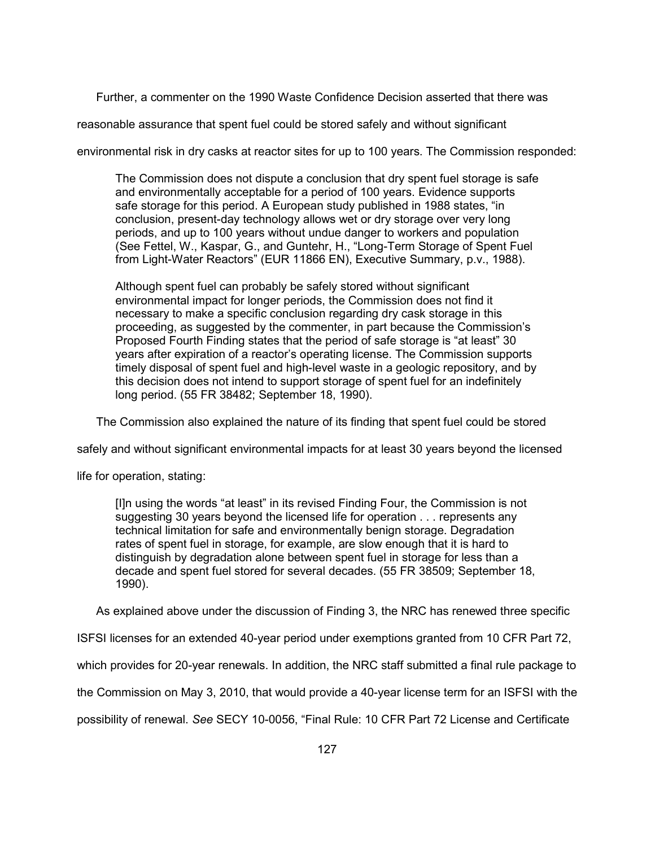Further, a commenter on the 1990 Waste Confidence Decision asserted that there was

reasonable assurance that spent fuel could be stored safely and without significant

environmental risk in dry casks at reactor sites for up to 100 years. The Commission responded:

The Commission does not dispute a conclusion that dry spent fuel storage is safe and environmentally acceptable for a period of 100 years. Evidence supports safe storage for this period. A European study published in 1988 states, "in conclusion, present-day technology allows wet or dry storage over very long periods, and up to 100 years without undue danger to workers and population (See Fettel, W., Kaspar, G., and Guntehr, H., "Long-Term Storage of Spent Fuel from Light-Water Reactors" (EUR 11866 EN), Executive Summary, p.v., 1988).

Although spent fuel can probably be safely stored without significant environmental impact for longer periods, the Commission does not find it necessary to make a specific conclusion regarding dry cask storage in this proceeding, as suggested by the commenter, in part because the Commission's Proposed Fourth Finding states that the period of safe storage is "at least" 30 years after expiration of a reactor's operating license. The Commission supports timely disposal of spent fuel and high-level waste in a geologic repository, and by this decision does not intend to support storage of spent fuel for an indefinitely long period. (55 FR 38482; September 18, 1990).

The Commission also explained the nature of its finding that spent fuel could be stored

safely and without significant environmental impacts for at least 30 years beyond the licensed

life for operation, stating:

[I]n using the words "at least" in its revised Finding Four, the Commission is not suggesting 30 years beyond the licensed life for operation . . . represents any technical limitation for safe and environmentally benign storage. Degradation rates of spent fuel in storage, for example, are slow enough that it is hard to distinguish by degradation alone between spent fuel in storage for less than a decade and spent fuel stored for several decades. (55 FR 38509; September 18, 1990).

As explained above under the discussion of Finding 3, the NRC has renewed three specific

ISFSI licenses for an extended 40-year period under exemptions granted from 10 CFR Part 72,

which provides for 20-year renewals. In addition, the NRC staff submitted a final rule package to

the Commission on May 3, 2010, that would provide a 40-year license term for an ISFSI with the

possibility of renewal. *See* SECY 10-0056, "Final Rule: 10 CFR Part 72 License and Certificate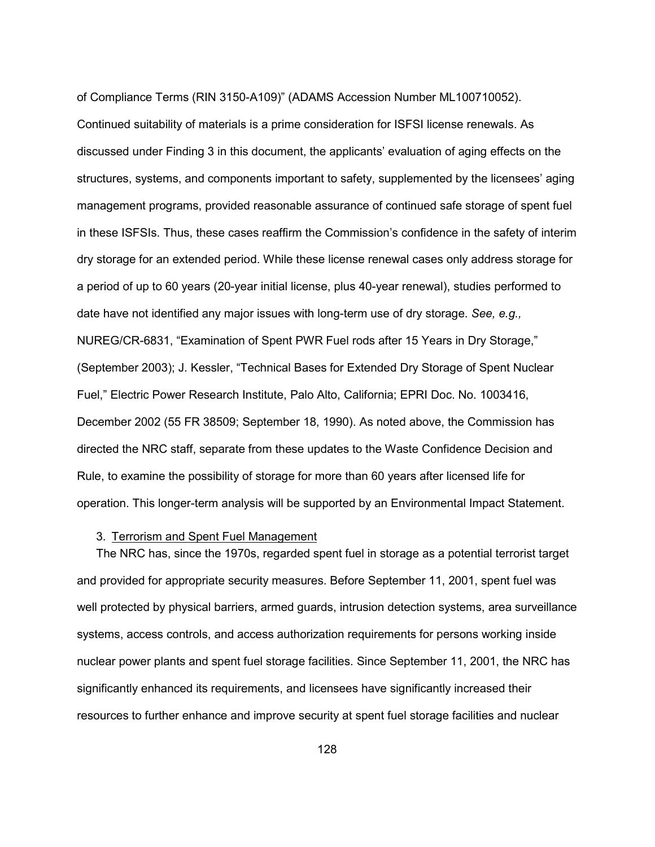of Compliance Terms (RIN 3150-A109)" (ADAMS Accession Number ML100710052).

Continued suitability of materials is a prime consideration for ISFSI license renewals. As discussed under Finding 3 in this document, the applicants' evaluation of aging effects on the structures, systems, and components important to safety, supplemented by the licensees' aging management programs, provided reasonable assurance of continued safe storage of spent fuel in these ISFSIs. Thus, these cases reaffirm the Commission's confidence in the safety of interim dry storage for an extended period. While these license renewal cases only address storage for a period of up to 60 years (20-year initial license, plus 40-year renewal), studies performed to date have not identified any major issues with long-term use of dry storage. *See, e.g.,* NUREG/CR-6831, "Examination of Spent PWR Fuel rods after 15 Years in Dry Storage," (September 2003); J. Kessler, "Technical Bases for Extended Dry Storage of Spent Nuclear Fuel," Electric Power Research Institute, Palo Alto, California; EPRI Doc. No. 1003416, December 2002 (55 FR 38509; September 18, 1990). As noted above, the Commission has directed the NRC staff, separate from these updates to the Waste Confidence Decision and Rule, to examine the possibility of storage for more than 60 years after licensed life for operation. This longer-term analysis will be supported by an Environmental Impact Statement.

#### 3. Terrorism and Spent Fuel Management

 The NRC has, since the 1970s, regarded spent fuel in storage as a potential terrorist target and provided for appropriate security measures. Before September 11, 2001, spent fuel was well protected by physical barriers, armed guards, intrusion detection systems, area surveillance systems, access controls, and access authorization requirements for persons working inside nuclear power plants and spent fuel storage facilities. Since September 11, 2001, the NRC has significantly enhanced its requirements, and licensees have significantly increased their resources to further enhance and improve security at spent fuel storage facilities and nuclear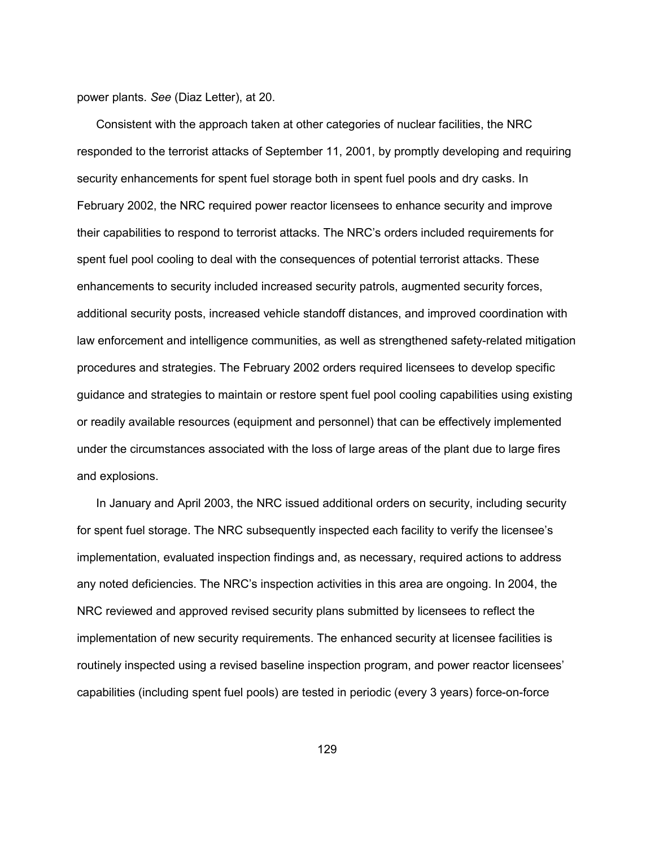power plants. *See* (Diaz Letter), at 20.

 Consistent with the approach taken at other categories of nuclear facilities, the NRC responded to the terrorist attacks of September 11, 2001, by promptly developing and requiring security enhancements for spent fuel storage both in spent fuel pools and dry casks. In February 2002, the NRC required power reactor licensees to enhance security and improve their capabilities to respond to terrorist attacks. The NRC's orders included requirements for spent fuel pool cooling to deal with the consequences of potential terrorist attacks. These enhancements to security included increased security patrols, augmented security forces, additional security posts, increased vehicle standoff distances, and improved coordination with law enforcement and intelligence communities, as well as strengthened safety-related mitigation procedures and strategies. The February 2002 orders required licensees to develop specific guidance and strategies to maintain or restore spent fuel pool cooling capabilities using existing or readily available resources (equipment and personnel) that can be effectively implemented under the circumstances associated with the loss of large areas of the plant due to large fires and explosions.

 In January and April 2003, the NRC issued additional orders on security, including security for spent fuel storage. The NRC subsequently inspected each facility to verify the licensee's implementation, evaluated inspection findings and, as necessary, required actions to address any noted deficiencies. The NRC's inspection activities in this area are ongoing. In 2004, the NRC reviewed and approved revised security plans submitted by licensees to reflect the implementation of new security requirements. The enhanced security at licensee facilities is routinely inspected using a revised baseline inspection program, and power reactor licensees' capabilities (including spent fuel pools) are tested in periodic (every 3 years) force-on-force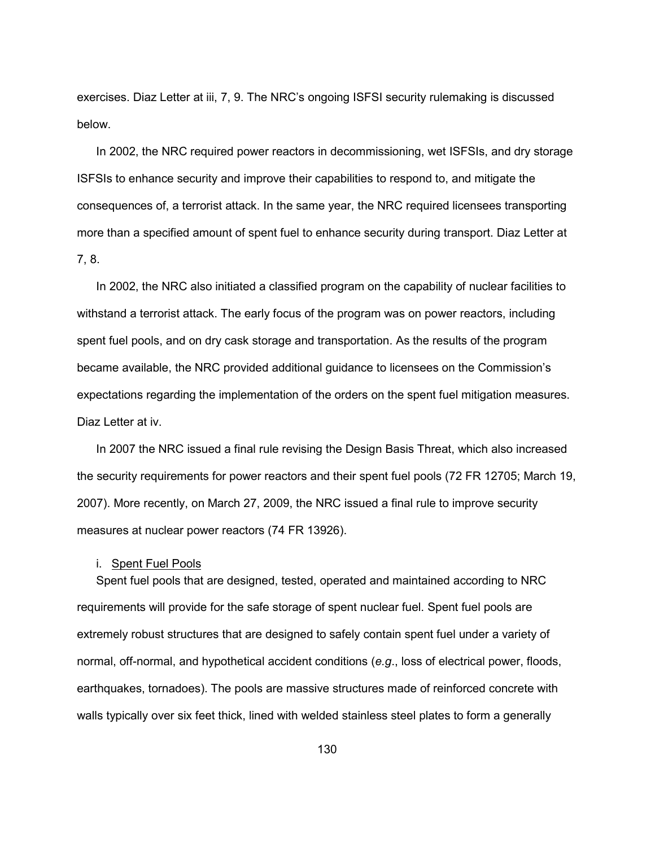exercises. Diaz Letter at iii, 7, 9. The NRC's ongoing ISFSI security rulemaking is discussed below.

 In 2002, the NRC required power reactors in decommissioning, wet ISFSIs, and dry storage ISFSIs to enhance security and improve their capabilities to respond to, and mitigate the consequences of, a terrorist attack. In the same year, the NRC required licensees transporting more than a specified amount of spent fuel to enhance security during transport. Diaz Letter at 7, 8.

 In 2002, the NRC also initiated a classified program on the capability of nuclear facilities to withstand a terrorist attack. The early focus of the program was on power reactors, including spent fuel pools, and on dry cask storage and transportation. As the results of the program became available, the NRC provided additional guidance to licensees on the Commission's expectations regarding the implementation of the orders on the spent fuel mitigation measures. Diaz Letter at iv.

 In 2007 the NRC issued a final rule revising the Design Basis Threat, which also increased the security requirements for power reactors and their spent fuel pools (72 FR 12705; March 19, 2007). More recently, on March 27, 2009, the NRC issued a final rule to improve security measures at nuclear power reactors (74 FR 13926).

## i. Spent Fuel Pools

 Spent fuel pools that are designed, tested, operated and maintained according to NRC requirements will provide for the safe storage of spent nuclear fuel. Spent fuel pools are extremely robust structures that are designed to safely contain spent fuel under a variety of normal, off-normal, and hypothetical accident conditions (*e.g*., loss of electrical power, floods, earthquakes, tornadoes). The pools are massive structures made of reinforced concrete with walls typically over six feet thick, lined with welded stainless steel plates to form a generally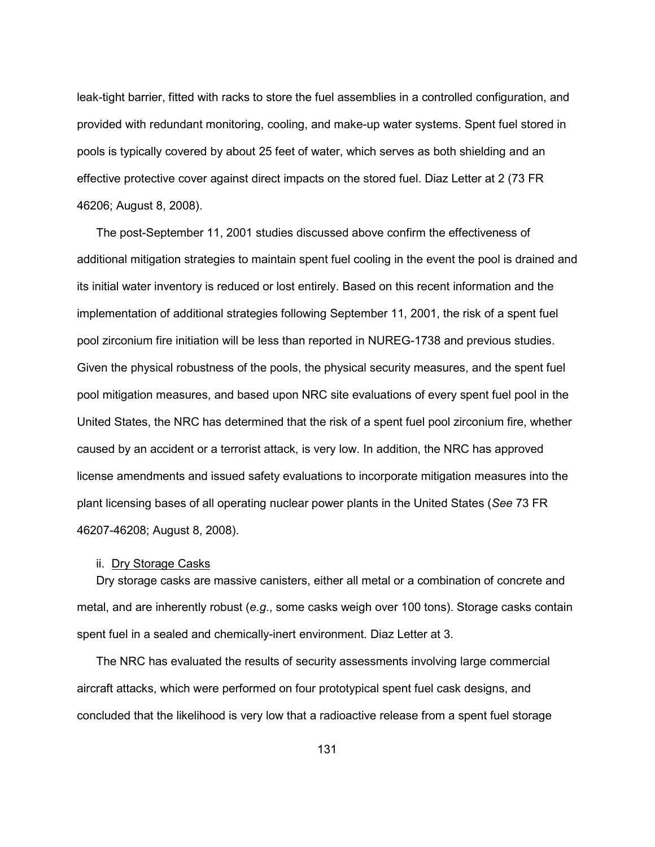leak-tight barrier, fitted with racks to store the fuel assemblies in a controlled configuration, and provided with redundant monitoring, cooling, and make-up water systems. Spent fuel stored in pools is typically covered by about 25 feet of water, which serves as both shielding and an effective protective cover against direct impacts on the stored fuel. Diaz Letter at 2 (73 FR 46206; August 8, 2008).

 The post-September 11, 2001 studies discussed above confirm the effectiveness of additional mitigation strategies to maintain spent fuel cooling in the event the pool is drained and its initial water inventory is reduced or lost entirely. Based on this recent information and the implementation of additional strategies following September 11, 2001, the risk of a spent fuel pool zirconium fire initiation will be less than reported in NUREG-1738 and previous studies. Given the physical robustness of the pools, the physical security measures, and the spent fuel pool mitigation measures, and based upon NRC site evaluations of every spent fuel pool in the United States, the NRC has determined that the risk of a spent fuel pool zirconium fire, whether caused by an accident or a terrorist attack, is very low. In addition, the NRC has approved license amendments and issued safety evaluations to incorporate mitigation measures into the plant licensing bases of all operating nuclear power plants in the United States (*See* 73 FR 46207-46208; August 8, 2008).

## ii. Dry Storage Casks

 Dry storage casks are massive canisters, either all metal or a combination of concrete and metal, and are inherently robust (*e.g*., some casks weigh over 100 tons). Storage casks contain spent fuel in a sealed and chemically-inert environment. Diaz Letter at 3.

 The NRC has evaluated the results of security assessments involving large commercial aircraft attacks, which were performed on four prototypical spent fuel cask designs, and concluded that the likelihood is very low that a radioactive release from a spent fuel storage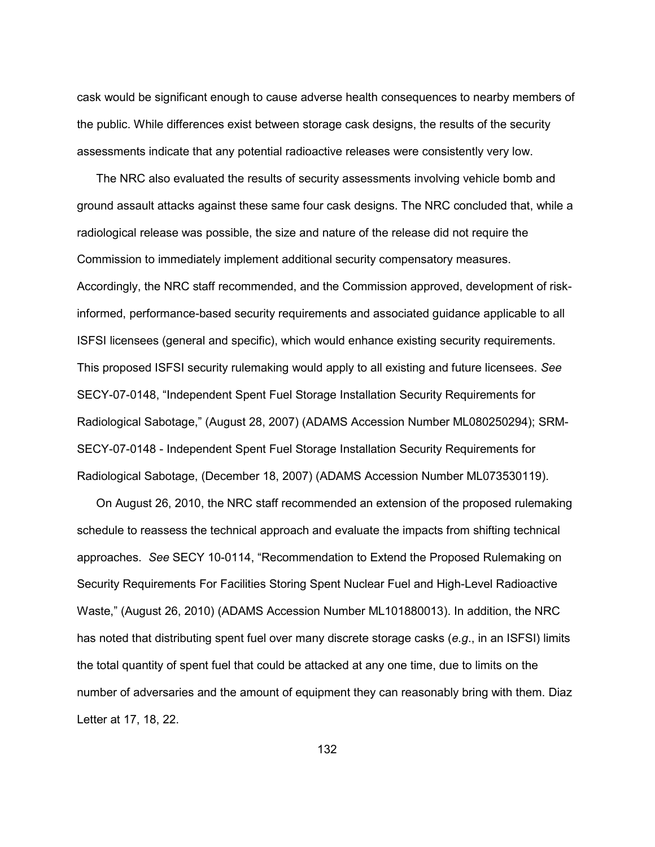cask would be significant enough to cause adverse health consequences to nearby members of the public. While differences exist between storage cask designs, the results of the security assessments indicate that any potential radioactive releases were consistently very low.

 The NRC also evaluated the results of security assessments involving vehicle bomb and ground assault attacks against these same four cask designs. The NRC concluded that, while a radiological release was possible, the size and nature of the release did not require the Commission to immediately implement additional security compensatory measures. Accordingly, the NRC staff recommended, and the Commission approved, development of riskinformed, performance-based security requirements and associated guidance applicable to all ISFSI licensees (general and specific), which would enhance existing security requirements. This proposed ISFSI security rulemaking would apply to all existing and future licensees. *See*  SECY-07-0148, "Independent Spent Fuel Storage Installation Security Requirements for Radiological Sabotage," (August 28, 2007) (ADAMS Accession Number ML080250294); SRM-SECY-07-0148 - Independent Spent Fuel Storage Installation Security Requirements for Radiological Sabotage, (December 18, 2007) (ADAMS Accession Number ML073530119).

 On August 26, 2010, the NRC staff recommended an extension of the proposed rulemaking schedule to reassess the technical approach and evaluate the impacts from shifting technical approaches. *See* SECY 10-0114, "Recommendation to Extend the Proposed Rulemaking on Security Requirements For Facilities Storing Spent Nuclear Fuel and High-Level Radioactive Waste," (August 26, 2010) (ADAMS Accession Number ML101880013). In addition, the NRC has noted that distributing spent fuel over many discrete storage casks (*e.g*., in an ISFSI) limits the total quantity of spent fuel that could be attacked at any one time, due to limits on the number of adversaries and the amount of equipment they can reasonably bring with them. Diaz Letter at 17, 18, 22.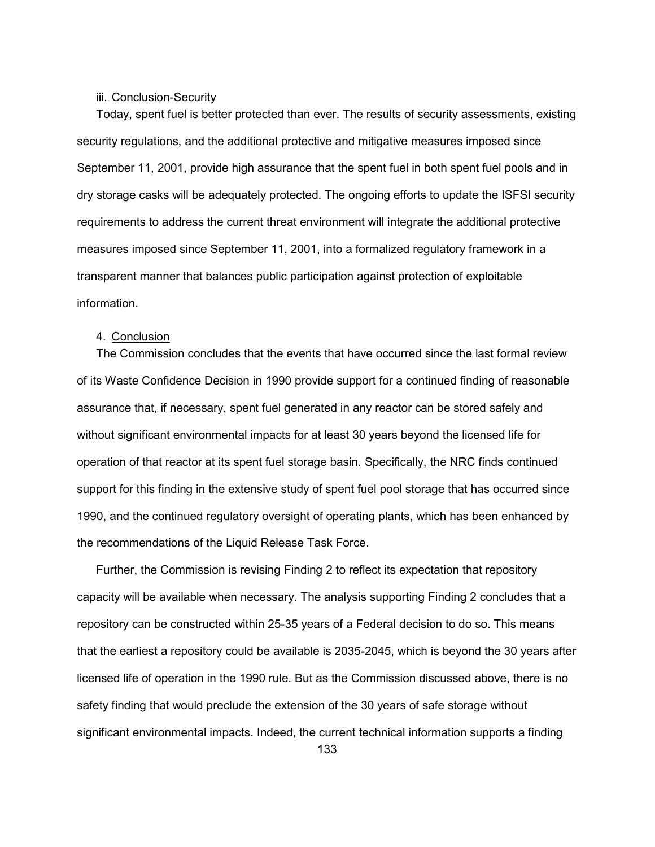## iii. Conclusion-Security

 Today, spent fuel is better protected than ever. The results of security assessments, existing security regulations, and the additional protective and mitigative measures imposed since September 11, 2001, provide high assurance that the spent fuel in both spent fuel pools and in dry storage casks will be adequately protected. The ongoing efforts to update the ISFSI security requirements to address the current threat environment will integrate the additional protective measures imposed since September 11, 2001, into a formalized regulatory framework in a transparent manner that balances public participation against protection of exploitable information.

# 4. Conclusion

 The Commission concludes that the events that have occurred since the last formal review of its Waste Confidence Decision in 1990 provide support for a continued finding of reasonable assurance that, if necessary, spent fuel generated in any reactor can be stored safely and without significant environmental impacts for at least 30 years beyond the licensed life for operation of that reactor at its spent fuel storage basin. Specifically, the NRC finds continued support for this finding in the extensive study of spent fuel pool storage that has occurred since 1990, and the continued regulatory oversight of operating plants, which has been enhanced by the recommendations of the Liquid Release Task Force.

 Further, the Commission is revising Finding 2 to reflect its expectation that repository capacity will be available when necessary. The analysis supporting Finding 2 concludes that a repository can be constructed within 25-35 years of a Federal decision to do so. This means that the earliest a repository could be available is 2035-2045, which is beyond the 30 years after licensed life of operation in the 1990 rule. But as the Commission discussed above, there is no safety finding that would preclude the extension of the 30 years of safe storage without significant environmental impacts. Indeed, the current technical information supports a finding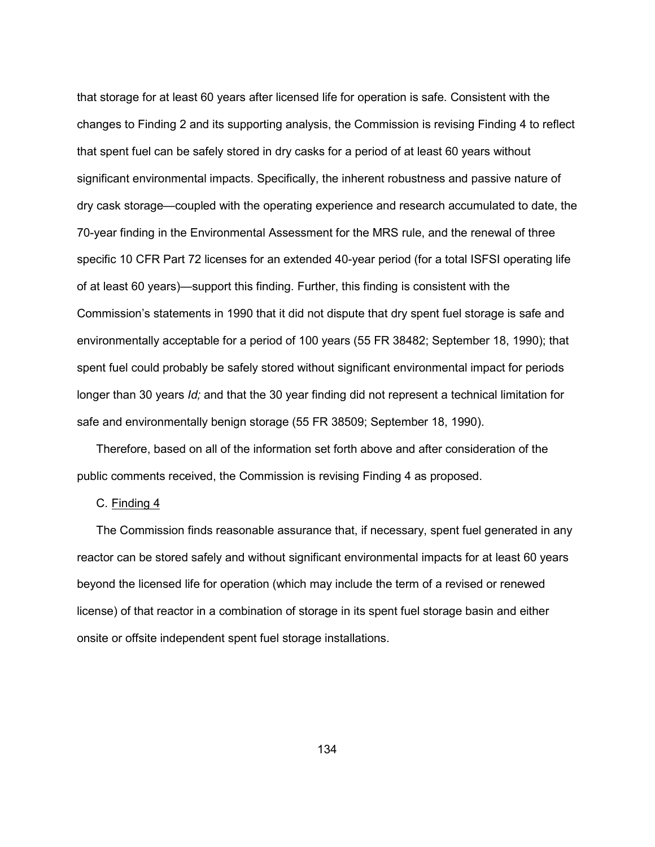that storage for at least 60 years after licensed life for operation is safe. Consistent with the changes to Finding 2 and its supporting analysis, the Commission is revising Finding 4 to reflect that spent fuel can be safely stored in dry casks for a period of at least 60 years without significant environmental impacts. Specifically, the inherent robustness and passive nature of dry cask storage—coupled with the operating experience and research accumulated to date, the 70-year finding in the Environmental Assessment for the MRS rule, and the renewal of three specific 10 CFR Part 72 licenses for an extended 40-year period (for a total ISFSI operating life of at least 60 years)—support this finding. Further, this finding is consistent with the Commission's statements in 1990 that it did not dispute that dry spent fuel storage is safe and environmentally acceptable for a period of 100 years (55 FR 38482; September 18, 1990); that spent fuel could probably be safely stored without significant environmental impact for periods longer than 30 years *Id;* and that the 30 year finding did not represent a technical limitation for safe and environmentally benign storage (55 FR 38509; September 18, 1990).

 Therefore, based on all of the information set forth above and after consideration of the public comments received, the Commission is revising Finding 4 as proposed.

### C. Finding 4

The Commission finds reasonable assurance that, if necessary, spent fuel generated in any reactor can be stored safely and without significant environmental impacts for at least 60 years beyond the licensed life for operation (which may include the term of a revised or renewed license) of that reactor in a combination of storage in its spent fuel storage basin and either onsite or offsite independent spent fuel storage installations.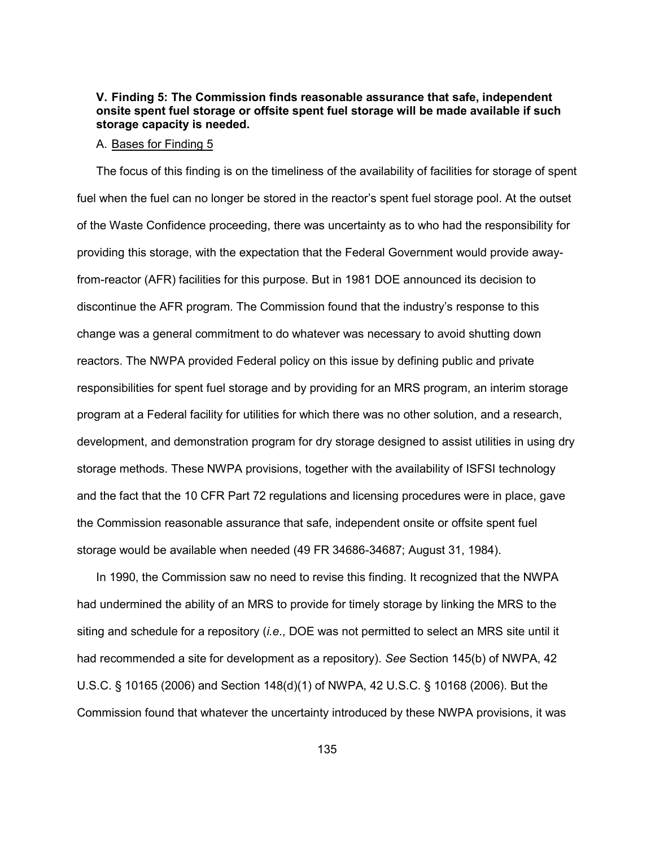# **V. Finding 5: The Commission finds reasonable assurance that safe, independent onsite spent fuel storage or offsite spent fuel storage will be made available if such storage capacity is needed.**

#### A. Bases for Finding 5

 The focus of this finding is on the timeliness of the availability of facilities for storage of spent fuel when the fuel can no longer be stored in the reactor's spent fuel storage pool. At the outset of the Waste Confidence proceeding, there was uncertainty as to who had the responsibility for providing this storage, with the expectation that the Federal Government would provide awayfrom-reactor (AFR) facilities for this purpose. But in 1981 DOE announced its decision to discontinue the AFR program. The Commission found that the industry's response to this change was a general commitment to do whatever was necessary to avoid shutting down reactors. The NWPA provided Federal policy on this issue by defining public and private responsibilities for spent fuel storage and by providing for an MRS program, an interim storage program at a Federal facility for utilities for which there was no other solution, and a research, development, and demonstration program for dry storage designed to assist utilities in using dry storage methods. These NWPA provisions, together with the availability of ISFSI technology and the fact that the 10 CFR Part 72 regulations and licensing procedures were in place, gave the Commission reasonable assurance that safe, independent onsite or offsite spent fuel storage would be available when needed (49 FR 34686-34687; August 31, 1984).

 In 1990, the Commission saw no need to revise this finding. It recognized that the NWPA had undermined the ability of an MRS to provide for timely storage by linking the MRS to the siting and schedule for a repository (*i.e*., DOE was not permitted to select an MRS site until it had recommended a site for development as a repository). *See* Section 145(b) of NWPA, 42 U.S.C. § 10165 (2006) and Section 148(d)(1) of NWPA, 42 U.S.C. § 10168 (2006). But the Commission found that whatever the uncertainty introduced by these NWPA provisions, it was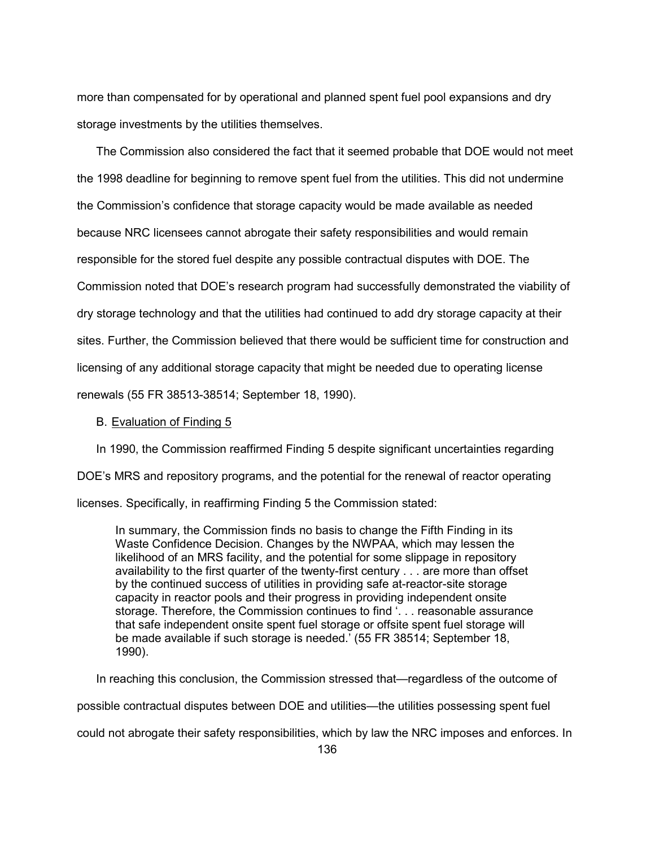more than compensated for by operational and planned spent fuel pool expansions and dry storage investments by the utilities themselves.

 The Commission also considered the fact that it seemed probable that DOE would not meet the 1998 deadline for beginning to remove spent fuel from the utilities. This did not undermine the Commission's confidence that storage capacity would be made available as needed because NRC licensees cannot abrogate their safety responsibilities and would remain responsible for the stored fuel despite any possible contractual disputes with DOE. The Commission noted that DOE's research program had successfully demonstrated the viability of dry storage technology and that the utilities had continued to add dry storage capacity at their sites. Further, the Commission believed that there would be sufficient time for construction and licensing of any additional storage capacity that might be needed due to operating license renewals (55 FR 38513-38514; September 18, 1990).

#### B. Evaluation of Finding 5

 In 1990, the Commission reaffirmed Finding 5 despite significant uncertainties regarding DOE's MRS and repository programs, and the potential for the renewal of reactor operating

licenses. Specifically, in reaffirming Finding 5 the Commission stated:

In summary, the Commission finds no basis to change the Fifth Finding in its Waste Confidence Decision. Changes by the NWPAA, which may lessen the likelihood of an MRS facility, and the potential for some slippage in repository availability to the first quarter of the twenty-first century . . . are more than offset by the continued success of utilities in providing safe at-reactor-site storage capacity in reactor pools and their progress in providing independent onsite storage. Therefore, the Commission continues to find '. . . reasonable assurance that safe independent onsite spent fuel storage or offsite spent fuel storage will be made available if such storage is needed.' (55 FR 38514; September 18, 1990).

 In reaching this conclusion, the Commission stressed that—regardless of the outcome of possible contractual disputes between DOE and utilities—the utilities possessing spent fuel could not abrogate their safety responsibilities, which by law the NRC imposes and enforces. In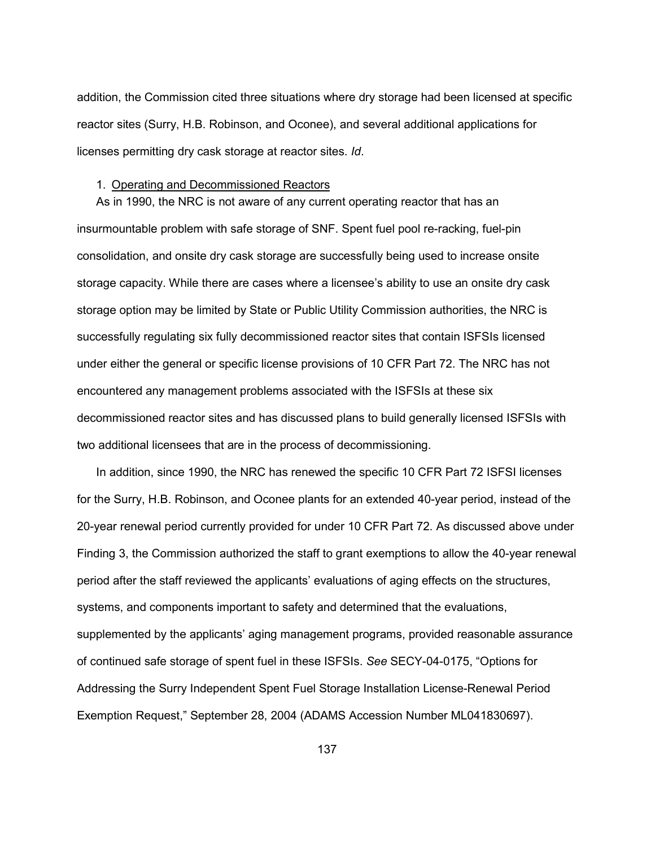addition, the Commission cited three situations where dry storage had been licensed at specific reactor sites (Surry, H.B. Robinson, and Oconee), and several additional applications for licenses permitting dry cask storage at reactor sites. *Id*.

### 1. Operating and Decommissioned Reactors

 As in 1990, the NRC is not aware of any current operating reactor that has an insurmountable problem with safe storage of SNF. Spent fuel pool re-racking, fuel-pin consolidation, and onsite dry cask storage are successfully being used to increase onsite storage capacity. While there are cases where a licensee's ability to use an onsite dry cask storage option may be limited by State or Public Utility Commission authorities, the NRC is successfully regulating six fully decommissioned reactor sites that contain ISFSIs licensed under either the general or specific license provisions of 10 CFR Part 72. The NRC has not encountered any management problems associated with the ISFSIs at these six decommissioned reactor sites and has discussed plans to build generally licensed ISFSIs with two additional licensees that are in the process of decommissioning.

 In addition, since 1990, the NRC has renewed the specific 10 CFR Part 72 ISFSI licenses for the Surry, H.B. Robinson, and Oconee plants for an extended 40-year period, instead of the 20-year renewal period currently provided for under 10 CFR Part 72. As discussed above under Finding 3, the Commission authorized the staff to grant exemptions to allow the 40-year renewal period after the staff reviewed the applicants' evaluations of aging effects on the structures, systems, and components important to safety and determined that the evaluations, supplemented by the applicants' aging management programs, provided reasonable assurance of continued safe storage of spent fuel in these ISFSIs. *See* SECY-04-0175, "Options for Addressing the Surry Independent Spent Fuel Storage Installation License-Renewal Period Exemption Request," September 28, 2004 (ADAMS Accession Number ML041830697).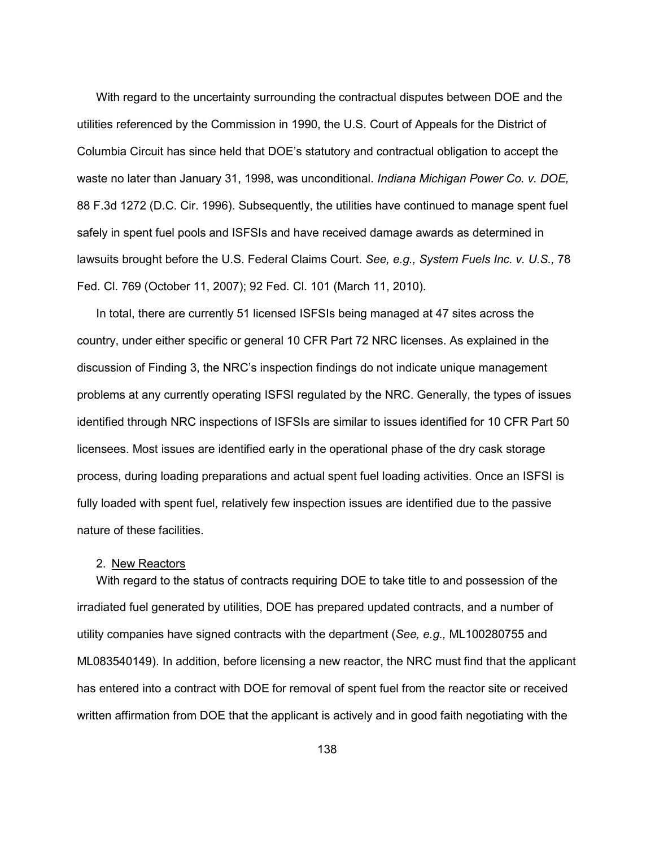With regard to the uncertainty surrounding the contractual disputes between DOE and the utilities referenced by the Commission in 1990, the U.S. Court of Appeals for the District of Columbia Circuit has since held that DOE's statutory and contractual obligation to accept the waste no later than January 31, 1998, was unconditional. *Indiana Michigan Power Co. v. DOE,*  88 F.3d 1272 (D.C. Cir. 1996). Subsequently, the utilities have continued to manage spent fuel safely in spent fuel pools and ISFSIs and have received damage awards as determined in lawsuits brought before the U.S. Federal Claims Court. *See, e.g., System Fuels Inc. v. U.S.,* 78 Fed. Cl. 769 (October 11, 2007); 92 Fed. Cl. 101 (March 11, 2010).

 In total, there are currently 51 licensed ISFSIs being managed at 47 sites across the country, under either specific or general 10 CFR Part 72 NRC licenses. As explained in the discussion of Finding 3, the NRC's inspection findings do not indicate unique management problems at any currently operating ISFSI regulated by the NRC. Generally, the types of issues identified through NRC inspections of ISFSIs are similar to issues identified for 10 CFR Part 50 licensees. Most issues are identified early in the operational phase of the dry cask storage process, during loading preparations and actual spent fuel loading activities. Once an ISFSI is fully loaded with spent fuel, relatively few inspection issues are identified due to the passive nature of these facilities.

# 2. New Reactors

 With regard to the status of contracts requiring DOE to take title to and possession of the irradiated fuel generated by utilities, DOE has prepared updated contracts, and a number of utility companies have signed contracts with the department (*See, e.g.,* ML100280755 and ML083540149). In addition, before licensing a new reactor, the NRC must find that the applicant has entered into a contract with DOE for removal of spent fuel from the reactor site or received written affirmation from DOE that the applicant is actively and in good faith negotiating with the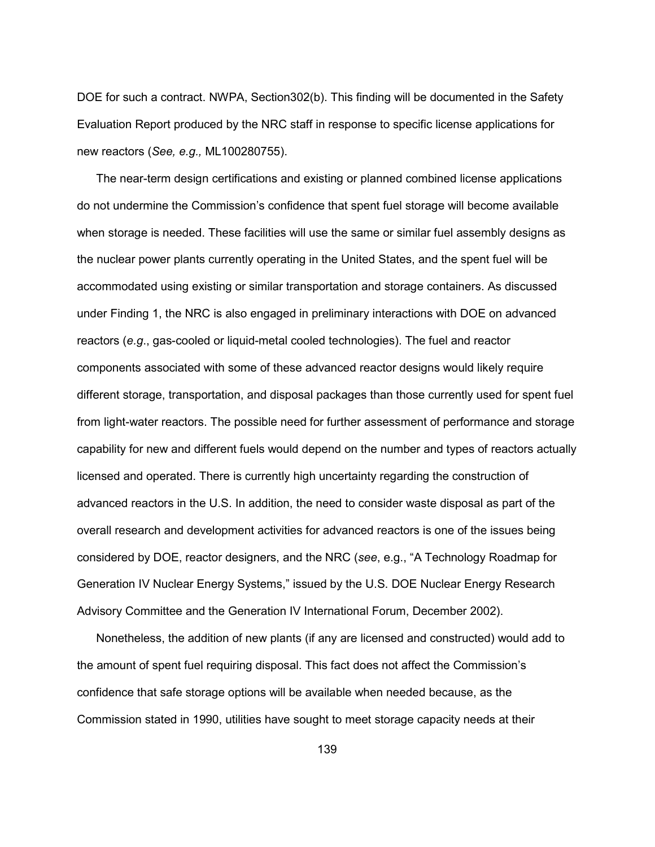DOE for such a contract. NWPA, Section302(b). This finding will be documented in the Safety Evaluation Report produced by the NRC staff in response to specific license applications for new reactors (*See, e.g.,* ML100280755).

 The near-term design certifications and existing or planned combined license applications do not undermine the Commission's confidence that spent fuel storage will become available when storage is needed. These facilities will use the same or similar fuel assembly designs as the nuclear power plants currently operating in the United States, and the spent fuel will be accommodated using existing or similar transportation and storage containers. As discussed under Finding 1, the NRC is also engaged in preliminary interactions with DOE on advanced reactors (*e.g*., gas-cooled or liquid-metal cooled technologies). The fuel and reactor components associated with some of these advanced reactor designs would likely require different storage, transportation, and disposal packages than those currently used for spent fuel from light-water reactors. The possible need for further assessment of performance and storage capability for new and different fuels would depend on the number and types of reactors actually licensed and operated. There is currently high uncertainty regarding the construction of advanced reactors in the U.S. In addition, the need to consider waste disposal as part of the overall research and development activities for advanced reactors is one of the issues being considered by DOE, reactor designers, and the NRC (*see*, e.g., "A Technology Roadmap for Generation IV Nuclear Energy Systems," issued by the U.S. DOE Nuclear Energy Research Advisory Committee and the Generation IV International Forum, December 2002).

 Nonetheless, the addition of new plants (if any are licensed and constructed) would add to the amount of spent fuel requiring disposal. This fact does not affect the Commission's confidence that safe storage options will be available when needed because, as the Commission stated in 1990, utilities have sought to meet storage capacity needs at their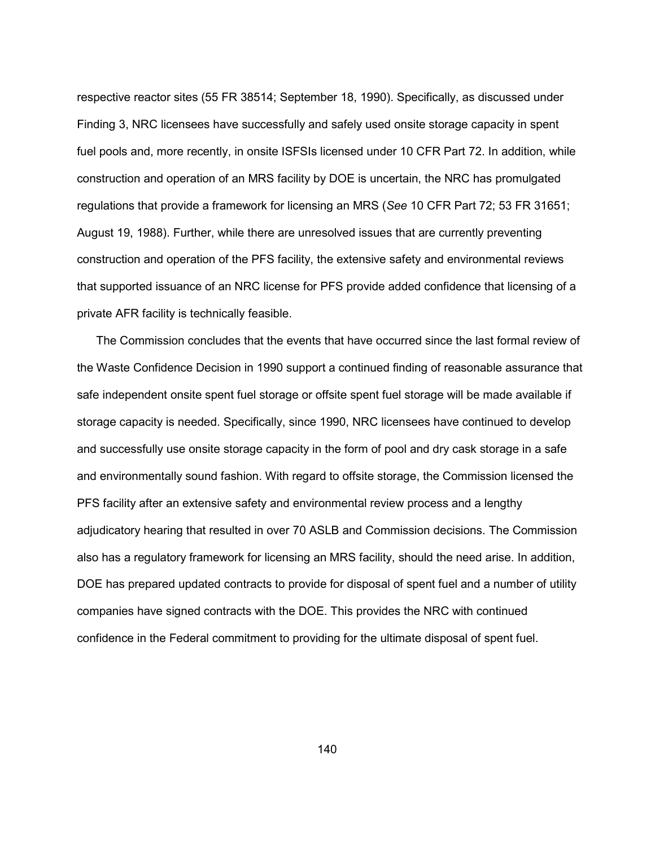respective reactor sites (55 FR 38514; September 18, 1990). Specifically, as discussed under Finding 3, NRC licensees have successfully and safely used onsite storage capacity in spent fuel pools and, more recently, in onsite ISFSIs licensed under 10 CFR Part 72. In addition, while construction and operation of an MRS facility by DOE is uncertain, the NRC has promulgated regulations that provide a framework for licensing an MRS (*See* 10 CFR Part 72; 53 FR 31651; August 19, 1988). Further, while there are unresolved issues that are currently preventing construction and operation of the PFS facility, the extensive safety and environmental reviews that supported issuance of an NRC license for PFS provide added confidence that licensing of a private AFR facility is technically feasible.

 The Commission concludes that the events that have occurred since the last formal review of the Waste Confidence Decision in 1990 support a continued finding of reasonable assurance that safe independent onsite spent fuel storage or offsite spent fuel storage will be made available if storage capacity is needed. Specifically, since 1990, NRC licensees have continued to develop and successfully use onsite storage capacity in the form of pool and dry cask storage in a safe and environmentally sound fashion. With regard to offsite storage, the Commission licensed the PFS facility after an extensive safety and environmental review process and a lengthy adjudicatory hearing that resulted in over 70 ASLB and Commission decisions. The Commission also has a regulatory framework for licensing an MRS facility, should the need arise. In addition, DOE has prepared updated contracts to provide for disposal of spent fuel and a number of utility companies have signed contracts with the DOE. This provides the NRC with continued confidence in the Federal commitment to providing for the ultimate disposal of spent fuel.